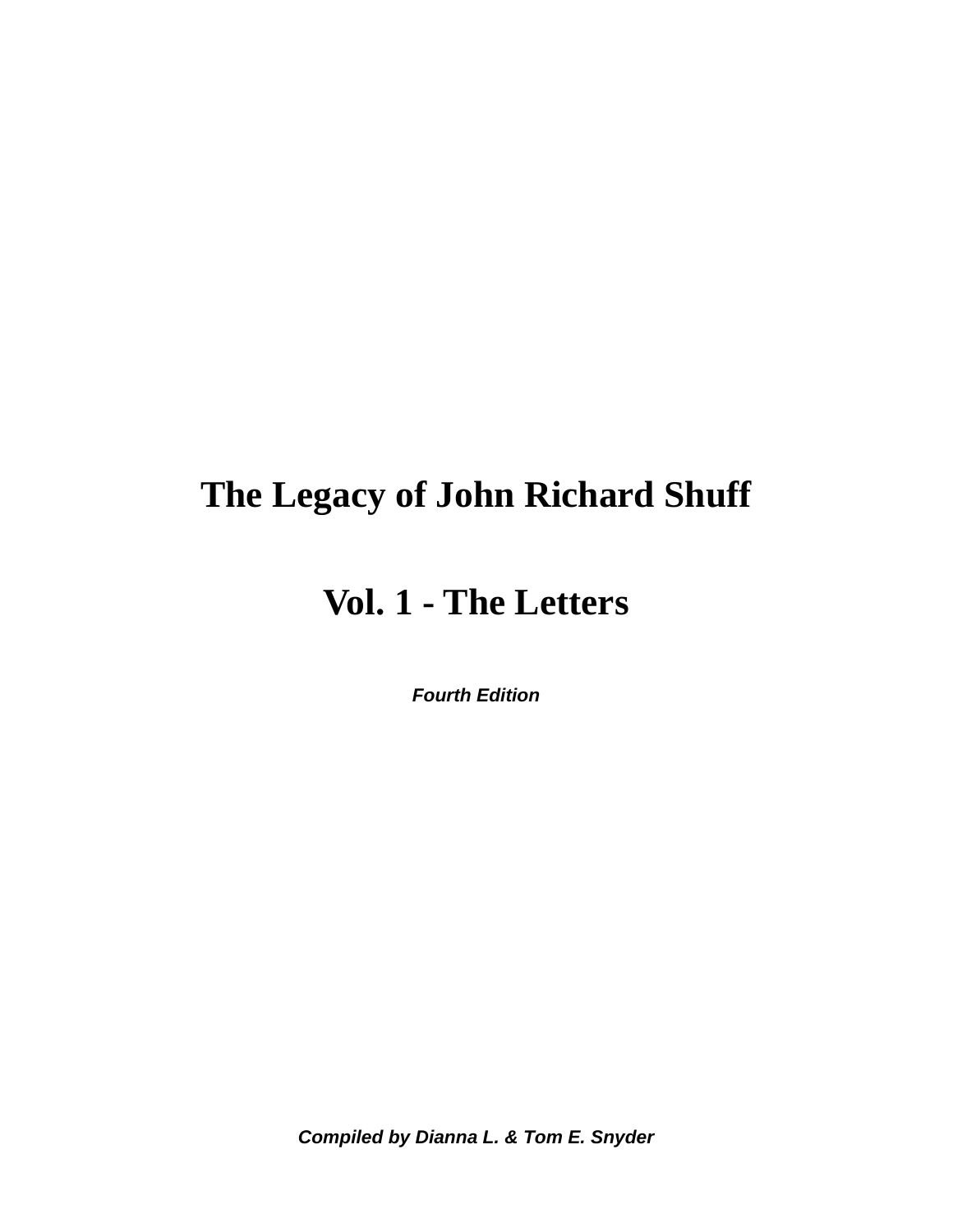# **The Legacy of John Richard Shuff**

# **Vol. 1 - The Letters**

*Fourth Edition* 

*Compiled by Dianna L. & Tom E. Snyder*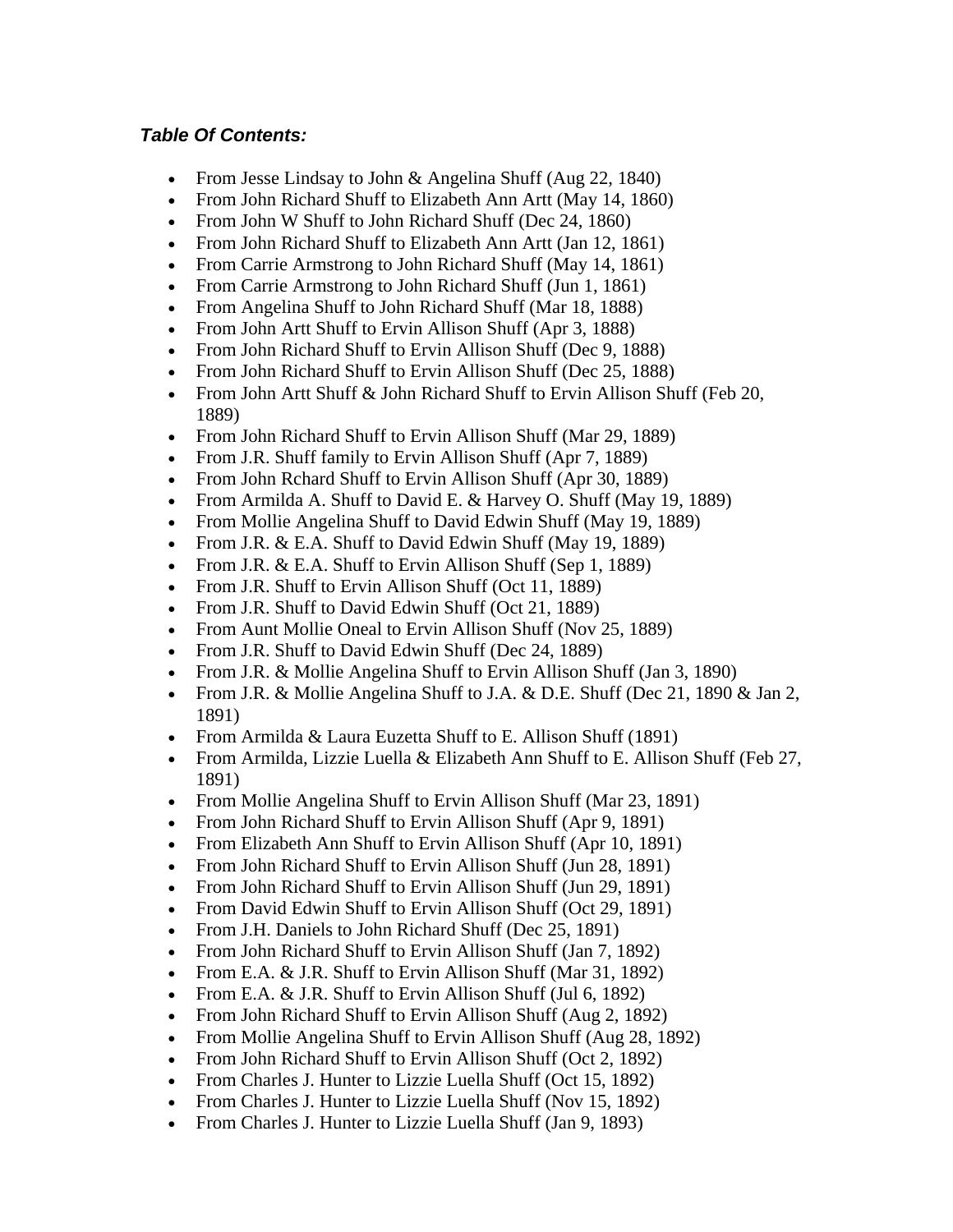## *Table Of Contents:*

- From Jesse Lindsay to John & Angelina Shuff (Aug 22, 1840)
- From John Richard Shuff to Elizabeth Ann Artt (May 14, 1860)
- From John W Shuff to John Richard Shuff (Dec 24, 1860)
- From John Richard Shuff to Elizabeth Ann Artt (Jan 12, 1861)
- From Carrie Armstrong to John Richard Shuff (May 14, 1861)
- From Carrie Armstrong to John Richard Shuff (Jun 1, 1861)
- From Angelina Shuff to John Richard Shuff (Mar 18, 1888)
- From John Artt Shuff to Ervin Allison Shuff (Apr 3, 1888)
- From John Richard Shuff to Ervin Allison Shuff (Dec 9, 1888)
- From John Richard Shuff to Ervin Allison Shuff (Dec 25, 1888)
- From John Artt Shuff & John Richard Shuff to Ervin Allison Shuff (Feb 20, 1889)
- From John Richard Shuff to Ervin Allison Shuff (Mar 29, 1889)
- From J.R. Shuff family to Ervin Allison Shuff (Apr 7, 1889)
- From John Rchard Shuff to Ervin Allison Shuff (Apr 30, 1889)
- From Armilda A. Shuff to David E. & Harvey O. Shuff (May 19, 1889)
- From Mollie Angelina Shuff to David Edwin Shuff (May 19, 1889)
- From J.R. & E.A. Shuff to David Edwin Shuff (May 19, 1889)
- From J.R. & E.A. Shuff to Ervin Allison Shuff (Sep 1, 1889)
- From J.R. Shuff to Ervin Allison Shuff (Oct 11, 1889)
- From J.R. Shuff to David Edwin Shuff (Oct 21, 1889)
- From Aunt Mollie Oneal to Ervin Allison Shuff (Nov 25, 1889)
- From J.R. Shuff to David Edwin Shuff (Dec 24, 1889)
- From J.R. & Mollie Angelina Shuff to Ervin Allison Shuff (Jan 3, 1890)
- From J.R. & Mollie Angelina Shuff to J.A. & D.E. Shuff (Dec 21, 1890 & Jan 2, 1891)
- From Armilda & Laura Euzetta Shuff to E. Allison Shuff (1891)
- From Armilda, Lizzie Luella & Elizabeth Ann Shuff to E. Allison Shuff (Feb 27, 1891)
- From Mollie Angelina Shuff to Ervin Allison Shuff (Mar 23, 1891)
- From John Richard Shuff to Ervin Allison Shuff (Apr 9, 1891)
- From Elizabeth Ann Shuff to Ervin Allison Shuff (Apr 10, 1891)
- From John Richard Shuff to Ervin Allison Shuff (Jun 28, 1891)
- From John Richard Shuff to Ervin Allison Shuff (Jun 29, 1891)
- From David Edwin Shuff to Ervin Allison Shuff (Oct 29, 1891)
- From J.H. Daniels to John Richard Shuff (Dec 25, 1891)
- From John Richard Shuff to Ervin Allison Shuff (Jan 7, 1892)
- From E.A. & J.R. Shuff to Ervin Allison Shuff (Mar 31, 1892)
- From E.A. & J.R. Shuff to Ervin Allison Shuff (Jul 6, 1892)
- From John Richard Shuff to Ervin Allison Shuff (Aug 2, 1892)
- From Mollie Angelina Shuff to Ervin Allison Shuff (Aug 28, 1892)
- From John Richard Shuff to Ervin Allison Shuff (Oct 2, 1892)
- From Charles J. Hunter to Lizzie Luella Shuff (Oct 15, 1892)
- From Charles J. Hunter to Lizzie Luella Shuff (Nov 15, 1892)
- From Charles J. Hunter to Lizzie Luella Shuff (Jan 9, 1893)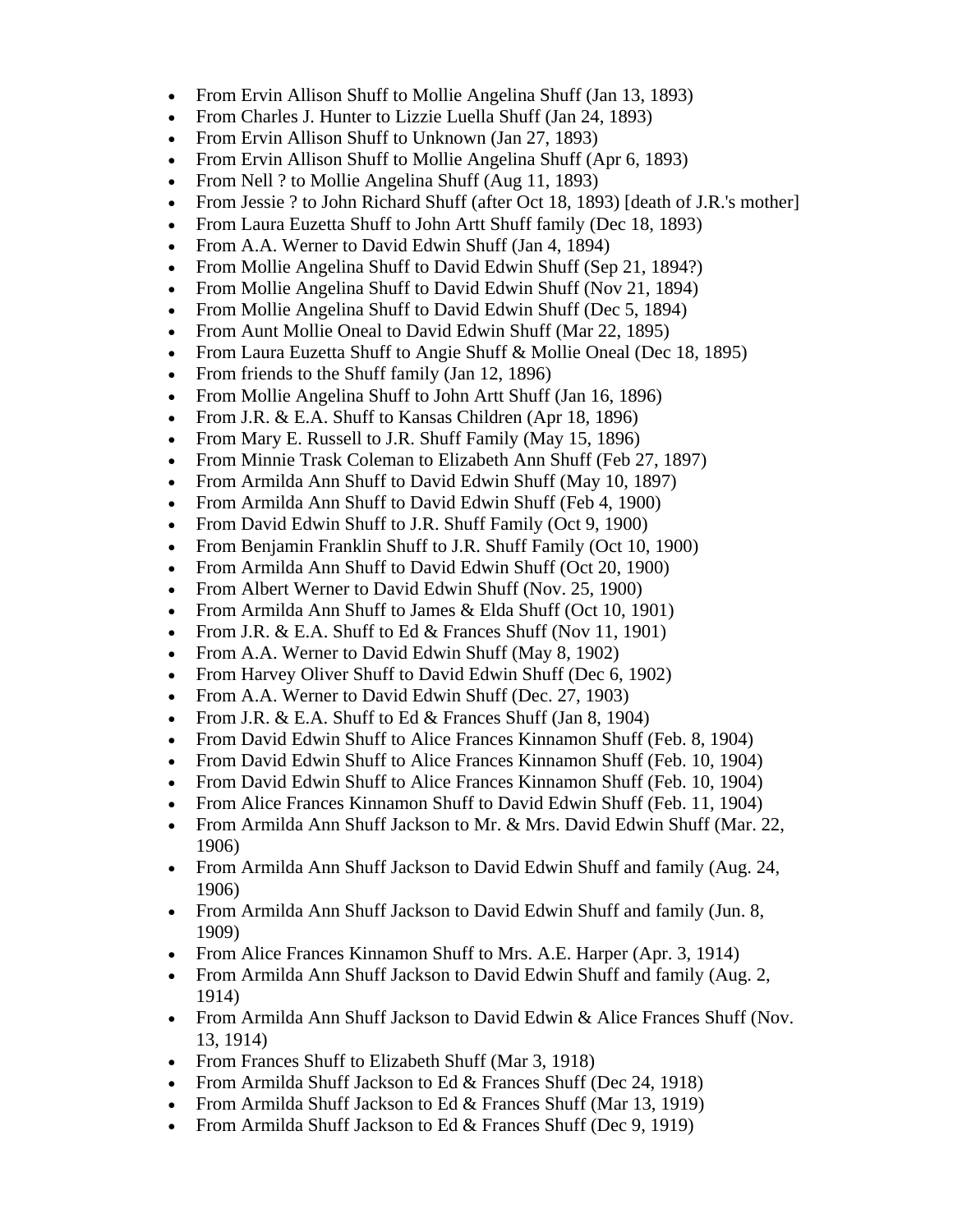- From Ervin Allison Shuff to Mollie Angelina Shuff (Jan 13, 1893)
- From Charles J. Hunter to Lizzie Luella Shuff (Jan 24, 1893)
- From Ervin Allison Shuff to Unknown (Jan 27, 1893)
- From Ervin Allison Shuff to Mollie Angelina Shuff (Apr 6, 1893)
- From Nell ? to Mollie Angelina Shuff (Aug 11, 1893)
- From Jessie ? to John Richard Shuff (after Oct 18, 1893) [death of J.R.'s mother]
- From Laura Euzetta Shuff to John Artt Shuff family (Dec 18, 1893)
- From A.A. Werner to David Edwin Shuff (Jan 4, 1894)
- From Mollie Angelina Shuff to David Edwin Shuff (Sep 21, 1894?)
- From Mollie Angelina Shuff to David Edwin Shuff (Nov 21, 1894)
- From Mollie Angelina Shuff to David Edwin Shuff (Dec 5, 1894)
- From Aunt Mollie Oneal to David Edwin Shuff (Mar 22, 1895)
- From Laura Euzetta Shuff to Angie Shuff & Mollie Oneal (Dec 18, 1895)
- From friends to the Shuff family (Jan 12, 1896)
- From Mollie Angelina Shuff to John Artt Shuff (Jan 16, 1896)
- From J.R. & E.A. Shuff to Kansas Children (Apr 18, 1896)
- From Mary E. Russell to J.R. Shuff Family (May 15, 1896)
- From Minnie Trask Coleman to Elizabeth Ann Shuff (Feb 27, 1897)
- From Armilda Ann Shuff to David Edwin Shuff (May 10, 1897)
- From Armilda Ann Shuff to David Edwin Shuff (Feb 4, 1900)
- From David Edwin Shuff to J.R. Shuff Family (Oct 9, 1900)
- From Benjamin Franklin Shuff to J.R. Shuff Family (Oct 10, 1900)
- From Armilda Ann Shuff to David Edwin Shuff (Oct 20, 1900)
- From Albert Werner to David Edwin Shuff (Nov. 25, 1900)
- From Armilda Ann Shuff to James & Elda Shuff (Oct 10, 1901)
- From J.R.  $& E.A.$  Shuff to Ed  $&$  Frances Shuff (Nov 11, 1901)
- From A.A. Werner to David Edwin Shuff (May 8, 1902)
- From Harvey Oliver Shuff to David Edwin Shuff (Dec 6, 1902)
- From A.A. Werner to David Edwin Shuff (Dec. 27, 1903)
- From J.R.  $& E.A.$  Shuff to Ed  $&$  Frances Shuff (Jan 8, 1904)
- From David Edwin Shuff to Alice Frances Kinnamon Shuff (Feb. 8, 1904)
- From David Edwin Shuff to Alice Frances Kinnamon Shuff (Feb. 10, 1904)
- From David Edwin Shuff to Alice Frances Kinnamon Shuff (Feb. 10, 1904)
- From Alice Frances Kinnamon Shuff to David Edwin Shuff (Feb. 11, 1904)
- From Armilda Ann Shuff Jackson to Mr. & Mrs. David Edwin Shuff (Mar. 22, 1906)
- From Armilda Ann Shuff Jackson to David Edwin Shuff and family (Aug. 24, 1906)
- From Armilda Ann Shuff Jackson to David Edwin Shuff and family (Jun. 8, 1909)
- From Alice Frances Kinnamon Shuff to Mrs. A.E. Harper (Apr. 3, 1914)
- From Armilda Ann Shuff Jackson to David Edwin Shuff and family (Aug. 2, 1914)
- From Armilda Ann Shuff Jackson to David Edwin & Alice Frances Shuff (Nov. 13, 1914)
- From Frances Shuff to Elizabeth Shuff (Mar 3, 1918)
- From Armilda Shuff Jackson to Ed & Frances Shuff (Dec 24, 1918)
- From Armilda Shuff Jackson to Ed & Frances Shuff (Mar 13, 1919)
- From Armilda Shuff Jackson to Ed & Frances Shuff (Dec 9, 1919)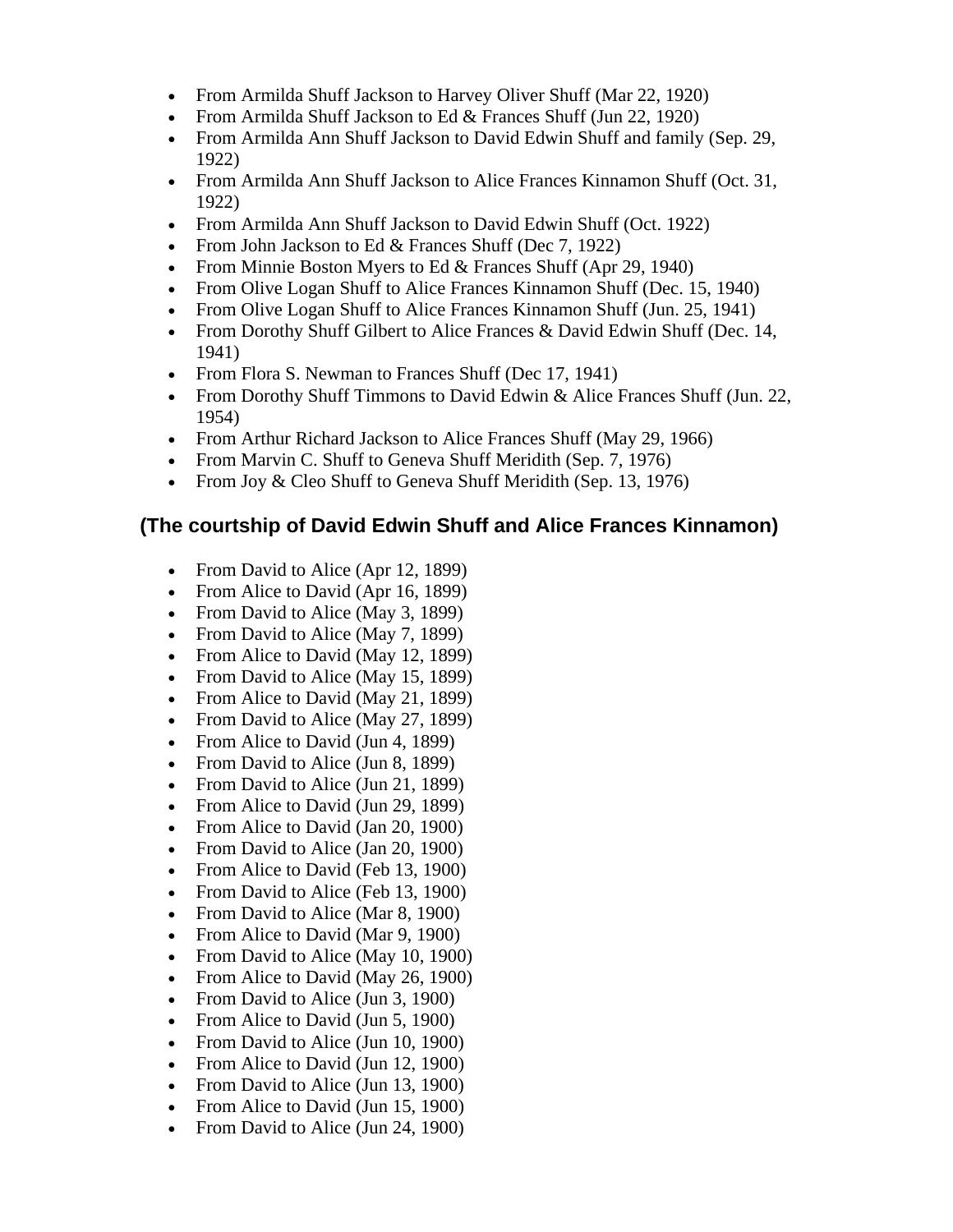- From Armilda Shuff Jackson to Harvey Oliver Shuff (Mar 22, 1920)
- From Armilda Shuff Jackson to Ed & Frances Shuff (Jun 22, 1920)
- From Armilda Ann Shuff Jackson to David Edwin Shuff and family (Sep. 29, 1922)
- From Armilda Ann Shuff Jackson to Alice Frances Kinnamon Shuff (Oct. 31, 1922)
- From Armilda Ann Shuff Jackson to David Edwin Shuff (Oct. 1922)
- From John Jackson to Ed & Frances Shuff (Dec 7, 1922)
- From Minnie Boston Myers to Ed & Frances Shuff (Apr 29, 1940)
- From Olive Logan Shuff to Alice Frances Kinnamon Shuff (Dec. 15, 1940)
- From Olive Logan Shuff to Alice Frances Kinnamon Shuff (Jun. 25, 1941)
- From Dorothy Shuff Gilbert to Alice Frances & David Edwin Shuff (Dec. 14, 1941)
- From Flora S. Newman to Frances Shuff (Dec 17, 1941)
- From Dorothy Shuff Timmons to David Edwin & Alice Frances Shuff (Jun. 22, 1954)
- From Arthur Richard Jackson to Alice Frances Shuff (May 29, 1966)
- From Marvin C. Shuff to Geneva Shuff Meridith (Sep. 7, 1976)
- From Joy & Cleo Shuff to Geneva Shuff Meridith (Sep. 13, 1976)

# **(The courtship of David Edwin Shuff and Alice Frances Kinnamon)**

- From David to Alice (Apr 12, 1899)
- From Alice to David (Apr 16, 1899)
- From David to Alice (May 3, 1899)
- From David to Alice (May 7, 1899)
- From Alice to David (May 12, 1899)
- From David to Alice (May 15, 1899)
- From Alice to David (May 21, 1899)
- From David to Alice (May 27, 1899)
- From Alice to David (Jun 4, 1899)
- From David to Alice (Jun 8, 1899)
- From David to Alice (Jun 21, 1899)
- From Alice to David (Jun 29, 1899)
- From Alice to David (Jan 20, 1900)
- From David to Alice (Jan 20, 1900)
- From Alice to David (Feb 13, 1900)
- From David to Alice (Feb 13, 1900)
- From David to Alice (Mar 8, 1900)
- From Alice to David (Mar 9, 1900)
- From David to Alice (May 10, 1900)
- From Alice to David (May 26, 1900)
- From David to Alice (Jun 3, 1900)
- From Alice to David (Jun 5, 1900)
- From David to Alice (Jun 10, 1900)
- From Alice to David (Jun 12, 1900)
- From David to Alice (Jun 13, 1900)
- From Alice to David (Jun 15, 1900)
- From David to Alice (Jun 24, 1900)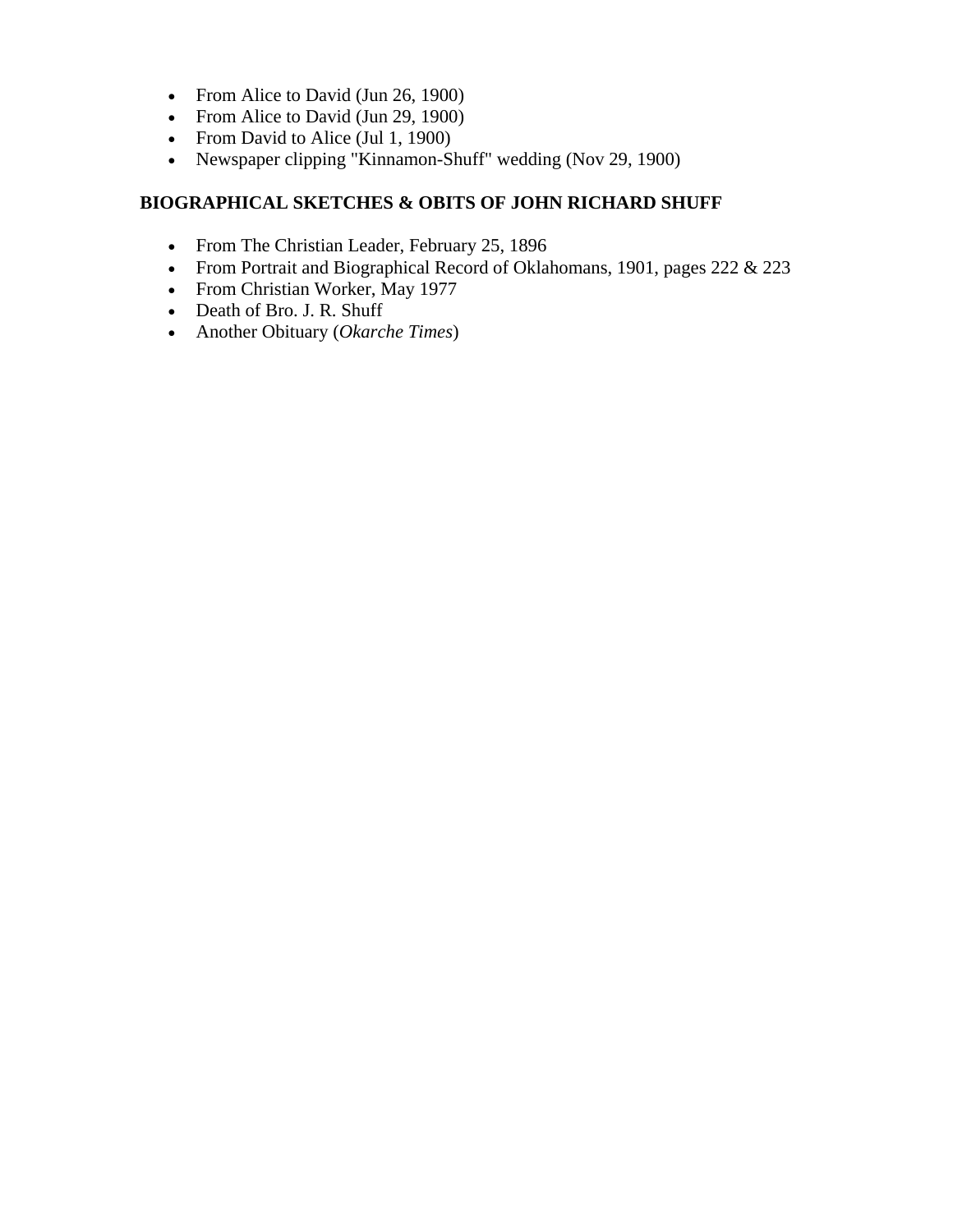- From Alice to David (Jun 26, 1900)
- From Alice to David (Jun 29, 1900)
- From David to Alice (Jul 1, 1900)
- Newspaper clipping "Kinnamon-Shuff" wedding (Nov 29, 1900)

## **BIOGRAPHICAL SKETCHES & OBITS OF JOHN RICHARD SHUFF**

- From The Christian Leader, February 25, 1896
- From Portrait and Biographical Record of Oklahomans, 1901, pages 222 & 223
- From Christian Worker, May 1977
- Death of Bro. J. R. Shuff
- Another Obituary (*Okarche Times*)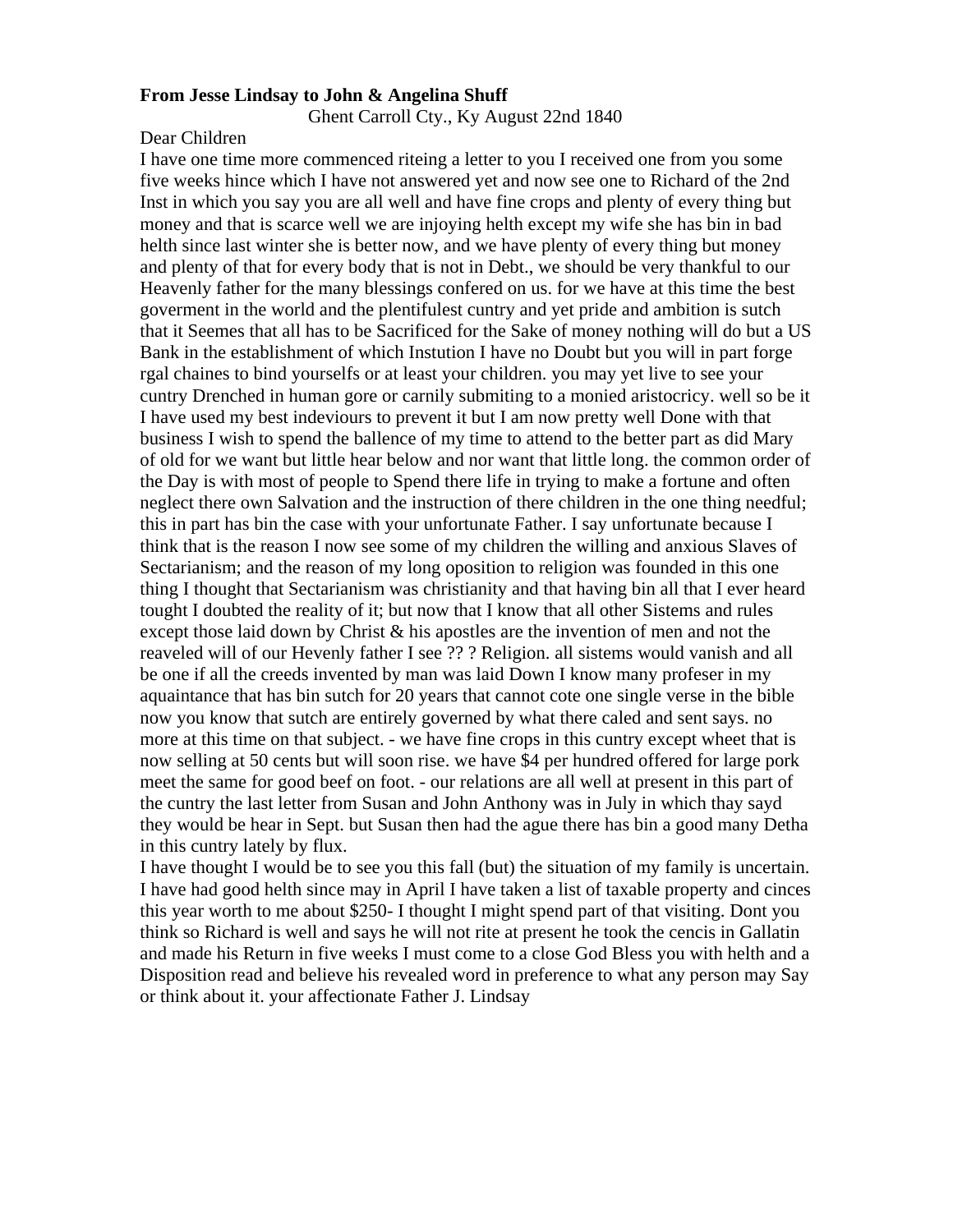## **From Jesse Lindsay to John & Angelina Shuff**

Ghent Carroll Cty., Ky August 22nd 1840

## Dear Children

I have one time more commenced riteing a letter to you I received one from you some five weeks hince which I have not answered yet and now see one to Richard of the 2nd Inst in which you say you are all well and have fine crops and plenty of every thing but money and that is scarce well we are injoying helth except my wife she has bin in bad helth since last winter she is better now, and we have plenty of every thing but money and plenty of that for every body that is not in Debt., we should be very thankful to our Heavenly father for the many blessings confered on us. for we have at this time the best goverment in the world and the plentifulest cuntry and yet pride and ambition is sutch that it Seemes that all has to be Sacrificed for the Sake of money nothing will do but a US Bank in the establishment of which Instution I have no Doubt but you will in part forge rgal chaines to bind yourselfs or at least your children. you may yet live to see your cuntry Drenched in human gore or carnily submiting to a monied aristocricy. well so be it I have used my best indeviours to prevent it but I am now pretty well Done with that business I wish to spend the ballence of my time to attend to the better part as did Mary of old for we want but little hear below and nor want that little long. the common order of the Day is with most of people to Spend there life in trying to make a fortune and often neglect there own Salvation and the instruction of there children in the one thing needful; this in part has bin the case with your unfortunate Father. I say unfortunate because I think that is the reason I now see some of my children the willing and anxious Slaves of Sectarianism; and the reason of my long oposition to religion was founded in this one thing I thought that Sectarianism was christianity and that having bin all that I ever heard tought I doubted the reality of it; but now that I know that all other Sistems and rules except those laid down by Christ & his apostles are the invention of men and not the reaveled will of our Hevenly father I see ?? ? Religion. all sistems would vanish and all be one if all the creeds invented by man was laid Down I know many profeser in my aquaintance that has bin sutch for 20 years that cannot cote one single verse in the bible now you know that sutch are entirely governed by what there caled and sent says. no more at this time on that subject. - we have fine crops in this cuntry except wheet that is now selling at 50 cents but will soon rise. we have \$4 per hundred offered for large pork meet the same for good beef on foot. - our relations are all well at present in this part of the cuntry the last letter from Susan and John Anthony was in July in which thay sayd they would be hear in Sept. but Susan then had the ague there has bin a good many Detha in this cuntry lately by flux.

I have thought I would be to see you this fall (but) the situation of my family is uncertain. I have had good helth since may in April I have taken a list of taxable property and cinces this year worth to me about \$250- I thought I might spend part of that visiting. Dont you think so Richard is well and says he will not rite at present he took the cencis in Gallatin and made his Return in five weeks I must come to a close God Bless you with helth and a Disposition read and believe his revealed word in preference to what any person may Say or think about it. your affectionate Father J. Lindsay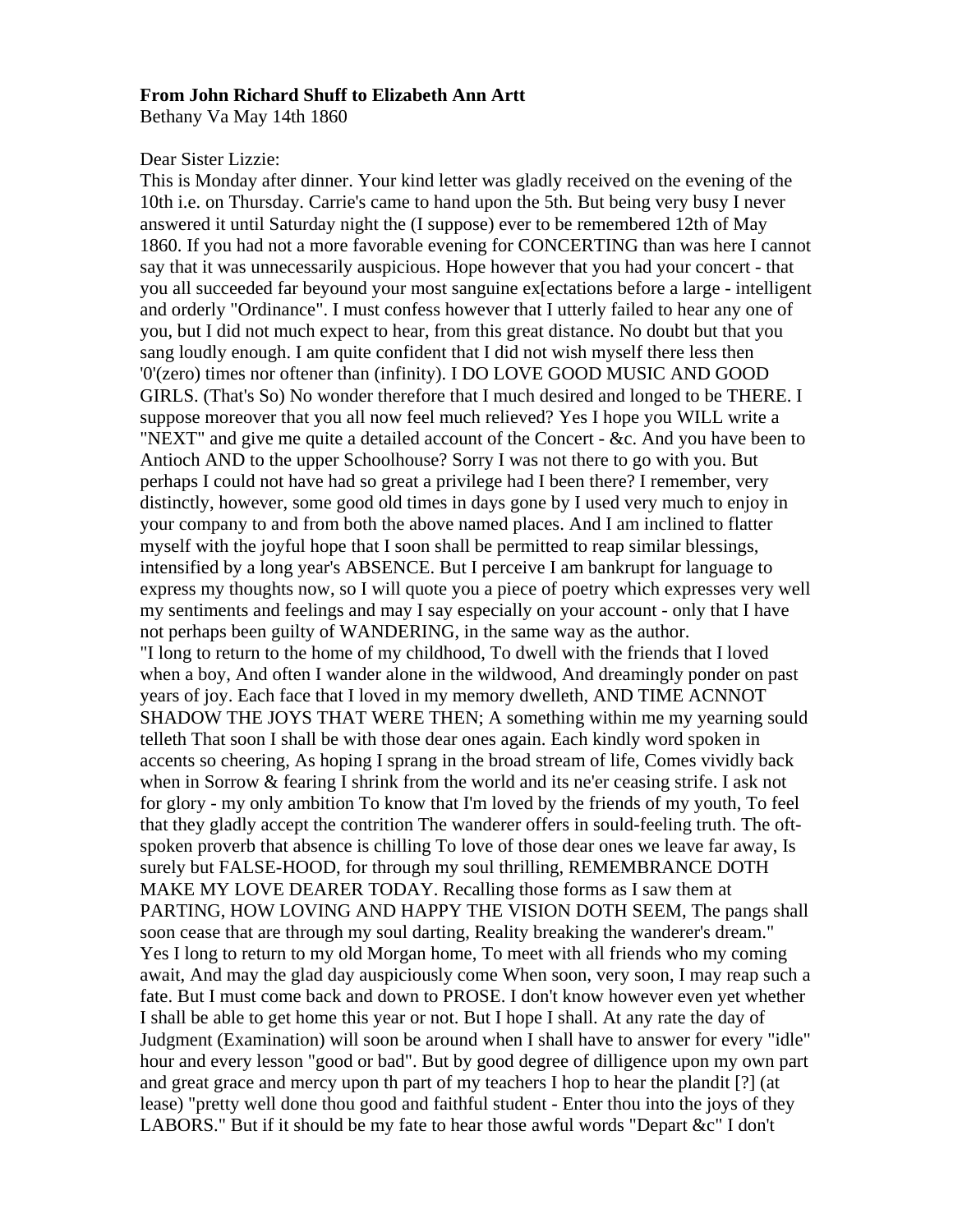### **From John Richard Shuff to Elizabeth Ann Artt**

Bethany Va May 14th 1860

#### Dear Sister Lizzie:

This is Monday after dinner. Your kind letter was gladly received on the evening of the 10th i.e. on Thursday. Carrie's came to hand upon the 5th. But being very busy I never answered it until Saturday night the (I suppose) ever to be remembered 12th of May 1860. If you had not a more favorable evening for CONCERTING than was here I cannot say that it was unnecessarily auspicious. Hope however that you had your concert - that you all succeeded far beyound your most sanguine ex[ectations before a large - intelligent and orderly "Ordinance". I must confess however that I utterly failed to hear any one of you, but I did not much expect to hear, from this great distance. No doubt but that you sang loudly enough. I am quite confident that I did not wish myself there less then '0'(zero) times nor oftener than (infinity). I DO LOVE GOOD MUSIC AND GOOD GIRLS. (That's So) No wonder therefore that I much desired and longed to be THERE. I suppose moreover that you all now feel much relieved? Yes I hope you WILL write a "NEXT" and give me quite a detailed account of the Concert - &c. And you have been to Antioch AND to the upper Schoolhouse? Sorry I was not there to go with you. But perhaps I could not have had so great a privilege had I been there? I remember, very distinctly, however, some good old times in days gone by I used very much to enjoy in your company to and from both the above named places. And I am inclined to flatter myself with the joyful hope that I soon shall be permitted to reap similar blessings, intensified by a long year's ABSENCE. But I perceive I am bankrupt for language to express my thoughts now, so I will quote you a piece of poetry which expresses very well my sentiments and feelings and may I say especially on your account - only that I have not perhaps been guilty of WANDERING, in the same way as the author. "I long to return to the home of my childhood, To dwell with the friends that I loved when a boy, And often I wander alone in the wildwood, And dreamingly ponder on past years of joy. Each face that I loved in my memory dwelleth, AND TIME ACNNOT SHADOW THE JOYS THAT WERE THEN; A something within me my yearning sould telleth That soon I shall be with those dear ones again. Each kindly word spoken in accents so cheering, As hoping I sprang in the broad stream of life, Comes vividly back when in Sorrow & fearing I shrink from the world and its ne'er ceasing strife. I ask not for glory - my only ambition To know that I'm loved by the friends of my youth, To feel that they gladly accept the contrition The wanderer offers in sould-feeling truth. The oftspoken proverb that absence is chilling To love of those dear ones we leave far away, Is surely but FALSE-HOOD, for through my soul thrilling, REMEMBRANCE DOTH MAKE MY LOVE DEARER TODAY. Recalling those forms as I saw them at PARTING, HOW LOVING AND HAPPY THE VISION DOTH SEEM, The pangs shall soon cease that are through my soul darting, Reality breaking the wanderer's dream." Yes I long to return to my old Morgan home, To meet with all friends who my coming await, And may the glad day auspiciously come When soon, very soon, I may reap such a fate. But I must come back and down to PROSE. I don't know however even yet whether I shall be able to get home this year or not. But I hope I shall. At any rate the day of Judgment (Examination) will soon be around when I shall have to answer for every "idle" hour and every lesson "good or bad". But by good degree of dilligence upon my own part and great grace and mercy upon th part of my teachers I hop to hear the plandit [?] (at lease) "pretty well done thou good and faithful student - Enter thou into the joys of they LABORS." But if it should be my fate to hear those awful words "Depart &c" I don't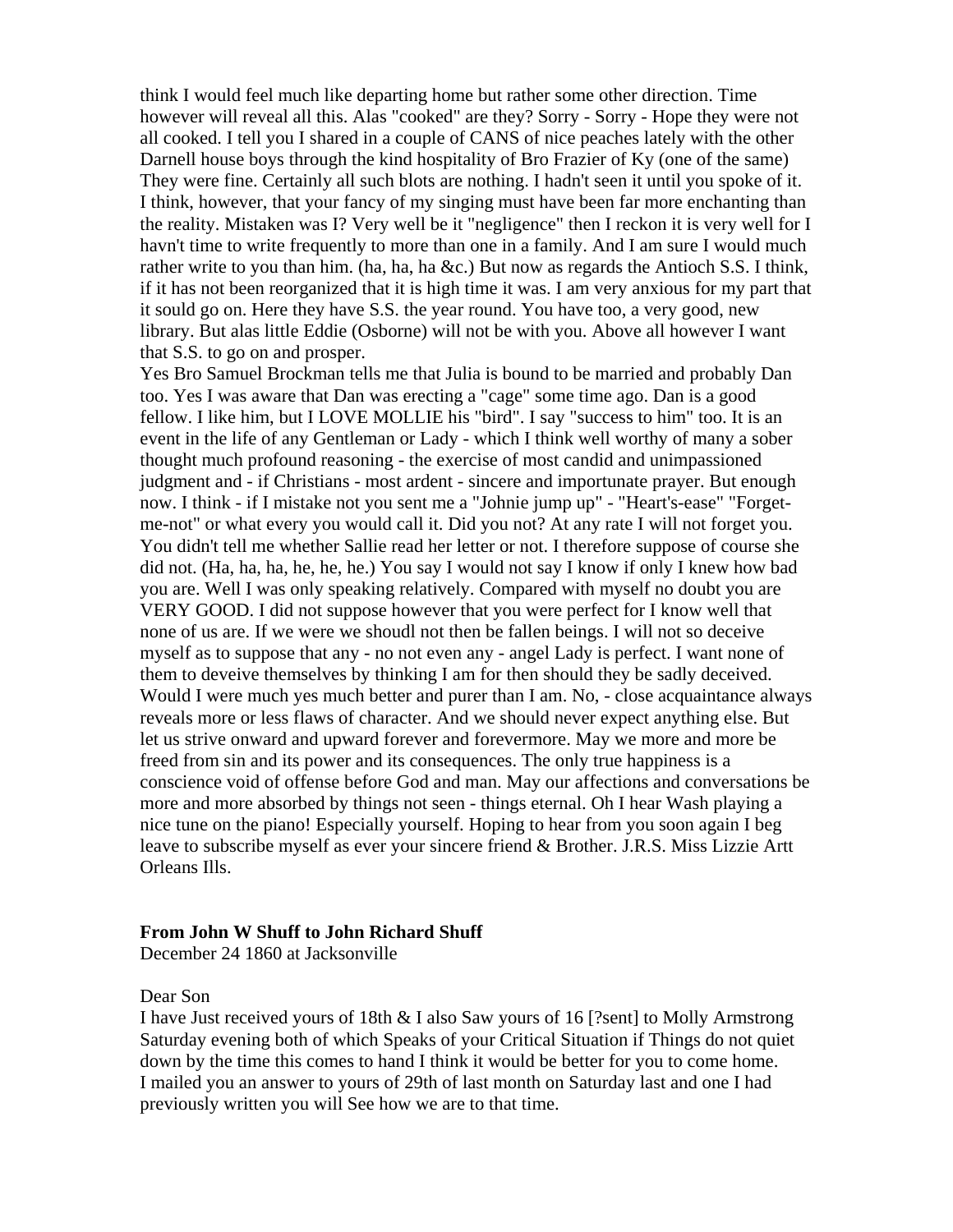think I would feel much like departing home but rather some other direction. Time however will reveal all this. Alas "cooked" are they? Sorry - Sorry - Hope they were not all cooked. I tell you I shared in a couple of CANS of nice peaches lately with the other Darnell house boys through the kind hospitality of Bro Frazier of Ky (one of the same) They were fine. Certainly all such blots are nothing. I hadn't seen it until you spoke of it. I think, however, that your fancy of my singing must have been far more enchanting than the reality. Mistaken was I? Very well be it "negligence" then I reckon it is very well for I havn't time to write frequently to more than one in a family. And I am sure I would much rather write to you than him. (ha, ha, ha &c.) But now as regards the Antioch S.S. I think, if it has not been reorganized that it is high time it was. I am very anxious for my part that it sould go on. Here they have S.S. the year round. You have too, a very good, new library. But alas little Eddie (Osborne) will not be with you. Above all however I want that S.S. to go on and prosper.

Yes Bro Samuel Brockman tells me that Julia is bound to be married and probably Dan too. Yes I was aware that Dan was erecting a "cage" some time ago. Dan is a good fellow. I like him, but I LOVE MOLLIE his "bird". I say "success to him" too. It is an event in the life of any Gentleman or Lady - which I think well worthy of many a sober thought much profound reasoning - the exercise of most candid and unimpassioned judgment and - if Christians - most ardent - sincere and importunate prayer. But enough now. I think - if I mistake not you sent me a "Johnie jump up" - "Heart's-ease" "Forgetme-not" or what every you would call it. Did you not? At any rate I will not forget you. You didn't tell me whether Sallie read her letter or not. I therefore suppose of course she did not. (Ha, ha, ha, he, he, he.) You say I would not say I know if only I knew how bad you are. Well I was only speaking relatively. Compared with myself no doubt you are VERY GOOD. I did not suppose however that you were perfect for I know well that none of us are. If we were we shoudl not then be fallen beings. I will not so deceive myself as to suppose that any - no not even any - angel Lady is perfect. I want none of them to deveive themselves by thinking I am for then should they be sadly deceived. Would I were much yes much better and purer than I am. No, - close acquaintance always reveals more or less flaws of character. And we should never expect anything else. But let us strive onward and upward forever and forevermore. May we more and more be freed from sin and its power and its consequences. The only true happiness is a conscience void of offense before God and man. May our affections and conversations be more and more absorbed by things not seen - things eternal. Oh I hear Wash playing a nice tune on the piano! Especially yourself. Hoping to hear from you soon again I beg leave to subscribe myself as ever your sincere friend & Brother. J.R.S. Miss Lizzie Artt Orleans Ills.

## **From John W Shuff to John Richard Shuff**

December 24 1860 at Jacksonville

## Dear Son

I have Just received yours of 18th & I also Saw yours of 16 [?sent] to Molly Armstrong Saturday evening both of which Speaks of your Critical Situation if Things do not quiet down by the time this comes to hand I think it would be better for you to come home. I mailed you an answer to yours of 29th of last month on Saturday last and one I had previously written you will See how we are to that time.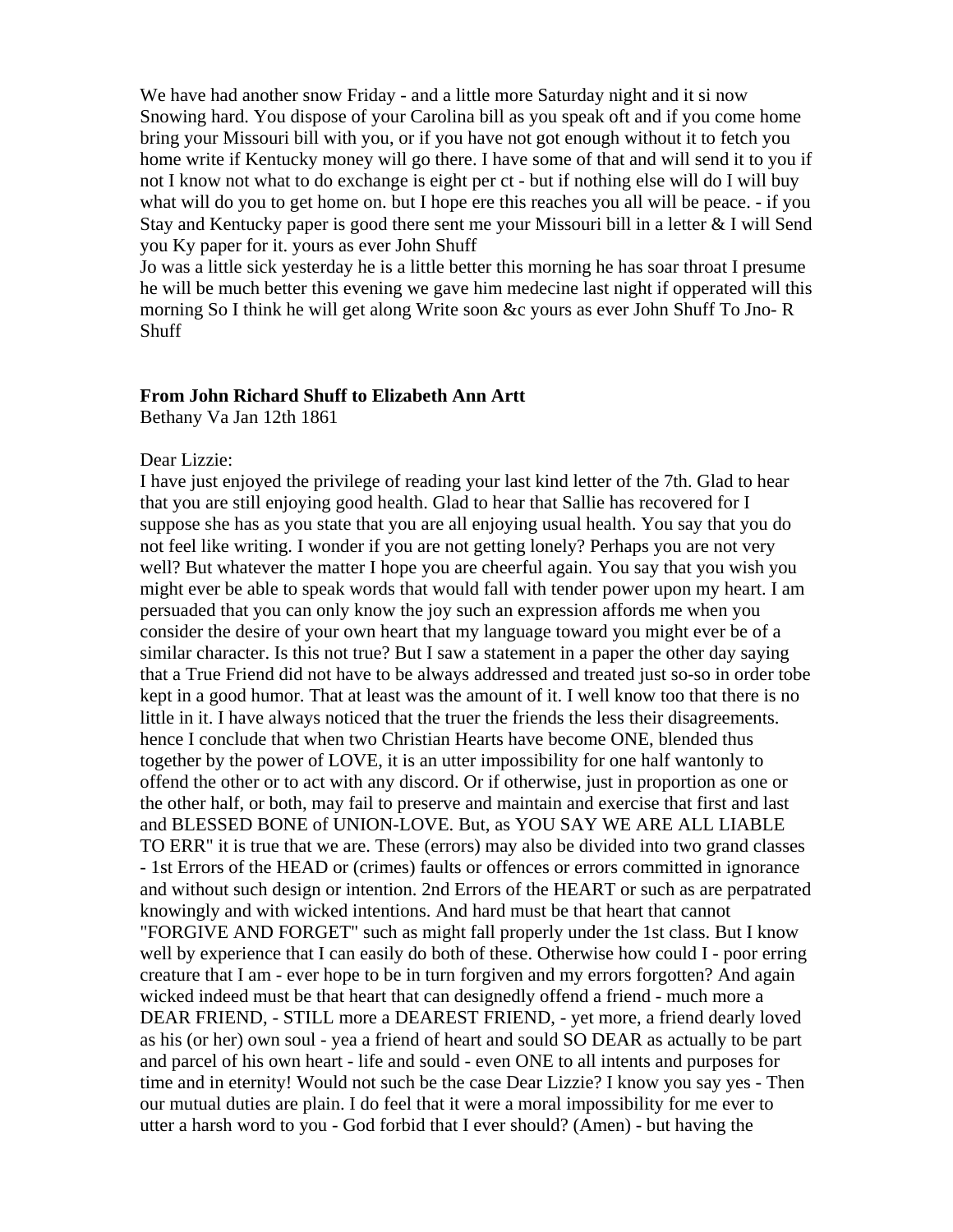We have had another snow Friday - and a little more Saturday night and it si now Snowing hard. You dispose of your Carolina bill as you speak oft and if you come home bring your Missouri bill with you, or if you have not got enough without it to fetch you home write if Kentucky money will go there. I have some of that and will send it to you if not I know not what to do exchange is eight per ct - but if nothing else will do I will buy what will do you to get home on. but I hope ere this reaches you all will be peace. - if you Stay and Kentucky paper is good there sent me your Missouri bill in a letter & I will Send you Ky paper for it. yours as ever John Shuff

Jo was a little sick yesterday he is a little better this morning he has soar throat I presume he will be much better this evening we gave him medecine last night if opperated will this morning So I think he will get along Write soon &c yours as ever John Shuff To Jno- R **Shuff** 

## **From John Richard Shuff to Elizabeth Ann Artt**

Bethany Va Jan 12th 1861

## Dear Lizzie:

I have just enjoyed the privilege of reading your last kind letter of the 7th. Glad to hear that you are still enjoying good health. Glad to hear that Sallie has recovered for I suppose she has as you state that you are all enjoying usual health. You say that you do not feel like writing. I wonder if you are not getting lonely? Perhaps you are not very well? But whatever the matter I hope you are cheerful again. You say that you wish you might ever be able to speak words that would fall with tender power upon my heart. I am persuaded that you can only know the joy such an expression affords me when you consider the desire of your own heart that my language toward you might ever be of a similar character. Is this not true? But I saw a statement in a paper the other day saying that a True Friend did not have to be always addressed and treated just so-so in order tobe kept in a good humor. That at least was the amount of it. I well know too that there is no little in it. I have always noticed that the truer the friends the less their disagreements. hence I conclude that when two Christian Hearts have become ONE, blended thus together by the power of LOVE, it is an utter impossibility for one half wantonly to offend the other or to act with any discord. Or if otherwise, just in proportion as one or the other half, or both, may fail to preserve and maintain and exercise that first and last and BLESSED BONE of UNION-LOVE. But, as YOU SAY WE ARE ALL LIABLE TO ERR" it is true that we are. These (errors) may also be divided into two grand classes - 1st Errors of the HEAD or (crimes) faults or offences or errors committed in ignorance and without such design or intention. 2nd Errors of the HEART or such as are perpatrated knowingly and with wicked intentions. And hard must be that heart that cannot "FORGIVE AND FORGET" such as might fall properly under the 1st class. But I know well by experience that I can easily do both of these. Otherwise how could I - poor erring creature that I am - ever hope to be in turn forgiven and my errors forgotten? And again wicked indeed must be that heart that can designedly offend a friend - much more a DEAR FRIEND, - STILL more a DEAREST FRIEND, - yet more, a friend dearly loved as his (or her) own soul - yea a friend of heart and sould SO DEAR as actually to be part and parcel of his own heart - life and sould - even ONE to all intents and purposes for time and in eternity! Would not such be the case Dear Lizzie? I know you say yes - Then our mutual duties are plain. I do feel that it were a moral impossibility for me ever to utter a harsh word to you - God forbid that I ever should? (Amen) - but having the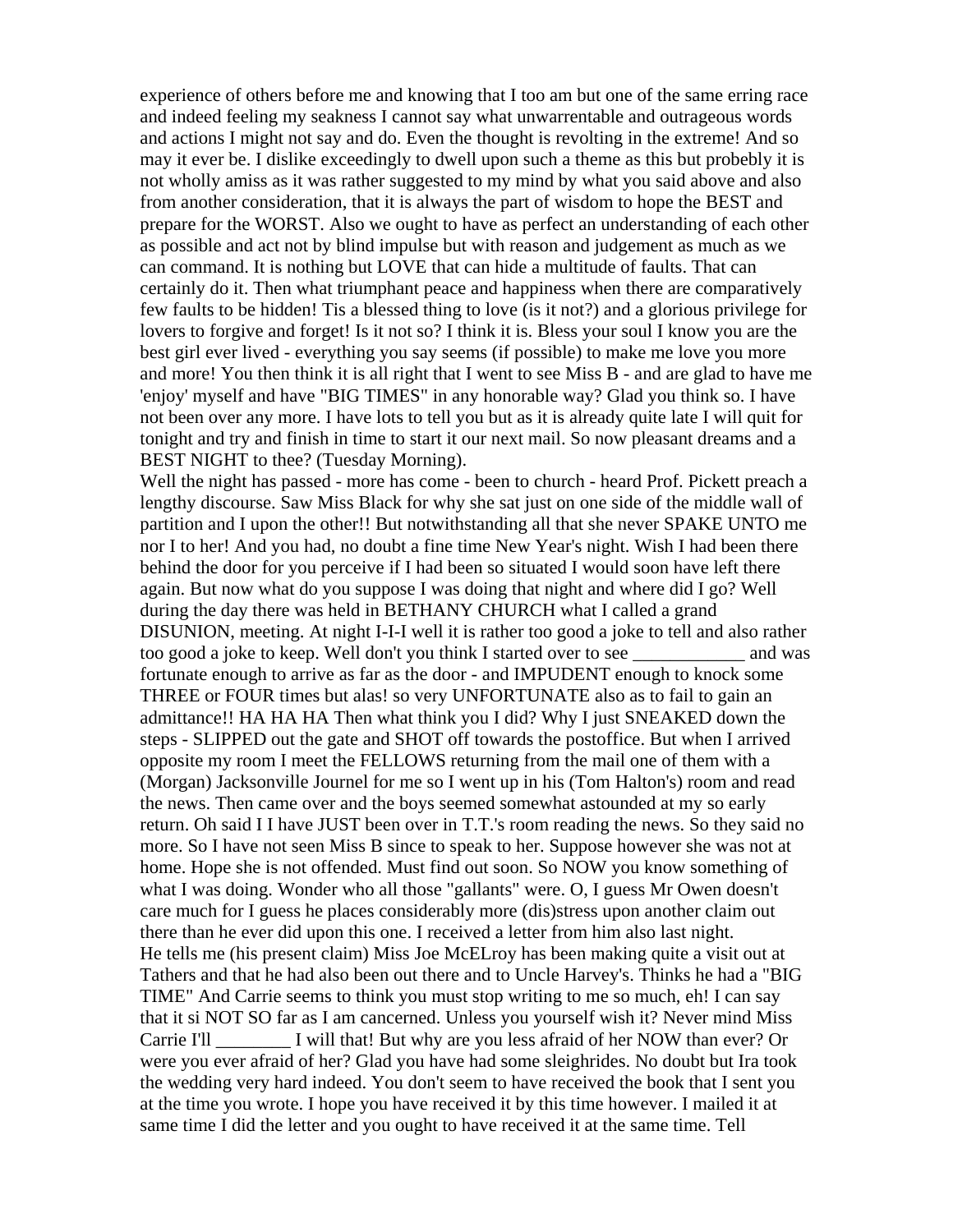experience of others before me and knowing that I too am but one of the same erring race and indeed feeling my seakness I cannot say what unwarrentable and outrageous words and actions I might not say and do. Even the thought is revolting in the extreme! And so may it ever be. I dislike exceedingly to dwell upon such a theme as this but probebly it is not wholly amiss as it was rather suggested to my mind by what you said above and also from another consideration, that it is always the part of wisdom to hope the BEST and prepare for the WORST. Also we ought to have as perfect an understanding of each other as possible and act not by blind impulse but with reason and judgement as much as we can command. It is nothing but LOVE that can hide a multitude of faults. That can certainly do it. Then what triumphant peace and happiness when there are comparatively few faults to be hidden! Tis a blessed thing to love (is it not?) and a glorious privilege for lovers to forgive and forget! Is it not so? I think it is. Bless your soul I know you are the best girl ever lived - everything you say seems (if possible) to make me love you more and more! You then think it is all right that I went to see Miss B - and are glad to have me 'enjoy' myself and have "BIG TIMES" in any honorable way? Glad you think so. I have not been over any more. I have lots to tell you but as it is already quite late I will quit for tonight and try and finish in time to start it our next mail. So now pleasant dreams and a BEST NIGHT to thee? (Tuesday Morning).

Well the night has passed - more has come - been to church - heard Prof. Pickett preach a lengthy discourse. Saw Miss Black for why she sat just on one side of the middle wall of partition and I upon the other!! But notwithstanding all that she never SPAKE UNTO me nor I to her! And you had, no doubt a fine time New Year's night. Wish I had been there behind the door for you perceive if I had been so situated I would soon have left there again. But now what do you suppose I was doing that night and where did I go? Well during the day there was held in BETHANY CHURCH what I called a grand DISUNION, meeting. At night I-I-I well it is rather too good a joke to tell and also rather too good a joke to keep. Well don't you think I started over to see \_\_\_\_\_\_\_\_\_\_\_\_ and was fortunate enough to arrive as far as the door - and IMPUDENT enough to knock some THREE or FOUR times but alas! so very UNFORTUNATE also as to fail to gain an admittance!! HA HA HA Then what think you I did? Why I just SNEAKED down the steps - SLIPPED out the gate and SHOT off towards the postoffice. But when I arrived opposite my room I meet the FELLOWS returning from the mail one of them with a (Morgan) Jacksonville Journel for me so I went up in his (Tom Halton's) room and read the news. Then came over and the boys seemed somewhat astounded at my so early return. Oh said I I have JUST been over in T.T.'s room reading the news. So they said no more. So I have not seen Miss B since to speak to her. Suppose however she was not at home. Hope she is not offended. Must find out soon. So NOW you know something of what I was doing. Wonder who all those "gallants" were. O, I guess Mr Owen doesn't care much for I guess he places considerably more (dis)stress upon another claim out there than he ever did upon this one. I received a letter from him also last night. He tells me (his present claim) Miss Joe McELroy has been making quite a visit out at Tathers and that he had also been out there and to Uncle Harvey's. Thinks he had a "BIG TIME" And Carrie seems to think you must stop writing to me so much, eh! I can say that it si NOT SO far as I am cancerned. Unless you yourself wish it? Never mind Miss Carrie I'll \_\_\_\_\_\_\_\_ I will that! But why are you less afraid of her NOW than ever? Or were you ever afraid of her? Glad you have had some sleighrides. No doubt but Ira took the wedding very hard indeed. You don't seem to have received the book that I sent you at the time you wrote. I hope you have received it by this time however. I mailed it at same time I did the letter and you ought to have received it at the same time. Tell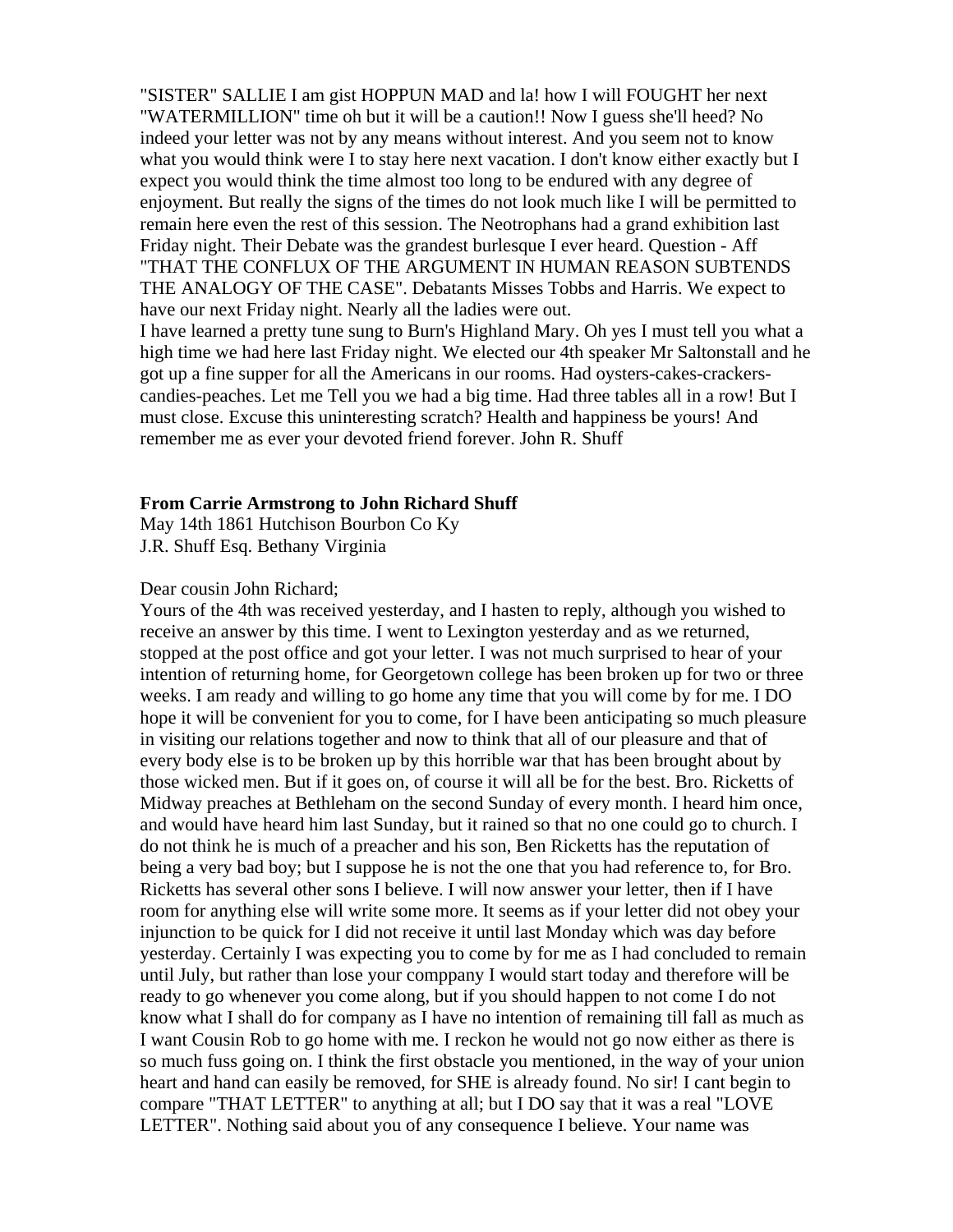"SISTER" SALLIE I am gist HOPPUN MAD and la! how I will FOUGHT her next "WATERMILLION" time oh but it will be a caution!! Now I guess she'll heed? No indeed your letter was not by any means without interest. And you seem not to know what you would think were I to stay here next vacation. I don't know either exactly but I expect you would think the time almost too long to be endured with any degree of enjoyment. But really the signs of the times do not look much like I will be permitted to remain here even the rest of this session. The Neotrophans had a grand exhibition last Friday night. Their Debate was the grandest burlesque I ever heard. Question - Aff "THAT THE CONFLUX OF THE ARGUMENT IN HUMAN REASON SUBTENDS THE ANALOGY OF THE CASE". Debatants Misses Tobbs and Harris. We expect to have our next Friday night. Nearly all the ladies were out. I have learned a pretty tune sung to Burn's Highland Mary. Oh yes I must tell you what a

high time we had here last Friday night. We elected our 4th speaker Mr Saltonstall and he got up a fine supper for all the Americans in our rooms. Had oysters-cakes-crackerscandies-peaches. Let me Tell you we had a big time. Had three tables all in a row! But I must close. Excuse this uninteresting scratch? Health and happiness be yours! And remember me as ever your devoted friend forever. John R. Shuff

#### **From Carrie Armstrong to John Richard Shuff**

May 14th 1861 Hutchison Bourbon Co Ky J.R. Shuff Esq. Bethany Virginia

## Dear cousin John Richard;

Yours of the 4th was received yesterday, and I hasten to reply, although you wished to receive an answer by this time. I went to Lexington yesterday and as we returned, stopped at the post office and got your letter. I was not much surprised to hear of your intention of returning home, for Georgetown college has been broken up for two or three weeks. I am ready and willing to go home any time that you will come by for me. I DO hope it will be convenient for you to come, for I have been anticipating so much pleasure in visiting our relations together and now to think that all of our pleasure and that of every body else is to be broken up by this horrible war that has been brought about by those wicked men. But if it goes on, of course it will all be for the best. Bro. Ricketts of Midway preaches at Bethleham on the second Sunday of every month. I heard him once, and would have heard him last Sunday, but it rained so that no one could go to church. I do not think he is much of a preacher and his son, Ben Ricketts has the reputation of being a very bad boy; but I suppose he is not the one that you had reference to, for Bro. Ricketts has several other sons I believe. I will now answer your letter, then if I have room for anything else will write some more. It seems as if your letter did not obey your injunction to be quick for I did not receive it until last Monday which was day before yesterday. Certainly I was expecting you to come by for me as I had concluded to remain until July, but rather than lose your comppany I would start today and therefore will be ready to go whenever you come along, but if you should happen to not come I do not know what I shall do for company as I have no intention of remaining till fall as much as I want Cousin Rob to go home with me. I reckon he would not go now either as there is so much fuss going on. I think the first obstacle you mentioned, in the way of your union heart and hand can easily be removed, for SHE is already found. No sir! I cant begin to compare "THAT LETTER" to anything at all; but I DO say that it was a real "LOVE LETTER". Nothing said about you of any consequence I believe. Your name was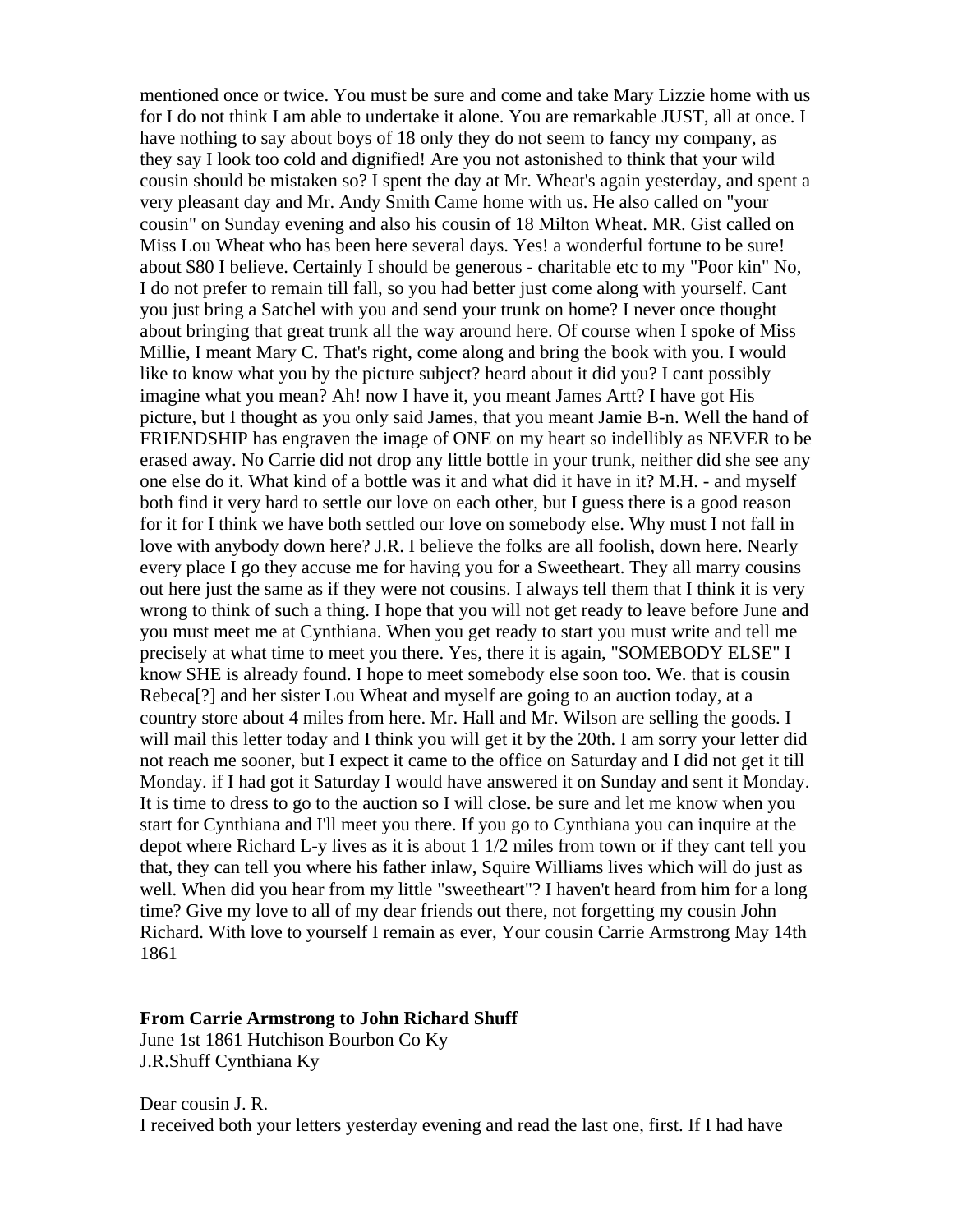mentioned once or twice. You must be sure and come and take Mary Lizzie home with us for I do not think I am able to undertake it alone. You are remarkable JUST, all at once. I have nothing to say about boys of 18 only they do not seem to fancy my company, as they say I look too cold and dignified! Are you not astonished to think that your wild cousin should be mistaken so? I spent the day at Mr. Wheat's again yesterday, and spent a very pleasant day and Mr. Andy Smith Came home with us. He also called on "your cousin" on Sunday evening and also his cousin of 18 Milton Wheat. MR. Gist called on Miss Lou Wheat who has been here several days. Yes! a wonderful fortune to be sure! about \$80 I believe. Certainly I should be generous - charitable etc to my "Poor kin" No, I do not prefer to remain till fall, so you had better just come along with yourself. Cant you just bring a Satchel with you and send your trunk on home? I never once thought about bringing that great trunk all the way around here. Of course when I spoke of Miss Millie, I meant Mary C. That's right, come along and bring the book with you. I would like to know what you by the picture subject? heard about it did you? I cant possibly imagine what you mean? Ah! now I have it, you meant James Artt? I have got His picture, but I thought as you only said James, that you meant Jamie B-n. Well the hand of FRIENDSHIP has engraven the image of ONE on my heart so indellibly as NEVER to be erased away. No Carrie did not drop any little bottle in your trunk, neither did she see any one else do it. What kind of a bottle was it and what did it have in it? M.H. - and myself both find it very hard to settle our love on each other, but I guess there is a good reason for it for I think we have both settled our love on somebody else. Why must I not fall in love with anybody down here? J.R. I believe the folks are all foolish, down here. Nearly every place I go they accuse me for having you for a Sweetheart. They all marry cousins out here just the same as if they were not cousins. I always tell them that I think it is very wrong to think of such a thing. I hope that you will not get ready to leave before June and you must meet me at Cynthiana. When you get ready to start you must write and tell me precisely at what time to meet you there. Yes, there it is again, "SOMEBODY ELSE" I know SHE is already found. I hope to meet somebody else soon too. We. that is cousin Rebeca[?] and her sister Lou Wheat and myself are going to an auction today, at a country store about 4 miles from here. Mr. Hall and Mr. Wilson are selling the goods. I will mail this letter today and I think you will get it by the 20th. I am sorry your letter did not reach me sooner, but I expect it came to the office on Saturday and I did not get it till Monday. if I had got it Saturday I would have answered it on Sunday and sent it Monday. It is time to dress to go to the auction so I will close. be sure and let me know when you start for Cynthiana and I'll meet you there. If you go to Cynthiana you can inquire at the depot where Richard L-y lives as it is about 1 1/2 miles from town or if they cant tell you that, they can tell you where his father inlaw, Squire Williams lives which will do just as well. When did you hear from my little "sweetheart"? I haven't heard from him for a long time? Give my love to all of my dear friends out there, not forgetting my cousin John Richard. With love to yourself I remain as ever, Your cousin Carrie Armstrong May 14th 1861

## **From Carrie Armstrong to John Richard Shuff**

June 1st 1861 Hutchison Bourbon Co Ky J.R.Shuff Cynthiana Ky

Dear cousin J. R. I received both your letters yesterday evening and read the last one, first. If I had have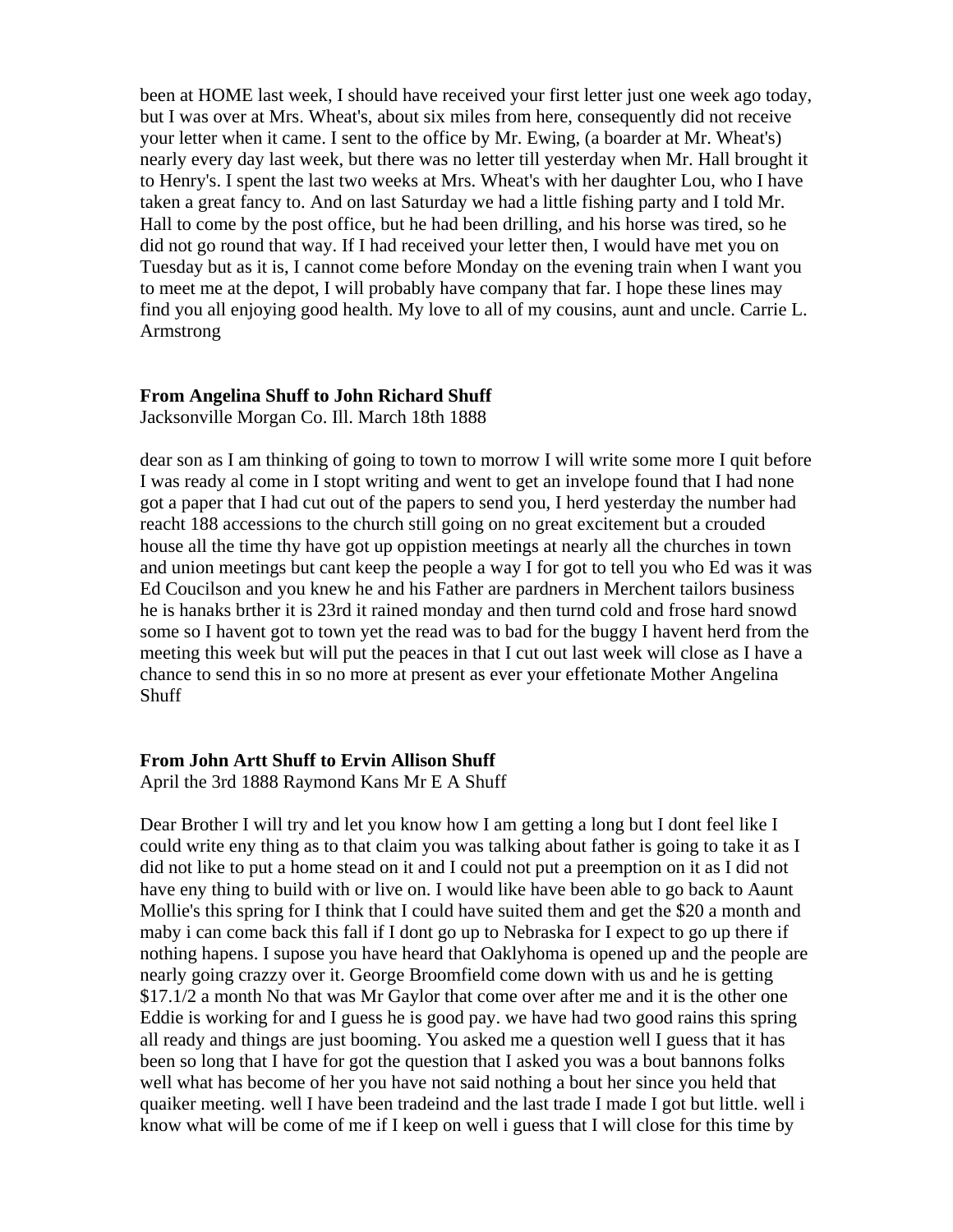been at HOME last week, I should have received your first letter just one week ago today, but I was over at Mrs. Wheat's, about six miles from here, consequently did not receive your letter when it came. I sent to the office by Mr. Ewing, (a boarder at Mr. Wheat's) nearly every day last week, but there was no letter till yesterday when Mr. Hall brought it to Henry's. I spent the last two weeks at Mrs. Wheat's with her daughter Lou, who I have taken a great fancy to. And on last Saturday we had a little fishing party and I told Mr. Hall to come by the post office, but he had been drilling, and his horse was tired, so he did not go round that way. If I had received your letter then, I would have met you on Tuesday but as it is, I cannot come before Monday on the evening train when I want you to meet me at the depot, I will probably have company that far. I hope these lines may find you all enjoying good health. My love to all of my cousins, aunt and uncle. Carrie L. Armstrong

### **From Angelina Shuff to John Richard Shuff**

Jacksonville Morgan Co. Ill. March 18th 1888

dear son as I am thinking of going to town to morrow I will write some more I quit before I was ready al come in I stopt writing and went to get an invelope found that I had none got a paper that I had cut out of the papers to send you, I herd yesterday the number had reacht 188 accessions to the church still going on no great excitement but a crouded house all the time thy have got up oppistion meetings at nearly all the churches in town and union meetings but cant keep the people a way I for got to tell you who Ed was it was Ed Coucilson and you knew he and his Father are pardners in Merchent tailors business he is hanaks brther it is 23rd it rained monday and then turnd cold and frose hard snowd some so I havent got to town yet the read was to bad for the buggy I havent herd from the meeting this week but will put the peaces in that I cut out last week will close as I have a chance to send this in so no more at present as ever your effetionate Mother Angelina **Shuff** 

### **From John Artt Shuff to Ervin Allison Shuff**

April the 3rd 1888 Raymond Kans Mr E A Shuff

Dear Brother I will try and let you know how I am getting a long but I dont feel like I could write eny thing as to that claim you was talking about father is going to take it as I did not like to put a home stead on it and I could not put a preemption on it as I did not have eny thing to build with or live on. I would like have been able to go back to Aaunt Mollie's this spring for I think that I could have suited them and get the \$20 a month and maby i can come back this fall if I dont go up to Nebraska for I expect to go up there if nothing hapens. I supose you have heard that Oaklyhoma is opened up and the people are nearly going crazzy over it. George Broomfield come down with us and he is getting \$17.1/2 a month No that was Mr Gaylor that come over after me and it is the other one Eddie is working for and I guess he is good pay. we have had two good rains this spring all ready and things are just booming. You asked me a question well I guess that it has been so long that I have for got the question that I asked you was a bout bannons folks well what has become of her you have not said nothing a bout her since you held that quaiker meeting. well I have been tradeind and the last trade I made I got but little. well i know what will be come of me if I keep on well i guess that I will close for this time by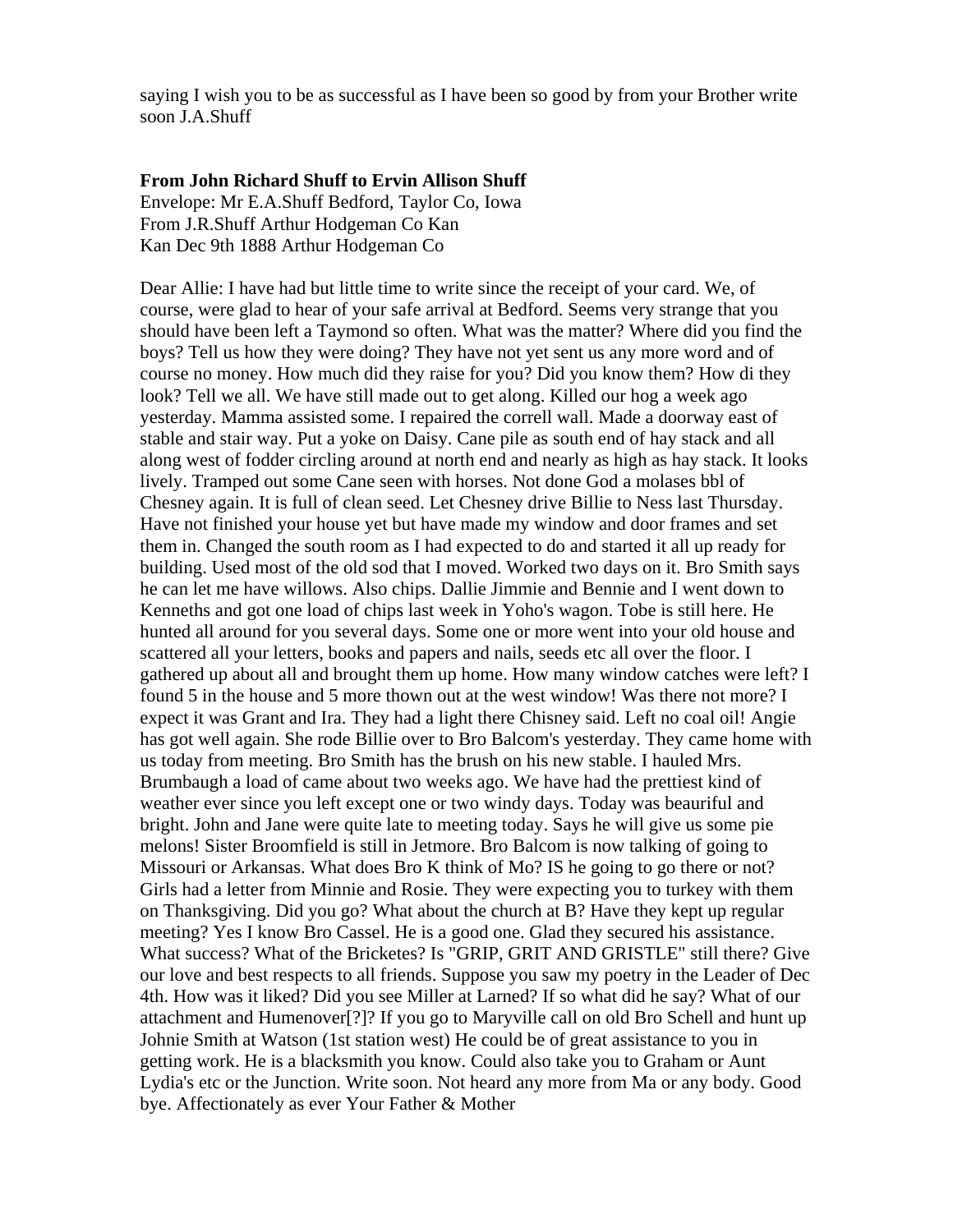saying I wish you to be as successful as I have been so good by from your Brother write soon J.A.Shuff

## **From John Richard Shuff to Ervin Allison Shuff**

Envelope: Mr E.A.Shuff Bedford, Taylor Co, Iowa From J.R.Shuff Arthur Hodgeman Co Kan Kan Dec 9th 1888 Arthur Hodgeman Co

Dear Allie: I have had but little time to write since the receipt of your card. We, of course, were glad to hear of your safe arrival at Bedford. Seems very strange that you should have been left a Taymond so often. What was the matter? Where did you find the boys? Tell us how they were doing? They have not yet sent us any more word and of course no money. How much did they raise for you? Did you know them? How di they look? Tell we all. We have still made out to get along. Killed our hog a week ago yesterday. Mamma assisted some. I repaired the correll wall. Made a doorway east of stable and stair way. Put a yoke on Daisy. Cane pile as south end of hay stack and all along west of fodder circling around at north end and nearly as high as hay stack. It looks lively. Tramped out some Cane seen with horses. Not done God a molases bbl of Chesney again. It is full of clean seed. Let Chesney drive Billie to Ness last Thursday. Have not finished your house yet but have made my window and door frames and set them in. Changed the south room as I had expected to do and started it all up ready for building. Used most of the old sod that I moved. Worked two days on it. Bro Smith says he can let me have willows. Also chips. Dallie Jimmie and Bennie and I went down to Kenneths and got one load of chips last week in Yoho's wagon. Tobe is still here. He hunted all around for you several days. Some one or more went into your old house and scattered all your letters, books and papers and nails, seeds etc all over the floor. I gathered up about all and brought them up home. How many window catches were left? I found 5 in the house and 5 more thown out at the west window! Was there not more? I expect it was Grant and Ira. They had a light there Chisney said. Left no coal oil! Angie has got well again. She rode Billie over to Bro Balcom's yesterday. They came home with us today from meeting. Bro Smith has the brush on his new stable. I hauled Mrs. Brumbaugh a load of came about two weeks ago. We have had the prettiest kind of weather ever since you left except one or two windy days. Today was beauriful and bright. John and Jane were quite late to meeting today. Says he will give us some pie melons! Sister Broomfield is still in Jetmore. Bro Balcom is now talking of going to Missouri or Arkansas. What does Bro K think of Mo? IS he going to go there or not? Girls had a letter from Minnie and Rosie. They were expecting you to turkey with them on Thanksgiving. Did you go? What about the church at B? Have they kept up regular meeting? Yes I know Bro Cassel. He is a good one. Glad they secured his assistance. What success? What of the Bricketes? Is "GRIP, GRIT AND GRISTLE" still there? Give our love and best respects to all friends. Suppose you saw my poetry in the Leader of Dec 4th. How was it liked? Did you see Miller at Larned? If so what did he say? What of our attachment and Humenover[?]? If you go to Maryville call on old Bro Schell and hunt up Johnie Smith at Watson (1st station west) He could be of great assistance to you in getting work. He is a blacksmith you know. Could also take you to Graham or Aunt Lydia's etc or the Junction. Write soon. Not heard any more from Ma or any body. Good bye. Affectionately as ever Your Father & Mother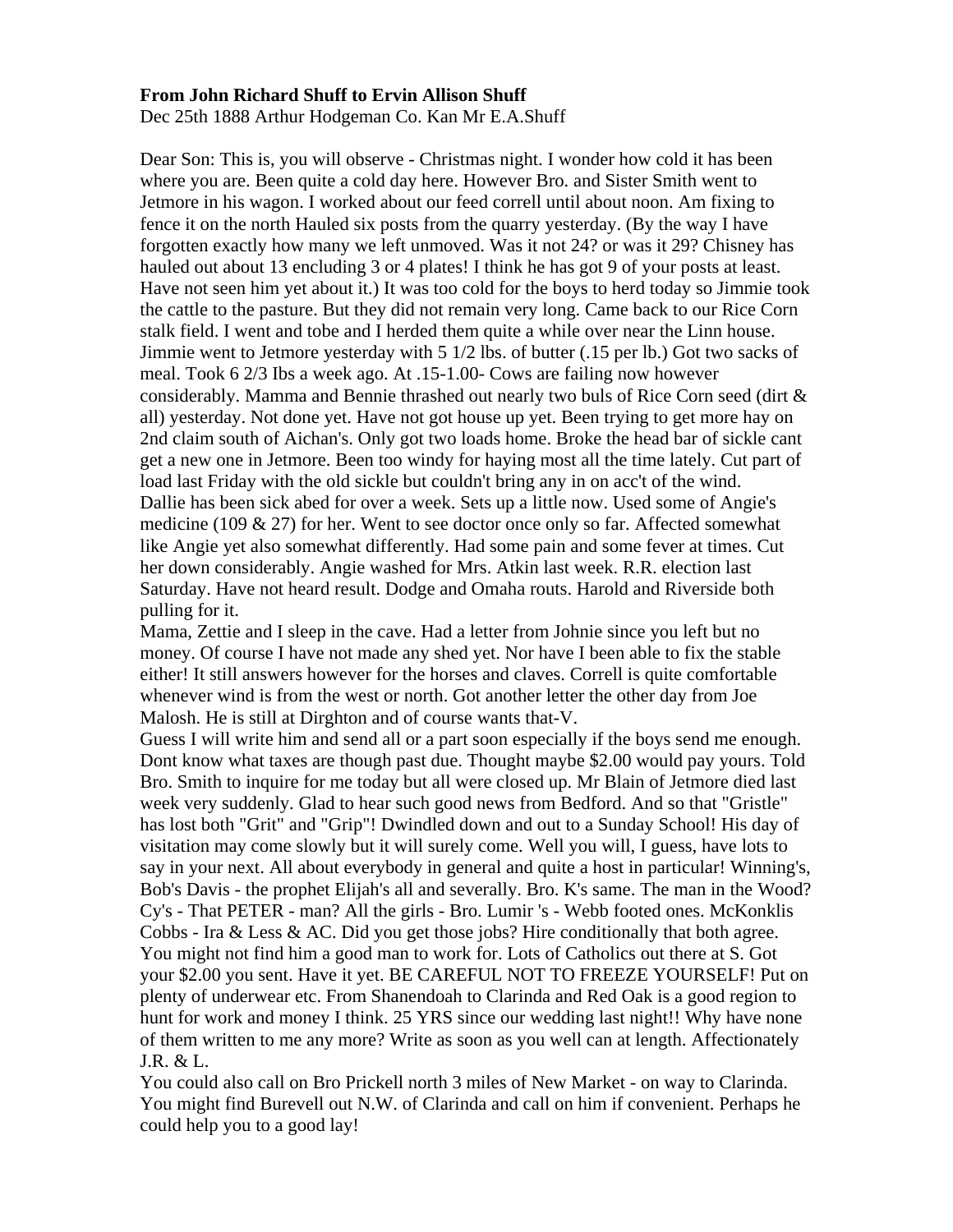## **From John Richard Shuff to Ervin Allison Shuff**

Dec 25th 1888 Arthur Hodgeman Co. Kan Mr E.A.Shuff

Dear Son: This is, you will observe - Christmas night. I wonder how cold it has been where you are. Been quite a cold day here. However Bro. and Sister Smith went to Jetmore in his wagon. I worked about our feed correll until about noon. Am fixing to fence it on the north Hauled six posts from the quarry yesterday. (By the way I have forgotten exactly how many we left unmoved. Was it not 24? or was it 29? Chisney has hauled out about 13 encluding 3 or 4 plates! I think he has got 9 of your posts at least. Have not seen him yet about it.) It was too cold for the boys to herd today so Jimmie took the cattle to the pasture. But they did not remain very long. Came back to our Rice Corn stalk field. I went and tobe and I herded them quite a while over near the Linn house. Jimmie went to Jetmore yesterday with 5 1/2 lbs. of butter (.15 per lb.) Got two sacks of meal. Took 6 2/3 Ibs a week ago. At .15-1.00- Cows are failing now however considerably. Mamma and Bennie thrashed out nearly two buls of Rice Corn seed (dirt  $\&$ all) yesterday. Not done yet. Have not got house up yet. Been trying to get more hay on 2nd claim south of Aichan's. Only got two loads home. Broke the head bar of sickle cant get a new one in Jetmore. Been too windy for haying most all the time lately. Cut part of load last Friday with the old sickle but couldn't bring any in on acc't of the wind. Dallie has been sick abed for over a week. Sets up a little now. Used some of Angie's medicine (109  $\&$  27) for her. Went to see doctor once only so far. Affected somewhat like Angie yet also somewhat differently. Had some pain and some fever at times. Cut her down considerably. Angie washed for Mrs. Atkin last week. R.R. election last Saturday. Have not heard result. Dodge and Omaha routs. Harold and Riverside both pulling for it.

Mama, Zettie and I sleep in the cave. Had a letter from Johnie since you left but no money. Of course I have not made any shed yet. Nor have I been able to fix the stable either! It still answers however for the horses and claves. Correll is quite comfortable whenever wind is from the west or north. Got another letter the other day from Joe Malosh. He is still at Dirghton and of course wants that-V.

Guess I will write him and send all or a part soon especially if the boys send me enough. Dont know what taxes are though past due. Thought maybe \$2.00 would pay yours. Told Bro. Smith to inquire for me today but all were closed up. Mr Blain of Jetmore died last week very suddenly. Glad to hear such good news from Bedford. And so that "Gristle" has lost both "Grit" and "Grip"! Dwindled down and out to a Sunday School! His day of visitation may come slowly but it will surely come. Well you will, I guess, have lots to say in your next. All about everybody in general and quite a host in particular! Winning's, Bob's Davis - the prophet Elijah's all and severally. Bro. K's same. The man in the Wood? Cy's - That PETER - man? All the girls - Bro. Lumir 's - Webb footed ones. McKonklis Cobbs - Ira & Less & AC. Did you get those jobs? Hire conditionally that both agree. You might not find him a good man to work for. Lots of Catholics out there at S. Got your \$2.00 you sent. Have it yet. BE CAREFUL NOT TO FREEZE YOURSELF! Put on plenty of underwear etc. From Shanendoah to Clarinda and Red Oak is a good region to hunt for work and money I think. 25 YRS since our wedding last night!! Why have none of them written to me any more? Write as soon as you well can at length. Affectionately J.R. & L.

You could also call on Bro Prickell north 3 miles of New Market - on way to Clarinda. You might find Burevell out N.W. of Clarinda and call on him if convenient. Perhaps he could help you to a good lay!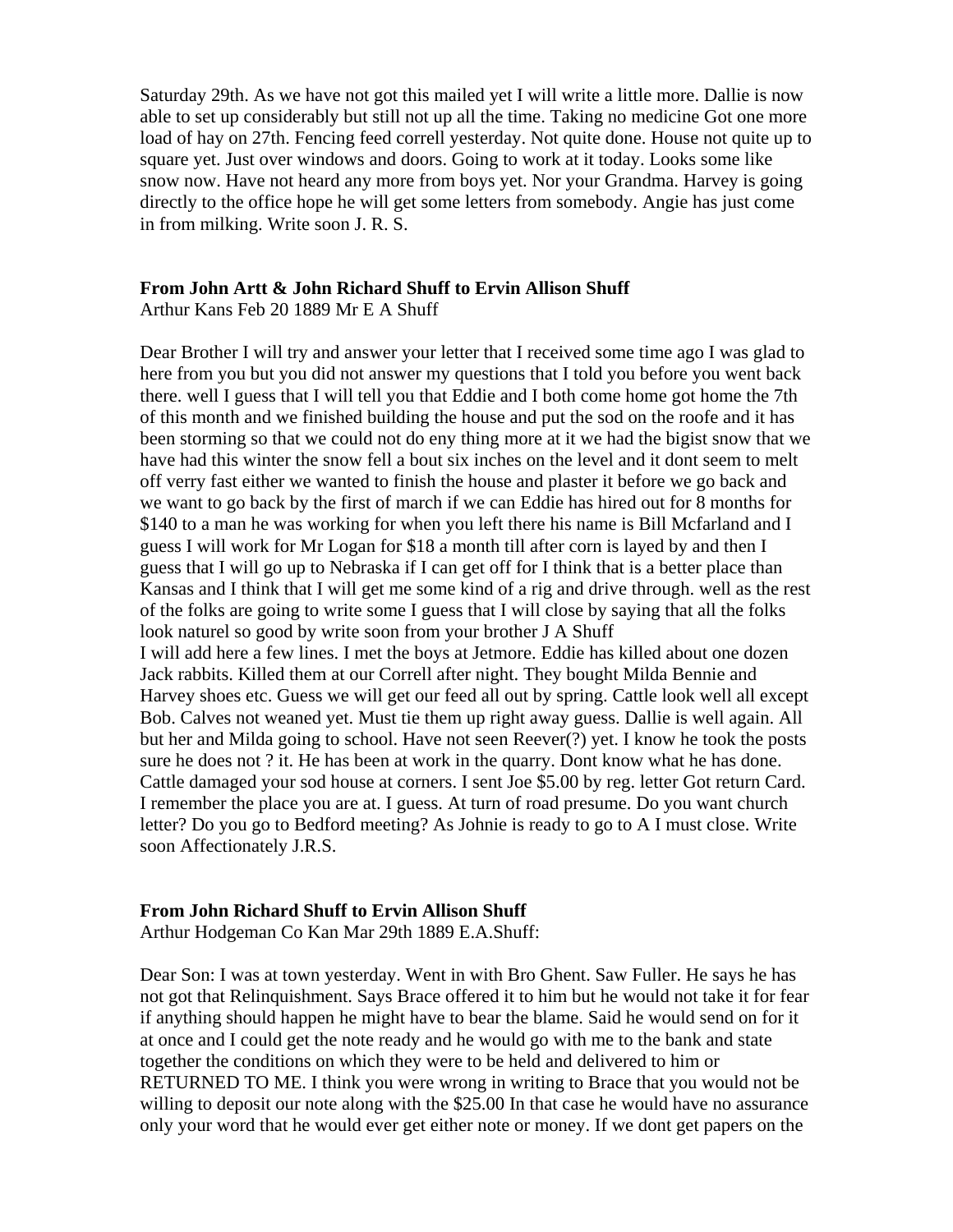Saturday 29th. As we have not got this mailed yet I will write a little more. Dallie is now able to set up considerably but still not up all the time. Taking no medicine Got one more load of hay on 27th. Fencing feed correll yesterday. Not quite done. House not quite up to square yet. Just over windows and doors. Going to work at it today. Looks some like snow now. Have not heard any more from boys yet. Nor your Grandma. Harvey is going directly to the office hope he will get some letters from somebody. Angie has just come in from milking. Write soon J. R. S.

#### **From John Artt & John Richard Shuff to Ervin Allison Shuff**

Arthur Kans Feb 20 1889 Mr E A Shuff

Dear Brother I will try and answer your letter that I received some time ago I was glad to here from you but you did not answer my questions that I told you before you went back there. well I guess that I will tell you that Eddie and I both come home got home the 7th of this month and we finished building the house and put the sod on the roofe and it has been storming so that we could not do eny thing more at it we had the bigist snow that we have had this winter the snow fell a bout six inches on the level and it dont seem to melt off verry fast either we wanted to finish the house and plaster it before we go back and we want to go back by the first of march if we can Eddie has hired out for 8 months for \$140 to a man he was working for when you left there his name is Bill Mcfarland and I guess I will work for Mr Logan for \$18 a month till after corn is layed by and then I guess that I will go up to Nebraska if I can get off for I think that is a better place than Kansas and I think that I will get me some kind of a rig and drive through. well as the rest of the folks are going to write some I guess that I will close by saying that all the folks look naturel so good by write soon from your brother J A Shuff I will add here a few lines. I met the boys at Jetmore. Eddie has killed about one dozen Jack rabbits. Killed them at our Correll after night. They bought Milda Bennie and Harvey shoes etc. Guess we will get our feed all out by spring. Cattle look well all except Bob. Calves not weaned yet. Must tie them up right away guess. Dallie is well again. All but her and Milda going to school. Have not seen Reever(?) yet. I know he took the posts sure he does not ? it. He has been at work in the quarry. Dont know what he has done. Cattle damaged your sod house at corners. I sent Joe \$5.00 by reg. letter Got return Card. I remember the place you are at. I guess. At turn of road presume. Do you want church letter? Do you go to Bedford meeting? As Johnie is ready to go to A I must close. Write soon Affectionately J.R.S.

## **From John Richard Shuff to Ervin Allison Shuff**

Arthur Hodgeman Co Kan Mar 29th 1889 E.A.Shuff:

Dear Son: I was at town yesterday. Went in with Bro Ghent. Saw Fuller. He says he has not got that Relinquishment. Says Brace offered it to him but he would not take it for fear if anything should happen he might have to bear the blame. Said he would send on for it at once and I could get the note ready and he would go with me to the bank and state together the conditions on which they were to be held and delivered to him or RETURNED TO ME. I think you were wrong in writing to Brace that you would not be willing to deposit our note along with the \$25.00 In that case he would have no assurance only your word that he would ever get either note or money. If we dont get papers on the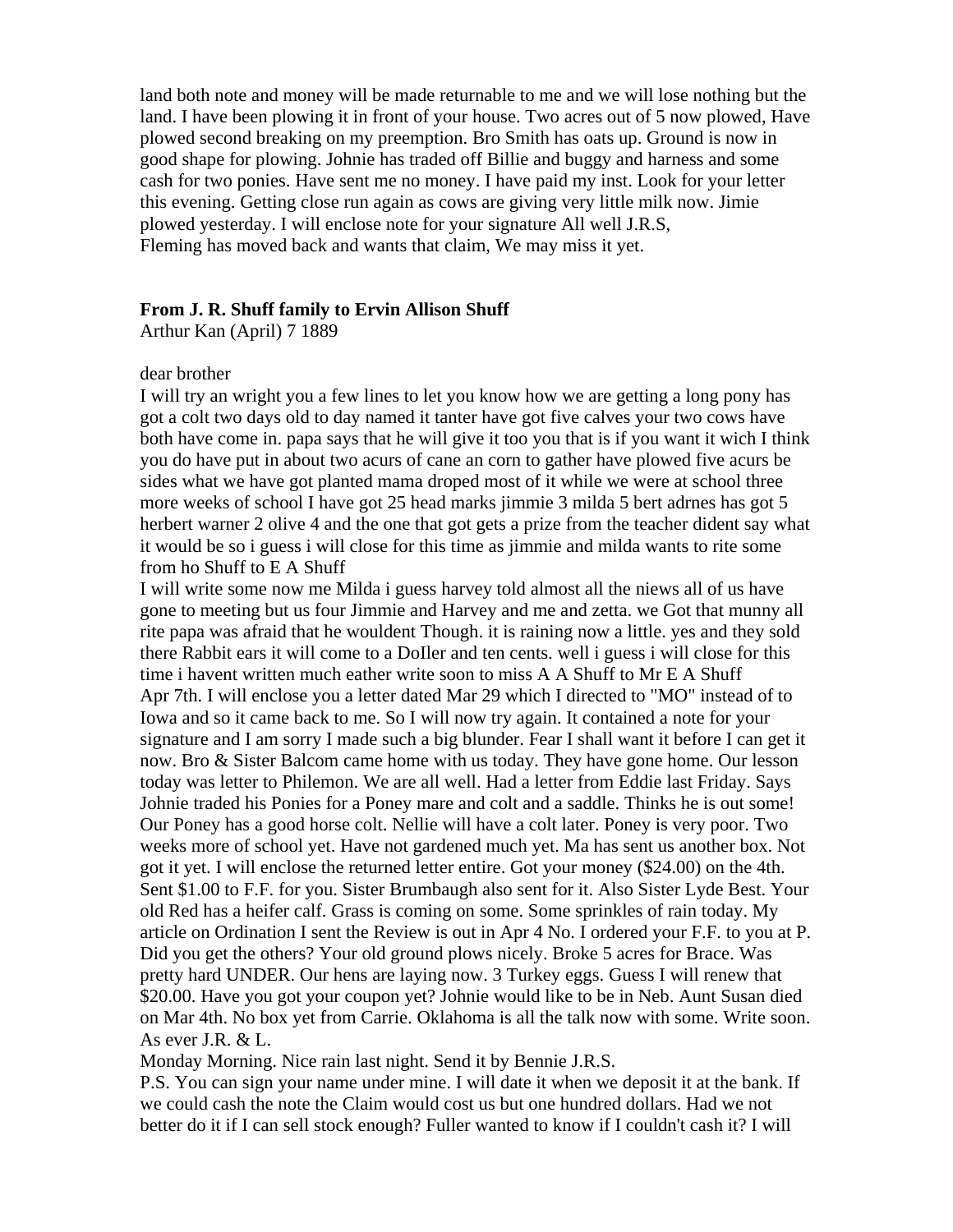land both note and money will be made returnable to me and we will lose nothing but the land. I have been plowing it in front of your house. Two acres out of 5 now plowed, Have plowed second breaking on my preemption. Bro Smith has oats up. Ground is now in good shape for plowing. Johnie has traded off Billie and buggy and harness and some cash for two ponies. Have sent me no money. I have paid my inst. Look for your letter this evening. Getting close run again as cows are giving very little milk now. Jimie plowed yesterday. I will enclose note for your signature All well J.R.S, Fleming has moved back and wants that claim, We may miss it yet.

### **From J. R. Shuff family to Ervin Allison Shuff**

Arthur Kan (April) 7 1889

#### dear brother

I will try an wright you a few lines to let you know how we are getting a long pony has got a colt two days old to day named it tanter have got five calves your two cows have both have come in. papa says that he will give it too you that is if you want it wich I think you do have put in about two acurs of cane an corn to gather have plowed five acurs be sides what we have got planted mama droped most of it while we were at school three more weeks of school I have got 25 head marks jimmie 3 milda 5 bert adrnes has got 5 herbert warner 2 olive 4 and the one that got gets a prize from the teacher dident say what it would be so i guess i will close for this time as jimmie and milda wants to rite some from ho Shuff to E A Shuff

I will write some now me Milda i guess harvey told almost all the niews all of us have gone to meeting but us four Jimmie and Harvey and me and zetta. we Got that munny all rite papa was afraid that he wouldent Though. it is raining now a little. yes and they sold there Rabbit ears it will come to a DoIler and ten cents. well i guess i will close for this time i havent written much eather write soon to miss A A Shuff to Mr E A Shuff Apr 7th. I will enclose you a letter dated Mar 29 which I directed to "MO" instead of to Iowa and so it came back to me. So I will now try again. It contained a note for your signature and I am sorry I made such a big blunder. Fear I shall want it before I can get it now. Bro & Sister Balcom came home with us today. They have gone home. Our lesson today was letter to Philemon. We are all well. Had a letter from Eddie last Friday. Says Johnie traded his Ponies for a Poney mare and colt and a saddle. Thinks he is out some! Our Poney has a good horse colt. Nellie will have a colt later. Poney is very poor. Two weeks more of school yet. Have not gardened much yet. Ma has sent us another box. Not got it yet. I will enclose the returned letter entire. Got your money (\$24.00) on the 4th. Sent \$1.00 to F.F. for you. Sister Brumbaugh also sent for it. Also Sister Lyde Best. Your old Red has a heifer calf. Grass is coming on some. Some sprinkles of rain today. My article on Ordination I sent the Review is out in Apr 4 No. I ordered your F.F. to you at P. Did you get the others? Your old ground plows nicely. Broke 5 acres for Brace. Was pretty hard UNDER. Our hens are laying now. 3 Turkey eggs. Guess I will renew that \$20.00. Have you got your coupon yet? Johnie would like to be in Neb. Aunt Susan died on Mar 4th. No box yet from Carrie. Oklahoma is all the talk now with some. Write soon. As ever J.R. & L.

Monday Morning. Nice rain last night. Send it by Bennie J.R.S.

P.S. You can sign your name under mine. I will date it when we deposit it at the bank. If we could cash the note the Claim would cost us but one hundred dollars. Had we not better do it if I can sell stock enough? Fuller wanted to know if I couldn't cash it? I will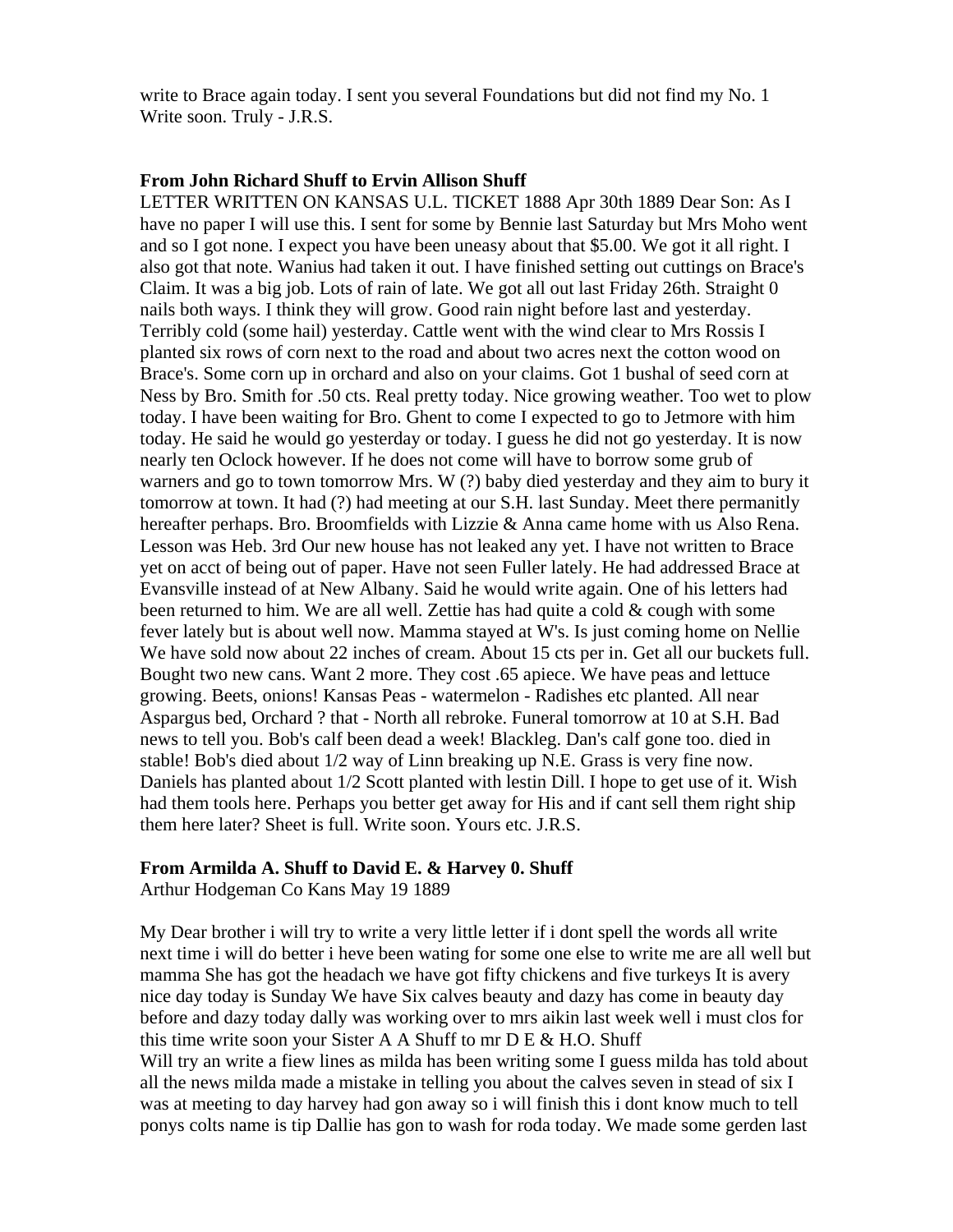write to Brace again today. I sent you several Foundations but did not find my No. 1 Write soon. Truly - J.R.S.

## **From John Richard Shuff to Ervin Allison Shuff**

LETTER WRITTEN ON KANSAS U.L. TICKET 1888 Apr 30th 1889 Dear Son: As I have no paper I will use this. I sent for some by Bennie last Saturday but Mrs Moho went and so I got none. I expect you have been uneasy about that \$5.00. We got it all right. I also got that note. Wanius had taken it out. I have finished setting out cuttings on Brace's Claim. It was a big job. Lots of rain of late. We got all out last Friday 26th. Straight 0 nails both ways. I think they will grow. Good rain night before last and yesterday. Terribly cold (some hail) yesterday. Cattle went with the wind clear to Mrs Rossis I planted six rows of corn next to the road and about two acres next the cotton wood on Brace's. Some corn up in orchard and also on your claims. Got 1 bushal of seed corn at Ness by Bro. Smith for .50 cts. Real pretty today. Nice growing weather. Too wet to plow today. I have been waiting for Bro. Ghent to come I expected to go to Jetmore with him today. He said he would go yesterday or today. I guess he did not go yesterday. It is now nearly ten Oclock however. If he does not come will have to borrow some grub of warners and go to town tomorrow Mrs. W (?) baby died yesterday and they aim to bury it tomorrow at town. It had (?) had meeting at our S.H. last Sunday. Meet there permanitly hereafter perhaps. Bro. Broomfields with Lizzie & Anna came home with us Also Rena. Lesson was Heb. 3rd Our new house has not leaked any yet. I have not written to Brace yet on acct of being out of paper. Have not seen Fuller lately. He had addressed Brace at Evansville instead of at New Albany. Said he would write again. One of his letters had been returned to him. We are all well. Zettie has had quite a cold  $\&$  cough with some fever lately but is about well now. Mamma stayed at W's. Is just coming home on Nellie We have sold now about 22 inches of cream. About 15 cts per in. Get all our buckets full. Bought two new cans. Want 2 more. They cost .65 apiece. We have peas and lettuce growing. Beets, onions! Kansas Peas - watermelon - Radishes etc planted. All near Aspargus bed, Orchard ? that - North all rebroke. Funeral tomorrow at 10 at S.H. Bad news to tell you. Bob's calf been dead a week! Blackleg. Dan's calf gone too. died in stable! Bob's died about 1/2 way of Linn breaking up N.E. Grass is very fine now. Daniels has planted about 1/2 Scott planted with lestin Dill. I hope to get use of it. Wish had them tools here. Perhaps you better get away for His and if cant sell them right ship them here later? Sheet is full. Write soon. Yours etc. J.R.S.

## **From Armilda A. Shuff to David E. & Harvey 0. Shuff**

Arthur Hodgeman Co Kans May 19 1889

My Dear brother i will try to write a very little letter if i dont spell the words all write next time i will do better i heve been wating for some one else to write me are all well but mamma She has got the headach we have got fifty chickens and five turkeys It is avery nice day today is Sunday We have Six calves beauty and dazy has come in beauty day before and dazy today dally was working over to mrs aikin last week well i must clos for this time write soon your Sister A A Shuff to mr  $D E & H.O.$  Shuff Will try an write a fiew lines as milda has been writing some I guess milda has told about all the news milda made a mistake in telling you about the calves seven in stead of six I was at meeting to day harvey had gon away so i will finish this i dont know much to tell ponys colts name is tip Dallie has gon to wash for roda today. We made some gerden last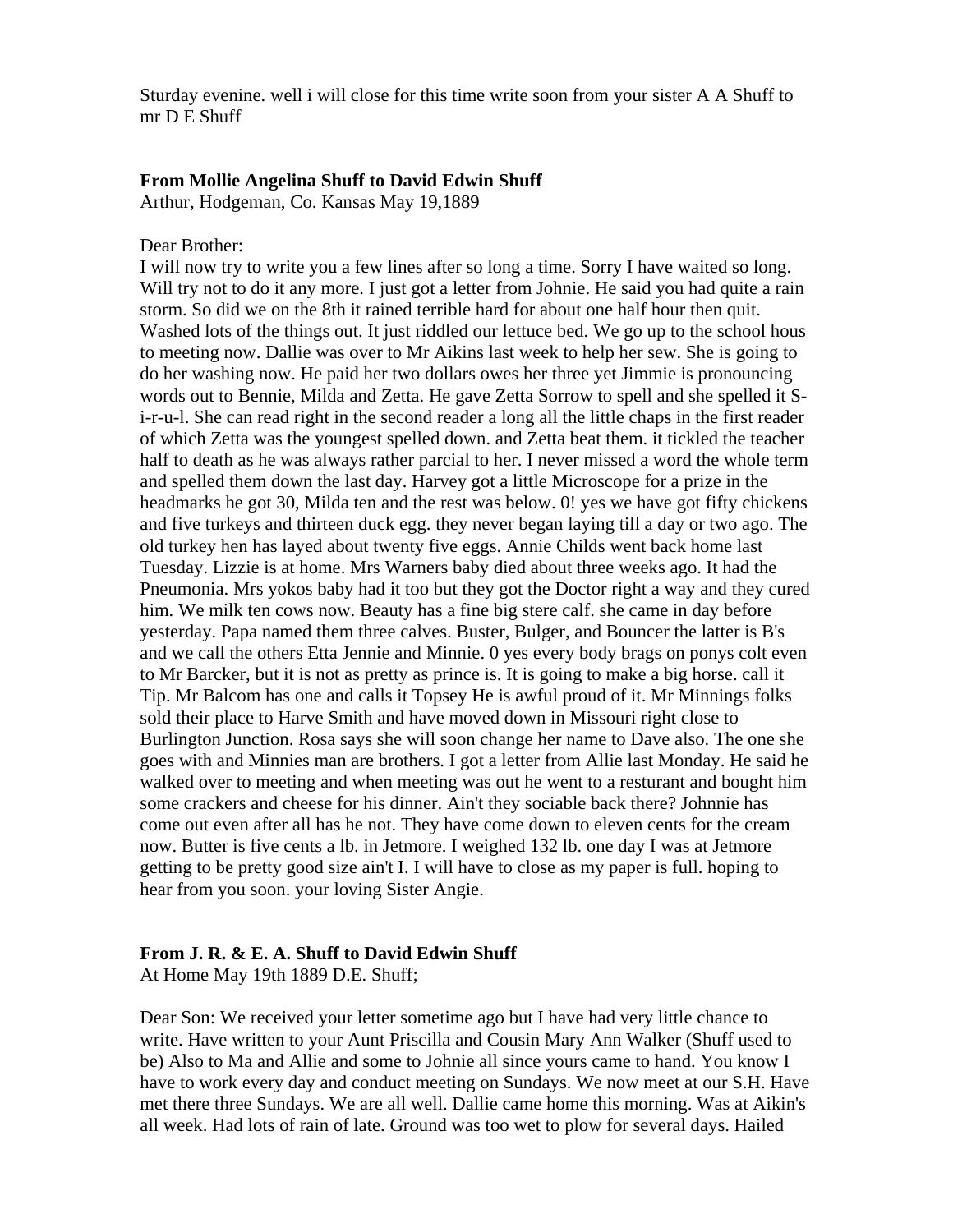Sturday evenine. well i will close for this time write soon from your sister A A Shuff to mr D E Shuff

### **From Mollie Angelina Shuff to David Edwin Shuff**

Arthur, Hodgeman, Co. Kansas May 19,1889

Dear Brother:

I will now try to write you a few lines after so long a time. Sorry I have waited so long. Will try not to do it any more. I just got a letter from Johnie. He said you had quite a rain storm. So did we on the 8th it rained terrible hard for about one half hour then quit. Washed lots of the things out. It just riddled our lettuce bed. We go up to the school hous to meeting now. Dallie was over to Mr Aikins last week to help her sew. She is going to do her washing now. He paid her two dollars owes her three yet Jimmie is pronouncing words out to Bennie, Milda and Zetta. He gave Zetta Sorrow to spell and she spelled it Si-r-u-l. She can read right in the second reader a long all the little chaps in the first reader of which Zetta was the youngest spelled down. and Zetta beat them. it tickled the teacher half to death as he was always rather parcial to her. I never missed a word the whole term and spelled them down the last day. Harvey got a little Microscope for a prize in the headmarks he got 30, Milda ten and the rest was below. 0! yes we have got fifty chickens and five turkeys and thirteen duck egg. they never began laying till a day or two ago. The old turkey hen has layed about twenty five eggs. Annie Childs went back home last Tuesday. Lizzie is at home. Mrs Warners baby died about three weeks ago. It had the Pneumonia. Mrs yokos baby had it too but they got the Doctor right a way and they cured him. We milk ten cows now. Beauty has a fine big stere calf. she came in day before yesterday. Papa named them three calves. Buster, Bulger, and Bouncer the latter is B's and we call the others Etta Jennie and Minnie. 0 yes every body brags on ponys colt even to Mr Barcker, but it is not as pretty as prince is. It is going to make a big horse. call it Tip. Mr Balcom has one and calls it Topsey He is awful proud of it. Mr Minnings folks sold their place to Harve Smith and have moved down in Missouri right close to Burlington Junction. Rosa says she will soon change her name to Dave also. The one she goes with and Minnies man are brothers. I got a letter from Allie last Monday. He said he walked over to meeting and when meeting was out he went to a resturant and bought him some crackers and cheese for his dinner. Ain't they sociable back there? Johnnie has come out even after all has he not. They have come down to eleven cents for the cream now. Butter is five cents a lb. in Jetmore. I weighed 132 lb. one day I was at Jetmore getting to be pretty good size ain't I. I will have to close as my paper is full. hoping to hear from you soon. your loving Sister Angie.

### **From J. R. & E. A. Shuff to David Edwin Shuff**

At Home May 19th 1889 D.E. Shuff;

Dear Son: We received your letter sometime ago but I have had very little chance to write. Have written to your Aunt Priscilla and Cousin Mary Ann Walker (Shuff used to be) Also to Ma and Allie and some to Johnie all since yours came to hand. You know I have to work every day and conduct meeting on Sundays. We now meet at our S.H. Have met there three Sundays. We are all well. Dallie came home this morning. Was at Aikin's all week. Had lots of rain of late. Ground was too wet to plow for several days. Hailed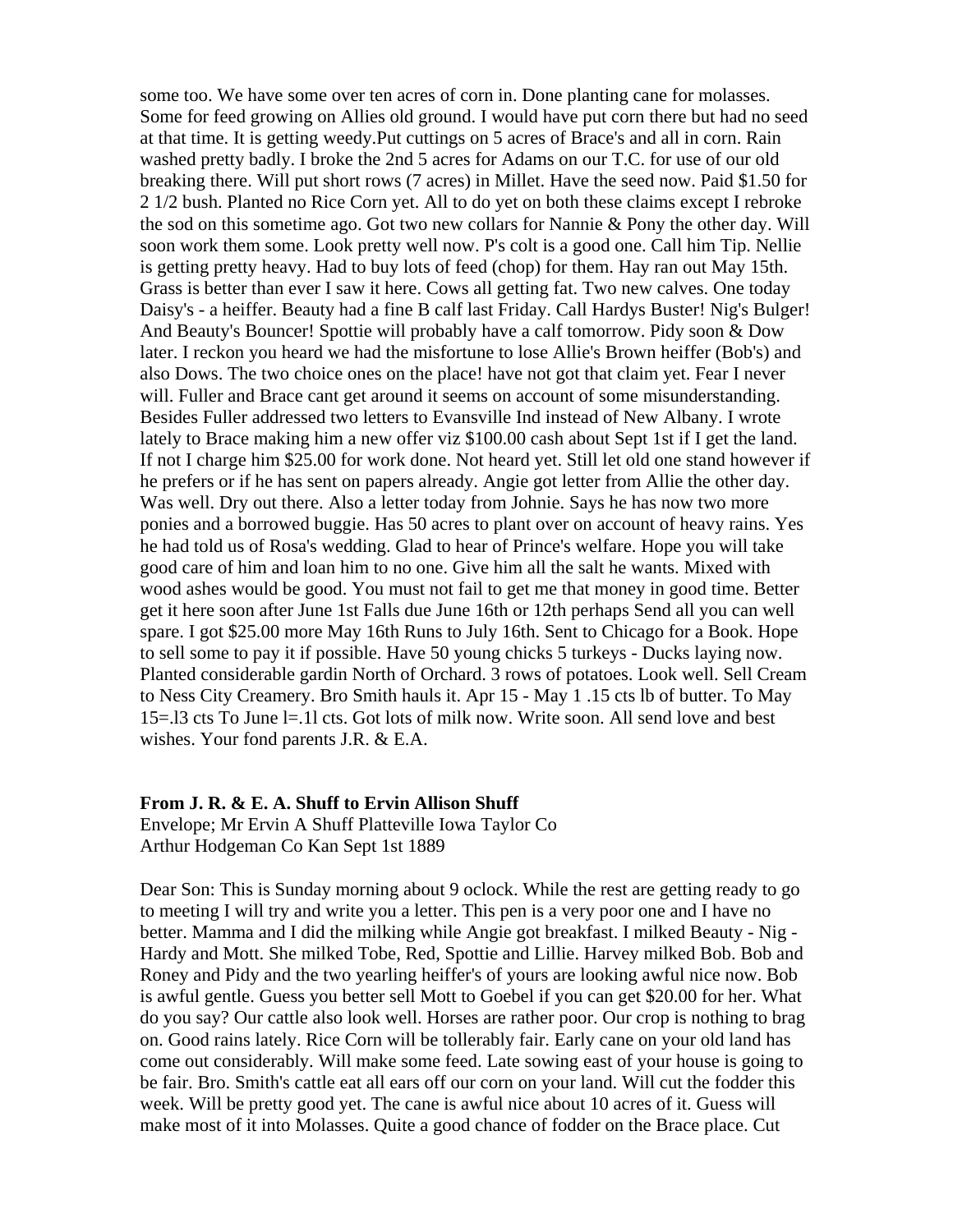some too. We have some over ten acres of corn in. Done planting cane for molasses. Some for feed growing on Allies old ground. I would have put corn there but had no seed at that time. It is getting weedy.Put cuttings on 5 acres of Brace's and all in corn. Rain washed pretty badly. I broke the 2nd 5 acres for Adams on our T.C. for use of our old breaking there. Will put short rows (7 acres) in Millet. Have the seed now. Paid \$1.50 for 2 1/2 bush. Planted no Rice Corn yet. All to do yet on both these claims except I rebroke the sod on this sometime ago. Got two new collars for Nannie & Pony the other day. Will soon work them some. Look pretty well now. P's colt is a good one. Call him Tip. Nellie is getting pretty heavy. Had to buy lots of feed (chop) for them. Hay ran out May 15th. Grass is better than ever I saw it here. Cows all getting fat. Two new calves. One today Daisy's - a heiffer. Beauty had a fine B calf last Friday. Call Hardys Buster! Nig's Bulger! And Beauty's Bouncer! Spottie will probably have a calf tomorrow. Pidy soon & Dow later. I reckon you heard we had the misfortune to lose Allie's Brown heiffer (Bob's) and also Dows. The two choice ones on the place! have not got that claim yet. Fear I never will. Fuller and Brace cant get around it seems on account of some misunderstanding. Besides Fuller addressed two letters to Evansville Ind instead of New Albany. I wrote lately to Brace making him a new offer viz \$100.00 cash about Sept 1st if I get the land. If not I charge him \$25.00 for work done. Not heard yet. Still let old one stand however if he prefers or if he has sent on papers already. Angie got letter from Allie the other day. Was well. Dry out there. Also a letter today from Johnie. Says he has now two more ponies and a borrowed buggie. Has 50 acres to plant over on account of heavy rains. Yes he had told us of Rosa's wedding. Glad to hear of Prince's welfare. Hope you will take good care of him and loan him to no one. Give him all the salt he wants. Mixed with wood ashes would be good. You must not fail to get me that money in good time. Better get it here soon after June 1st Falls due June 16th or 12th perhaps Send all you can well spare. I got \$25.00 more May 16th Runs to July 16th. Sent to Chicago for a Book. Hope to sell some to pay it if possible. Have 50 young chicks 5 turkeys - Ducks laying now. Planted considerable gardin North of Orchard. 3 rows of potatoes. Look well. Sell Cream to Ness City Creamery. Bro Smith hauls it. Apr 15 - May 1 .15 cts lb of butter. To May 15=.l3 cts To June l=.1l cts. Got lots of milk now. Write soon. All send love and best wishes. Your fond parents J.R. & E.A.

## **From J. R. & E. A. Shuff to Ervin Allison Shuff**

Envelope; Mr Ervin A Shuff Platteville Iowa Taylor Co Arthur Hodgeman Co Kan Sept 1st 1889

Dear Son: This is Sunday morning about 9 oclock. While the rest are getting ready to go to meeting I will try and write you a letter. This pen is a very poor one and I have no better. Mamma and I did the milking while Angie got breakfast. I milked Beauty - Nig - Hardy and Mott. She milked Tobe, Red, Spottie and Lillie. Harvey milked Bob. Bob and Roney and Pidy and the two yearling heiffer's of yours are looking awful nice now. Bob is awful gentle. Guess you better sell Mott to Goebel if you can get \$20.00 for her. What do you say? Our cattle also look well. Horses are rather poor. Our crop is nothing to brag on. Good rains lately. Rice Corn will be tollerably fair. Early cane on your old land has come out considerably. Will make some feed. Late sowing east of your house is going to be fair. Bro. Smith's cattle eat all ears off our corn on your land. Will cut the fodder this week. Will be pretty good yet. The cane is awful nice about 10 acres of it. Guess will make most of it into Molasses. Quite a good chance of fodder on the Brace place. Cut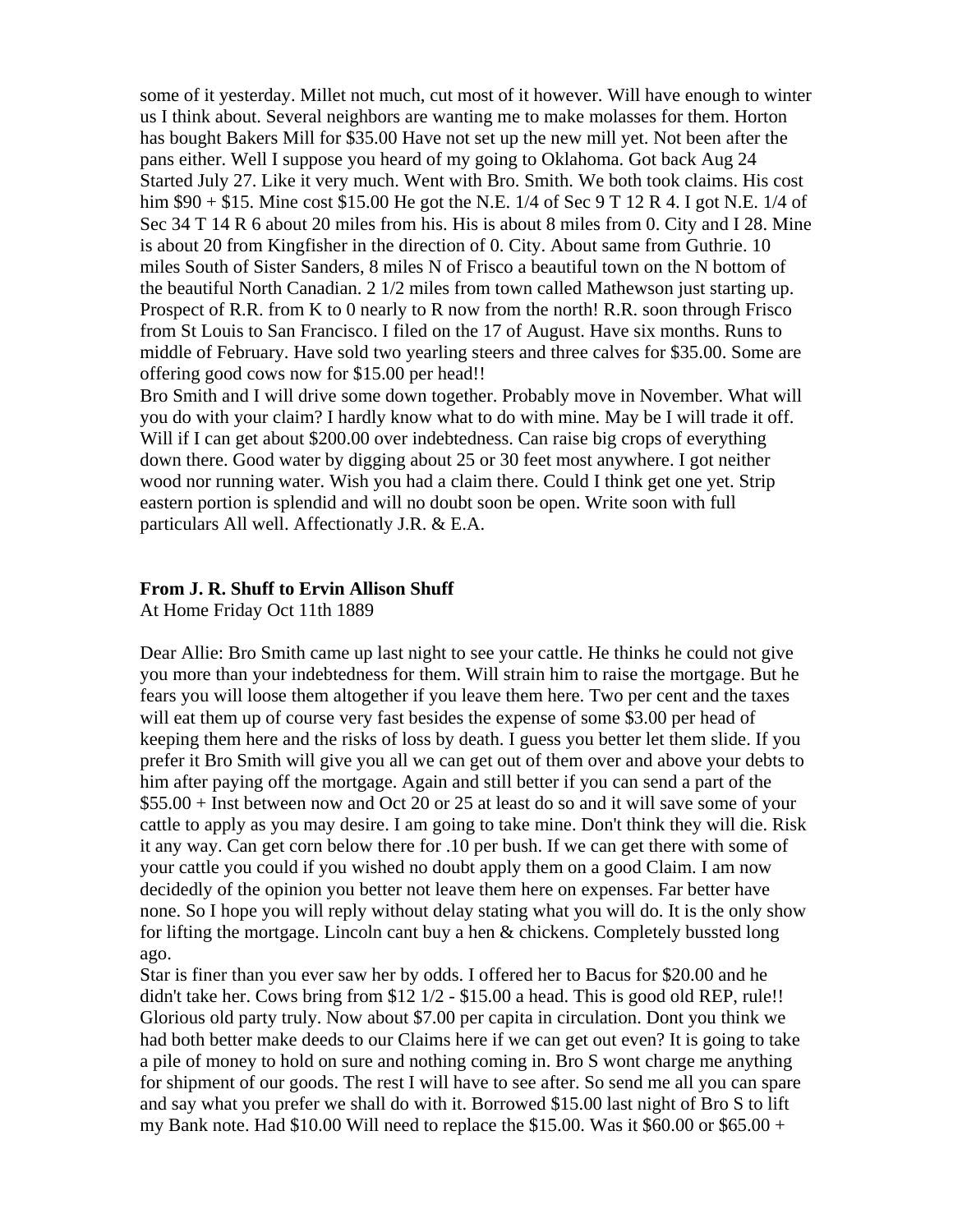some of it yesterday. Millet not much, cut most of it however. Will have enough to winter us I think about. Several neighbors are wanting me to make molasses for them. Horton has bought Bakers Mill for \$35.00 Have not set up the new mill yet. Not been after the pans either. Well I suppose you heard of my going to Oklahoma. Got back Aug 24 Started July 27. Like it very much. Went with Bro. Smith. We both took claims. His cost him  $$90 + $15$ . Mine cost \$15.00 He got the N.E. 1/4 of Sec 9 T 12 R 4. I got N.E. 1/4 of Sec 34 T 14 R 6 about 20 miles from his. His is about 8 miles from 0. City and I 28. Mine is about 20 from Kingfisher in the direction of 0. City. About same from Guthrie. 10 miles South of Sister Sanders, 8 miles N of Frisco a beautiful town on the N bottom of the beautiful North Canadian. 2 1/2 miles from town called Mathewson just starting up. Prospect of R.R. from K to 0 nearly to R now from the north! R.R. soon through Frisco from St Louis to San Francisco. I filed on the 17 of August. Have six months. Runs to middle of February. Have sold two yearling steers and three calves for \$35.00. Some are offering good cows now for \$15.00 per head!!

Bro Smith and I will drive some down together. Probably move in November. What will you do with your claim? I hardly know what to do with mine. May be I will trade it off. Will if I can get about \$200.00 over indebtedness. Can raise big crops of everything down there. Good water by digging about 25 or 30 feet most anywhere. I got neither wood nor running water. Wish you had a claim there. Could I think get one yet. Strip eastern portion is splendid and will no doubt soon be open. Write soon with full particulars All well. Affectionatly J.R. & E.A.

## **From J. R. Shuff to Ervin Allison Shuff**

At Home Friday Oct 11th 1889

Dear Allie: Bro Smith came up last night to see your cattle. He thinks he could not give you more than your indebtedness for them. Will strain him to raise the mortgage. But he fears you will loose them altogether if you leave them here. Two per cent and the taxes will eat them up of course very fast besides the expense of some \$3.00 per head of keeping them here and the risks of loss by death. I guess you better let them slide. If you prefer it Bro Smith will give you all we can get out of them over and above your debts to him after paying off the mortgage. Again and still better if you can send a part of the \$55.00 + Inst between now and Oct 20 or 25 at least do so and it will save some of your cattle to apply as you may desire. I am going to take mine. Don't think they will die. Risk it any way. Can get corn below there for .10 per bush. If we can get there with some of your cattle you could if you wished no doubt apply them on a good Claim. I am now decidedly of the opinion you better not leave them here on expenses. Far better have none. So I hope you will reply without delay stating what you will do. It is the only show for lifting the mortgage. Lincoln cant buy a hen & chickens. Completely bussted long ago.

Star is finer than you ever saw her by odds. I offered her to Bacus for \$20.00 and he didn't take her. Cows bring from \$12 1/2 - \$15.00 a head. This is good old REP, rule!! Glorious old party truly. Now about \$7.00 per capita in circulation. Dont you think we had both better make deeds to our Claims here if we can get out even? It is going to take a pile of money to hold on sure and nothing coming in. Bro S wont charge me anything for shipment of our goods. The rest I will have to see after. So send me all you can spare and say what you prefer we shall do with it. Borrowed \$15.00 last night of Bro S to lift my Bank note. Had \$10.00 Will need to replace the \$15.00. Was it \$60.00 or \$65.00 +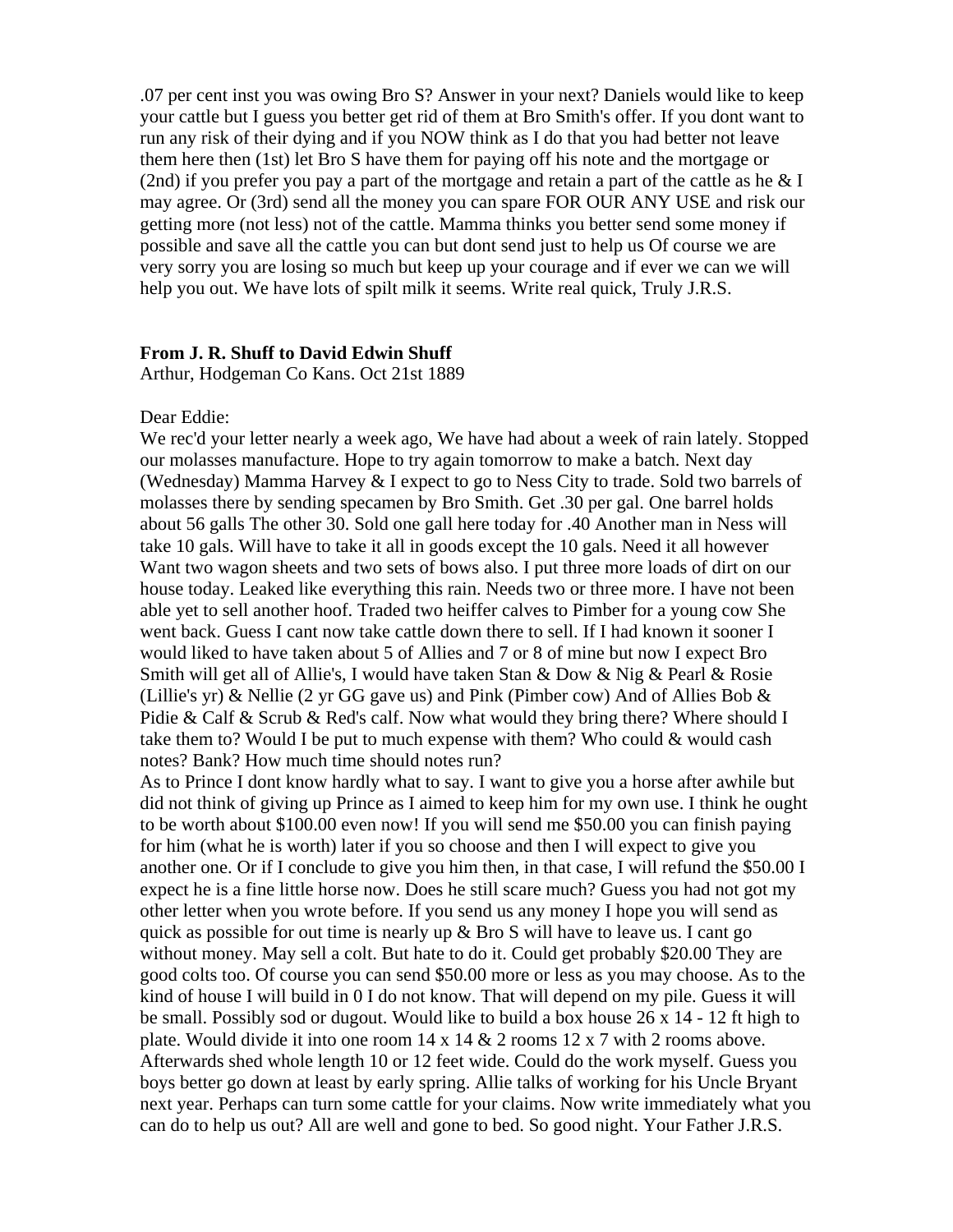.07 per cent inst you was owing Bro S? Answer in your next? Daniels would like to keep your cattle but I guess you better get rid of them at Bro Smith's offer. If you dont want to run any risk of their dying and if you NOW think as I do that you had better not leave them here then (1st) let Bro S have them for paying off his note and the mortgage or (2nd) if you prefer you pay a part of the mortgage and retain a part of the cattle as he  $& 1$ may agree. Or (3rd) send all the money you can spare FOR OUR ANY USE and risk our getting more (not less) not of the cattle. Mamma thinks you better send some money if possible and save all the cattle you can but dont send just to help us Of course we are very sorry you are losing so much but keep up your courage and if ever we can we will help you out. We have lots of spilt milk it seems. Write real quick, Truly J.R.S.

## **From J. R. Shuff to David Edwin Shuff**

Arthur, Hodgeman Co Kans. Oct 21st 1889

#### Dear Eddie:

We rec'd your letter nearly a week ago, We have had about a week of rain lately. Stopped our molasses manufacture. Hope to try again tomorrow to make a batch. Next day (Wednesday) Mamma Harvey & I expect to go to Ness City to trade. Sold two barrels of molasses there by sending specamen by Bro Smith. Get .30 per gal. One barrel holds about 56 galls The other 30. Sold one gall here today for .40 Another man in Ness will take 10 gals. Will have to take it all in goods except the 10 gals. Need it all however Want two wagon sheets and two sets of bows also. I put three more loads of dirt on our house today. Leaked like everything this rain. Needs two or three more. I have not been able yet to sell another hoof. Traded two heiffer calves to Pimber for a young cow She went back. Guess I cant now take cattle down there to sell. If I had known it sooner I would liked to have taken about 5 of Allies and 7 or 8 of mine but now I expect Bro Smith will get all of Allie's, I would have taken Stan & Dow & Nig & Pearl & Rosie (Lillie's yr) & Nellie (2 yr GG gave us) and Pink (Pimber cow) And of Allies Bob & Pidie & Calf & Scrub & Red's calf. Now what would they bring there? Where should I take them to? Would I be put to much expense with them? Who could  $&$  would cash notes? Bank? How much time should notes run?

As to Prince I dont know hardly what to say. I want to give you a horse after awhile but did not think of giving up Prince as I aimed to keep him for my own use. I think he ought to be worth about \$100.00 even now! If you will send me \$50.00 you can finish paying for him (what he is worth) later if you so choose and then I will expect to give you another one. Or if I conclude to give you him then, in that case, I will refund the \$50.00 I expect he is a fine little horse now. Does he still scare much? Guess you had not got my other letter when you wrote before. If you send us any money I hope you will send as quick as possible for out time is nearly up  $\&$  Bro S will have to leave us. I cant go without money. May sell a colt. But hate to do it. Could get probably \$20.00 They are good colts too. Of course you can send \$50.00 more or less as you may choose. As to the kind of house I will build in 0 I do not know. That will depend on my pile. Guess it will be small. Possibly sod or dugout. Would like to build a box house 26 x 14 - 12 ft high to plate. Would divide it into one room 14 x 14 & 2 rooms 12 x 7 with 2 rooms above. Afterwards shed whole length 10 or 12 feet wide. Could do the work myself. Guess you boys better go down at least by early spring. Allie talks of working for his Uncle Bryant next year. Perhaps can turn some cattle for your claims. Now write immediately what you can do to help us out? All are well and gone to bed. So good night. Your Father J.R.S.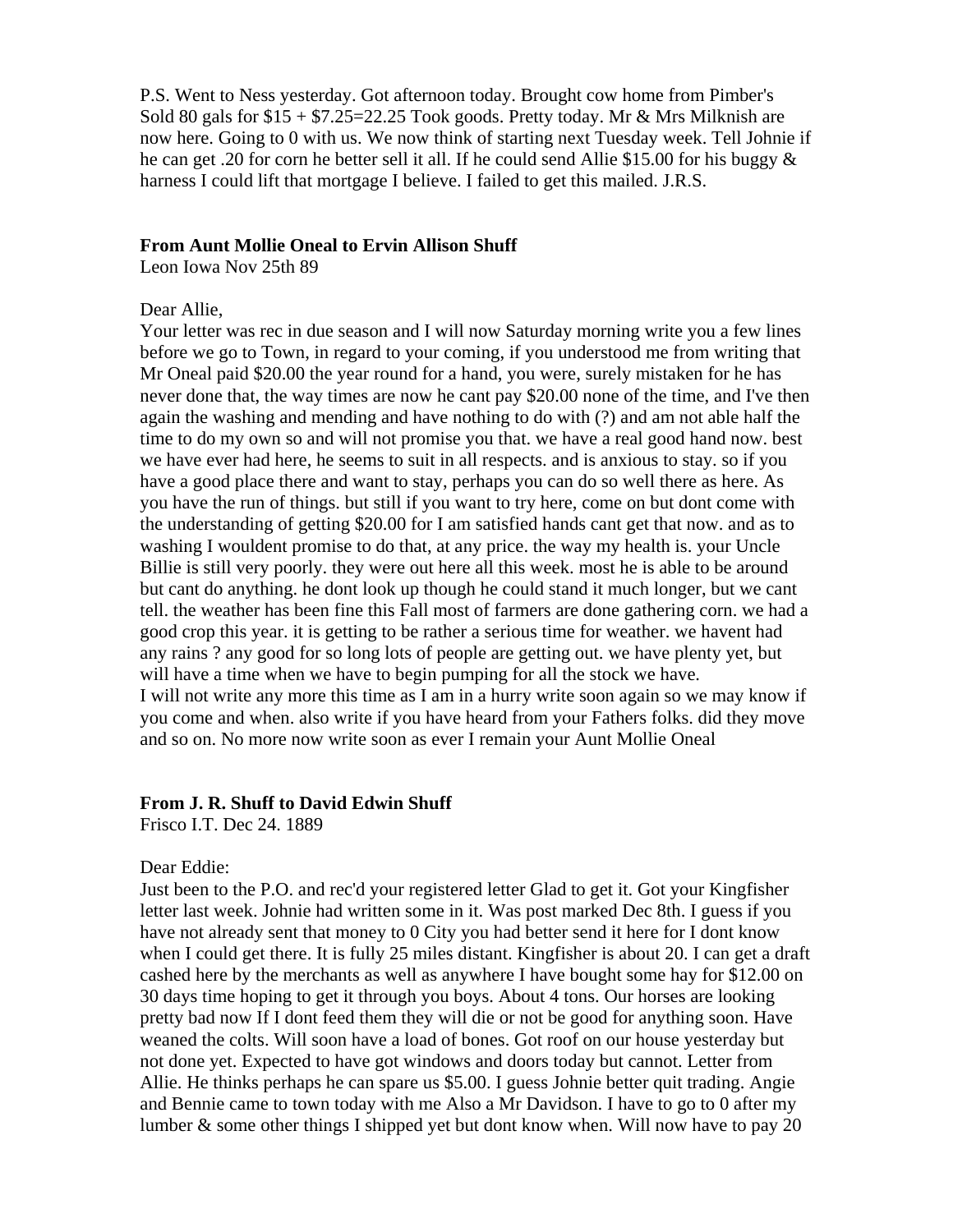P.S. Went to Ness yesterday. Got afternoon today. Brought cow home from Pimber's Sold 80 gals for  $$15 + $7.25 = 22.25$  Took goods. Pretty today. Mr & Mrs Milknish are now here. Going to 0 with us. We now think of starting next Tuesday week. Tell Johnie if he can get .20 for corn he better sell it all. If he could send Allie \$15.00 for his buggy & harness I could lift that mortgage I believe. I failed to get this mailed. J.R.S.

#### **From Aunt Mollie Oneal to Ervin Allison Shuff**

Leon Iowa Nov 25th 89

## Dear Allie,

Your letter was rec in due season and I will now Saturday morning write you a few lines before we go to Town, in regard to your coming, if you understood me from writing that Mr Oneal paid \$20.00 the year round for a hand, you were, surely mistaken for he has never done that, the way times are now he cant pay \$20.00 none of the time, and I've then again the washing and mending and have nothing to do with (?) and am not able half the time to do my own so and will not promise you that. we have a real good hand now. best we have ever had here, he seems to suit in all respects. and is anxious to stay. so if you have a good place there and want to stay, perhaps you can do so well there as here. As you have the run of things. but still if you want to try here, come on but dont come with the understanding of getting \$20.00 for I am satisfied hands cant get that now. and as to washing I wouldent promise to do that, at any price. the way my health is. your Uncle Billie is still very poorly. they were out here all this week. most he is able to be around but cant do anything. he dont look up though he could stand it much longer, but we cant tell. the weather has been fine this Fall most of farmers are done gathering corn. we had a good crop this year. it is getting to be rather a serious time for weather. we havent had any rains ? any good for so long lots of people are getting out. we have plenty yet, but will have a time when we have to begin pumping for all the stock we have. I will not write any more this time as I am in a hurry write soon again so we may know if you come and when. also write if you have heard from your Fathers folks. did they move and so on. No more now write soon as ever I remain your Aunt Mollie Oneal

## **From J. R. Shuff to David Edwin Shuff**

Frisco I.T. Dec 24. 1889

## Dear Eddie:

Just been to the P.O. and rec'd your registered letter Glad to get it. Got your Kingfisher letter last week. Johnie had written some in it. Was post marked Dec 8th. I guess if you have not already sent that money to 0 City you had better send it here for I dont know when I could get there. It is fully 25 miles distant. Kingfisher is about 20. I can get a draft cashed here by the merchants as well as anywhere I have bought some hay for \$12.00 on 30 days time hoping to get it through you boys. About 4 tons. Our horses are looking pretty bad now If I dont feed them they will die or not be good for anything soon. Have weaned the colts. Will soon have a load of bones. Got roof on our house yesterday but not done yet. Expected to have got windows and doors today but cannot. Letter from Allie. He thinks perhaps he can spare us \$5.00. I guess Johnie better quit trading. Angie and Bennie came to town today with me Also a Mr Davidson. I have to go to 0 after my lumber  $\&$  some other things I shipped yet but dont know when. Will now have to pay 20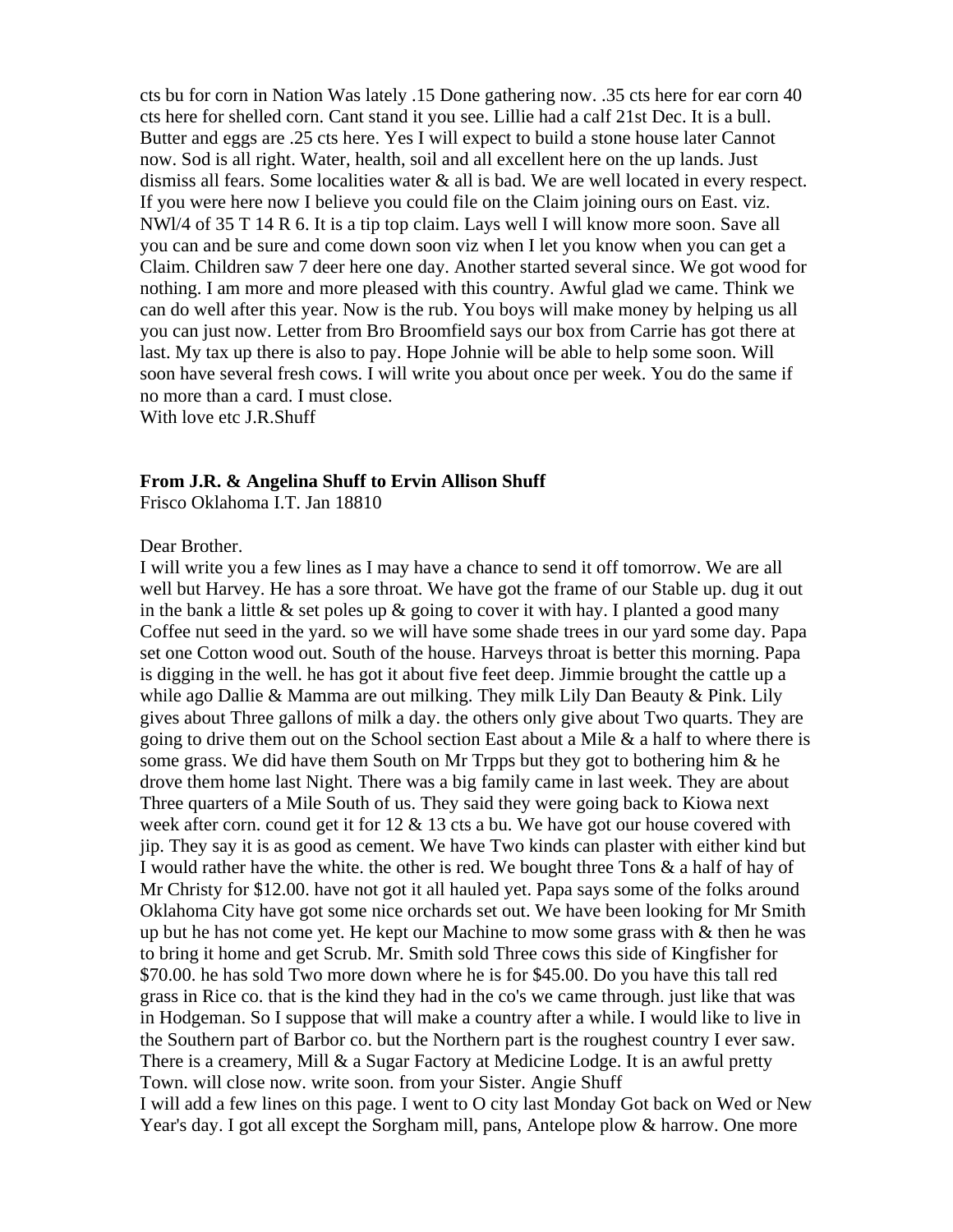cts bu for corn in Nation Was lately .15 Done gathering now. .35 cts here for ear corn 40 cts here for shelled corn. Cant stand it you see. Lillie had a calf 21st Dec. It is a bull. Butter and eggs are .25 cts here. Yes I will expect to build a stone house later Cannot now. Sod is all right. Water, health, soil and all excellent here on the up lands. Just dismiss all fears. Some localities water & all is bad. We are well located in every respect. If you were here now I believe you could file on the Claim joining ours on East. viz. NWl/4 of 35 T 14 R 6. It is a tip top claim. Lays well I will know more soon. Save all you can and be sure and come down soon viz when I let you know when you can get a Claim. Children saw 7 deer here one day. Another started several since. We got wood for nothing. I am more and more pleased with this country. Awful glad we came. Think we can do well after this year. Now is the rub. You boys will make money by helping us all you can just now. Letter from Bro Broomfield says our box from Carrie has got there at last. My tax up there is also to pay. Hope Johnie will be able to help some soon. Will soon have several fresh cows. I will write you about once per week. You do the same if no more than a card. I must close.

With love etc J.R.Shuff

### **From J.R. & Angelina Shuff to Ervin Allison Shuff**

Frisco Oklahoma I.T. Jan 18810

#### Dear Brother.

I will write you a few lines as I may have a chance to send it off tomorrow. We are all well but Harvey. He has a sore throat. We have got the frame of our Stable up. dug it out in the bank a little  $\&$  set poles up  $\&$  going to cover it with hay. I planted a good many Coffee nut seed in the yard. so we will have some shade trees in our yard some day. Papa set one Cotton wood out. South of the house. Harveys throat is better this morning. Papa is digging in the well. he has got it about five feet deep. Jimmie brought the cattle up a while ago Dallie & Mamma are out milking. They milk Lily Dan Beauty & Pink. Lily gives about Three gallons of milk a day. the others only give about Two quarts. They are going to drive them out on the School section East about a Mile & a half to where there is some grass. We did have them South on Mr Trpps but they got to bothering him  $\&$  he drove them home last Night. There was a big family came in last week. They are about Three quarters of a Mile South of us. They said they were going back to Kiowa next week after corn. cound get it for 12 & 13 cts a bu. We have got our house covered with jip. They say it is as good as cement. We have Two kinds can plaster with either kind but I would rather have the white. the other is red. We bought three Tons & a half of hay of Mr Christy for \$12.00. have not got it all hauled yet. Papa says some of the folks around Oklahoma City have got some nice orchards set out. We have been looking for Mr Smith up but he has not come yet. He kept our Machine to mow some grass with  $&$  then he was to bring it home and get Scrub. Mr. Smith sold Three cows this side of Kingfisher for \$70.00. he has sold Two more down where he is for \$45.00. Do you have this tall red grass in Rice co. that is the kind they had in the co's we came through. just like that was in Hodgeman. So I suppose that will make a country after a while. I would like to live in the Southern part of Barbor co. but the Northern part is the roughest country I ever saw. There is a creamery, Mill & a Sugar Factory at Medicine Lodge. It is an awful pretty Town. will close now. write soon. from your Sister. Angie Shuff I will add a few lines on this page. I went to O city last Monday Got back on Wed or New

Year's day. I got all except the Sorgham mill, pans, Antelope plow & harrow. One more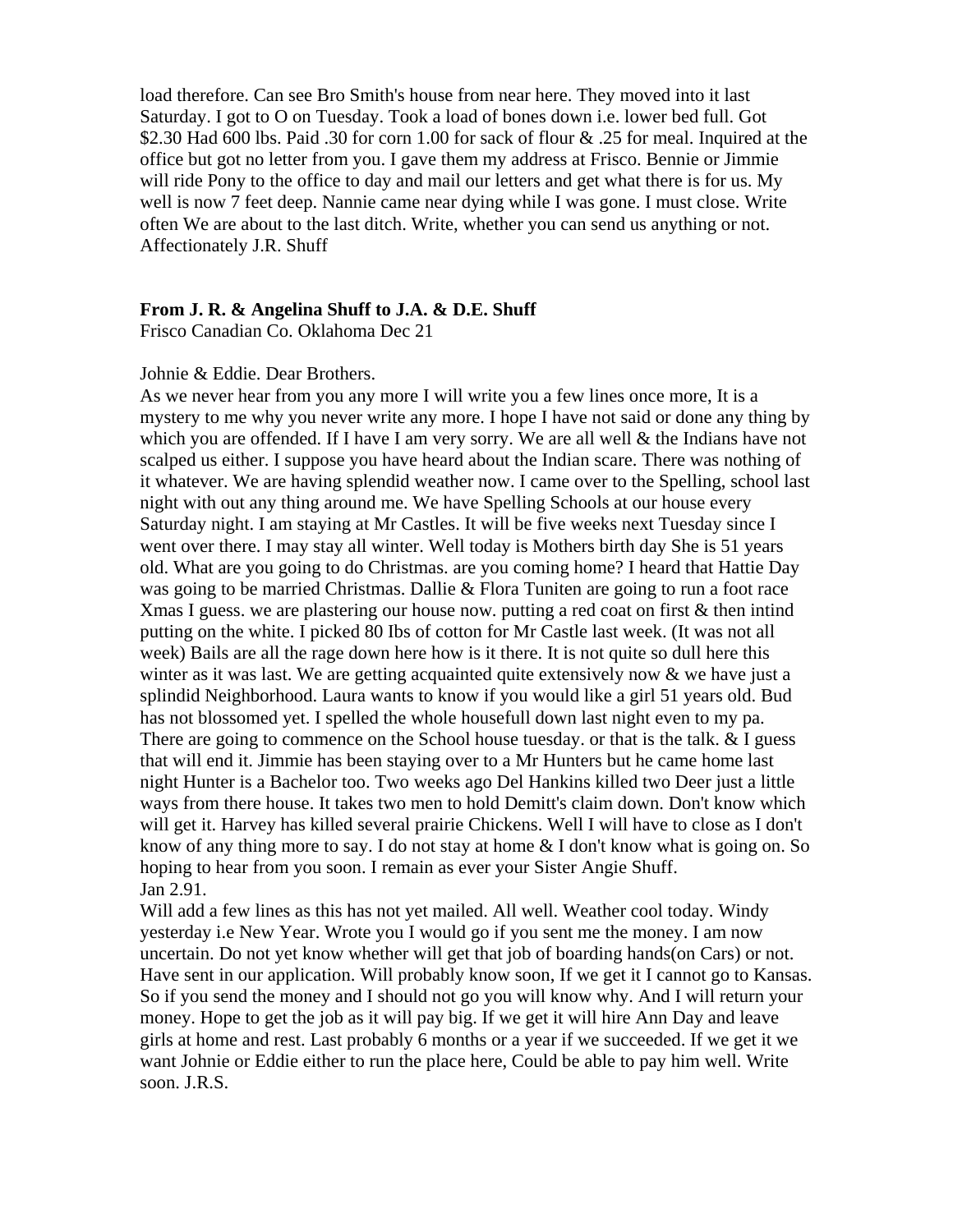load therefore. Can see Bro Smith's house from near here. They moved into it last Saturday. I got to O on Tuesday. Took a load of bones down i.e. lower bed full. Got \$2.30 Had 600 lbs. Paid .30 for corn 1.00 for sack of flour & .25 for meal. Inquired at the office but got no letter from you. I gave them my address at Frisco. Bennie or Jimmie will ride Pony to the office to day and mail our letters and get what there is for us. My well is now 7 feet deep. Nannie came near dying while I was gone. I must close. Write often We are about to the last ditch. Write, whether you can send us anything or not. Affectionately J.R. Shuff

## **From J. R. & Angelina Shuff to J.A. & D.E. Shuff**

Frisco Canadian Co. Oklahoma Dec 21

#### Johnie & Eddie. Dear Brothers.

As we never hear from you any more I will write you a few lines once more, It is a mystery to me why you never write any more. I hope I have not said or done any thing by which you are offended. If I have I am very sorry. We are all well & the Indians have not scalped us either. I suppose you have heard about the Indian scare. There was nothing of it whatever. We are having splendid weather now. I came over to the Spelling, school last night with out any thing around me. We have Spelling Schools at our house every Saturday night. I am staying at Mr Castles. It will be five weeks next Tuesday since I went over there. I may stay all winter. Well today is Mothers birth day She is 51 years old. What are you going to do Christmas. are you coming home? I heard that Hattie Day was going to be married Christmas. Dallie & Flora Tuniten are going to run a foot race Xmas I guess, we are plastering our house now, putting a red coat on first & then intind putting on the white. I picked 80 Ibs of cotton for Mr Castle last week. (It was not all week) Bails are all the rage down here how is it there. It is not quite so dull here this winter as it was last. We are getting acquainted quite extensively now  $\&$  we have just a splindid Neighborhood. Laura wants to know if you would like a girl 51 years old. Bud has not blossomed yet. I spelled the whole housefull down last night even to my pa. There are going to commence on the School house tuesday. or that is the talk. & I guess that will end it. Jimmie has been staying over to a Mr Hunters but he came home last night Hunter is a Bachelor too. Two weeks ago Del Hankins killed two Deer just a little ways from there house. It takes two men to hold Demitt's claim down. Don't know which will get it. Harvey has killed several prairie Chickens. Well I will have to close as I don't know of any thing more to say. I do not stay at home & I don't know what is going on. So hoping to hear from you soon. I remain as ever your Sister Angie Shuff. Jan 2.91.

Will add a few lines as this has not yet mailed. All well. Weather cool today. Windy yesterday i.e New Year. Wrote you I would go if you sent me the money. I am now uncertain. Do not yet know whether will get that job of boarding hands(on Cars) or not. Have sent in our application. Will probably know soon, If we get it I cannot go to Kansas. So if you send the money and I should not go you will know why. And I will return your money. Hope to get the job as it will pay big. If we get it will hire Ann Day and leave girls at home and rest. Last probably 6 months or a year if we succeeded. If we get it we want Johnie or Eddie either to run the place here, Could be able to pay him well. Write soon. J.R.S.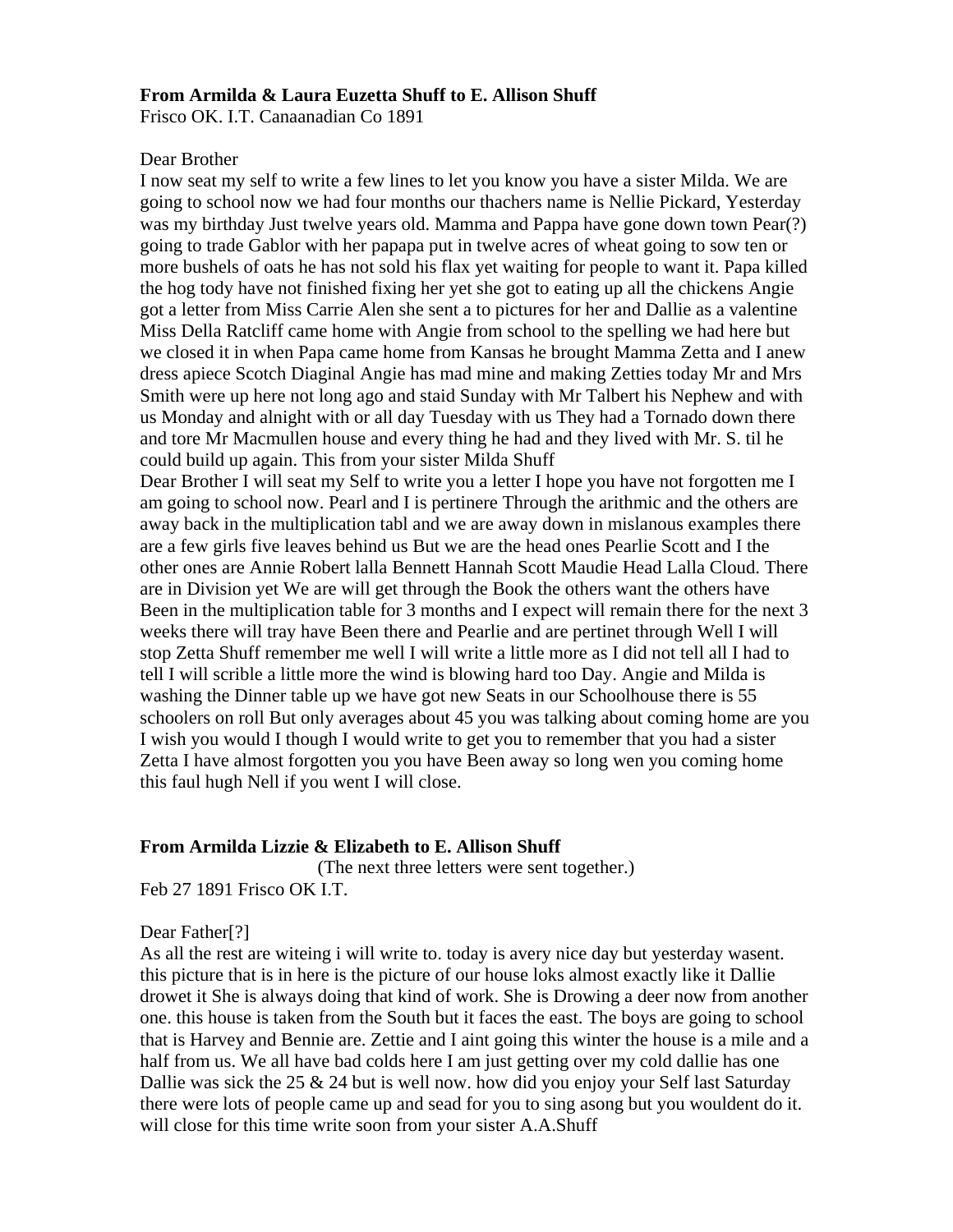## **From Armilda & Laura Euzetta Shuff to E. Allison Shuff**

Frisco OK. I.T. Canaanadian Co 1891

## Dear Brother

I now seat my self to write a few lines to let you know you have a sister Milda. We are going to school now we had four months our thachers name is Nellie Pickard, Yesterday was my birthday Just twelve years old. Mamma and Pappa have gone down town Pear(?) going to trade Gablor with her papapa put in twelve acres of wheat going to sow ten or more bushels of oats he has not sold his flax yet waiting for people to want it. Papa killed the hog tody have not finished fixing her yet she got to eating up all the chickens Angie got a letter from Miss Carrie Alen she sent a to pictures for her and Dallie as a valentine Miss Della Ratcliff came home with Angie from school to the spelling we had here but we closed it in when Papa came home from Kansas he brought Mamma Zetta and I anew dress apiece Scotch Diaginal Angie has mad mine and making Zetties today Mr and Mrs Smith were up here not long ago and staid Sunday with Mr Talbert his Nephew and with us Monday and alnight with or all day Tuesday with us They had a Tornado down there and tore Mr Macmullen house and every thing he had and they lived with Mr. S. til he could build up again. This from your sister Milda Shuff

Dear Brother I will seat my Self to write you a letter I hope you have not forgotten me I am going to school now. Pearl and I is pertinere Through the arithmic and the others are away back in the multiplication tabl and we are away down in mislanous examples there are a few girls five leaves behind us But we are the head ones Pearlie Scott and I the other ones are Annie Robert lalla Bennett Hannah Scott Maudie Head Lalla Cloud. There are in Division yet We are will get through the Book the others want the others have Been in the multiplication table for 3 months and I expect will remain there for the next 3 weeks there will tray have Been there and Pearlie and are pertinet through Well I will stop Zetta Shuff remember me well I will write a little more as I did not tell all I had to tell I will scrible a little more the wind is blowing hard too Day. Angie and Milda is washing the Dinner table up we have got new Seats in our Schoolhouse there is 55 schoolers on roll But only averages about 45 you was talking about coming home are you I wish you would I though I would write to get you to remember that you had a sister Zetta I have almost forgotten you you have Been away so long wen you coming home this faul hugh Nell if you went I will close.

## **From Armilda Lizzie & Elizabeth to E. Allison Shuff**

(The next three letters were sent together.) Feb 27 1891 Frisco OK I.T.

Dear Father[?]

As all the rest are witeing i will write to. today is avery nice day but yesterday wasent. this picture that is in here is the picture of our house loks almost exactly like it Dallie drowet it She is always doing that kind of work. She is Drowing a deer now from another one. this house is taken from the South but it faces the east. The boys are going to school that is Harvey and Bennie are. Zettie and I aint going this winter the house is a mile and a half from us. We all have bad colds here I am just getting over my cold dallie has one Dallie was sick the 25  $\&$  24 but is well now. how did you enjoy your Self last Saturday there were lots of people came up and sead for you to sing asong but you wouldent do it. will close for this time write soon from your sister A.A.Shuff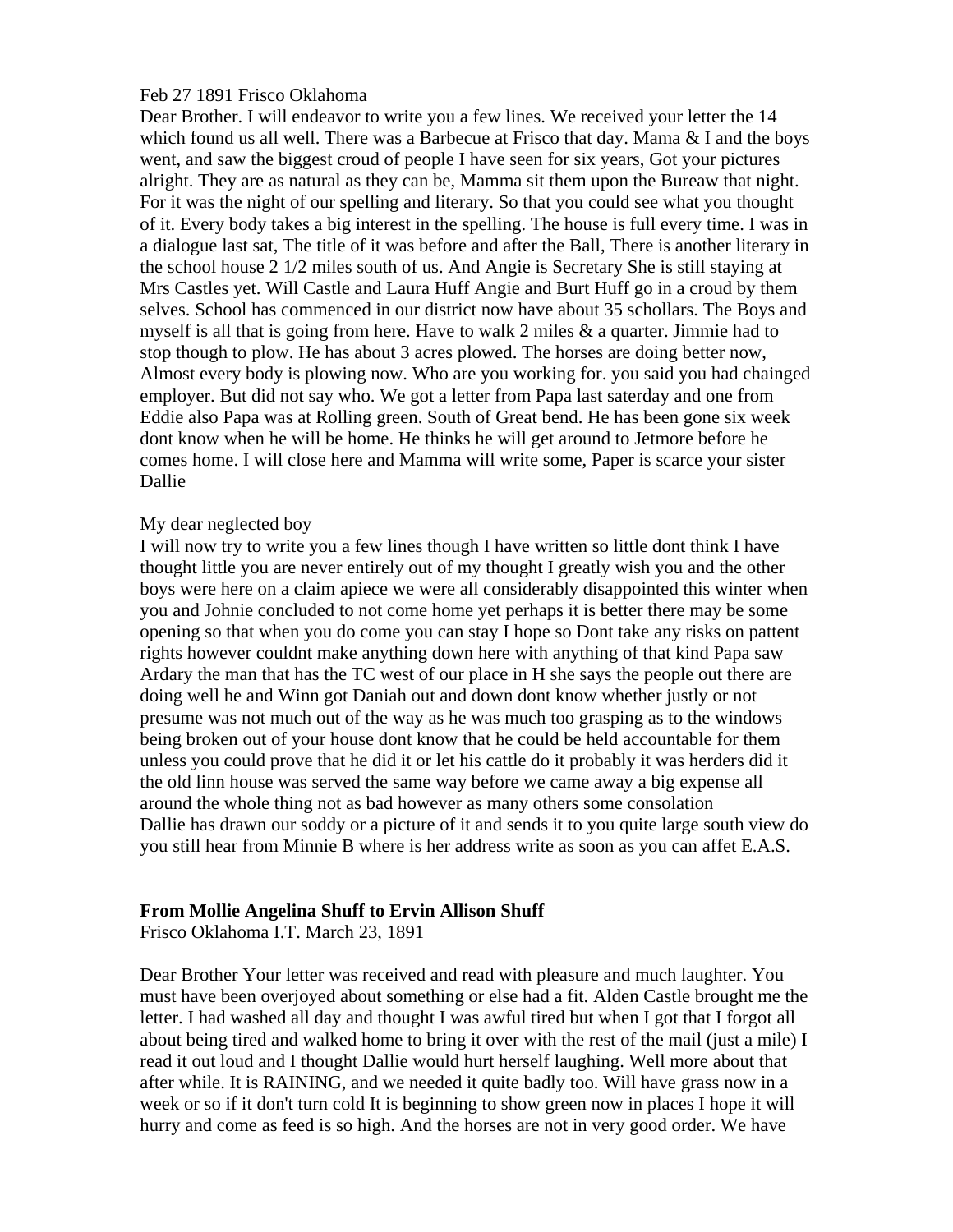## Feb 27 1891 Frisco Oklahoma

Dear Brother. I will endeavor to write you a few lines. We received your letter the 14 which found us all well. There was a Barbecue at Frisco that day. Mama  $&$  I and the boys went, and saw the biggest croud of people I have seen for six years, Got your pictures alright. They are as natural as they can be, Mamma sit them upon the Bureaw that night. For it was the night of our spelling and literary. So that you could see what you thought of it. Every body takes a big interest in the spelling. The house is full every time. I was in a dialogue last sat, The title of it was before and after the Ball, There is another literary in the school house 2 1/2 miles south of us. And Angie is Secretary She is still staying at Mrs Castles yet. Will Castle and Laura Huff Angie and Burt Huff go in a croud by them selves. School has commenced in our district now have about 35 schollars. The Boys and myself is all that is going from here. Have to walk 2 miles  $\&$  a quarter. Jimmie had to stop though to plow. He has about 3 acres plowed. The horses are doing better now, Almost every body is plowing now. Who are you working for. you said you had chainged employer. But did not say who. We got a letter from Papa last saterday and one from Eddie also Papa was at Rolling green. South of Great bend. He has been gone six week dont know when he will be home. He thinks he will get around to Jetmore before he comes home. I will close here and Mamma will write some, Paper is scarce your sister Dallie

## My dear neglected boy

I will now try to write you a few lines though I have written so little dont think I have thought little you are never entirely out of my thought I greatly wish you and the other boys were here on a claim apiece we were all considerably disappointed this winter when you and Johnie concluded to not come home yet perhaps it is better there may be some opening so that when you do come you can stay I hope so Dont take any risks on pattent rights however couldnt make anything down here with anything of that kind Papa saw Ardary the man that has the TC west of our place in H she says the people out there are doing well he and Winn got Daniah out and down dont know whether justly or not presume was not much out of the way as he was much too grasping as to the windows being broken out of your house dont know that he could be held accountable for them unless you could prove that he did it or let his cattle do it probably it was herders did it the old linn house was served the same way before we came away a big expense all around the whole thing not as bad however as many others some consolation Dallie has drawn our soddy or a picture of it and sends it to you quite large south view do you still hear from Minnie B where is her address write as soon as you can affet E.A.S.

## **From Mollie Angelina Shuff to Ervin Allison Shuff**

Frisco Oklahoma I.T. March 23, 1891

Dear Brother Your letter was received and read with pleasure and much laughter. You must have been overjoyed about something or else had a fit. Alden Castle brought me the letter. I had washed all day and thought I was awful tired but when I got that I forgot all about being tired and walked home to bring it over with the rest of the mail (just a mile) I read it out loud and I thought Dallie would hurt herself laughing. Well more about that after while. It is RAINING, and we needed it quite badly too. Will have grass now in a week or so if it don't turn cold It is beginning to show green now in places I hope it will hurry and come as feed is so high. And the horses are not in very good order. We have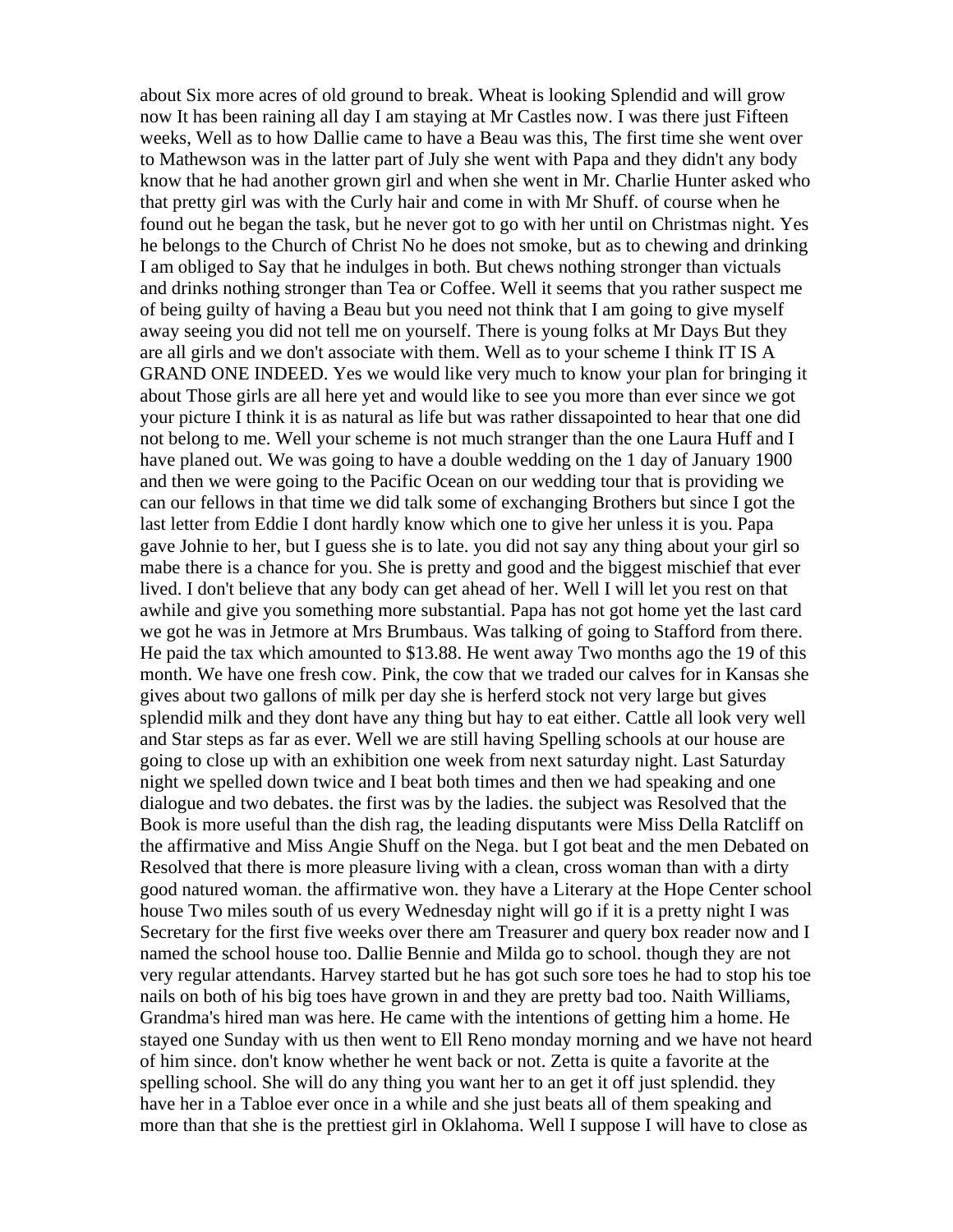about Six more acres of old ground to break. Wheat is looking Splendid and will grow now It has been raining all day I am staying at Mr Castles now. I was there just Fifteen weeks, Well as to how Dallie came to have a Beau was this, The first time she went over to Mathewson was in the latter part of July she went with Papa and they didn't any body know that he had another grown girl and when she went in Mr. Charlie Hunter asked who that pretty girl was with the Curly hair and come in with Mr Shuff. of course when he found out he began the task, but he never got to go with her until on Christmas night. Yes he belongs to the Church of Christ No he does not smoke, but as to chewing and drinking I am obliged to Say that he indulges in both. But chews nothing stronger than victuals and drinks nothing stronger than Tea or Coffee. Well it seems that you rather suspect me of being guilty of having a Beau but you need not think that I am going to give myself away seeing you did not tell me on yourself. There is young folks at Mr Days But they are all girls and we don't associate with them. Well as to your scheme I think IT IS A GRAND ONE INDEED. Yes we would like very much to know your plan for bringing it about Those girls are all here yet and would like to see you more than ever since we got your picture I think it is as natural as life but was rather dissapointed to hear that one did not belong to me. Well your scheme is not much stranger than the one Laura Huff and I have planed out. We was going to have a double wedding on the 1 day of January 1900 and then we were going to the Pacific Ocean on our wedding tour that is providing we can our fellows in that time we did talk some of exchanging Brothers but since I got the last letter from Eddie I dont hardly know which one to give her unless it is you. Papa gave Johnie to her, but I guess she is to late. you did not say any thing about your girl so mabe there is a chance for you. She is pretty and good and the biggest mischief that ever lived. I don't believe that any body can get ahead of her. Well I will let you rest on that awhile and give you something more substantial. Papa has not got home yet the last card we got he was in Jetmore at Mrs Brumbaus. Was talking of going to Stafford from there. He paid the tax which amounted to \$13.88. He went away Two months ago the 19 of this month. We have one fresh cow. Pink, the cow that we traded our calves for in Kansas she gives about two gallons of milk per day she is herferd stock not very large but gives splendid milk and they dont have any thing but hay to eat either. Cattle all look very well and Star steps as far as ever. Well we are still having Spelling schools at our house are going to close up with an exhibition one week from next saturday night. Last Saturday night we spelled down twice and I beat both times and then we had speaking and one dialogue and two debates. the first was by the ladies. the subject was Resolved that the Book is more useful than the dish rag, the leading disputants were Miss Della Ratcliff on the affirmative and Miss Angie Shuff on the Nega. but I got beat and the men Debated on Resolved that there is more pleasure living with a clean, cross woman than with a dirty good natured woman. the affirmative won. they have a Literary at the Hope Center school house Two miles south of us every Wednesday night will go if it is a pretty night I was Secretary for the first five weeks over there am Treasurer and query box reader now and I named the school house too. Dallie Bennie and Milda go to school. though they are not very regular attendants. Harvey started but he has got such sore toes he had to stop his toe nails on both of his big toes have grown in and they are pretty bad too. Naith Williams, Grandma's hired man was here. He came with the intentions of getting him a home. He stayed one Sunday with us then went to Ell Reno monday morning and we have not heard of him since. don't know whether he went back or not. Zetta is quite a favorite at the spelling school. She will do any thing you want her to an get it off just splendid. they have her in a Tabloe ever once in a while and she just beats all of them speaking and more than that she is the prettiest girl in Oklahoma. Well I suppose I will have to close as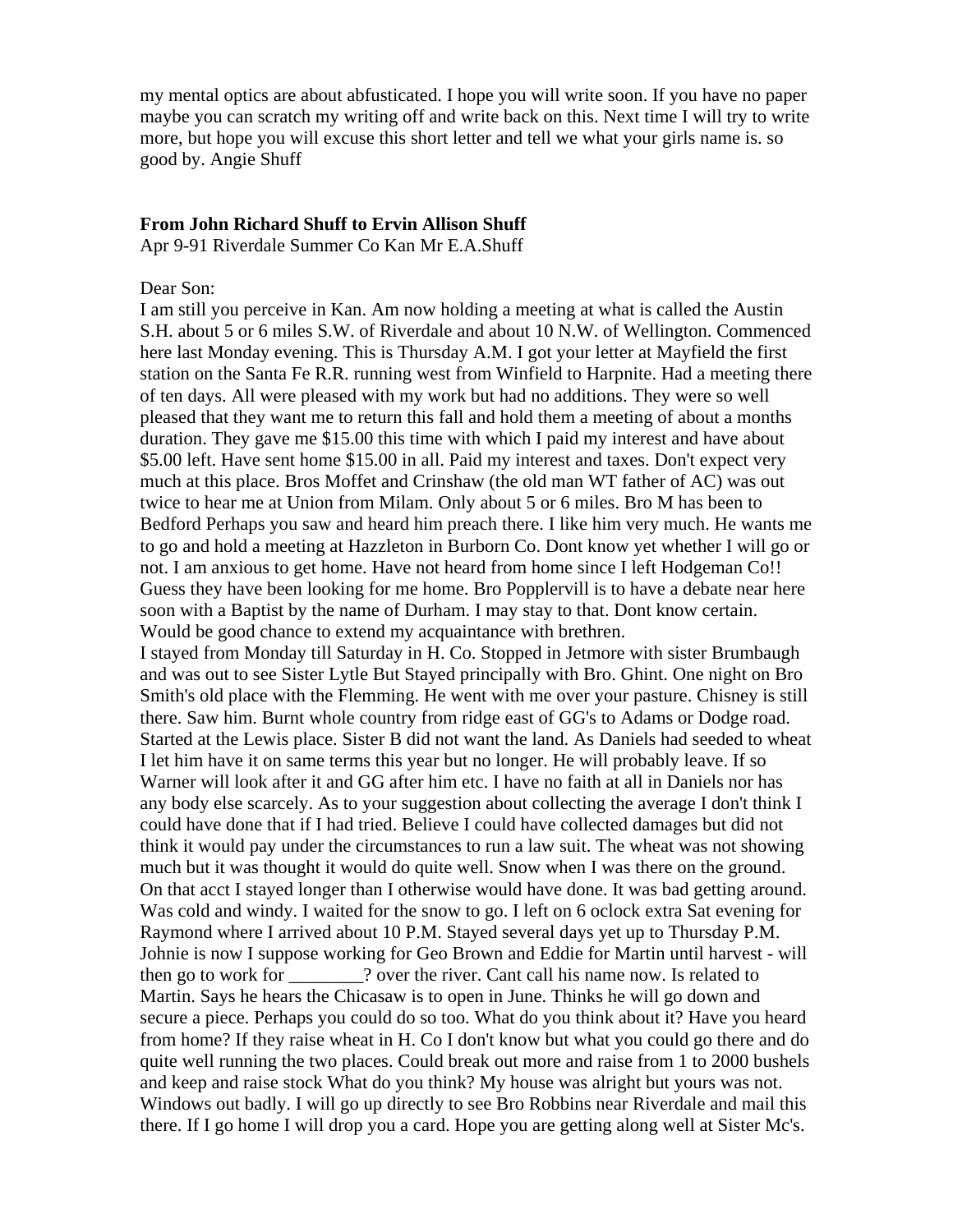my mental optics are about abfusticated. I hope you will write soon. If you have no paper maybe you can scratch my writing off and write back on this. Next time I will try to write more, but hope you will excuse this short letter and tell we what your girls name is. so good by. Angie Shuff

### **From John Richard Shuff to Ervin Allison Shuff**

Apr 9-91 Riverdale Summer Co Kan Mr E.A.Shuff

## Dear Son:

I am still you perceive in Kan. Am now holding a meeting at what is called the Austin S.H. about 5 or 6 miles S.W. of Riverdale and about 10 N.W. of Wellington. Commenced here last Monday evening. This is Thursday A.M. I got your letter at Mayfield the first station on the Santa Fe R.R. running west from Winfield to Harpnite. Had a meeting there of ten days. All were pleased with my work but had no additions. They were so well pleased that they want me to return this fall and hold them a meeting of about a months duration. They gave me \$15.00 this time with which I paid my interest and have about \$5.00 left. Have sent home \$15.00 in all. Paid my interest and taxes. Don't expect very much at this place. Bros Moffet and Crinshaw (the old man WT father of AC) was out twice to hear me at Union from Milam. Only about 5 or 6 miles. Bro M has been to Bedford Perhaps you saw and heard him preach there. I like him very much. He wants me to go and hold a meeting at Hazzleton in Burborn Co. Dont know yet whether I will go or not. I am anxious to get home. Have not heard from home since I left Hodgeman Co!! Guess they have been looking for me home. Bro Popplervill is to have a debate near here soon with a Baptist by the name of Durham. I may stay to that. Dont know certain. Would be good chance to extend my acquaintance with brethren.

I stayed from Monday till Saturday in H. Co. Stopped in Jetmore with sister Brumbaugh and was out to see Sister Lytle But Stayed principally with Bro. Ghint. One night on Bro Smith's old place with the Flemming. He went with me over your pasture. Chisney is still there. Saw him. Burnt whole country from ridge east of GG's to Adams or Dodge road. Started at the Lewis place. Sister B did not want the land. As Daniels had seeded to wheat I let him have it on same terms this year but no longer. He will probably leave. If so Warner will look after it and GG after him etc. I have no faith at all in Daniels nor has any body else scarcely. As to your suggestion about collecting the average I don't think I could have done that if I had tried. Believe I could have collected damages but did not think it would pay under the circumstances to run a law suit. The wheat was not showing much but it was thought it would do quite well. Snow when I was there on the ground. On that acct I stayed longer than I otherwise would have done. It was bad getting around. Was cold and windy. I waited for the snow to go. I left on 6 oclock extra Sat evening for Raymond where I arrived about 10 P.M. Stayed several days yet up to Thursday P.M. Johnie is now I suppose working for Geo Brown and Eddie for Martin until harvest - will then go to work for \_\_\_\_\_\_\_\_? over the river. Cant call his name now. Is related to Martin. Says he hears the Chicasaw is to open in June. Thinks he will go down and secure a piece. Perhaps you could do so too. What do you think about it? Have you heard from home? If they raise wheat in H. Co I don't know but what you could go there and do quite well running the two places. Could break out more and raise from 1 to 2000 bushels and keep and raise stock What do you think? My house was alright but yours was not. Windows out badly. I will go up directly to see Bro Robbins near Riverdale and mail this there. If I go home I will drop you a card. Hope you are getting along well at Sister Mc's.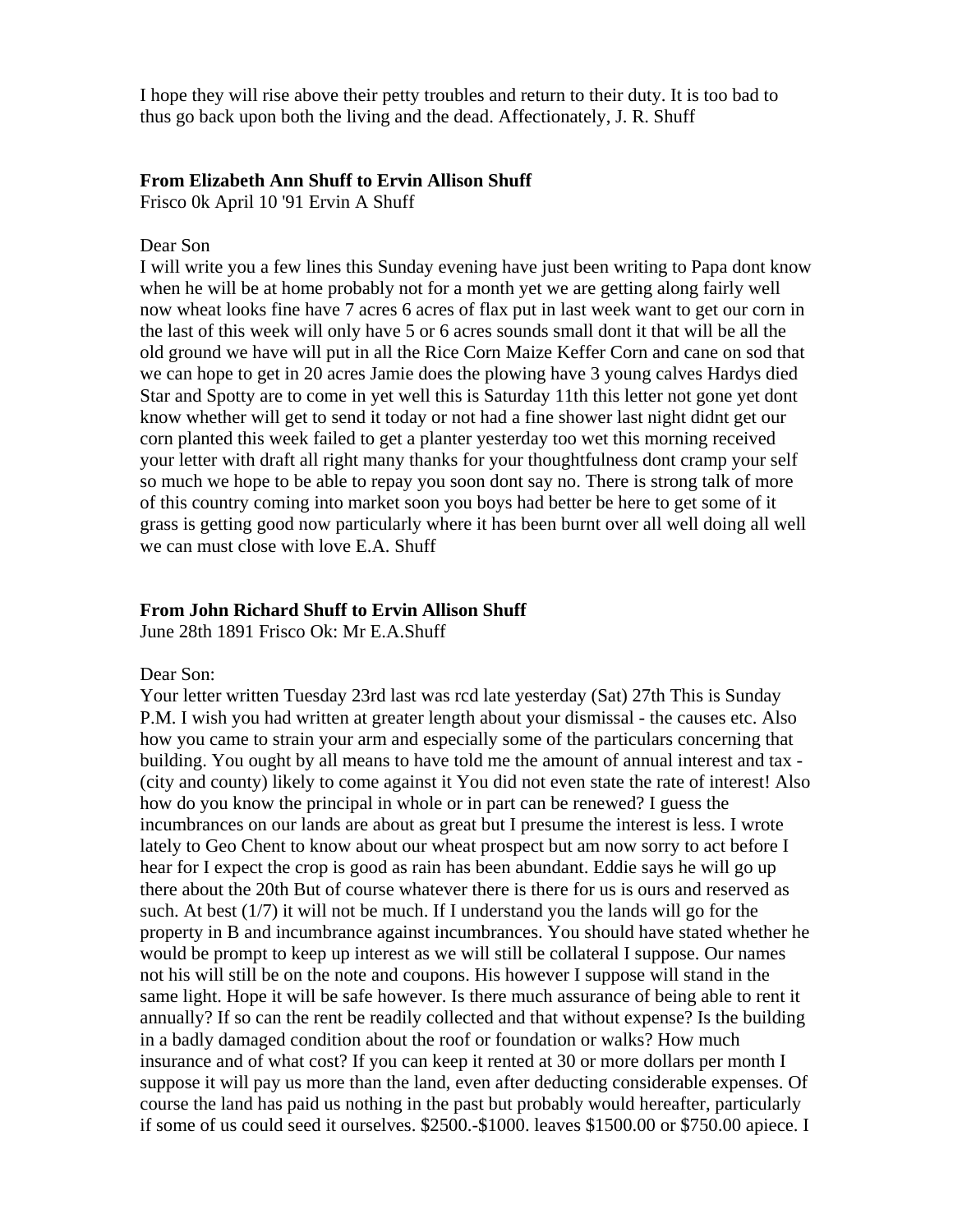I hope they will rise above their petty troubles and return to their duty. It is too bad to thus go back upon both the living and the dead. Affectionately, J. R. Shuff

#### **From Elizabeth Ann Shuff to Ervin Allison Shuff**

Frisco 0k April 10 '91 Ervin A Shuff

### Dear Son

I will write you a few lines this Sunday evening have just been writing to Papa dont know when he will be at home probably not for a month yet we are getting along fairly well now wheat looks fine have 7 acres 6 acres of flax put in last week want to get our corn in the last of this week will only have 5 or 6 acres sounds small dont it that will be all the old ground we have will put in all the Rice Corn Maize Keffer Corn and cane on sod that we can hope to get in 20 acres Jamie does the plowing have 3 young calves Hardys died Star and Spotty are to come in yet well this is Saturday 11th this letter not gone yet dont know whether will get to send it today or not had a fine shower last night didnt get our corn planted this week failed to get a planter yesterday too wet this morning received your letter with draft all right many thanks for your thoughtfulness dont cramp your self so much we hope to be able to repay you soon dont say no. There is strong talk of more of this country coming into market soon you boys had better be here to get some of it grass is getting good now particularly where it has been burnt over all well doing all well we can must close with love E.A. Shuff

## **From John Richard Shuff to Ervin Allison Shuff**

June 28th 1891 Frisco Ok: Mr E.A.Shuff

#### Dear Son:

Your letter written Tuesday 23rd last was rcd late yesterday (Sat) 27th This is Sunday P.M. I wish you had written at greater length about your dismissal - the causes etc. Also how you came to strain your arm and especially some of the particulars concerning that building. You ought by all means to have told me the amount of annual interest and tax - (city and county) likely to come against it You did not even state the rate of interest! Also how do you know the principal in whole or in part can be renewed? I guess the incumbrances on our lands are about as great but I presume the interest is less. I wrote lately to Geo Chent to know about our wheat prospect but am now sorry to act before I hear for I expect the crop is good as rain has been abundant. Eddie says he will go up there about the 20th But of course whatever there is there for us is ours and reserved as such. At best (1/7) it will not be much. If I understand you the lands will go for the property in B and incumbrance against incumbrances. You should have stated whether he would be prompt to keep up interest as we will still be collateral I suppose. Our names not his will still be on the note and coupons. His however I suppose will stand in the same light. Hope it will be safe however. Is there much assurance of being able to rent it annually? If so can the rent be readily collected and that without expense? Is the building in a badly damaged condition about the roof or foundation or walks? How much insurance and of what cost? If you can keep it rented at 30 or more dollars per month I suppose it will pay us more than the land, even after deducting considerable expenses. Of course the land has paid us nothing in the past but probably would hereafter, particularly if some of us could seed it ourselves. \$2500.-\$1000. leaves \$1500.00 or \$750.00 apiece. I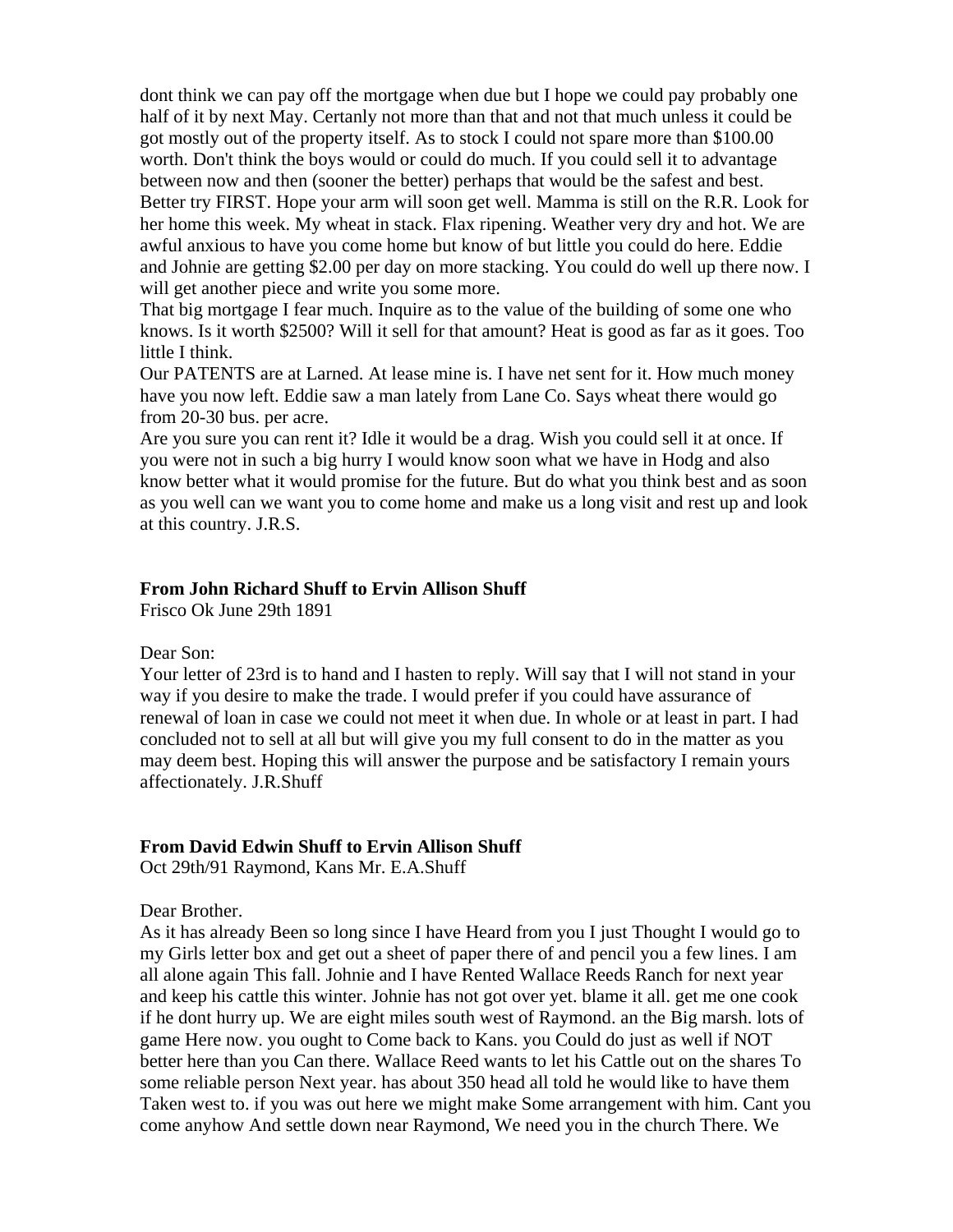dont think we can pay off the mortgage when due but I hope we could pay probably one half of it by next May. Certanly not more than that and not that much unless it could be got mostly out of the property itself. As to stock I could not spare more than \$100.00 worth. Don't think the boys would or could do much. If you could sell it to advantage between now and then (sooner the better) perhaps that would be the safest and best. Better try FIRST. Hope your arm will soon get well. Mamma is still on the R.R. Look for her home this week. My wheat in stack. Flax ripening. Weather very dry and hot. We are awful anxious to have you come home but know of but little you could do here. Eddie and Johnie are getting \$2.00 per day on more stacking. You could do well up there now. I will get another piece and write you some more.

That big mortgage I fear much. Inquire as to the value of the building of some one who knows. Is it worth \$2500? Will it sell for that amount? Heat is good as far as it goes. Too little I think.

Our PATENTS are at Larned. At lease mine is. I have net sent for it. How much money have you now left. Eddie saw a man lately from Lane Co. Says wheat there would go from 20-30 bus. per acre.

Are you sure you can rent it? Idle it would be a drag. Wish you could sell it at once. If you were not in such a big hurry I would know soon what we have in Hodg and also know better what it would promise for the future. But do what you think best and as soon as you well can we want you to come home and make us a long visit and rest up and look at this country. J.R.S.

## **From John Richard Shuff to Ervin Allison Shuff**

Frisco Ok June 29th 1891

## Dear Son:

Your letter of 23rd is to hand and I hasten to reply. Will say that I will not stand in your way if you desire to make the trade. I would prefer if you could have assurance of renewal of loan in case we could not meet it when due. In whole or at least in part. I had concluded not to sell at all but will give you my full consent to do in the matter as you may deem best. Hoping this will answer the purpose and be satisfactory I remain yours affectionately. J.R.Shuff

## **From David Edwin Shuff to Ervin Allison Shuff**

Oct 29th/91 Raymond, Kans Mr. E.A.Shuff

## Dear Brother.

As it has already Been so long since I have Heard from you I just Thought I would go to my Girls letter box and get out a sheet of paper there of and pencil you a few lines. I am all alone again This fall. Johnie and I have Rented Wallace Reeds Ranch for next year and keep his cattle this winter. Johnie has not got over yet. blame it all. get me one cook if he dont hurry up. We are eight miles south west of Raymond. an the Big marsh. lots of game Here now. you ought to Come back to Kans. you Could do just as well if NOT better here than you Can there. Wallace Reed wants to let his Cattle out on the shares To some reliable person Next year. has about 350 head all told he would like to have them Taken west to. if you was out here we might make Some arrangement with him. Cant you come anyhow And settle down near Raymond, We need you in the church There. We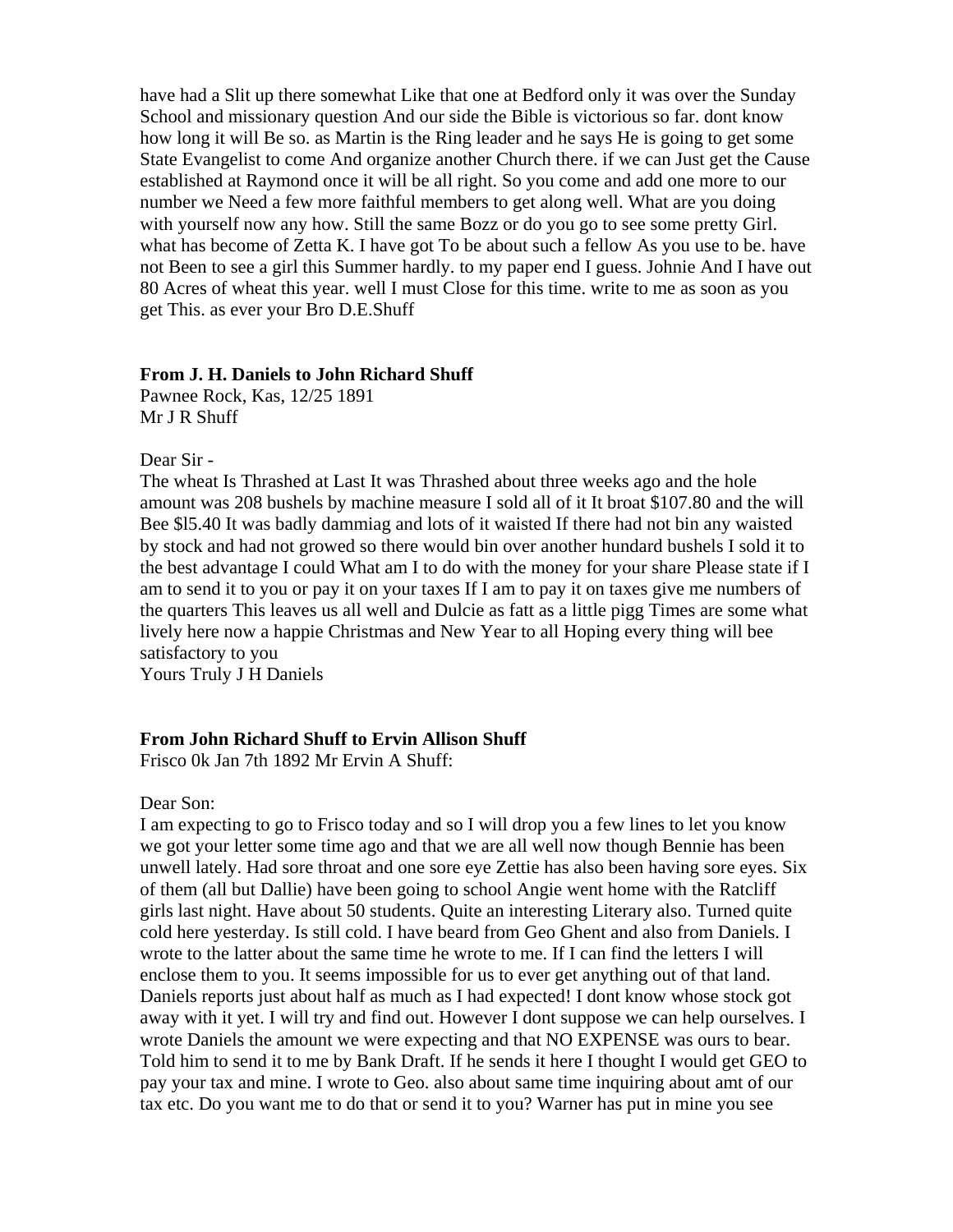have had a Slit up there somewhat Like that one at Bedford only it was over the Sunday School and missionary question And our side the Bible is victorious so far. dont know how long it will Be so. as Martin is the Ring leader and he says He is going to get some State Evangelist to come And organize another Church there. if we can Just get the Cause established at Raymond once it will be all right. So you come and add one more to our number we Need a few more faithful members to get along well. What are you doing with yourself now any how. Still the same Bozz or do you go to see some pretty Girl. what has become of Zetta K. I have got To be about such a fellow As you use to be. have not Been to see a girl this Summer hardly. to my paper end I guess. Johnie And I have out 80 Acres of wheat this year. well I must Close for this time. write to me as soon as you get This. as ever your Bro D.E.Shuff

## **From J. H. Daniels to John Richard Shuff**

Pawnee Rock, Kas, 12/25 1891 Mr J R Shuff

## Dear Sir -

The wheat Is Thrashed at Last It was Thrashed about three weeks ago and the hole amount was 208 bushels by machine measure I sold all of it It broat \$107.80 and the will Bee \$l5.40 It was badly dammiag and lots of it waisted If there had not bin any waisted by stock and had not growed so there would bin over another hundard bushels I sold it to the best advantage I could What am I to do with the money for your share Please state if I am to send it to you or pay it on your taxes If I am to pay it on taxes give me numbers of the quarters This leaves us all well and Dulcie as fatt as a little pigg Times are some what lively here now a happie Christmas and New Year to all Hoping every thing will bee satisfactory to you

Yours Truly J H Daniels

## **From John Richard Shuff to Ervin Allison Shuff**

Frisco 0k Jan 7th 1892 Mr Ervin A Shuff:

## Dear Son:

I am expecting to go to Frisco today and so I will drop you a few lines to let you know we got your letter some time ago and that we are all well now though Bennie has been unwell lately. Had sore throat and one sore eye Zettie has also been having sore eyes. Six of them (all but Dallie) have been going to school Angie went home with the Ratcliff girls last night. Have about 50 students. Quite an interesting Literary also. Turned quite cold here yesterday. Is still cold. I have beard from Geo Ghent and also from Daniels. I wrote to the latter about the same time he wrote to me. If I can find the letters I will enclose them to you. It seems impossible for us to ever get anything out of that land. Daniels reports just about half as much as I had expected! I dont know whose stock got away with it yet. I will try and find out. However I dont suppose we can help ourselves. I wrote Daniels the amount we were expecting and that NO EXPENSE was ours to bear. Told him to send it to me by Bank Draft. If he sends it here I thought I would get GEO to pay your tax and mine. I wrote to Geo. also about same time inquiring about amt of our tax etc. Do you want me to do that or send it to you? Warner has put in mine you see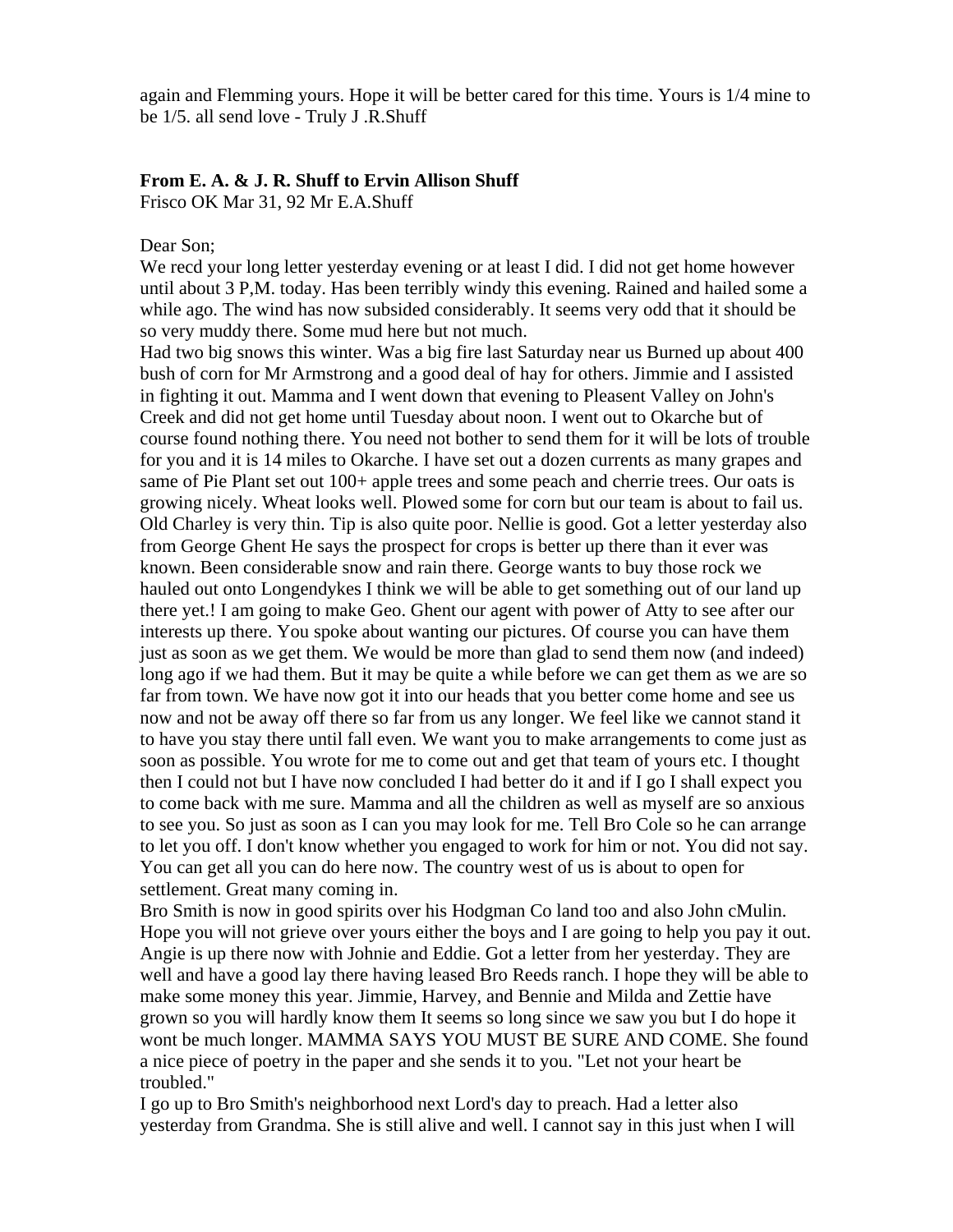again and Flemming yours. Hope it will be better cared for this time. Yours is 1/4 mine to be 1/5. all send love - Truly J .R.Shuff

## **From E. A. & J. R. Shuff to Ervin Allison Shuff**

Frisco OK Mar 31, 92 Mr E.A.Shuff

#### Dear Son;

We recd your long letter yesterday evening or at least I did. I did not get home however until about 3 P,M. today. Has been terribly windy this evening. Rained and hailed some a while ago. The wind has now subsided considerably. It seems very odd that it should be so very muddy there. Some mud here but not much.

Had two big snows this winter. Was a big fire last Saturday near us Burned up about 400 bush of corn for Mr Armstrong and a good deal of hay for others. Jimmie and I assisted in fighting it out. Mamma and I went down that evening to Pleasent Valley on John's Creek and did not get home until Tuesday about noon. I went out to Okarche but of course found nothing there. You need not bother to send them for it will be lots of trouble for you and it is 14 miles to Okarche. I have set out a dozen currents as many grapes and same of Pie Plant set out 100+ apple trees and some peach and cherrie trees. Our oats is growing nicely. Wheat looks well. Plowed some for corn but our team is about to fail us. Old Charley is very thin. Tip is also quite poor. Nellie is good. Got a letter yesterday also from George Ghent He says the prospect for crops is better up there than it ever was known. Been considerable snow and rain there. George wants to buy those rock we hauled out onto Longendykes I think we will be able to get something out of our land up there yet.! I am going to make Geo. Ghent our agent with power of Atty to see after our interests up there. You spoke about wanting our pictures. Of course you can have them just as soon as we get them. We would be more than glad to send them now (and indeed) long ago if we had them. But it may be quite a while before we can get them as we are so far from town. We have now got it into our heads that you better come home and see us now and not be away off there so far from us any longer. We feel like we cannot stand it to have you stay there until fall even. We want you to make arrangements to come just as soon as possible. You wrote for me to come out and get that team of yours etc. I thought then I could not but I have now concluded I had better do it and if I go I shall expect you to come back with me sure. Mamma and all the children as well as myself are so anxious to see you. So just as soon as I can you may look for me. Tell Bro Cole so he can arrange to let you off. I don't know whether you engaged to work for him or not. You did not say. You can get all you can do here now. The country west of us is about to open for settlement. Great many coming in.

Bro Smith is now in good spirits over his Hodgman Co land too and also John cMulin. Hope you will not grieve over yours either the boys and I are going to help you pay it out. Angie is up there now with Johnie and Eddie. Got a letter from her yesterday. They are well and have a good lay there having leased Bro Reeds ranch. I hope they will be able to make some money this year. Jimmie, Harvey, and Bennie and Milda and Zettie have grown so you will hardly know them It seems so long since we saw you but I do hope it wont be much longer. MAMMA SAYS YOU MUST BE SURE AND COME. She found a nice piece of poetry in the paper and she sends it to you. "Let not your heart be troubled."

I go up to Bro Smith's neighborhood next Lord's day to preach. Had a letter also yesterday from Grandma. She is still alive and well. I cannot say in this just when I will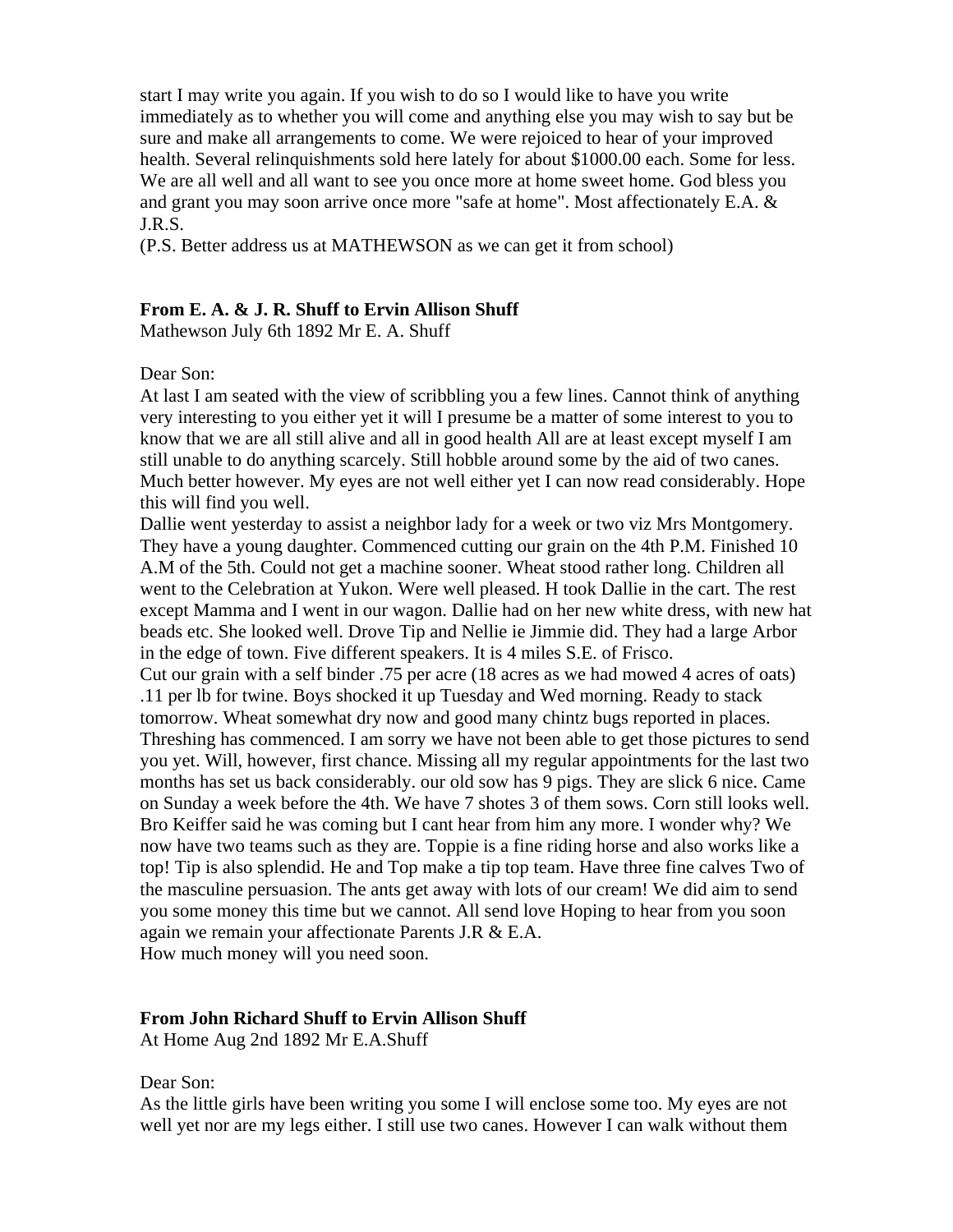start I may write you again. If you wish to do so I would like to have you write immediately as to whether you will come and anything else you may wish to say but be sure and make all arrangements to come. We were rejoiced to hear of your improved health. Several relinquishments sold here lately for about \$1000.00 each. Some for less. We are all well and all want to see you once more at home sweet home. God bless you and grant you may soon arrive once more "safe at home". Most affectionately E.A. & J.R.S.

(P.S. Better address us at MATHEWSON as we can get it from school)

## **From E. A. & J. R. Shuff to Ervin Allison Shuff**

Mathewson July 6th 1892 Mr E. A. Shuff

### Dear Son:

At last I am seated with the view of scribbling you a few lines. Cannot think of anything very interesting to you either yet it will I presume be a matter of some interest to you to know that we are all still alive and all in good health All are at least except myself I am still unable to do anything scarcely. Still hobble around some by the aid of two canes. Much better however. My eyes are not well either yet I can now read considerably. Hope this will find you well.

Dallie went yesterday to assist a neighbor lady for a week or two viz Mrs Montgomery. They have a young daughter. Commenced cutting our grain on the 4th P.M. Finished 10 A.M of the 5th. Could not get a machine sooner. Wheat stood rather long. Children all went to the Celebration at Yukon. Were well pleased. H took Dallie in the cart. The rest except Mamma and I went in our wagon. Dallie had on her new white dress, with new hat beads etc. She looked well. Drove Tip and Nellie ie Jimmie did. They had a large Arbor in the edge of town. Five different speakers. It is 4 miles S.E. of Frisco.

Cut our grain with a self binder .75 per acre (18 acres as we had mowed 4 acres of oats) .11 per lb for twine. Boys shocked it up Tuesday and Wed morning. Ready to stack tomorrow. Wheat somewhat dry now and good many chintz bugs reported in places. Threshing has commenced. I am sorry we have not been able to get those pictures to send you yet. Will, however, first chance. Missing all my regular appointments for the last two months has set us back considerably. our old sow has 9 pigs. They are slick 6 nice. Came on Sunday a week before the 4th. We have 7 shotes 3 of them sows. Corn still looks well. Bro Keiffer said he was coming but I cant hear from him any more. I wonder why? We now have two teams such as they are. Toppie is a fine riding horse and also works like a top! Tip is also splendid. He and Top make a tip top team. Have three fine calves Two of the masculine persuasion. The ants get away with lots of our cream! We did aim to send you some money this time but we cannot. All send love Hoping to hear from you soon again we remain your affectionate Parents J.R & E.A. How much money will you need soon.

## **From John Richard Shuff to Ervin Allison Shuff**

At Home Aug 2nd 1892 Mr E.A.Shuff

Dear Son:

As the little girls have been writing you some I will enclose some too. My eyes are not well yet nor are my legs either. I still use two canes. However I can walk without them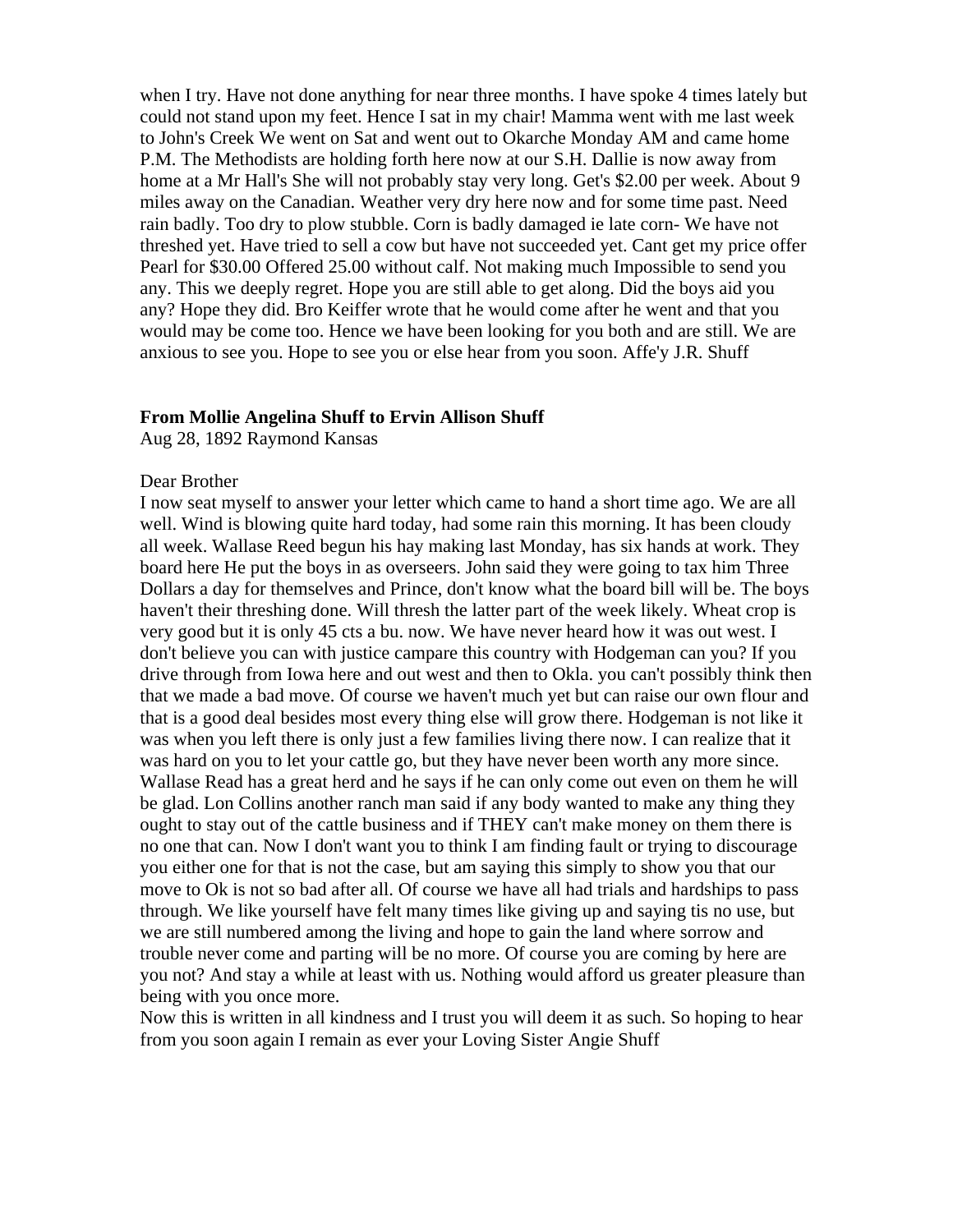when I try. Have not done anything for near three months. I have spoke 4 times lately but could not stand upon my feet. Hence I sat in my chair! Mamma went with me last week to John's Creek We went on Sat and went out to Okarche Monday AM and came home P.M. The Methodists are holding forth here now at our S.H. Dallie is now away from home at a Mr Hall's She will not probably stay very long. Get's \$2.00 per week. About 9 miles away on the Canadian. Weather very dry here now and for some time past. Need rain badly. Too dry to plow stubble. Corn is badly damaged ie late corn- We have not threshed yet. Have tried to sell a cow but have not succeeded yet. Cant get my price offer Pearl for \$30.00 Offered 25.00 without calf. Not making much Impossible to send you any. This we deeply regret. Hope you are still able to get along. Did the boys aid you any? Hope they did. Bro Keiffer wrote that he would come after he went and that you would may be come too. Hence we have been looking for you both and are still. We are anxious to see you. Hope to see you or else hear from you soon. Affe'y J.R. Shuff

## **From Mollie Angelina Shuff to Ervin Allison Shuff**

Aug 28, 1892 Raymond Kansas

#### Dear Brother

I now seat myself to answer your letter which came to hand a short time ago. We are all well. Wind is blowing quite hard today, had some rain this morning. It has been cloudy all week. Wallase Reed begun his hay making last Monday, has six hands at work. They board here He put the boys in as overseers. John said they were going to tax him Three Dollars a day for themselves and Prince, don't know what the board bill will be. The boys haven't their threshing done. Will thresh the latter part of the week likely. Wheat crop is very good but it is only 45 cts a bu. now. We have never heard how it was out west. I don't believe you can with justice campare this country with Hodgeman can you? If you drive through from Iowa here and out west and then to Okla. you can't possibly think then that we made a bad move. Of course we haven't much yet but can raise our own flour and that is a good deal besides most every thing else will grow there. Hodgeman is not like it was when you left there is only just a few families living there now. I can realize that it was hard on you to let your cattle go, but they have never been worth any more since. Wallase Read has a great herd and he says if he can only come out even on them he will be glad. Lon Collins another ranch man said if any body wanted to make any thing they ought to stay out of the cattle business and if THEY can't make money on them there is no one that can. Now I don't want you to think I am finding fault or trying to discourage you either one for that is not the case, but am saying this simply to show you that our move to Ok is not so bad after all. Of course we have all had trials and hardships to pass through. We like yourself have felt many times like giving up and saying tis no use, but we are still numbered among the living and hope to gain the land where sorrow and trouble never come and parting will be no more. Of course you are coming by here are you not? And stay a while at least with us. Nothing would afford us greater pleasure than being with you once more.

Now this is written in all kindness and I trust you will deem it as such. So hoping to hear from you soon again I remain as ever your Loving Sister Angie Shuff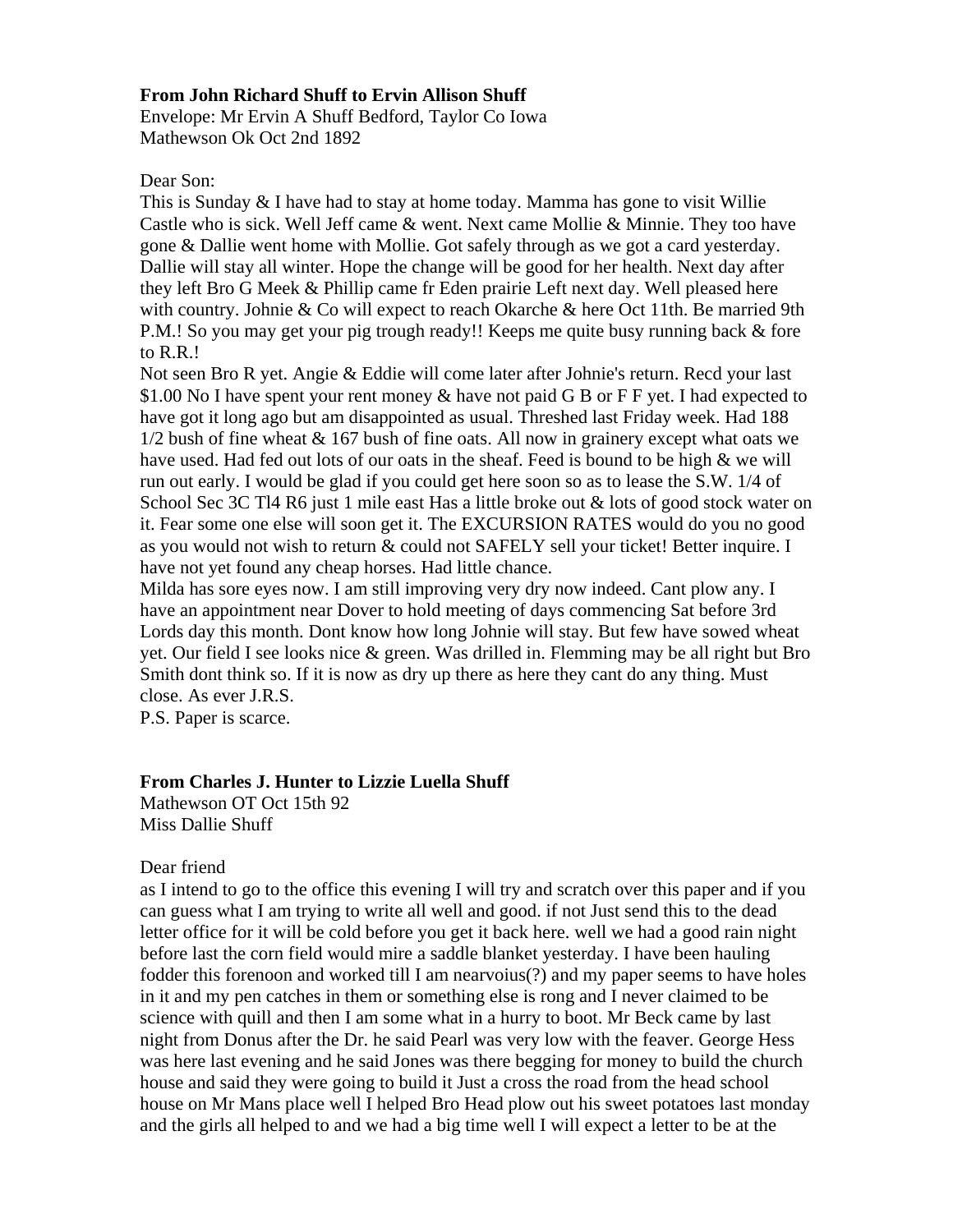## **From John Richard Shuff to Ervin Allison Shuff**

Envelope: Mr Ervin A Shuff Bedford, Taylor Co Iowa Mathewson Ok Oct 2nd 1892

## Dear Son:

This is Sunday & I have had to stay at home today. Mamma has gone to visit Willie Castle who is sick. Well Jeff came & went. Next came Mollie & Minnie. They too have gone & Dallie went home with Mollie. Got safely through as we got a card yesterday. Dallie will stay all winter. Hope the change will be good for her health. Next day after they left Bro G Meek & Phillip came fr Eden prairie Left next day. Well pleased here with country. Johnie & Co will expect to reach Okarche & here Oct 11th. Be married 9th P.M.! So you may get your pig trough ready!! Keeps me quite busy running back & fore to R.R.!

Not seen Bro R yet. Angie & Eddie will come later after Johnie's return. Recd your last \$1.00 No I have spent your rent money & have not paid G B or F F yet. I had expected to have got it long ago but am disappointed as usual. Threshed last Friday week. Had 188  $1/2$  bush of fine wheat  $& 167$  bush of fine oats. All now in grainery except what oats we have used. Had fed out lots of our oats in the sheaf. Feed is bound to be high & we will run out early. I would be glad if you could get here soon so as to lease the S.W. 1/4 of School Sec 3C Tl4 R6 just 1 mile east Has a little broke out & lots of good stock water on it. Fear some one else will soon get it. The EXCURSION RATES would do you no good as you would not wish to return & could not SAFELY sell your ticket! Better inquire. I have not yet found any cheap horses. Had little chance.

Milda has sore eyes now. I am still improving very dry now indeed. Cant plow any. I have an appointment near Dover to hold meeting of days commencing Sat before 3rd Lords day this month. Dont know how long Johnie will stay. But few have sowed wheat yet. Our field I see looks nice & green. Was drilled in. Flemming may be all right but Bro Smith dont think so. If it is now as dry up there as here they cant do any thing. Must close. As ever J.R.S.

P.S. Paper is scarce.

## **From Charles J. Hunter to Lizzie Luella Shuff**

Mathewson OT Oct 15th 92 Miss Dallie Shuff

## Dear friend

as I intend to go to the office this evening I will try and scratch over this paper and if you can guess what I am trying to write all well and good. if not Just send this to the dead letter office for it will be cold before you get it back here. well we had a good rain night before last the corn field would mire a saddle blanket yesterday. I have been hauling fodder this forenoon and worked till I am nearvoius(?) and my paper seems to have holes in it and my pen catches in them or something else is rong and I never claimed to be science with quill and then I am some what in a hurry to boot. Mr Beck came by last night from Donus after the Dr. he said Pearl was very low with the feaver. George Hess was here last evening and he said Jones was there begging for money to build the church house and said they were going to build it Just a cross the road from the head school house on Mr Mans place well I helped Bro Head plow out his sweet potatoes last monday and the girls all helped to and we had a big time well I will expect a letter to be at the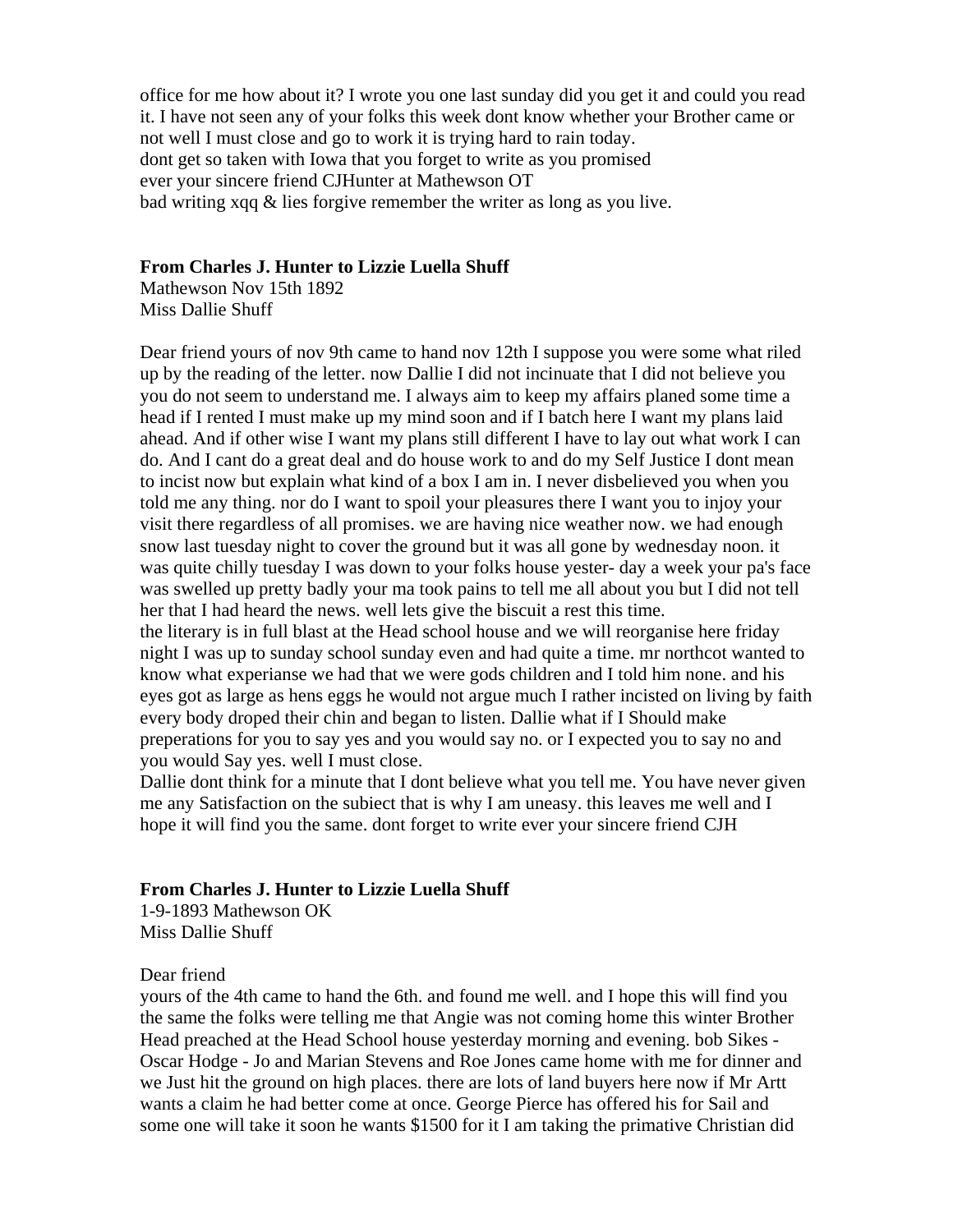office for me how about it? I wrote you one last sunday did you get it and could you read it. I have not seen any of your folks this week dont know whether your Brother came or not well I must close and go to work it is trying hard to rain today. dont get so taken with Iowa that you forget to write as you promised ever your sincere friend CJHunter at Mathewson OT bad writing xqq & lies forgive remember the writer as long as you live.

## **From Charles J. Hunter to Lizzie Luella Shuff**

Mathewson Nov 15th 1892 Miss Dallie Shuff

Dear friend yours of nov 9th came to hand nov 12th I suppose you were some what riled up by the reading of the letter. now Dallie I did not incinuate that I did not believe you you do not seem to understand me. I always aim to keep my affairs planed some time a head if I rented I must make up my mind soon and if I batch here I want my plans laid ahead. And if other wise I want my plans still different I have to lay out what work I can do. And I cant do a great deal and do house work to and do my Self Justice I dont mean to incist now but explain what kind of a box I am in. I never disbelieved you when you told me any thing. nor do I want to spoil your pleasures there I want you to injoy your visit there regardless of all promises. we are having nice weather now. we had enough snow last tuesday night to cover the ground but it was all gone by wednesday noon. it was quite chilly tuesday I was down to your folks house yester- day a week your pa's face was swelled up pretty badly your ma took pains to tell me all about you but I did not tell her that I had heard the news. well lets give the biscuit a rest this time. the literary is in full blast at the Head school house and we will reorganise here friday

night I was up to sunday school sunday even and had quite a time. mr northcot wanted to know what experianse we had that we were gods children and I told him none. and his eyes got as large as hens eggs he would not argue much I rather incisted on living by faith every body droped their chin and began to listen. Dallie what if I Should make preperations for you to say yes and you would say no. or I expected you to say no and you would Say yes. well I must close.

Dallie dont think for a minute that I dont believe what you tell me. You have never given me any Satisfaction on the subiect that is why I am uneasy. this leaves me well and I hope it will find you the same. dont forget to write ever your sincere friend CJH

## **From Charles J. Hunter to Lizzie Luella Shuff**

1-9-1893 Mathewson OK Miss Dallie Shuff

#### Dear friend

yours of the 4th came to hand the 6th. and found me well. and I hope this will find you the same the folks were telling me that Angie was not coming home this winter Brother Head preached at the Head School house yesterday morning and evening. bob Sikes - Oscar Hodge - Jo and Marian Stevens and Roe Jones came home with me for dinner and we Just hit the ground on high places. there are lots of land buyers here now if Mr Artt wants a claim he had better come at once. George Pierce has offered his for Sail and some one will take it soon he wants \$1500 for it I am taking the primative Christian did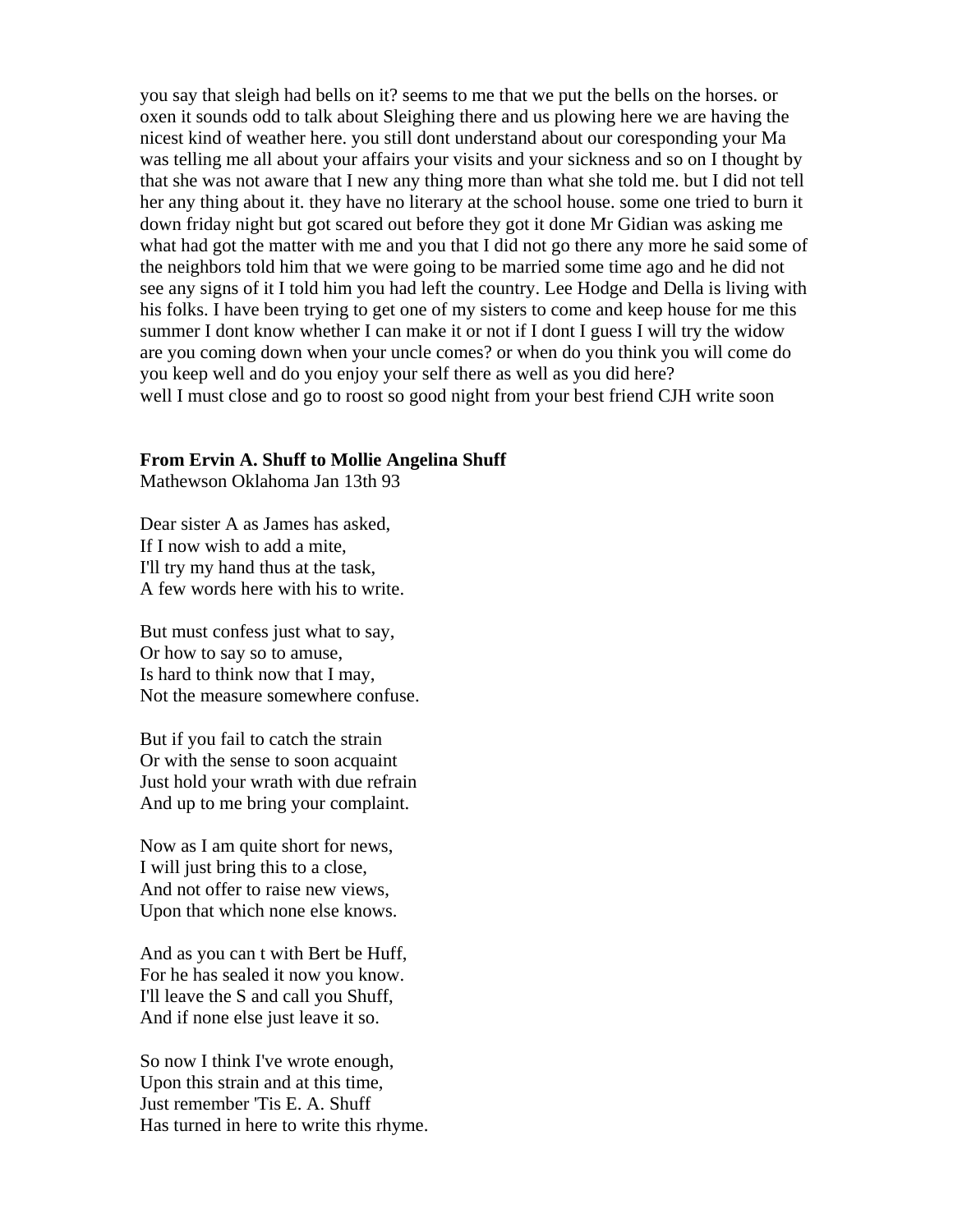you say that sleigh had bells on it? seems to me that we put the bells on the horses. or oxen it sounds odd to talk about Sleighing there and us plowing here we are having the nicest kind of weather here. you still dont understand about our coresponding your Ma was telling me all about your affairs your visits and your sickness and so on I thought by that she was not aware that I new any thing more than what she told me. but I did not tell her any thing about it. they have no literary at the school house. some one tried to burn it down friday night but got scared out before they got it done Mr Gidian was asking me what had got the matter with me and you that I did not go there any more he said some of the neighbors told him that we were going to be married some time ago and he did not see any signs of it I told him you had left the country. Lee Hodge and Della is living with his folks. I have been trying to get one of my sisters to come and keep house for me this summer I dont know whether I can make it or not if I dont I guess I will try the widow are you coming down when your uncle comes? or when do you think you will come do you keep well and do you enjoy your self there as well as you did here? well I must close and go to roost so good night from your best friend CJH write soon

#### **From Ervin A. Shuff to Mollie Angelina Shuff**

Mathewson Oklahoma Jan 13th 93

Dear sister A as James has asked, If I now wish to add a mite, I'll try my hand thus at the task, A few words here with his to write.

But must confess just what to say, Or how to say so to amuse, Is hard to think now that I may, Not the measure somewhere confuse.

But if you fail to catch the strain Or with the sense to soon acquaint Just hold your wrath with due refrain And up to me bring your complaint.

Now as I am quite short for news, I will just bring this to a close, And not offer to raise new views, Upon that which none else knows.

And as you can t with Bert be Huff, For he has sealed it now you know. I'll leave the S and call you Shuff, And if none else just leave it so.

So now I think I've wrote enough, Upon this strain and at this time, Just remember 'Tis E. A. Shuff Has turned in here to write this rhyme.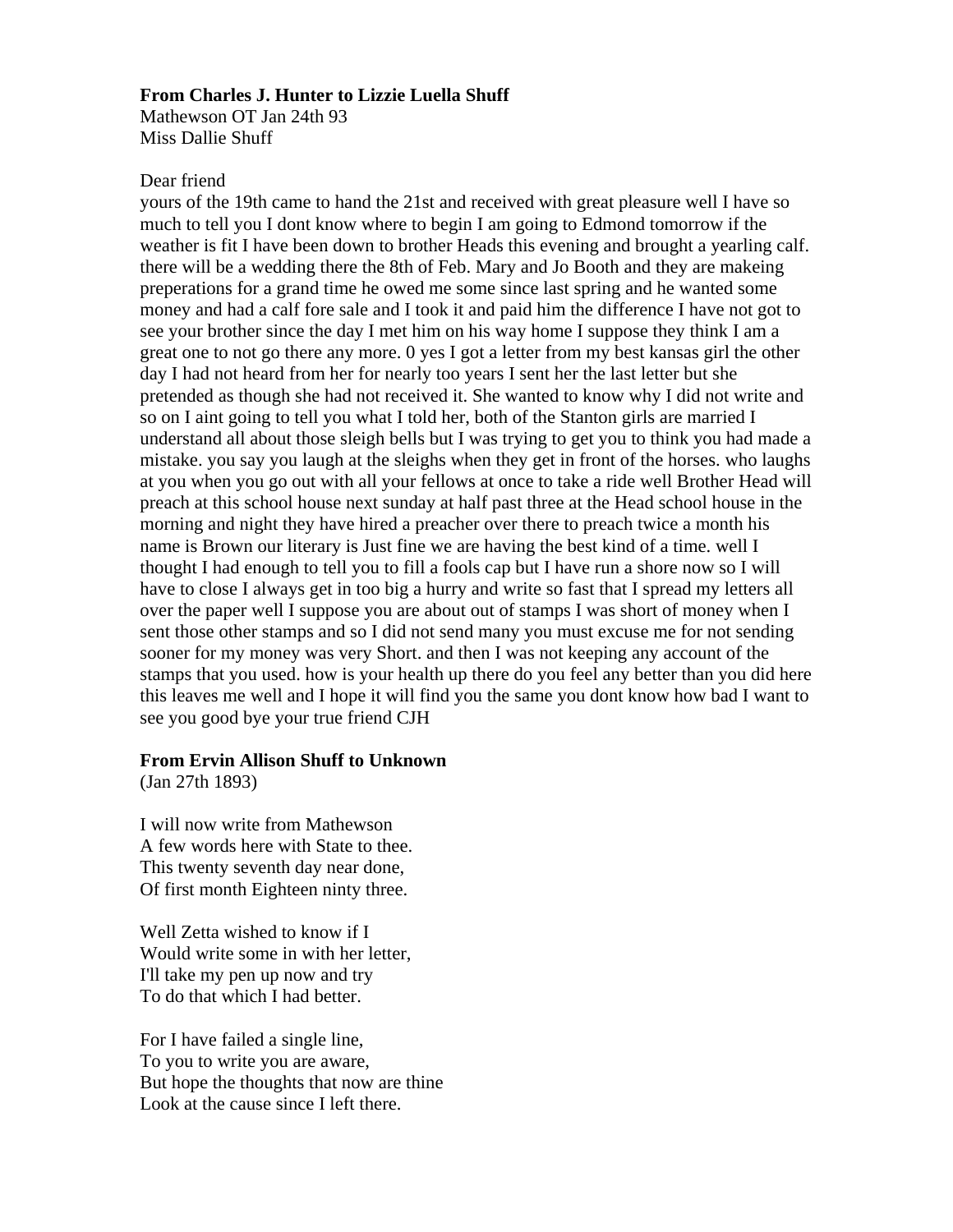#### **From Charles J. Hunter to Lizzie Luella Shuff**

Mathewson OT Jan 24th 93 Miss Dallie Shuff

### Dear friend

yours of the 19th came to hand the 21st and received with great pleasure well I have so much to tell you I dont know where to begin I am going to Edmond tomorrow if the weather is fit I have been down to brother Heads this evening and brought a yearling calf. there will be a wedding there the 8th of Feb. Mary and Jo Booth and they are makeing preperations for a grand time he owed me some since last spring and he wanted some money and had a calf fore sale and I took it and paid him the difference I have not got to see your brother since the day I met him on his way home I suppose they think I am a great one to not go there any more. 0 yes I got a letter from my best kansas girl the other day I had not heard from her for nearly too years I sent her the last letter but she pretended as though she had not received it. She wanted to know why I did not write and so on I aint going to tell you what I told her, both of the Stanton girls are married I understand all about those sleigh bells but I was trying to get you to think you had made a mistake. you say you laugh at the sleighs when they get in front of the horses. who laughs at you when you go out with all your fellows at once to take a ride well Brother Head will preach at this school house next sunday at half past three at the Head school house in the morning and night they have hired a preacher over there to preach twice a month his name is Brown our literary is Just fine we are having the best kind of a time. well I thought I had enough to tell you to fill a fools cap but I have run a shore now so I will have to close I always get in too big a hurry and write so fast that I spread my letters all over the paper well I suppose you are about out of stamps I was short of money when I sent those other stamps and so I did not send many you must excuse me for not sending sooner for my money was very Short. and then I was not keeping any account of the stamps that you used. how is your health up there do you feel any better than you did here this leaves me well and I hope it will find you the same you dont know how bad I want to see you good bye your true friend CJH

## **From Ervin Allison Shuff to Unknown**

(Jan 27th 1893)

I will now write from Mathewson A few words here with State to thee. This twenty seventh day near done, Of first month Eighteen ninty three.

Well Zetta wished to know if I Would write some in with her letter, I'll take my pen up now and try To do that which I had better.

For I have failed a single line, To you to write you are aware, But hope the thoughts that now are thine Look at the cause since I left there.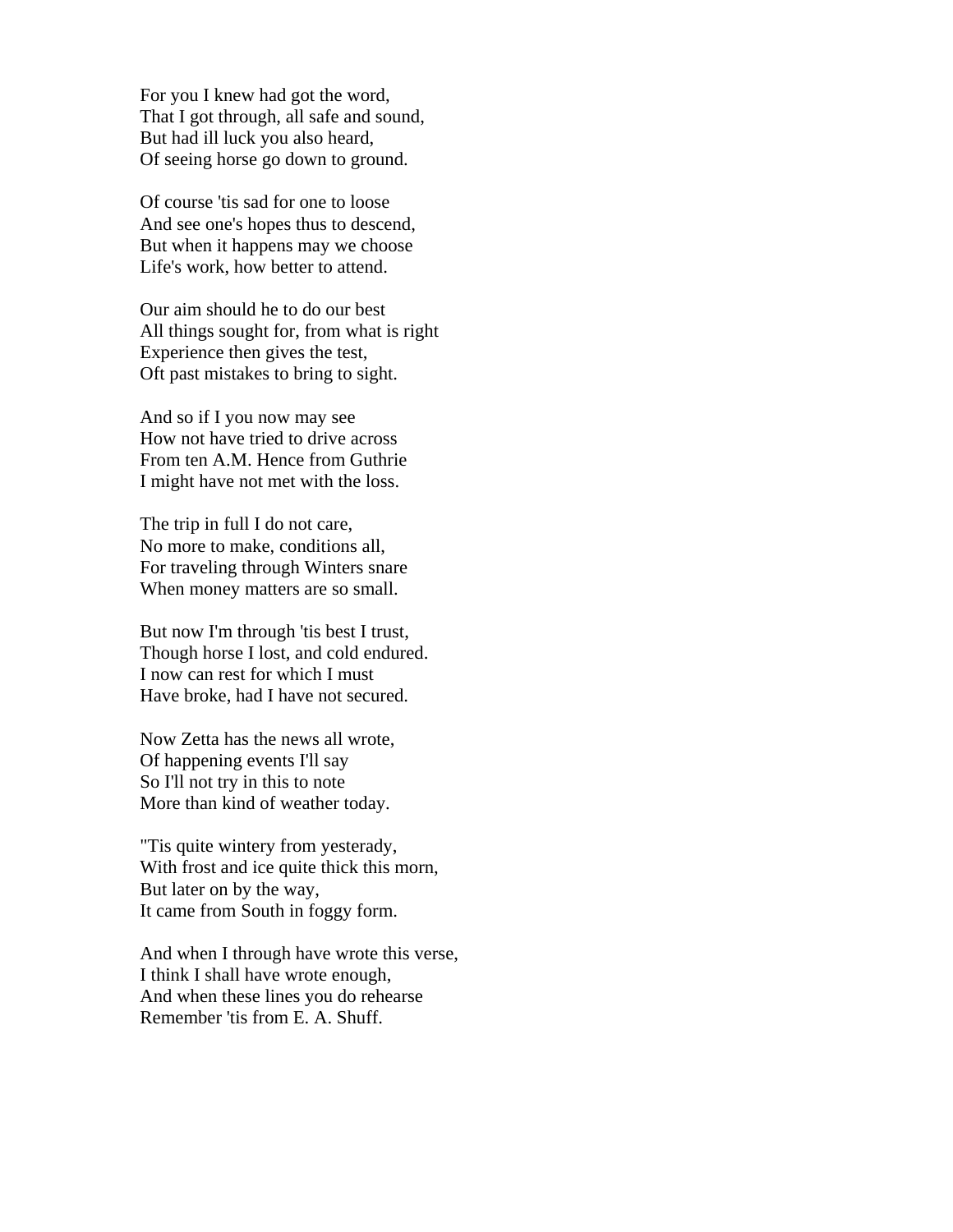For you I knew had got the word, That I got through, all safe and sound, But had ill luck you also heard, Of seeing horse go down to ground.

Of course 'tis sad for one to loose And see one's hopes thus to descend, But when it happens may we choose Life's work, how better to attend.

Our aim should he to do our best All things sought for, from what is right Experience then gives the test, Oft past mistakes to bring to sight.

And so if I you now may see How not have tried to drive across From ten A.M. Hence from Guthrie I might have not met with the loss.

The trip in full I do not care, No more to make, conditions all, For traveling through Winters snare When money matters are so small.

But now I'm through 'tis best I trust, Though horse I lost, and cold endured. I now can rest for which I must Have broke, had I have not secured.

Now Zetta has the news all wrote, Of happening events I'll say So I'll not try in this to note More than kind of weather today.

"Tis quite wintery from yesterady, With frost and ice quite thick this morn, But later on by the way, It came from South in foggy form.

And when I through have wrote this verse, I think I shall have wrote enough, And when these lines you do rehearse Remember 'tis from E. A. Shuff.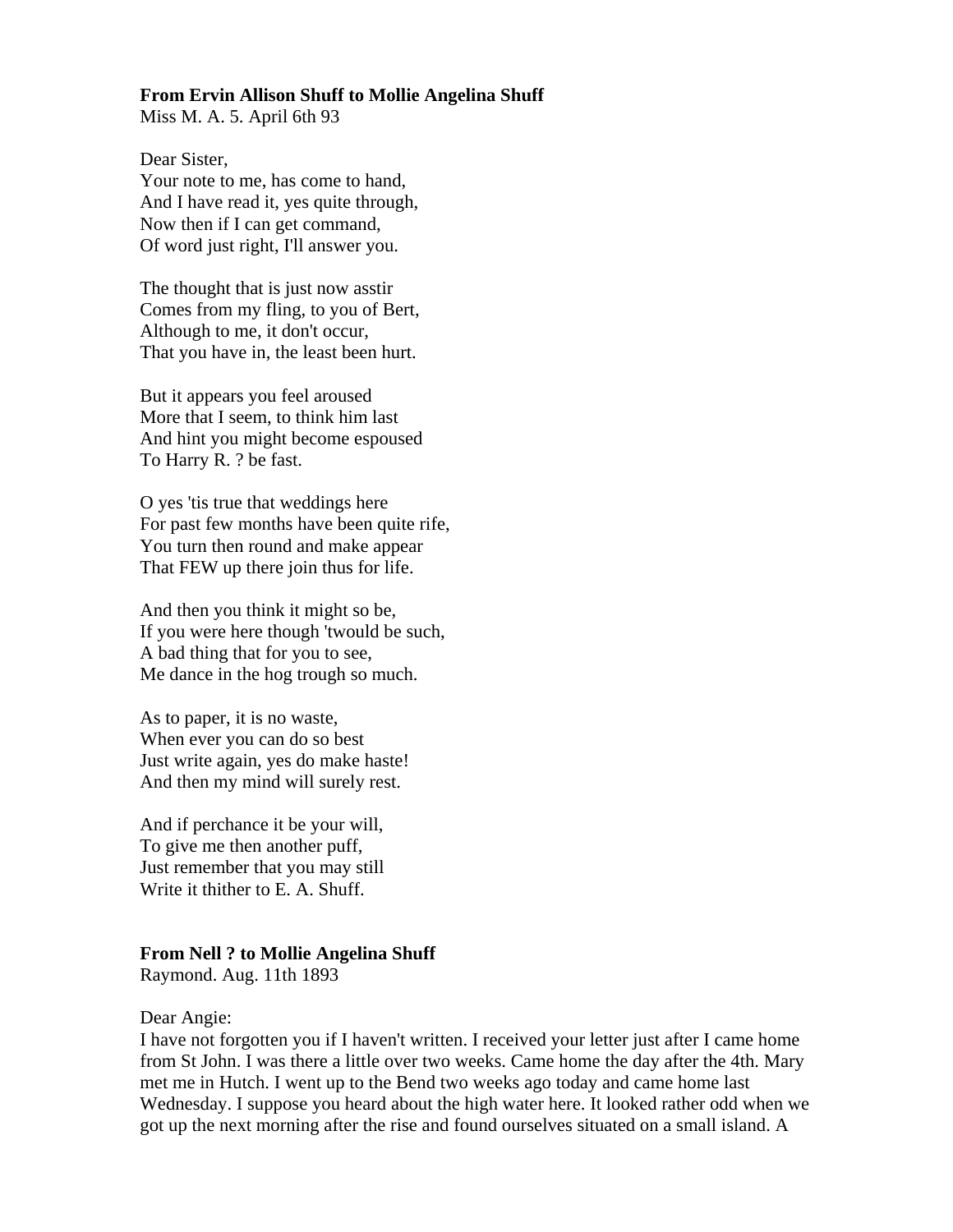## **From Ervin Allison Shuff to Mollie Angelina Shuff**

Miss M. A. 5. April 6th 93

Dear Sister, Your note to me, has come to hand, And I have read it, yes quite through, Now then if I can get command, Of word just right, I'll answer you.

The thought that is just now asstir Comes from my fling, to you of Bert, Although to me, it don't occur, That you have in, the least been hurt.

But it appears you feel aroused More that I seem, to think him last And hint you might become espoused To Harry R. ? be fast.

O yes 'tis true that weddings here For past few months have been quite rife, You turn then round and make appear That FEW up there join thus for life.

And then you think it might so be, If you were here though 'twould be such, A bad thing that for you to see, Me dance in the hog trough so much.

As to paper, it is no waste, When ever you can do so best Just write again, yes do make haste! And then my mind will surely rest.

And if perchance it be your will, To give me then another puff, Just remember that you may still Write it thither to E. A. Shuff.

#### **From Nell ? to Mollie Angelina Shuff**

Raymond. Aug. 11th 1893

#### Dear Angie:

I have not forgotten you if I haven't written. I received your letter just after I came home from St John. I was there a little over two weeks. Came home the day after the 4th. Mary met me in Hutch. I went up to the Bend two weeks ago today and came home last Wednesday. I suppose you heard about the high water here. It looked rather odd when we got up the next morning after the rise and found ourselves situated on a small island. A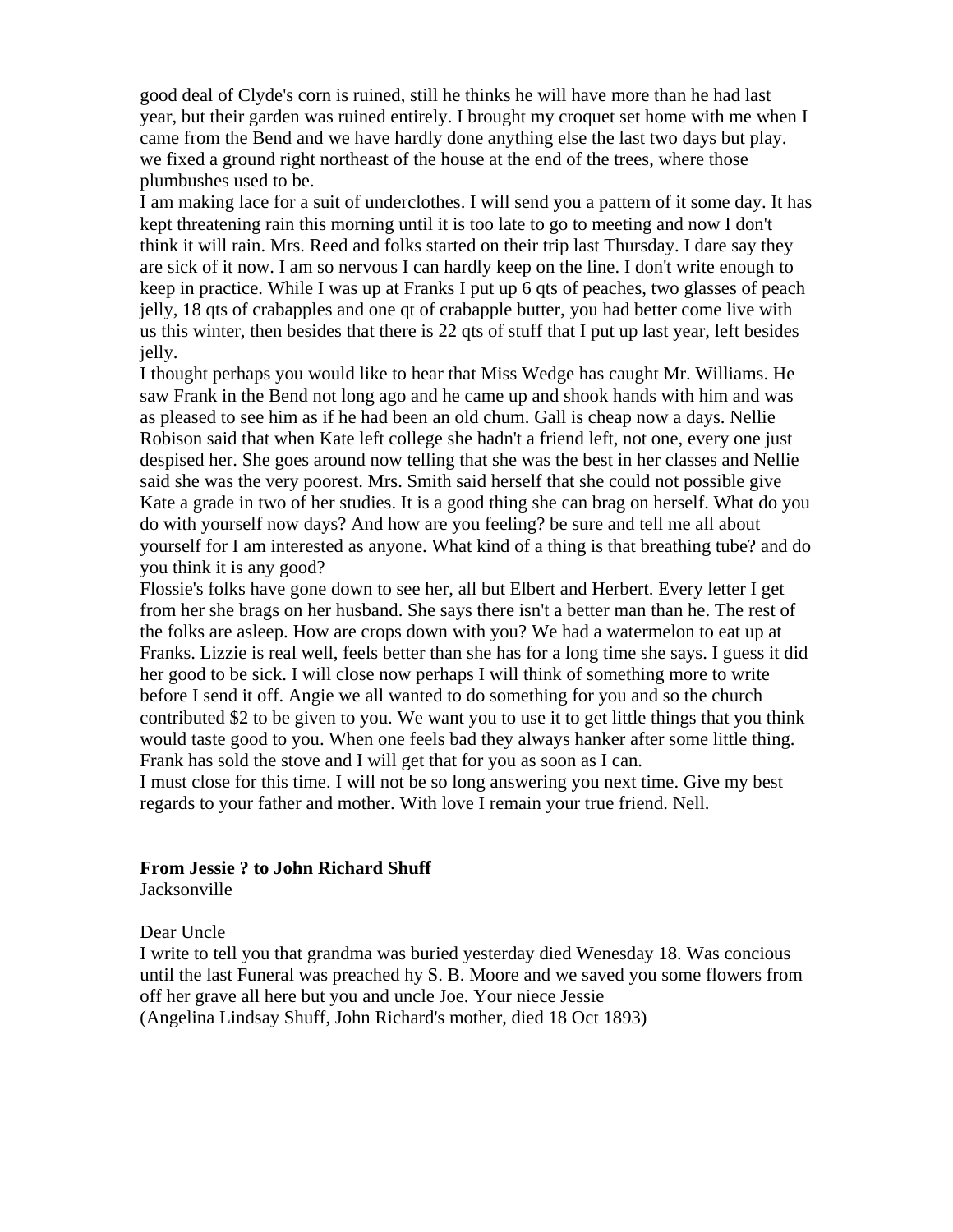good deal of Clyde's corn is ruined, still he thinks he will have more than he had last year, but their garden was ruined entirely. I brought my croquet set home with me when I came from the Bend and we have hardly done anything else the last two days but play. we fixed a ground right northeast of the house at the end of the trees, where those plumbushes used to be.

I am making lace for a suit of underclothes. I will send you a pattern of it some day. It has kept threatening rain this morning until it is too late to go to meeting and now I don't think it will rain. Mrs. Reed and folks started on their trip last Thursday. I dare say they are sick of it now. I am so nervous I can hardly keep on the line. I don't write enough to keep in practice. While I was up at Franks I put up 6 qts of peaches, two glasses of peach jelly, 18 qts of crabapples and one qt of crabapple butter, you had better come live with us this winter, then besides that there is 22 qts of stuff that I put up last year, left besides jelly.

I thought perhaps you would like to hear that Miss Wedge has caught Mr. Williams. He saw Frank in the Bend not long ago and he came up and shook hands with him and was as pleased to see him as if he had been an old chum. Gall is cheap now a days. Nellie Robison said that when Kate left college she hadn't a friend left, not one, every one just despised her. She goes around now telling that she was the best in her classes and Nellie said she was the very poorest. Mrs. Smith said herself that she could not possible give Kate a grade in two of her studies. It is a good thing she can brag on herself. What do you do with yourself now days? And how are you feeling? be sure and tell me all about yourself for I am interested as anyone. What kind of a thing is that breathing tube? and do you think it is any good?

Flossie's folks have gone down to see her, all but Elbert and Herbert. Every letter I get from her she brags on her husband. She says there isn't a better man than he. The rest of the folks are asleep. How are crops down with you? We had a watermelon to eat up at Franks. Lizzie is real well, feels better than she has for a long time she says. I guess it did her good to be sick. I will close now perhaps I will think of something more to write before I send it off. Angie we all wanted to do something for you and so the church contributed \$2 to be given to you. We want you to use it to get little things that you think would taste good to you. When one feels bad they always hanker after some little thing. Frank has sold the stove and I will get that for you as soon as I can.

I must close for this time. I will not be so long answering you next time. Give my best regards to your father and mother. With love I remain your true friend. Nell.

#### **From Jessie ? to John Richard Shuff**

**Jacksonville** 

Dear Uncle

I write to tell you that grandma was buried yesterday died Wenesday 18. Was concious until the last Funeral was preached hy S. B. Moore and we saved you some flowers from off her grave all here but you and uncle Joe. Your niece Jessie (Angelina Lindsay Shuff, John Richard's mother, died 18 Oct 1893)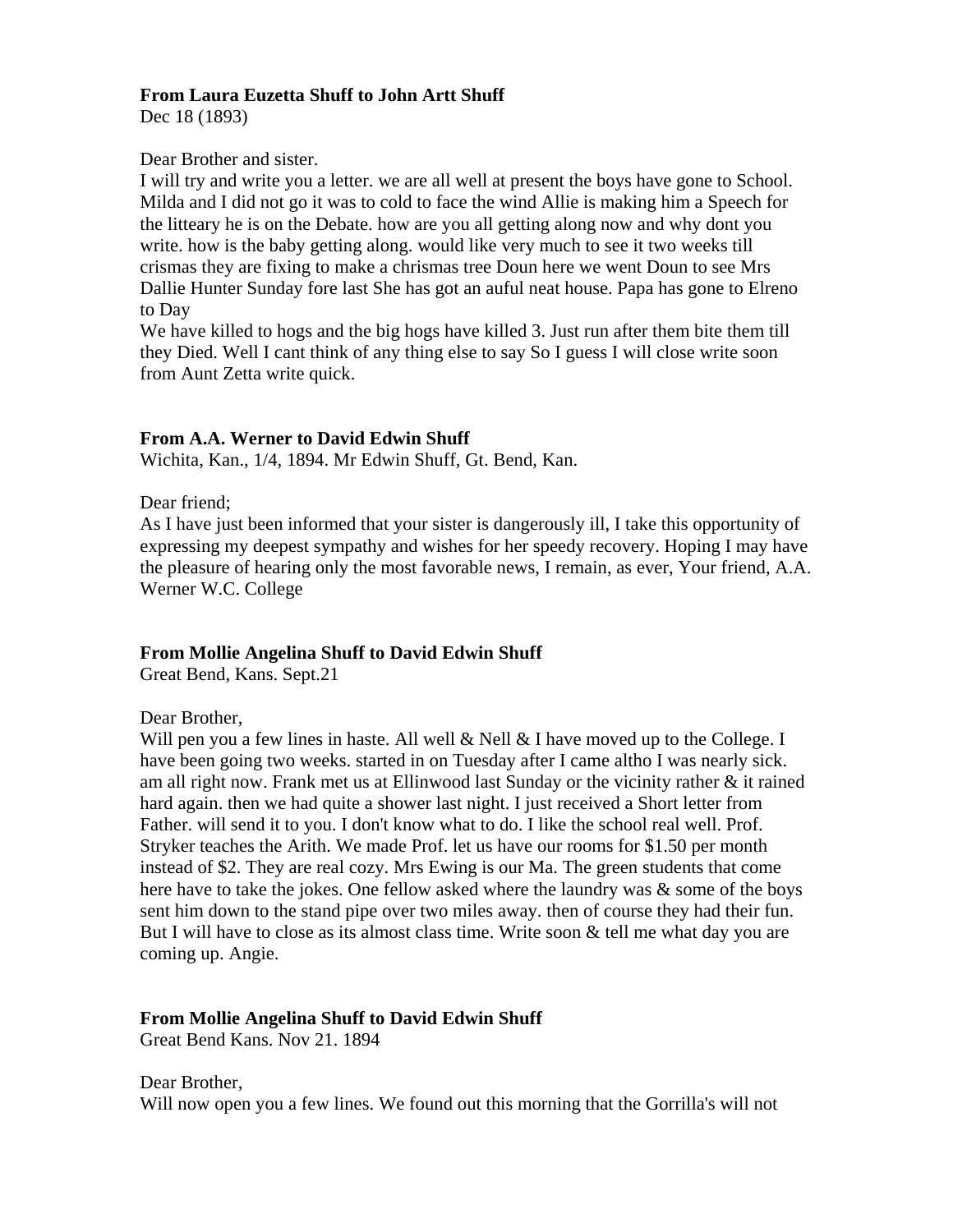# **From Laura Euzetta Shuff to John Artt Shuff**

Dec 18 (1893)

## Dear Brother and sister.

I will try and write you a letter. we are all well at present the boys have gone to School. Milda and I did not go it was to cold to face the wind Allie is making him a Speech for the litteary he is on the Debate. how are you all getting along now and why dont you write. how is the baby getting along. would like very much to see it two weeks till crismas they are fixing to make a chrismas tree Doun here we went Doun to see Mrs Dallie Hunter Sunday fore last She has got an auful neat house. Papa has gone to Elreno to Day

We have killed to hogs and the big hogs have killed 3. Just run after them bite them till they Died. Well I cant think of any thing else to say So I guess I will close write soon from Aunt Zetta write quick.

## **From A.A. Werner to David Edwin Shuff**

Wichita, Kan., 1/4, 1894. Mr Edwin Shuff, Gt. Bend, Kan.

Dear friend;

As I have just been informed that your sister is dangerously ill, I take this opportunity of expressing my deepest sympathy and wishes for her speedy recovery. Hoping I may have the pleasure of hearing only the most favorable news, I remain, as ever, Your friend, A.A. Werner W.C. College

## **From Mollie Angelina Shuff to David Edwin Shuff**

Great Bend, Kans. Sept.21

## Dear Brother,

Will pen you a few lines in haste. All well  $&$  Nell  $&$  I have moved up to the College. I have been going two weeks. started in on Tuesday after I came altho I was nearly sick. am all right now. Frank met us at Ellinwood last Sunday or the vicinity rather & it rained hard again. then we had quite a shower last night. I just received a Short letter from Father. will send it to you. I don't know what to do. I like the school real well. Prof. Stryker teaches the Arith. We made Prof. let us have our rooms for \$1.50 per month instead of \$2. They are real cozy. Mrs Ewing is our Ma. The green students that come here have to take the jokes. One fellow asked where the laundry was  $\&$  some of the boys sent him down to the stand pipe over two miles away. then of course they had their fun. But I will have to close as its almost class time. Write soon & tell me what day you are coming up. Angie.

## **From Mollie Angelina Shuff to David Edwin Shuff**

Great Bend Kans. Nov 21. 1894

Dear Brother, Will now open you a few lines. We found out this morning that the Gorrilla's will not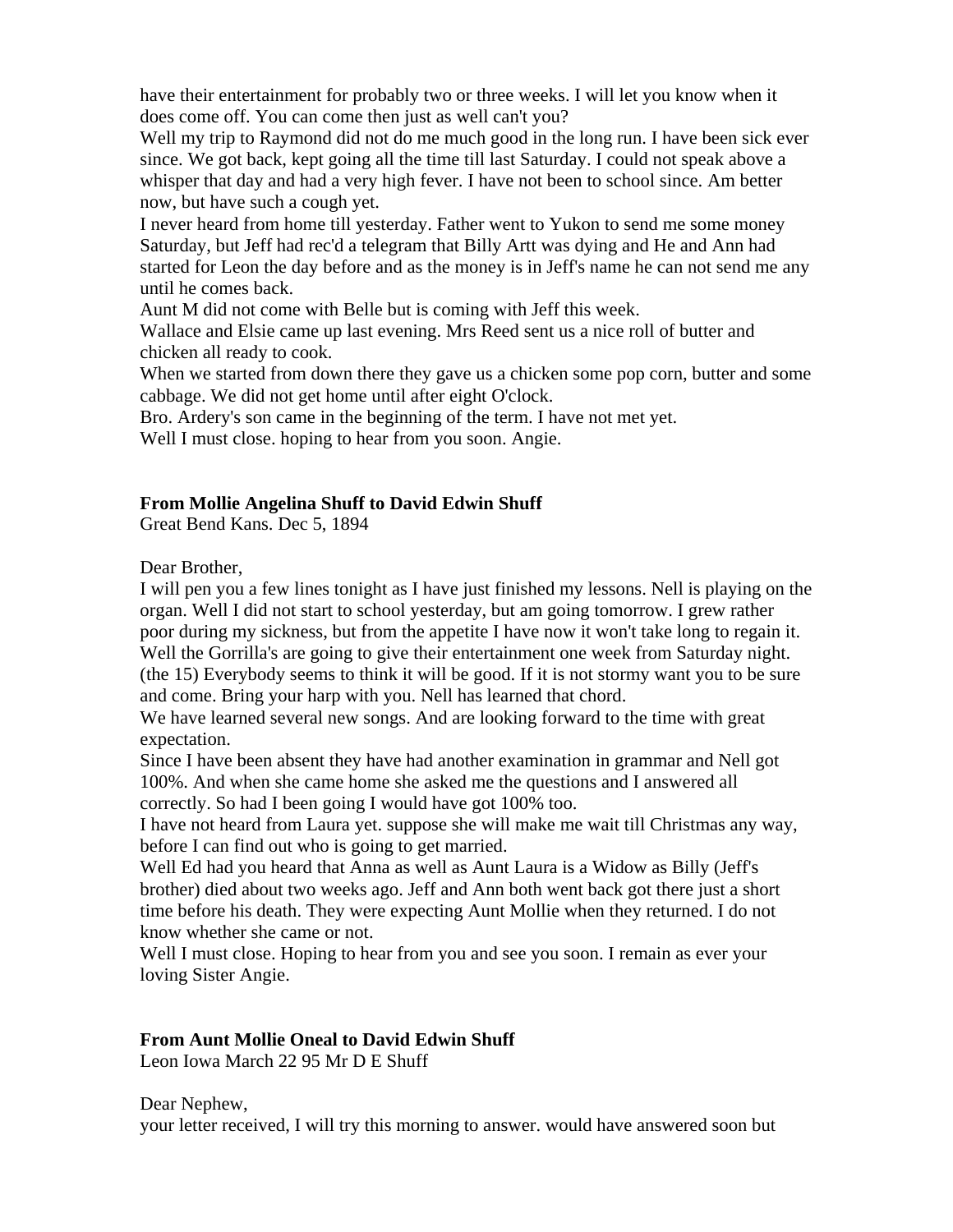have their entertainment for probably two or three weeks. I will let you know when it does come off. You can come then just as well can't you?

Well my trip to Raymond did not do me much good in the long run. I have been sick ever since. We got back, kept going all the time till last Saturday. I could not speak above a whisper that day and had a very high fever. I have not been to school since. Am better now, but have such a cough yet.

I never heard from home till yesterday. Father went to Yukon to send me some money Saturday, but Jeff had rec'd a telegram that Billy Artt was dying and He and Ann had started for Leon the day before and as the money is in Jeff's name he can not send me any until he comes back.

Aunt M did not come with Belle but is coming with Jeff this week.

Wallace and Elsie came up last evening. Mrs Reed sent us a nice roll of butter and chicken all ready to cook.

When we started from down there they gave us a chicken some pop corn, butter and some cabbage. We did not get home until after eight O'clock.

Bro. Ardery's son came in the beginning of the term. I have not met yet.

Well I must close. hoping to hear from you soon. Angie.

# **From Mollie Angelina Shuff to David Edwin Shuff**

Great Bend Kans. Dec 5, 1894

Dear Brother,

I will pen you a few lines tonight as I have just finished my lessons. Nell is playing on the organ. Well I did not start to school yesterday, but am going tomorrow. I grew rather poor during my sickness, but from the appetite I have now it won't take long to regain it. Well the Gorrilla's are going to give their entertainment one week from Saturday night. (the 15) Everybody seems to think it will be good. If it is not stormy want you to be sure and come. Bring your harp with you. Nell has learned that chord.

We have learned several new songs. And are looking forward to the time with great expectation.

Since I have been absent they have had another examination in grammar and Nell got 100%. And when she came home she asked me the questions and I answered all correctly. So had I been going I would have got 100% too.

I have not heard from Laura yet. suppose she will make me wait till Christmas any way, before I can find out who is going to get married.

Well Ed had you heard that Anna as well as Aunt Laura is a Widow as Billy (Jeff's brother) died about two weeks ago. Jeff and Ann both went back got there just a short time before his death. They were expecting Aunt Mollie when they returned. I do not know whether she came or not.

Well I must close. Hoping to hear from you and see you soon. I remain as ever your loving Sister Angie.

# **From Aunt Mollie Oneal to David Edwin Shuff**

Leon Iowa March 22 95 Mr D E Shuff

Dear Nephew,

your letter received, I will try this morning to answer. would have answered soon but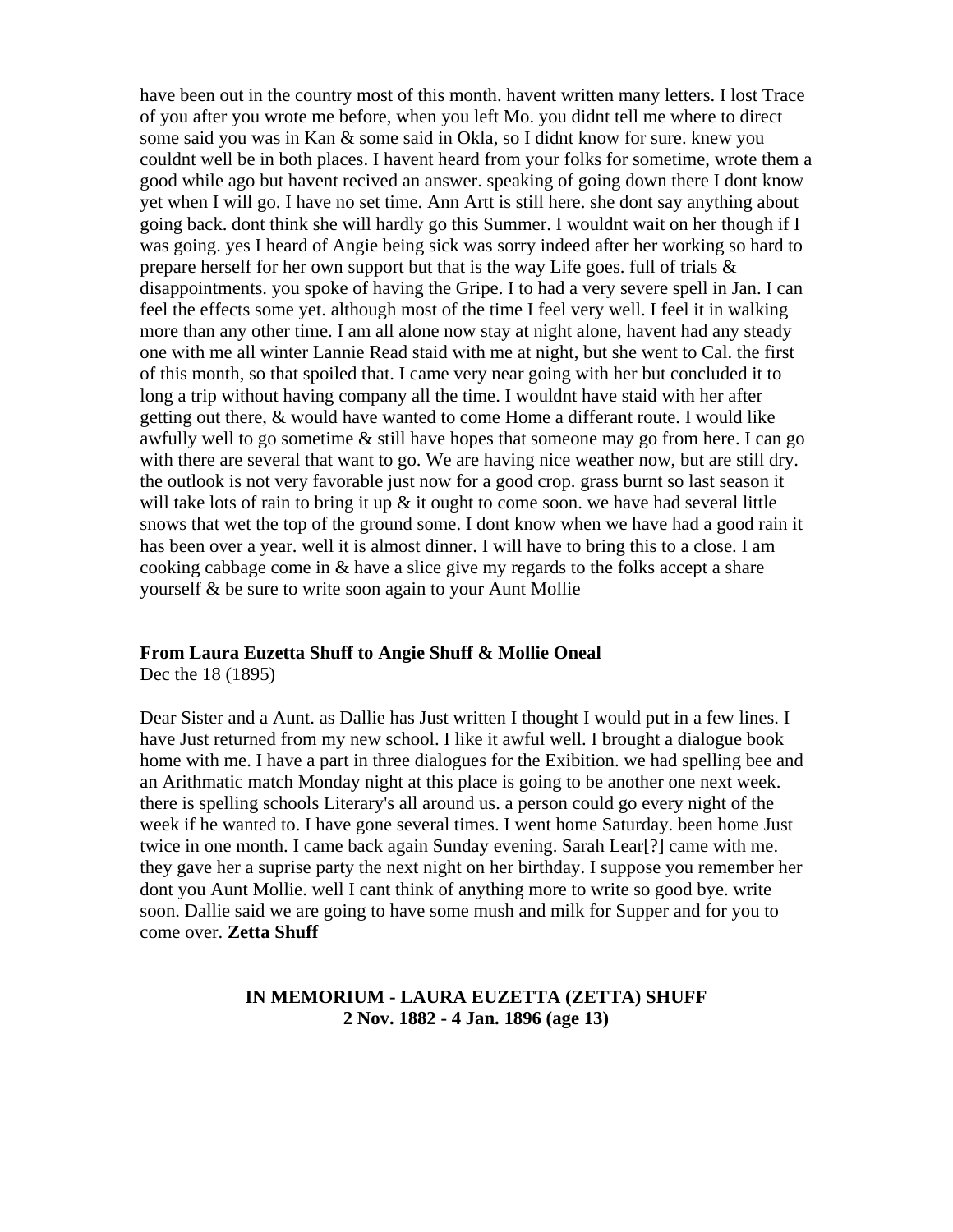have been out in the country most of this month. havent written many letters. I lost Trace of you after you wrote me before, when you left Mo. you didnt tell me where to direct some said you was in Kan & some said in Okla, so I didnt know for sure. knew you couldnt well be in both places. I havent heard from your folks for sometime, wrote them a good while ago but havent recived an answer. speaking of going down there I dont know yet when I will go. I have no set time. Ann Artt is still here. she dont say anything about going back. dont think she will hardly go this Summer. I wouldnt wait on her though if I was going. yes I heard of Angie being sick was sorry indeed after her working so hard to prepare herself for her own support but that is the way Life goes. full of trials  $\&$ disappointments. you spoke of having the Gripe. I to had a very severe spell in Jan. I can feel the effects some yet. although most of the time I feel very well. I feel it in walking more than any other time. I am all alone now stay at night alone, havent had any steady one with me all winter Lannie Read staid with me at night, but she went to Cal. the first of this month, so that spoiled that. I came very near going with her but concluded it to long a trip without having company all the time. I wouldnt have staid with her after getting out there, & would have wanted to come Home a differant route. I would like awfully well to go sometime & still have hopes that someone may go from here. I can go with there are several that want to go. We are having nice weather now, but are still dry. the outlook is not very favorable just now for a good crop. grass burnt so last season it will take lots of rain to bring it up  $\&$  it ought to come soon. we have had several little snows that wet the top of the ground some. I dont know when we have had a good rain it has been over a year. well it is almost dinner. I will have to bring this to a close. I am cooking cabbage come in & have a slice give my regards to the folks accept a share yourself & be sure to write soon again to your Aunt Mollie

# **From Laura Euzetta Shuff to Angie Shuff & Mollie Oneal**

Dec the 18 (1895)

Dear Sister and a Aunt. as Dallie has Just written I thought I would put in a few lines. I have Just returned from my new school. I like it awful well. I brought a dialogue book home with me. I have a part in three dialogues for the Exibition. we had spelling bee and an Arithmatic match Monday night at this place is going to be another one next week. there is spelling schools Literary's all around us. a person could go every night of the week if he wanted to. I have gone several times. I went home Saturday. been home Just twice in one month. I came back again Sunday evening. Sarah Lear[?] came with me. they gave her a suprise party the next night on her birthday. I suppose you remember her dont you Aunt Mollie. well I cant think of anything more to write so good bye. write soon. Dallie said we are going to have some mush and milk for Supper and for you to come over. **Zetta Shuff**

## **IN MEMORIUM - LAURA EUZETTA (ZETTA) SHUFF 2 Nov. 1882 - 4 Jan. 1896 (age 13)**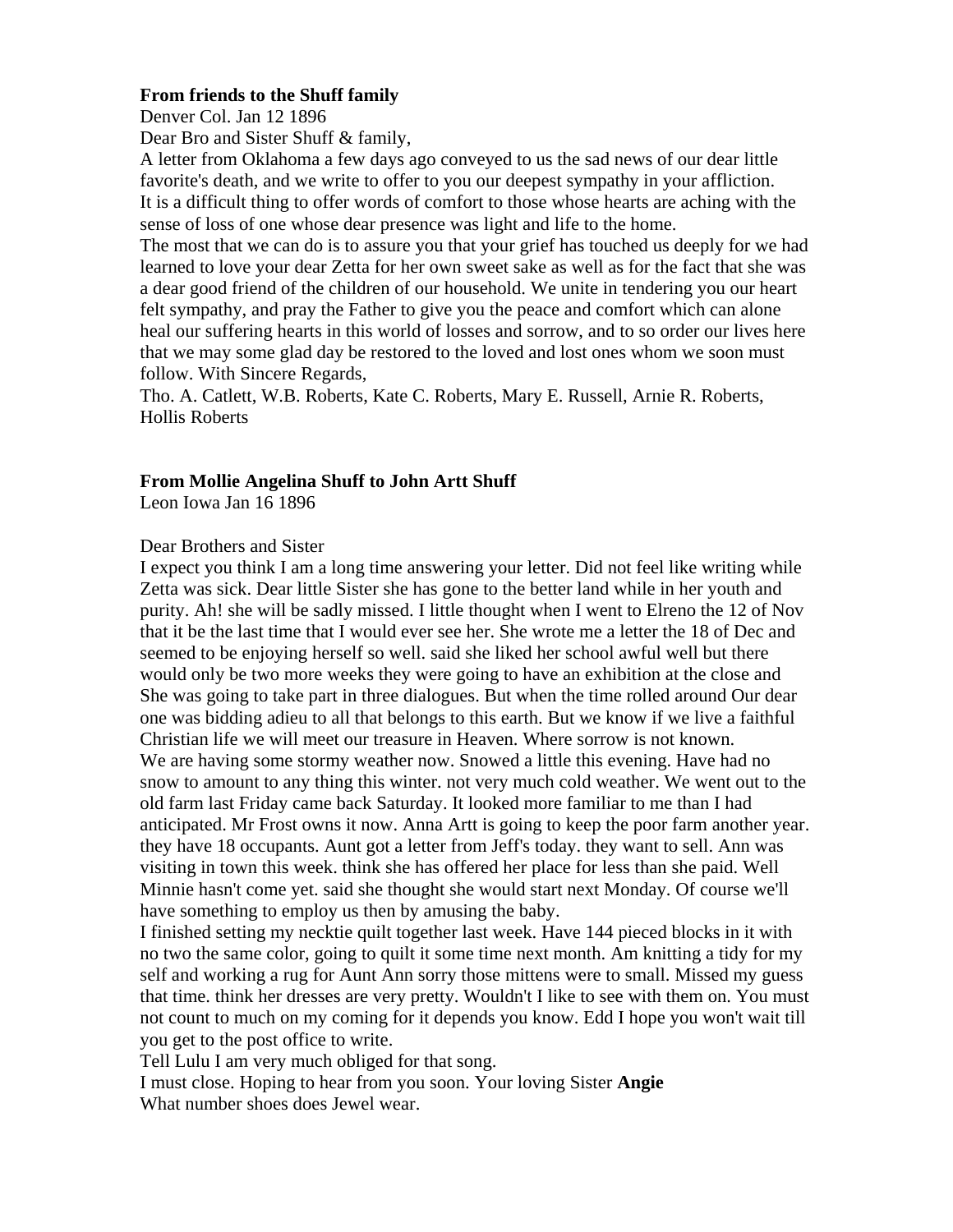## **From friends to the Shuff family**

Denver Col. Jan 12 1896

Dear Bro and Sister Shuff & family,

A letter from Oklahoma a few days ago conveyed to us the sad news of our dear little favorite's death, and we write to offer to you our deepest sympathy in your affliction. It is a difficult thing to offer words of comfort to those whose hearts are aching with the sense of loss of one whose dear presence was light and life to the home.

The most that we can do is to assure you that your grief has touched us deeply for we had learned to love your dear Zetta for her own sweet sake as well as for the fact that she was a dear good friend of the children of our household. We unite in tendering you our heart felt sympathy, and pray the Father to give you the peace and comfort which can alone heal our suffering hearts in this world of losses and sorrow, and to so order our lives here that we may some glad day be restored to the loved and lost ones whom we soon must follow. With Sincere Regards,

Tho. A. Catlett, W.B. Roberts, Kate C. Roberts, Mary E. Russell, Arnie R. Roberts, Hollis Roberts

## **From Mollie Angelina Shuff to John Artt Shuff**

Leon Iowa Jan 16 1896

#### Dear Brothers and Sister

I expect you think I am a long time answering your letter. Did not feel like writing while Zetta was sick. Dear little Sister she has gone to the better land while in her youth and purity. Ah! she will be sadly missed. I little thought when I went to Elreno the 12 of Nov that it be the last time that I would ever see her. She wrote me a letter the 18 of Dec and seemed to be enjoying herself so well. said she liked her school awful well but there would only be two more weeks they were going to have an exhibition at the close and She was going to take part in three dialogues. But when the time rolled around Our dear one was bidding adieu to all that belongs to this earth. But we know if we live a faithful Christian life we will meet our treasure in Heaven. Where sorrow is not known. We are having some stormy weather now. Snowed a little this evening. Have had no snow to amount to any thing this winter. not very much cold weather. We went out to the old farm last Friday came back Saturday. It looked more familiar to me than I had anticipated. Mr Frost owns it now. Anna Artt is going to keep the poor farm another year. they have 18 occupants. Aunt got a letter from Jeff's today. they want to sell. Ann was visiting in town this week. think she has offered her place for less than she paid. Well Minnie hasn't come yet. said she thought she would start next Monday. Of course we'll have something to employ us then by amusing the baby.

I finished setting my necktie quilt together last week. Have 144 pieced blocks in it with no two the same color, going to quilt it some time next month. Am knitting a tidy for my self and working a rug for Aunt Ann sorry those mittens were to small. Missed my guess that time. think her dresses are very pretty. Wouldn't I like to see with them on. You must not count to much on my coming for it depends you know. Edd I hope you won't wait till you get to the post office to write.

Tell Lulu I am very much obliged for that song.

I must close. Hoping to hear from you soon. Your loving Sister **Angie** What number shoes does Jewel wear.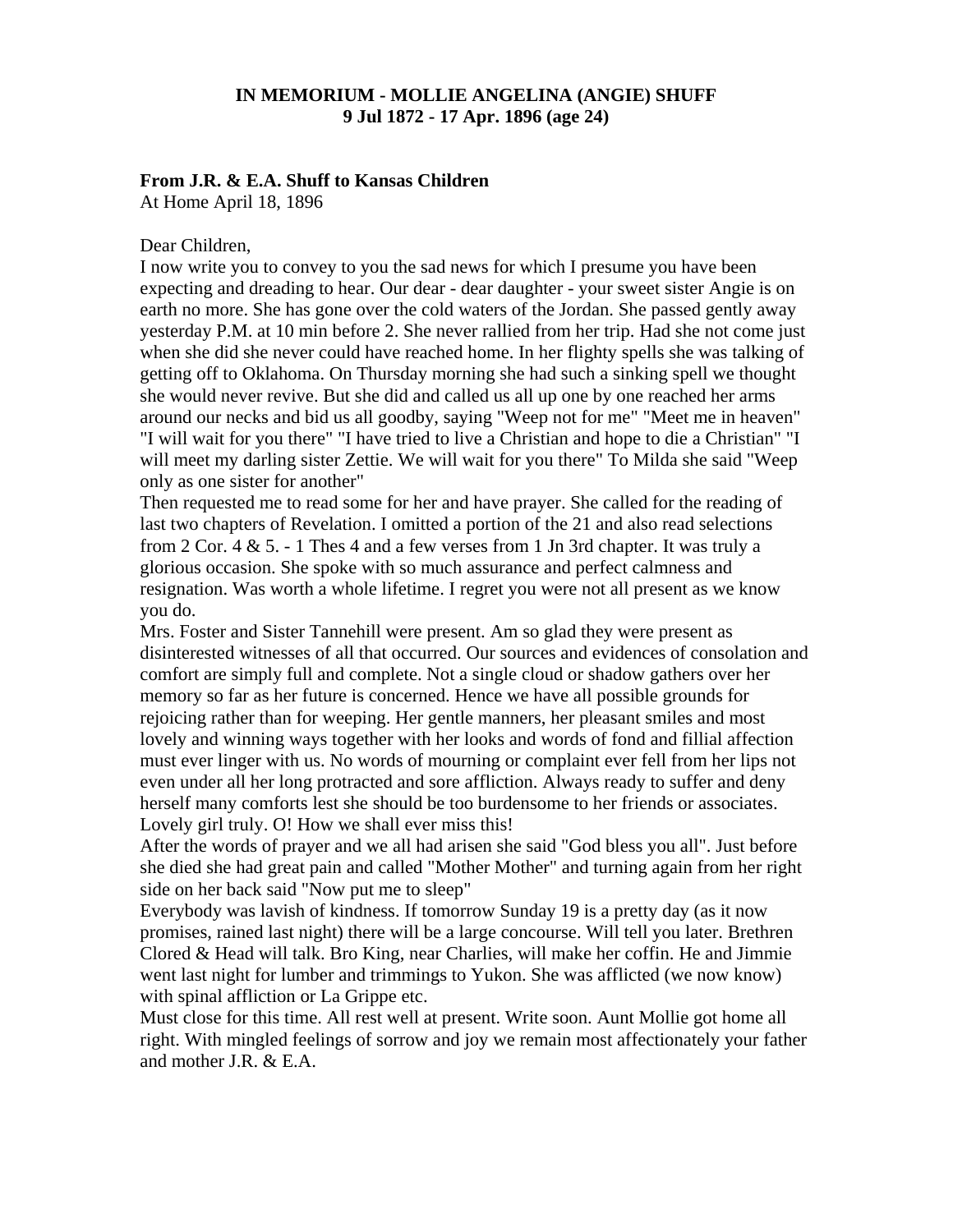## **IN MEMORIUM - MOLLIE ANGELINA (ANGIE) SHUFF 9 Jul 1872 - 17 Apr. 1896 (age 24)**

#### **From J.R. & E.A. Shuff to Kansas Children**

At Home April 18, 1896

#### Dear Children,

I now write you to convey to you the sad news for which I presume you have been expecting and dreading to hear. Our dear - dear daughter - your sweet sister Angie is on earth no more. She has gone over the cold waters of the Jordan. She passed gently away yesterday P.M. at 10 min before 2. She never rallied from her trip. Had she not come just when she did she never could have reached home. In her flighty spells she was talking of getting off to Oklahoma. On Thursday morning she had such a sinking spell we thought she would never revive. But she did and called us all up one by one reached her arms around our necks and bid us all goodby, saying "Weep not for me" "Meet me in heaven" "I will wait for you there" "I have tried to live a Christian and hope to die a Christian" "I will meet my darling sister Zettie. We will wait for you there" To Milda she said "Weep only as one sister for another"

Then requested me to read some for her and have prayer. She called for the reading of last two chapters of Revelation. I omitted a portion of the 21 and also read selections from  $2$  Cor.  $4 \& 5. - 1$  Thes  $4$  and a few verses from  $1$  Jn  $3$ rd chapter. It was truly a glorious occasion. She spoke with so much assurance and perfect calmness and resignation. Was worth a whole lifetime. I regret you were not all present as we know you do.

Mrs. Foster and Sister Tannehill were present. Am so glad they were present as disinterested witnesses of all that occurred. Our sources and evidences of consolation and comfort are simply full and complete. Not a single cloud or shadow gathers over her memory so far as her future is concerned. Hence we have all possible grounds for rejoicing rather than for weeping. Her gentle manners, her pleasant smiles and most lovely and winning ways together with her looks and words of fond and fillial affection must ever linger with us. No words of mourning or complaint ever fell from her lips not even under all her long protracted and sore affliction. Always ready to suffer and deny herself many comforts lest she should be too burdensome to her friends or associates. Lovely girl truly. O! How we shall ever miss this!

After the words of prayer and we all had arisen she said "God bless you all". Just before she died she had great pain and called "Mother Mother" and turning again from her right side on her back said "Now put me to sleep"

Everybody was lavish of kindness. If tomorrow Sunday 19 is a pretty day (as it now promises, rained last night) there will be a large concourse. Will tell you later. Brethren Clored & Head will talk. Bro King, near Charlies, will make her coffin. He and Jimmie went last night for lumber and trimmings to Yukon. She was afflicted (we now know) with spinal affliction or La Grippe etc.

Must close for this time. All rest well at present. Write soon. Aunt Mollie got home all right. With mingled feelings of sorrow and joy we remain most affectionately your father and mother J.R. & E.A.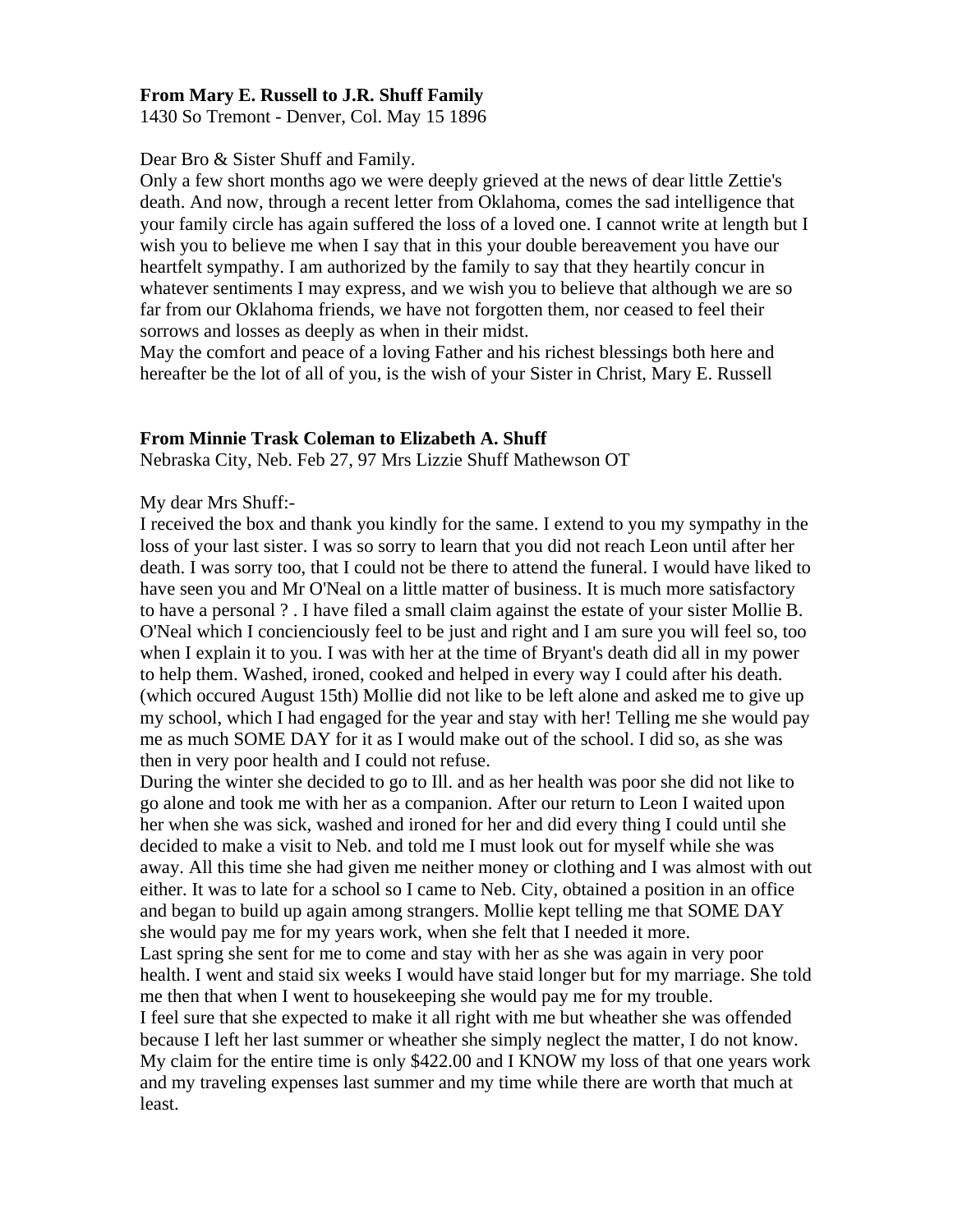### **From Mary E. Russell to J.R. Shuff Family**

1430 So Tremont - Denver, Col. May 15 1896

Dear Bro & Sister Shuff and Family.

Only a few short months ago we were deeply grieved at the news of dear little Zettie's death. And now, through a recent letter from Oklahoma, comes the sad intelligence that your family circle has again suffered the loss of a loved one. I cannot write at length but I wish you to believe me when I say that in this your double bereavement you have our heartfelt sympathy. I am authorized by the family to say that they heartily concur in whatever sentiments I may express, and we wish you to believe that although we are so far from our Oklahoma friends, we have not forgotten them, nor ceased to feel their sorrows and losses as deeply as when in their midst.

May the comfort and peace of a loving Father and his richest blessings both here and hereafter be the lot of all of you, is the wish of your Sister in Christ, Mary E. Russell

#### **From Minnie Trask Coleman to Elizabeth A. Shuff**

Nebraska City, Neb. Feb 27, 97 Mrs Lizzie Shuff Mathewson OT

My dear Mrs Shuff:-

I received the box and thank you kindly for the same. I extend to you my sympathy in the loss of your last sister. I was so sorry to learn that you did not reach Leon until after her death. I was sorry too, that I could not be there to attend the funeral. I would have liked to have seen you and Mr O'Neal on a little matter of business. It is much more satisfactory to have a personal ? . I have filed a small claim against the estate of your sister Mollie B. O'Neal which I concienciously feel to be just and right and I am sure you will feel so, too when I explain it to you. I was with her at the time of Bryant's death did all in my power to help them. Washed, ironed, cooked and helped in every way I could after his death. (which occured August 15th) Mollie did not like to be left alone and asked me to give up my school, which I had engaged for the year and stay with her! Telling me she would pay me as much SOME DAY for it as I would make out of the school. I did so, as she was then in very poor health and I could not refuse.

During the winter she decided to go to Ill. and as her health was poor she did not like to go alone and took me with her as a companion. After our return to Leon I waited upon her when she was sick, washed and ironed for her and did every thing I could until she decided to make a visit to Neb. and told me I must look out for myself while she was away. All this time she had given me neither money or clothing and I was almost with out either. It was to late for a school so I came to Neb. City, obtained a position in an office and began to build up again among strangers. Mollie kept telling me that SOME DAY she would pay me for my years work, when she felt that I needed it more. Last spring she sent for me to come and stay with her as she was again in very poor health. I went and staid six weeks I would have staid longer but for my marriage. She told me then that when I went to housekeeping she would pay me for my trouble. I feel sure that she expected to make it all right with me but wheather she was offended because I left her last summer or wheather she simply neglect the matter, I do not know. My claim for the entire time is only \$422.00 and I KNOW my loss of that one years work and my traveling expenses last summer and my time while there are worth that much at least.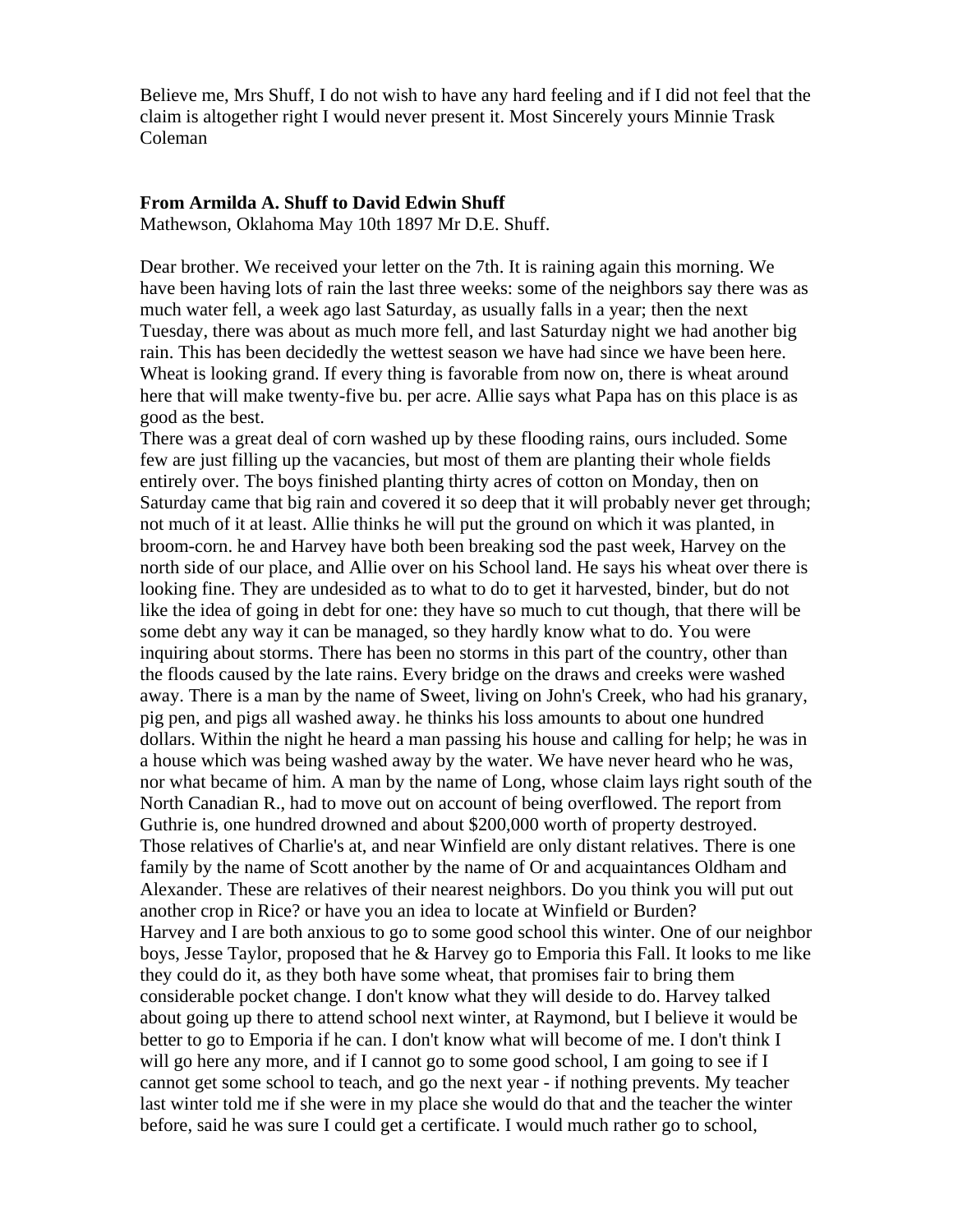Believe me, Mrs Shuff, I do not wish to have any hard feeling and if I did not feel that the claim is altogether right I would never present it. Most Sincerely yours Minnie Trask Coleman

#### **From Armilda A. Shuff to David Edwin Shuff**

Mathewson, Oklahoma May 10th 1897 Mr D.E. Shuff.

Dear brother. We received your letter on the 7th. It is raining again this morning. We have been having lots of rain the last three weeks: some of the neighbors say there was as much water fell, a week ago last Saturday, as usually falls in a year; then the next Tuesday, there was about as much more fell, and last Saturday night we had another big rain. This has been decidedly the wettest season we have had since we have been here. Wheat is looking grand. If every thing is favorable from now on, there is wheat around here that will make twenty-five bu. per acre. Allie says what Papa has on this place is as good as the best.

There was a great deal of corn washed up by these flooding rains, ours included. Some few are just filling up the vacancies, but most of them are planting their whole fields entirely over. The boys finished planting thirty acres of cotton on Monday, then on Saturday came that big rain and covered it so deep that it will probably never get through; not much of it at least. Allie thinks he will put the ground on which it was planted, in broom-corn. he and Harvey have both been breaking sod the past week, Harvey on the north side of our place, and Allie over on his School land. He says his wheat over there is looking fine. They are undesided as to what to do to get it harvested, binder, but do not like the idea of going in debt for one: they have so much to cut though, that there will be some debt any way it can be managed, so they hardly know what to do. You were inquiring about storms. There has been no storms in this part of the country, other than the floods caused by the late rains. Every bridge on the draws and creeks were washed away. There is a man by the name of Sweet, living on John's Creek, who had his granary, pig pen, and pigs all washed away. he thinks his loss amounts to about one hundred dollars. Within the night he heard a man passing his house and calling for help; he was in a house which was being washed away by the water. We have never heard who he was, nor what became of him. A man by the name of Long, whose claim lays right south of the North Canadian R., had to move out on account of being overflowed. The report from Guthrie is, one hundred drowned and about \$200,000 worth of property destroyed. Those relatives of Charlie's at, and near Winfield are only distant relatives. There is one family by the name of Scott another by the name of Or and acquaintances Oldham and Alexander. These are relatives of their nearest neighbors. Do you think you will put out another crop in Rice? or have you an idea to locate at Winfield or Burden? Harvey and I are both anxious to go to some good school this winter. One of our neighbor boys, Jesse Taylor, proposed that he & Harvey go to Emporia this Fall. It looks to me like they could do it, as they both have some wheat, that promises fair to bring them considerable pocket change. I don't know what they will deside to do. Harvey talked about going up there to attend school next winter, at Raymond, but I believe it would be better to go to Emporia if he can. I don't know what will become of me. I don't think I will go here any more, and if I cannot go to some good school, I am going to see if I cannot get some school to teach, and go the next year - if nothing prevents. My teacher last winter told me if she were in my place she would do that and the teacher the winter before, said he was sure I could get a certificate. I would much rather go to school,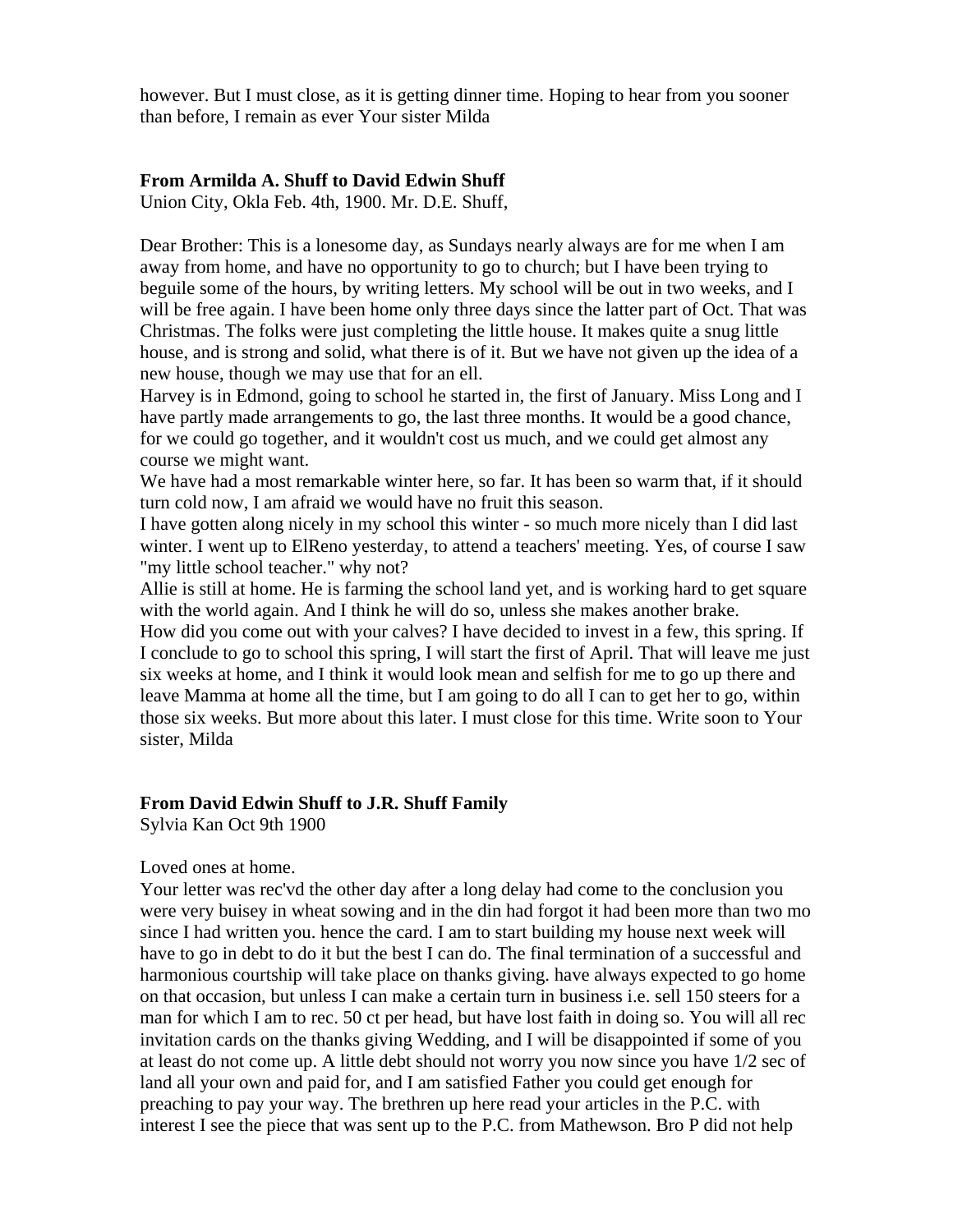however. But I must close, as it is getting dinner time. Hoping to hear from you sooner than before, I remain as ever Your sister Milda

## **From Armilda A. Shuff to David Edwin Shuff**

Union City, Okla Feb. 4th, 1900. Mr. D.E. Shuff,

Dear Brother: This is a lonesome day, as Sundays nearly always are for me when I am away from home, and have no opportunity to go to church; but I have been trying to beguile some of the hours, by writing letters. My school will be out in two weeks, and I will be free again. I have been home only three days since the latter part of Oct. That was Christmas. The folks were just completing the little house. It makes quite a snug little house, and is strong and solid, what there is of it. But we have not given up the idea of a new house, though we may use that for an ell.

Harvey is in Edmond, going to school he started in, the first of January. Miss Long and I have partly made arrangements to go, the last three months. It would be a good chance, for we could go together, and it wouldn't cost us much, and we could get almost any course we might want.

We have had a most remarkable winter here, so far. It has been so warm that, if it should turn cold now, I am afraid we would have no fruit this season.

I have gotten along nicely in my school this winter - so much more nicely than I did last winter. I went up to ElReno yesterday, to attend a teachers' meeting. Yes, of course I saw "my little school teacher." why not?

Allie is still at home. He is farming the school land yet, and is working hard to get square with the world again. And I think he will do so, unless she makes another brake.

How did you come out with your calves? I have decided to invest in a few, this spring. If I conclude to go to school this spring, I will start the first of April. That will leave me just six weeks at home, and I think it would look mean and selfish for me to go up there and leave Mamma at home all the time, but I am going to do all I can to get her to go, within those six weeks. But more about this later. I must close for this time. Write soon to Your sister, Milda

## **From David Edwin Shuff to J.R. Shuff Family**

Sylvia Kan Oct 9th 1900

#### Loved ones at home.

Your letter was rec'vd the other day after a long delay had come to the conclusion you were very buisey in wheat sowing and in the din had forgot it had been more than two mo since I had written you. hence the card. I am to start building my house next week will have to go in debt to do it but the best I can do. The final termination of a successful and harmonious courtship will take place on thanks giving. have always expected to go home on that occasion, but unless I can make a certain turn in business i.e. sell 150 steers for a man for which I am to rec. 50 ct per head, but have lost faith in doing so. You will all rec invitation cards on the thanks giving Wedding, and I will be disappointed if some of you at least do not come up. A little debt should not worry you now since you have 1/2 sec of land all your own and paid for, and I am satisfied Father you could get enough for preaching to pay your way. The brethren up here read your articles in the P.C. with interest I see the piece that was sent up to the P.C. from Mathewson. Bro P did not help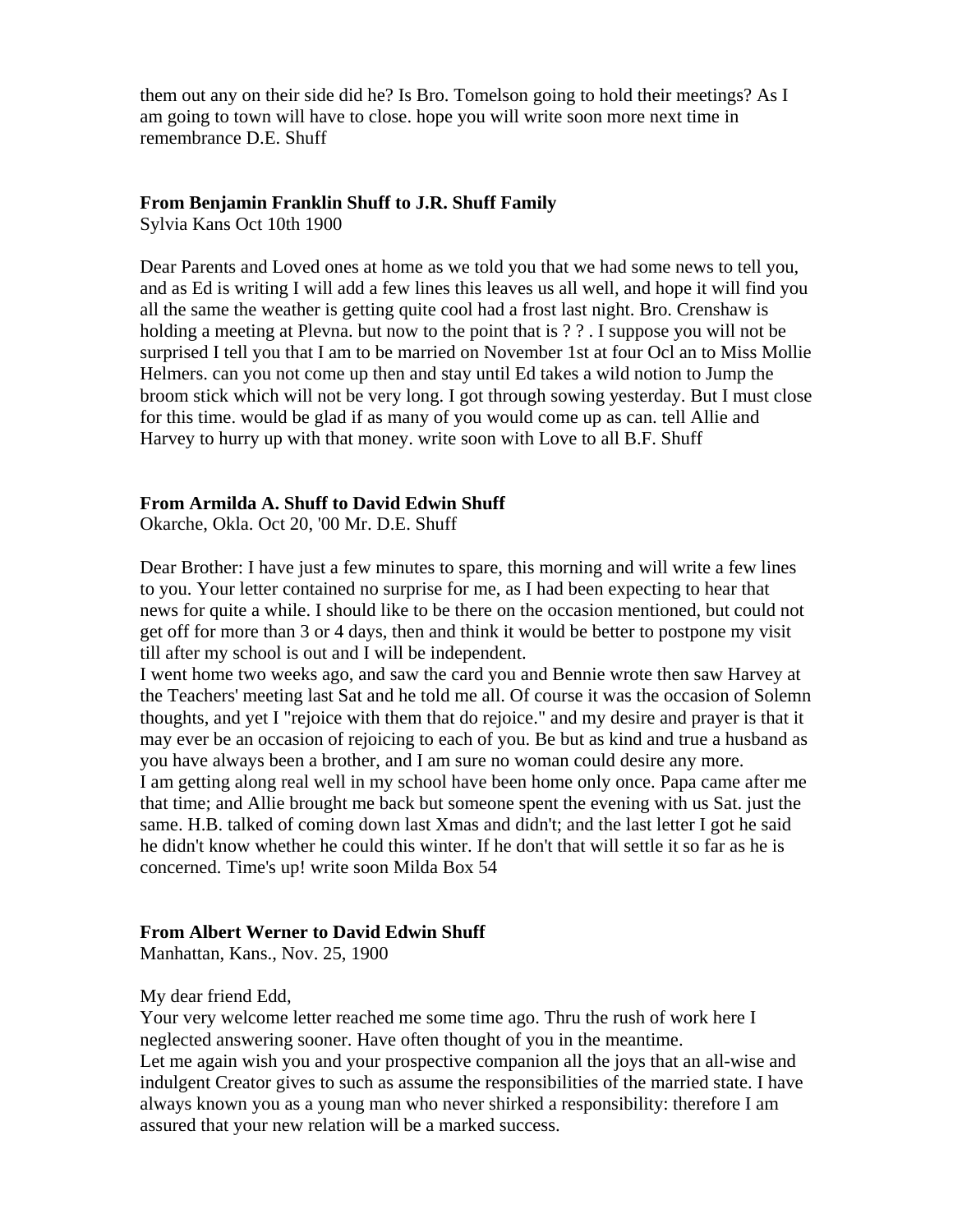them out any on their side did he? Is Bro. Tomelson going to hold their meetings? As I am going to town will have to close. hope you will write soon more next time in remembrance D.E. Shuff

#### **From Benjamin Franklin Shuff to J.R. Shuff Family**

Sylvia Kans Oct 10th 1900

Dear Parents and Loved ones at home as we told you that we had some news to tell you, and as Ed is writing I will add a few lines this leaves us all well, and hope it will find you all the same the weather is getting quite cool had a frost last night. Bro. Crenshaw is holding a meeting at Plevna. but now to the point that is ? ?. I suppose you will not be surprised I tell you that I am to be married on November 1st at four Ocl an to Miss Mollie Helmers. can you not come up then and stay until Ed takes a wild notion to Jump the broom stick which will not be very long. I got through sowing yesterday. But I must close for this time. would be glad if as many of you would come up as can. tell Allie and Harvey to hurry up with that money. write soon with Love to all B.F. Shuff

#### **From Armilda A. Shuff to David Edwin Shuff**

Okarche, Okla. Oct 20, '00 Mr. D.E. Shuff

Dear Brother: I have just a few minutes to spare, this morning and will write a few lines to you. Your letter contained no surprise for me, as I had been expecting to hear that news for quite a while. I should like to be there on the occasion mentioned, but could not get off for more than 3 or 4 days, then and think it would be better to postpone my visit till after my school is out and I will be independent.

I went home two weeks ago, and saw the card you and Bennie wrote then saw Harvey at the Teachers' meeting last Sat and he told me all. Of course it was the occasion of Solemn thoughts, and yet I "rejoice with them that do rejoice." and my desire and prayer is that it may ever be an occasion of rejoicing to each of you. Be but as kind and true a husband as you have always been a brother, and I am sure no woman could desire any more. I am getting along real well in my school have been home only once. Papa came after me that time; and Allie brought me back but someone spent the evening with us Sat. just the same. H.B. talked of coming down last Xmas and didn't; and the last letter I got he said he didn't know whether he could this winter. If he don't that will settle it so far as he is concerned. Time's up! write soon Milda Box 54

#### **From Albert Werner to David Edwin Shuff**

Manhattan, Kans., Nov. 25, 1900

My dear friend Edd,

Your very welcome letter reached me some time ago. Thru the rush of work here I neglected answering sooner. Have often thought of you in the meantime.

Let me again wish you and your prospective companion all the joys that an all-wise and indulgent Creator gives to such as assume the responsibilities of the married state. I have always known you as a young man who never shirked a responsibility: therefore I am assured that your new relation will be a marked success.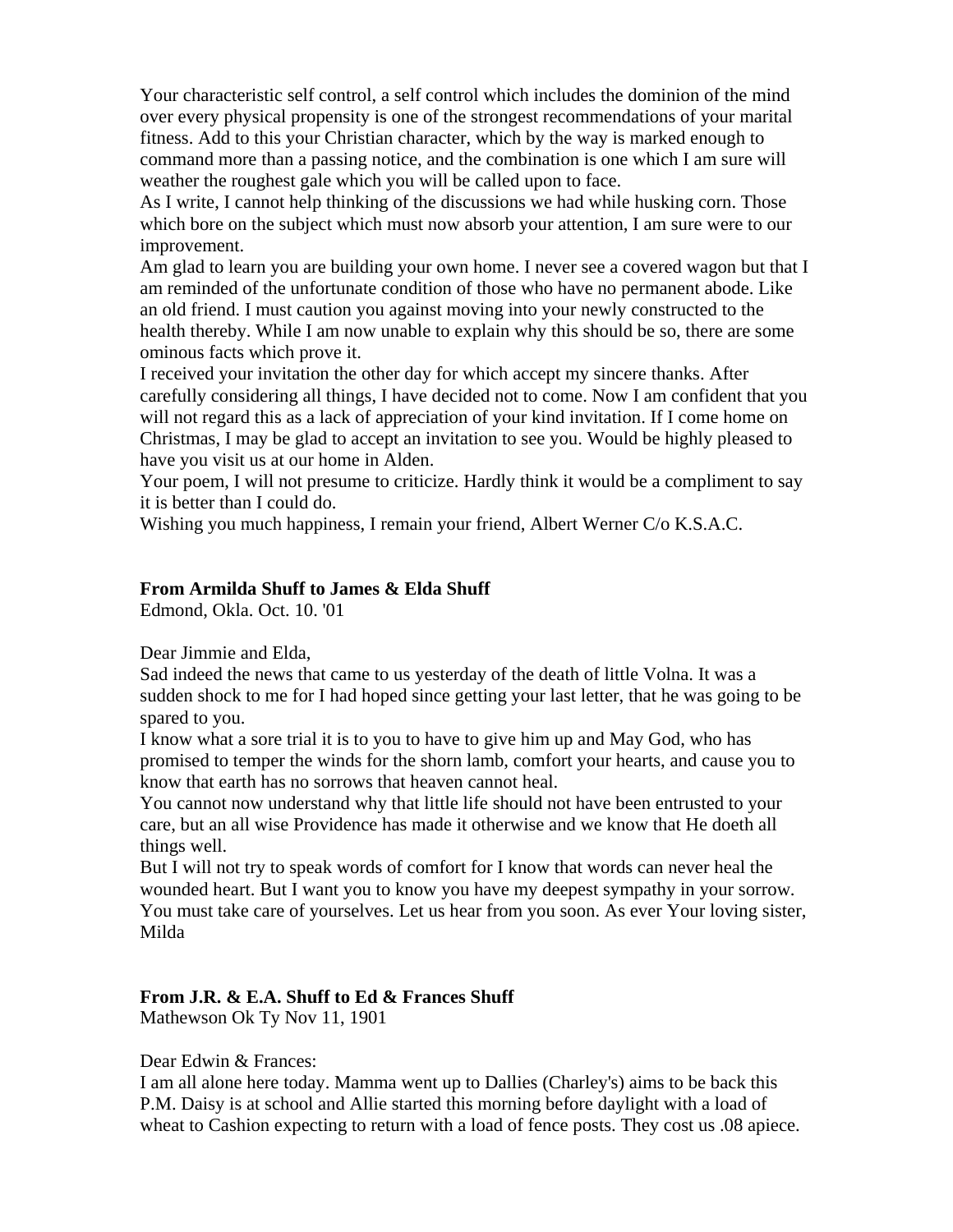Your characteristic self control, a self control which includes the dominion of the mind over every physical propensity is one of the strongest recommendations of your marital fitness. Add to this your Christian character, which by the way is marked enough to command more than a passing notice, and the combination is one which I am sure will weather the roughest gale which you will be called upon to face.

As I write, I cannot help thinking of the discussions we had while husking corn. Those which bore on the subject which must now absorb your attention, I am sure were to our improvement.

Am glad to learn you are building your own home. I never see a covered wagon but that I am reminded of the unfortunate condition of those who have no permanent abode. Like an old friend. I must caution you against moving into your newly constructed to the health thereby. While I am now unable to explain why this should be so, there are some ominous facts which prove it.

I received your invitation the other day for which accept my sincere thanks. After carefully considering all things, I have decided not to come. Now I am confident that you will not regard this as a lack of appreciation of your kind invitation. If I come home on Christmas, I may be glad to accept an invitation to see you. Would be highly pleased to have you visit us at our home in Alden.

Your poem, I will not presume to criticize. Hardly think it would be a compliment to say it is better than I could do.

Wishing you much happiness, I remain your friend, Albert Werner C/o K.S.A.C.

#### **From Armilda Shuff to James & Elda Shuff**

Edmond, Okla. Oct. 10. '01

Dear Jimmie and Elda,

Sad indeed the news that came to us yesterday of the death of little Volna. It was a sudden shock to me for I had hoped since getting your last letter, that he was going to be spared to you.

I know what a sore trial it is to you to have to give him up and May God, who has promised to temper the winds for the shorn lamb, comfort your hearts, and cause you to know that earth has no sorrows that heaven cannot heal.

You cannot now understand why that little life should not have been entrusted to your care, but an all wise Providence has made it otherwise and we know that He doeth all things well.

But I will not try to speak words of comfort for I know that words can never heal the wounded heart. But I want you to know you have my deepest sympathy in your sorrow. You must take care of yourselves. Let us hear from you soon. As ever Your loving sister, Milda

## **From J.R. & E.A. Shuff to Ed & Frances Shuff**

Mathewson Ok Ty Nov 11, 1901

Dear Edwin & Frances:

I am all alone here today. Mamma went up to Dallies (Charley's) aims to be back this P.M. Daisy is at school and Allie started this morning before daylight with a load of wheat to Cashion expecting to return with a load of fence posts. They cost us .08 apiece.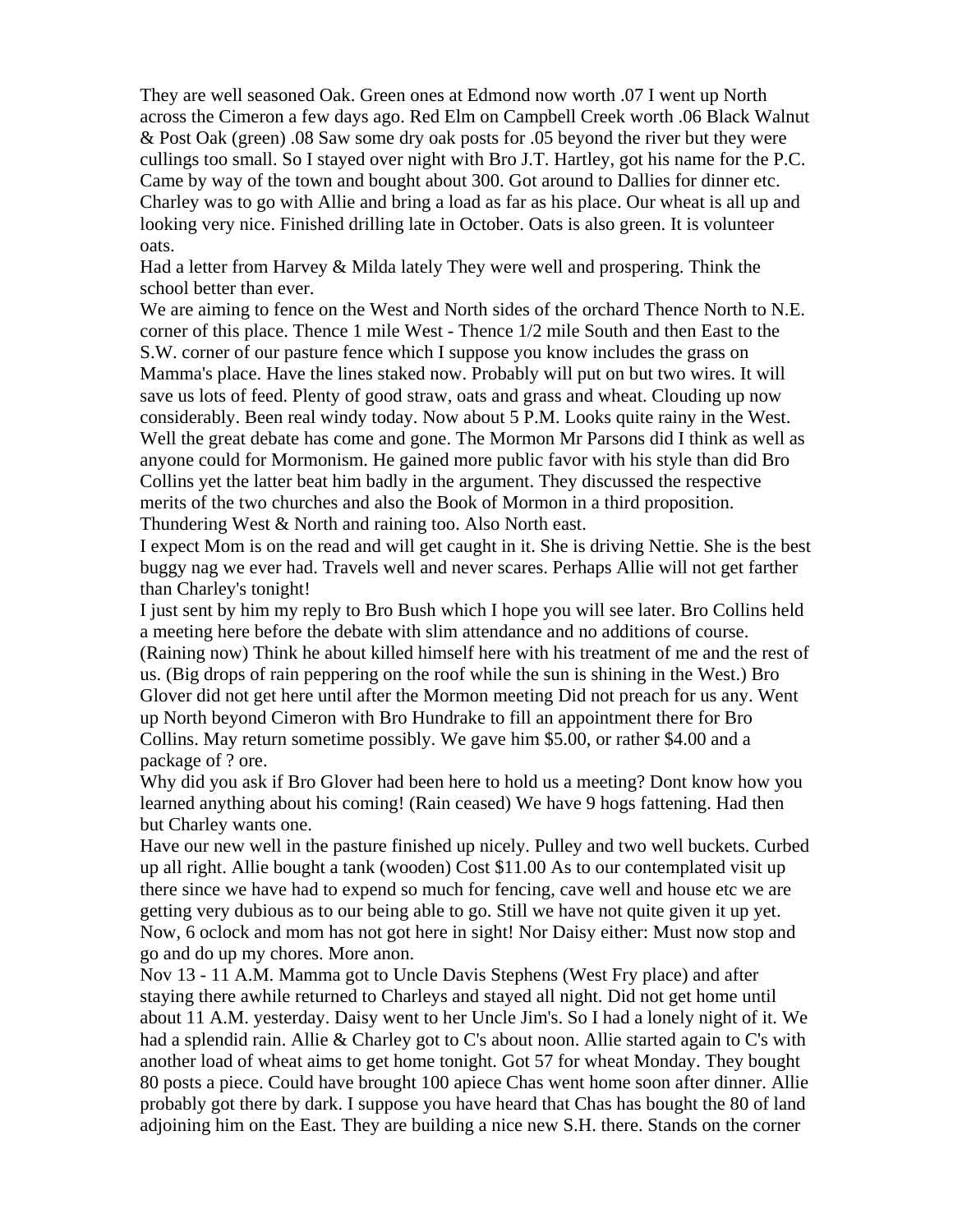They are well seasoned Oak. Green ones at Edmond now worth .07 I went up North across the Cimeron a few days ago. Red Elm on Campbell Creek worth .06 Black Walnut & Post Oak (green) .08 Saw some dry oak posts for .05 beyond the river but they were cullings too small. So I stayed over night with Bro J.T. Hartley, got his name for the P.C. Came by way of the town and bought about 300. Got around to Dallies for dinner etc. Charley was to go with Allie and bring a load as far as his place. Our wheat is all up and looking very nice. Finished drilling late in October. Oats is also green. It is volunteer oats.

Had a letter from Harvey & Milda lately They were well and prospering. Think the school better than ever.

We are aiming to fence on the West and North sides of the orchard Thence North to N.E. corner of this place. Thence 1 mile West - Thence 1/2 mile South and then East to the S.W. corner of our pasture fence which I suppose you know includes the grass on Mamma's place. Have the lines staked now. Probably will put on but two wires. It will save us lots of feed. Plenty of good straw, oats and grass and wheat. Clouding up now considerably. Been real windy today. Now about 5 P.M. Looks quite rainy in the West. Well the great debate has come and gone. The Mormon Mr Parsons did I think as well as anyone could for Mormonism. He gained more public favor with his style than did Bro Collins yet the latter beat him badly in the argument. They discussed the respective merits of the two churches and also the Book of Mormon in a third proposition. Thundering West & North and raining too. Also North east.

I expect Mom is on the read and will get caught in it. She is driving Nettie. She is the best buggy nag we ever had. Travels well and never scares. Perhaps Allie will not get farther than Charley's tonight!

I just sent by him my reply to Bro Bush which I hope you will see later. Bro Collins held a meeting here before the debate with slim attendance and no additions of course. (Raining now) Think he about killed himself here with his treatment of me and the rest of us. (Big drops of rain peppering on the roof while the sun is shining in the West.) Bro Glover did not get here until after the Mormon meeting Did not preach for us any. Went up North beyond Cimeron with Bro Hundrake to fill an appointment there for Bro Collins. May return sometime possibly. We gave him \$5.00, or rather \$4.00 and a package of ? ore.

Why did you ask if Bro Glover had been here to hold us a meeting? Dont know how you learned anything about his coming! (Rain ceased) We have 9 hogs fattening. Had then but Charley wants one.

Have our new well in the pasture finished up nicely. Pulley and two well buckets. Curbed up all right. Allie bought a tank (wooden) Cost \$11.00 As to our contemplated visit up there since we have had to expend so much for fencing, cave well and house etc we are getting very dubious as to our being able to go. Still we have not quite given it up yet. Now, 6 oclock and mom has not got here in sight! Nor Daisy either: Must now stop and go and do up my chores. More anon.

Nov 13 - 11 A.M. Mamma got to Uncle Davis Stephens (West Fry place) and after staying there awhile returned to Charleys and stayed all night. Did not get home until about 11 A.M. yesterday. Daisy went to her Uncle Jim's. So I had a lonely night of it. We had a splendid rain. Allie & Charley got to C's about noon. Allie started again to C's with another load of wheat aims to get home tonight. Got 57 for wheat Monday. They bought 80 posts a piece. Could have brought 100 apiece Chas went home soon after dinner. Allie probably got there by dark. I suppose you have heard that Chas has bought the 80 of land adjoining him on the East. They are building a nice new S.H. there. Stands on the corner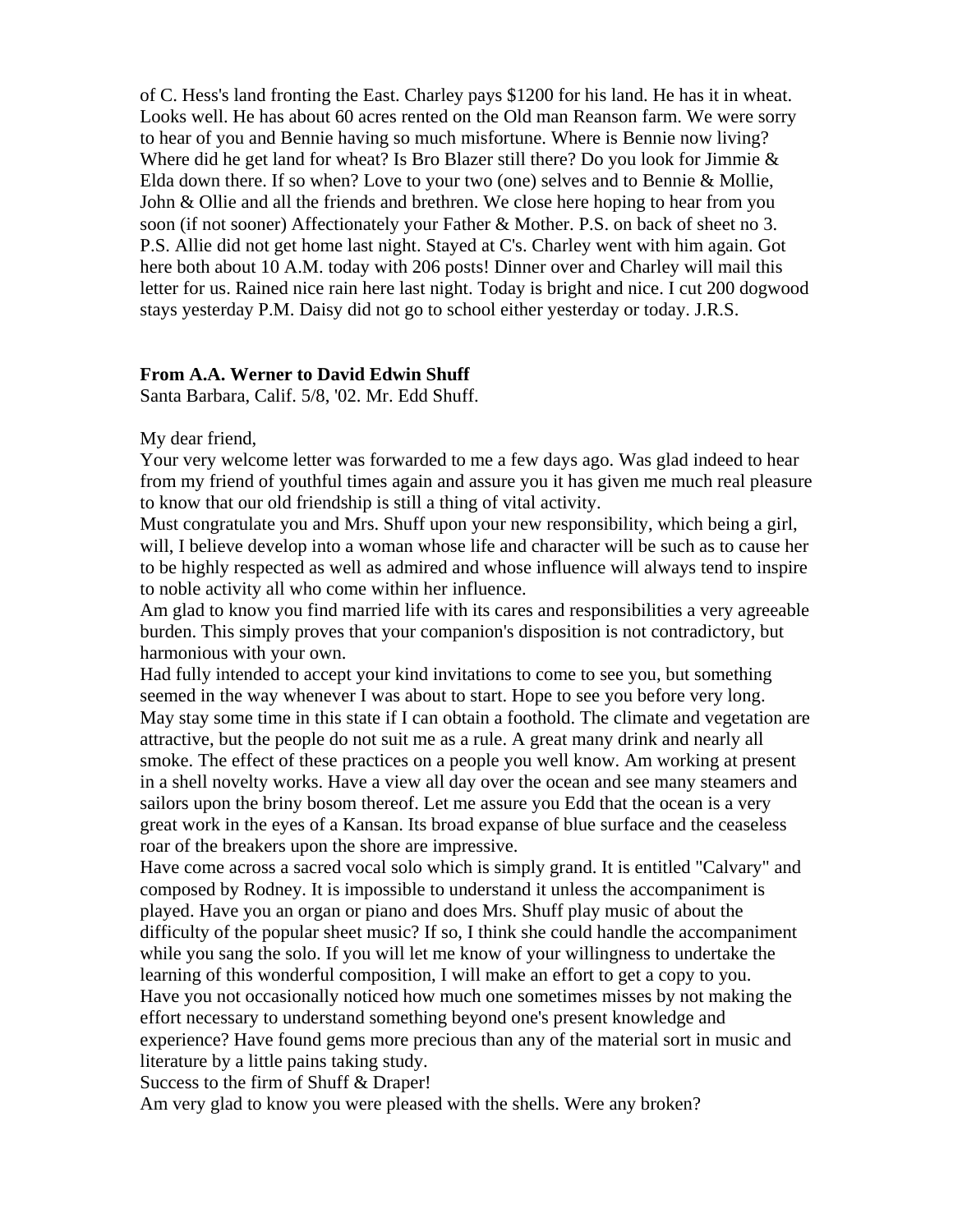of C. Hess's land fronting the East. Charley pays \$1200 for his land. He has it in wheat. Looks well. He has about 60 acres rented on the Old man Reanson farm. We were sorry to hear of you and Bennie having so much misfortune. Where is Bennie now living? Where did he get land for wheat? Is Bro Blazer still there? Do you look for Jimmie  $\&$ Elda down there. If so when? Love to your two (one) selves and to Bennie & Mollie, John & Ollie and all the friends and brethren. We close here hoping to hear from you soon (if not sooner) Affectionately your Father & Mother. P.S. on back of sheet no 3. P.S. Allie did not get home last night. Stayed at C's. Charley went with him again. Got here both about 10 A.M. today with 206 posts! Dinner over and Charley will mail this letter for us. Rained nice rain here last night. Today is bright and nice. I cut 200 dogwood stays yesterday P.M. Daisy did not go to school either yesterday or today. J.R.S.

#### **From A.A. Werner to David Edwin Shuff**

Santa Barbara, Calif. 5/8, '02. Mr. Edd Shuff.

#### My dear friend,

Your very welcome letter was forwarded to me a few days ago. Was glad indeed to hear from my friend of youthful times again and assure you it has given me much real pleasure to know that our old friendship is still a thing of vital activity.

Must congratulate you and Mrs. Shuff upon your new responsibility, which being a girl, will, I believe develop into a woman whose life and character will be such as to cause her to be highly respected as well as admired and whose influence will always tend to inspire to noble activity all who come within her influence.

Am glad to know you find married life with its cares and responsibilities a very agreeable burden. This simply proves that your companion's disposition is not contradictory, but harmonious with your own.

Had fully intended to accept your kind invitations to come to see you, but something seemed in the way whenever I was about to start. Hope to see you before very long. May stay some time in this state if I can obtain a foothold. The climate and vegetation are attractive, but the people do not suit me as a rule. A great many drink and nearly all smoke. The effect of these practices on a people you well know. Am working at present in a shell novelty works. Have a view all day over the ocean and see many steamers and sailors upon the briny bosom thereof. Let me assure you Edd that the ocean is a very great work in the eyes of a Kansan. Its broad expanse of blue surface and the ceaseless roar of the breakers upon the shore are impressive.

Have come across a sacred vocal solo which is simply grand. It is entitled "Calvary" and composed by Rodney. It is impossible to understand it unless the accompaniment is played. Have you an organ or piano and does Mrs. Shuff play music of about the difficulty of the popular sheet music? If so, I think she could handle the accompaniment while you sang the solo. If you will let me know of your willingness to undertake the learning of this wonderful composition, I will make an effort to get a copy to you. Have you not occasionally noticed how much one sometimes misses by not making the effort necessary to understand something beyond one's present knowledge and experience? Have found gems more precious than any of the material sort in music and literature by a little pains taking study.

Success to the firm of Shuff & Draper!

Am very glad to know you were pleased with the shells. Were any broken?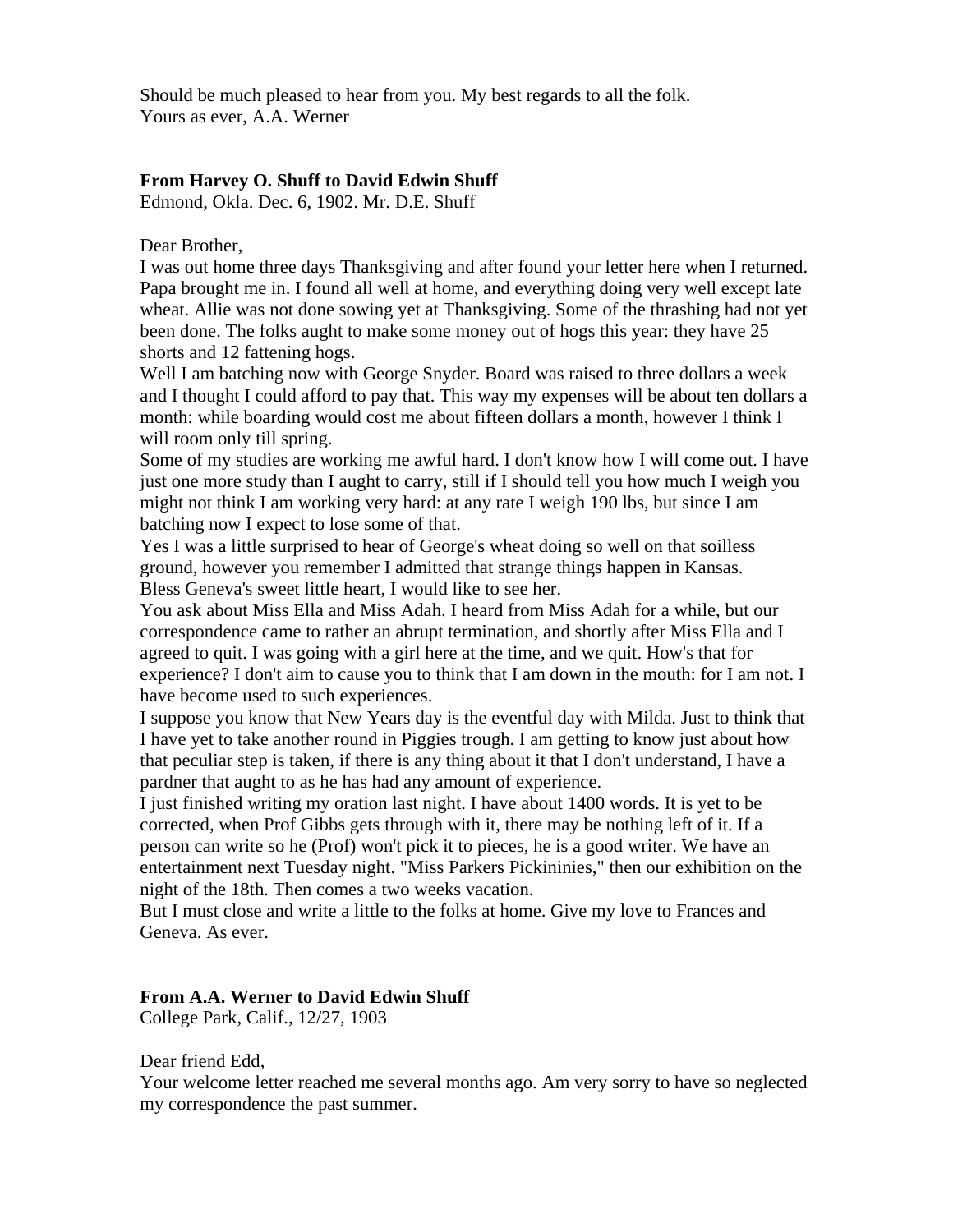Should be much pleased to hear from you. My best regards to all the folk. Yours as ever, A.A. Werner

# **From Harvey O. Shuff to David Edwin Shuff**

Edmond, Okla. Dec. 6, 1902. Mr. D.E. Shuff

Dear Brother,

I was out home three days Thanksgiving and after found your letter here when I returned. Papa brought me in. I found all well at home, and everything doing very well except late wheat. Allie was not done sowing yet at Thanksgiving. Some of the thrashing had not yet been done. The folks aught to make some money out of hogs this year: they have 25 shorts and 12 fattening hogs.

Well I am batching now with George Snyder. Board was raised to three dollars a week and I thought I could afford to pay that. This way my expenses will be about ten dollars a month: while boarding would cost me about fifteen dollars a month, however I think I will room only till spring.

Some of my studies are working me awful hard. I don't know how I will come out. I have just one more study than I aught to carry, still if I should tell you how much I weigh you might not think I am working very hard: at any rate I weigh 190 lbs, but since I am batching now I expect to lose some of that.

Yes I was a little surprised to hear of George's wheat doing so well on that soilless ground, however you remember I admitted that strange things happen in Kansas. Bless Geneva's sweet little heart, I would like to see her.

You ask about Miss Ella and Miss Adah. I heard from Miss Adah for a while, but our correspondence came to rather an abrupt termination, and shortly after Miss Ella and I agreed to quit. I was going with a girl here at the time, and we quit. How's that for experience? I don't aim to cause you to think that I am down in the mouth: for I am not. I have become used to such experiences.

I suppose you know that New Years day is the eventful day with Milda. Just to think that I have yet to take another round in Piggies trough. I am getting to know just about how that peculiar step is taken, if there is any thing about it that I don't understand, I have a pardner that aught to as he has had any amount of experience.

I just finished writing my oration last night. I have about 1400 words. It is yet to be corrected, when Prof Gibbs gets through with it, there may be nothing left of it. If a person can write so he (Prof) won't pick it to pieces, he is a good writer. We have an entertainment next Tuesday night. "Miss Parkers Pickininies," then our exhibition on the night of the 18th. Then comes a two weeks vacation.

But I must close and write a little to the folks at home. Give my love to Frances and Geneva. As ever.

## **From A.A. Werner to David Edwin Shuff**

College Park, Calif., 12/27, 1903

Dear friend Edd,

Your welcome letter reached me several months ago. Am very sorry to have so neglected my correspondence the past summer.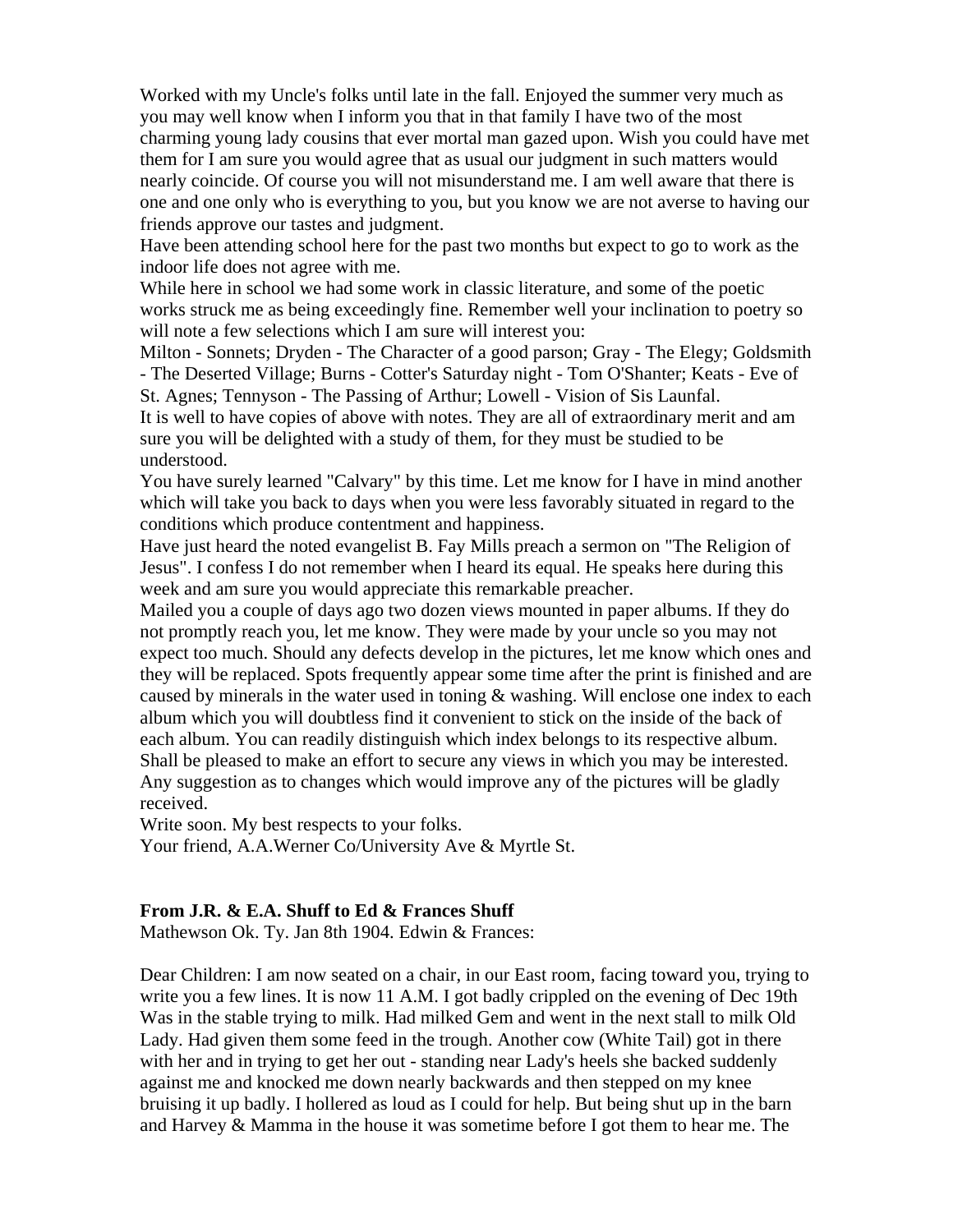Worked with my Uncle's folks until late in the fall. Enjoyed the summer very much as you may well know when I inform you that in that family I have two of the most charming young lady cousins that ever mortal man gazed upon. Wish you could have met them for I am sure you would agree that as usual our judgment in such matters would nearly coincide. Of course you will not misunderstand me. I am well aware that there is one and one only who is everything to you, but you know we are not averse to having our friends approve our tastes and judgment.

Have been attending school here for the past two months but expect to go to work as the indoor life does not agree with me.

While here in school we had some work in classic literature, and some of the poetic works struck me as being exceedingly fine. Remember well your inclination to poetry so will note a few selections which I am sure will interest you:

Milton - Sonnets; Dryden - The Character of a good parson; Gray - The Elegy; Goldsmith - The Deserted Village; Burns - Cotter's Saturday night - Tom O'Shanter; Keats - Eve of St. Agnes; Tennyson - The Passing of Arthur; Lowell - Vision of Sis Launfal.

It is well to have copies of above with notes. They are all of extraordinary merit and am sure you will be delighted with a study of them, for they must be studied to be understood.

You have surely learned "Calvary" by this time. Let me know for I have in mind another which will take you back to days when you were less favorably situated in regard to the conditions which produce contentment and happiness.

Have just heard the noted evangelist B. Fay Mills preach a sermon on "The Religion of Jesus". I confess I do not remember when I heard its equal. He speaks here during this week and am sure you would appreciate this remarkable preacher.

Mailed you a couple of days ago two dozen views mounted in paper albums. If they do not promptly reach you, let me know. They were made by your uncle so you may not expect too much. Should any defects develop in the pictures, let me know which ones and they will be replaced. Spots frequently appear some time after the print is finished and are caused by minerals in the water used in toning  $\&$  washing. Will enclose one index to each album which you will doubtless find it convenient to stick on the inside of the back of each album. You can readily distinguish which index belongs to its respective album. Shall be pleased to make an effort to secure any views in which you may be interested. Any suggestion as to changes which would improve any of the pictures will be gladly received.

Write soon. My best respects to your folks.

Your friend, A.A.Werner Co/University Ave & Myrtle St.

## **From J.R. & E.A. Shuff to Ed & Frances Shuff**

Mathewson Ok. Ty. Jan 8th 1904. Edwin & Frances:

Dear Children: I am now seated on a chair, in our East room, facing toward you, trying to write you a few lines. It is now 11 A.M. I got badly crippled on the evening of Dec 19th Was in the stable trying to milk. Had milked Gem and went in the next stall to milk Old Lady. Had given them some feed in the trough. Another cow (White Tail) got in there with her and in trying to get her out - standing near Lady's heels she backed suddenly against me and knocked me down nearly backwards and then stepped on my knee bruising it up badly. I hollered as loud as I could for help. But being shut up in the barn and Harvey & Mamma in the house it was sometime before I got them to hear me. The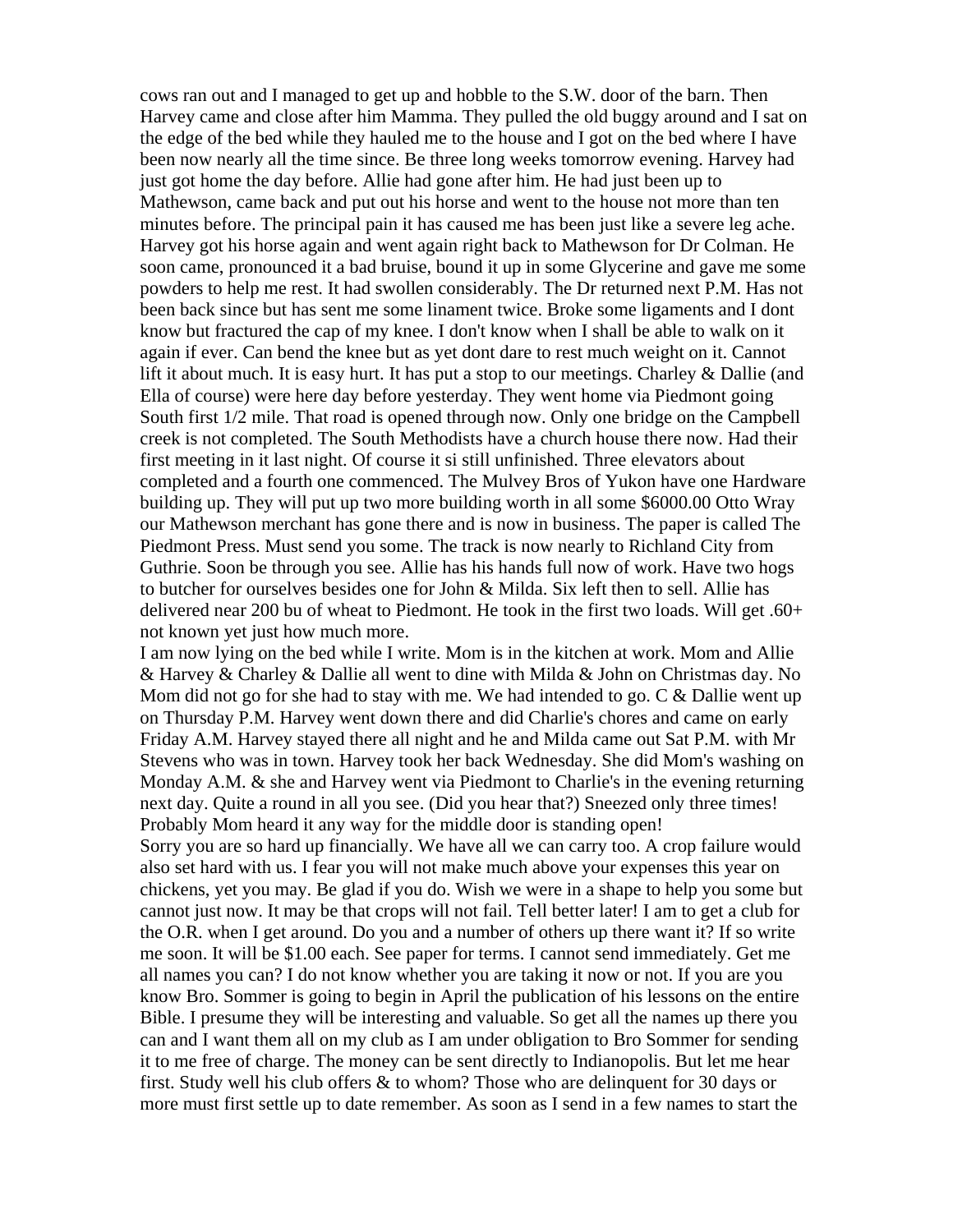cows ran out and I managed to get up and hobble to the S.W. door of the barn. Then Harvey came and close after him Mamma. They pulled the old buggy around and I sat on the edge of the bed while they hauled me to the house and I got on the bed where I have been now nearly all the time since. Be three long weeks tomorrow evening. Harvey had just got home the day before. Allie had gone after him. He had just been up to Mathewson, came back and put out his horse and went to the house not more than ten minutes before. The principal pain it has caused me has been just like a severe leg ache. Harvey got his horse again and went again right back to Mathewson for Dr Colman. He soon came, pronounced it a bad bruise, bound it up in some Glycerine and gave me some powders to help me rest. It had swollen considerably. The Dr returned next P.M. Has not been back since but has sent me some linament twice. Broke some ligaments and I dont know but fractured the cap of my knee. I don't know when I shall be able to walk on it again if ever. Can bend the knee but as yet dont dare to rest much weight on it. Cannot lift it about much. It is easy hurt. It has put a stop to our meetings. Charley & Dallie (and Ella of course) were here day before yesterday. They went home via Piedmont going South first 1/2 mile. That road is opened through now. Only one bridge on the Campbell creek is not completed. The South Methodists have a church house there now. Had their first meeting in it last night. Of course it si still unfinished. Three elevators about completed and a fourth one commenced. The Mulvey Bros of Yukon have one Hardware building up. They will put up two more building worth in all some \$6000.00 Otto Wray our Mathewson merchant has gone there and is now in business. The paper is called The Piedmont Press. Must send you some. The track is now nearly to Richland City from Guthrie. Soon be through you see. Allie has his hands full now of work. Have two hogs to butcher for ourselves besides one for John & Milda. Six left then to sell. Allie has delivered near 200 bu of wheat to Piedmont. He took in the first two loads. Will get .60+ not known yet just how much more.

I am now lying on the bed while I write. Mom is in the kitchen at work. Mom and Allie & Harvey & Charley & Dallie all went to dine with Milda & John on Christmas day. No Mom did not go for she had to stay with me. We had intended to go.  $C \& D$ allie went up on Thursday P.M. Harvey went down there and did Charlie's chores and came on early Friday A.M. Harvey stayed there all night and he and Milda came out Sat P.M. with Mr Stevens who was in town. Harvey took her back Wednesday. She did Mom's washing on Monday A.M. & she and Harvey went via Piedmont to Charlie's in the evening returning next day. Quite a round in all you see. (Did you hear that?) Sneezed only three times! Probably Mom heard it any way for the middle door is standing open!

Sorry you are so hard up financially. We have all we can carry too. A crop failure would also set hard with us. I fear you will not make much above your expenses this year on chickens, yet you may. Be glad if you do. Wish we were in a shape to help you some but cannot just now. It may be that crops will not fail. Tell better later! I am to get a club for the O.R. when I get around. Do you and a number of others up there want it? If so write me soon. It will be \$1.00 each. See paper for terms. I cannot send immediately. Get me all names you can? I do not know whether you are taking it now or not. If you are you know Bro. Sommer is going to begin in April the publication of his lessons on the entire Bible. I presume they will be interesting and valuable. So get all the names up there you can and I want them all on my club as I am under obligation to Bro Sommer for sending it to me free of charge. The money can be sent directly to Indianopolis. But let me hear first. Study well his club offers & to whom? Those who are delinquent for 30 days or more must first settle up to date remember. As soon as I send in a few names to start the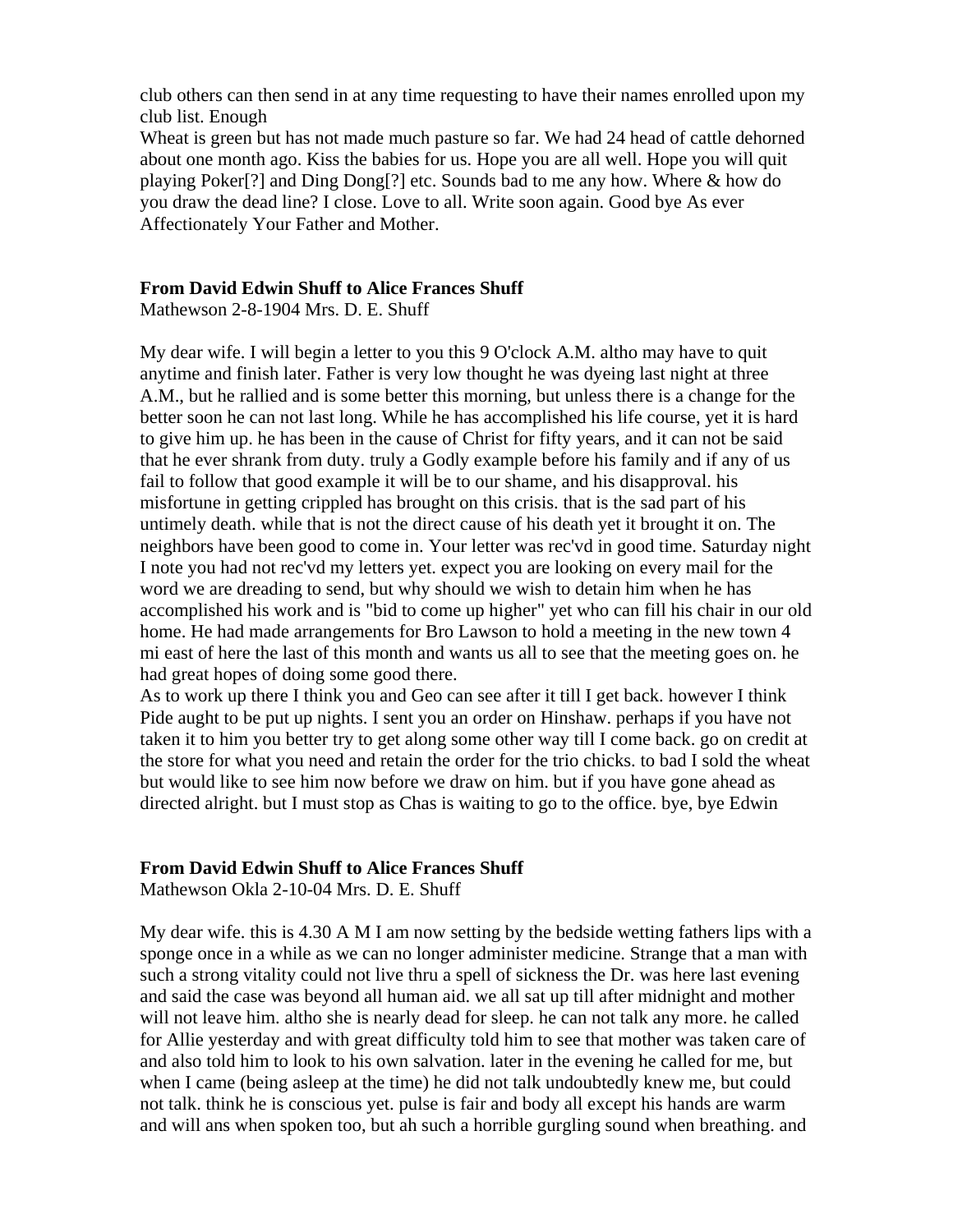club others can then send in at any time requesting to have their names enrolled upon my club list. Enough

Wheat is green but has not made much pasture so far. We had 24 head of cattle dehorned about one month ago. Kiss the babies for us. Hope you are all well. Hope you will quit playing Poker[?] and Ding Dong[?] etc. Sounds bad to me any how. Where & how do you draw the dead line? I close. Love to all. Write soon again. Good bye As ever Affectionately Your Father and Mother.

#### **From David Edwin Shuff to Alice Frances Shuff**

Mathewson 2-8-1904 Mrs. D. E. Shuff

My dear wife. I will begin a letter to you this 9 O'clock A.M. altho may have to quit anytime and finish later. Father is very low thought he was dyeing last night at three A.M., but he rallied and is some better this morning, but unless there is a change for the better soon he can not last long. While he has accomplished his life course, yet it is hard to give him up. he has been in the cause of Christ for fifty years, and it can not be said that he ever shrank from duty. truly a Godly example before his family and if any of us fail to follow that good example it will be to our shame, and his disapproval. his misfortune in getting crippled has brought on this crisis. that is the sad part of his untimely death. while that is not the direct cause of his death yet it brought it on. The neighbors have been good to come in. Your letter was rec'vd in good time. Saturday night I note you had not rec'vd my letters yet. expect you are looking on every mail for the word we are dreading to send, but why should we wish to detain him when he has accomplished his work and is "bid to come up higher" yet who can fill his chair in our old home. He had made arrangements for Bro Lawson to hold a meeting in the new town 4 mi east of here the last of this month and wants us all to see that the meeting goes on. he had great hopes of doing some good there.

As to work up there I think you and Geo can see after it till I get back. however I think Pide aught to be put up nights. I sent you an order on Hinshaw. perhaps if you have not taken it to him you better try to get along some other way till I come back. go on credit at the store for what you need and retain the order for the trio chicks. to bad I sold the wheat but would like to see him now before we draw on him. but if you have gone ahead as directed alright. but I must stop as Chas is waiting to go to the office. bye, bye Edwin

#### **From David Edwin Shuff to Alice Frances Shuff**

Mathewson Okla 2-10-04 Mrs. D. E. Shuff

My dear wife. this is 4.30 A M I am now setting by the bedside wetting fathers lips with a sponge once in a while as we can no longer administer medicine. Strange that a man with such a strong vitality could not live thru a spell of sickness the Dr. was here last evening and said the case was beyond all human aid. we all sat up till after midnight and mother will not leave him. altho she is nearly dead for sleep. he can not talk any more. he called for Allie yesterday and with great difficulty told him to see that mother was taken care of and also told him to look to his own salvation. later in the evening he called for me, but when I came (being asleep at the time) he did not talk undoubtedly knew me, but could not talk. think he is conscious yet. pulse is fair and body all except his hands are warm and will ans when spoken too, but ah such a horrible gurgling sound when breathing. and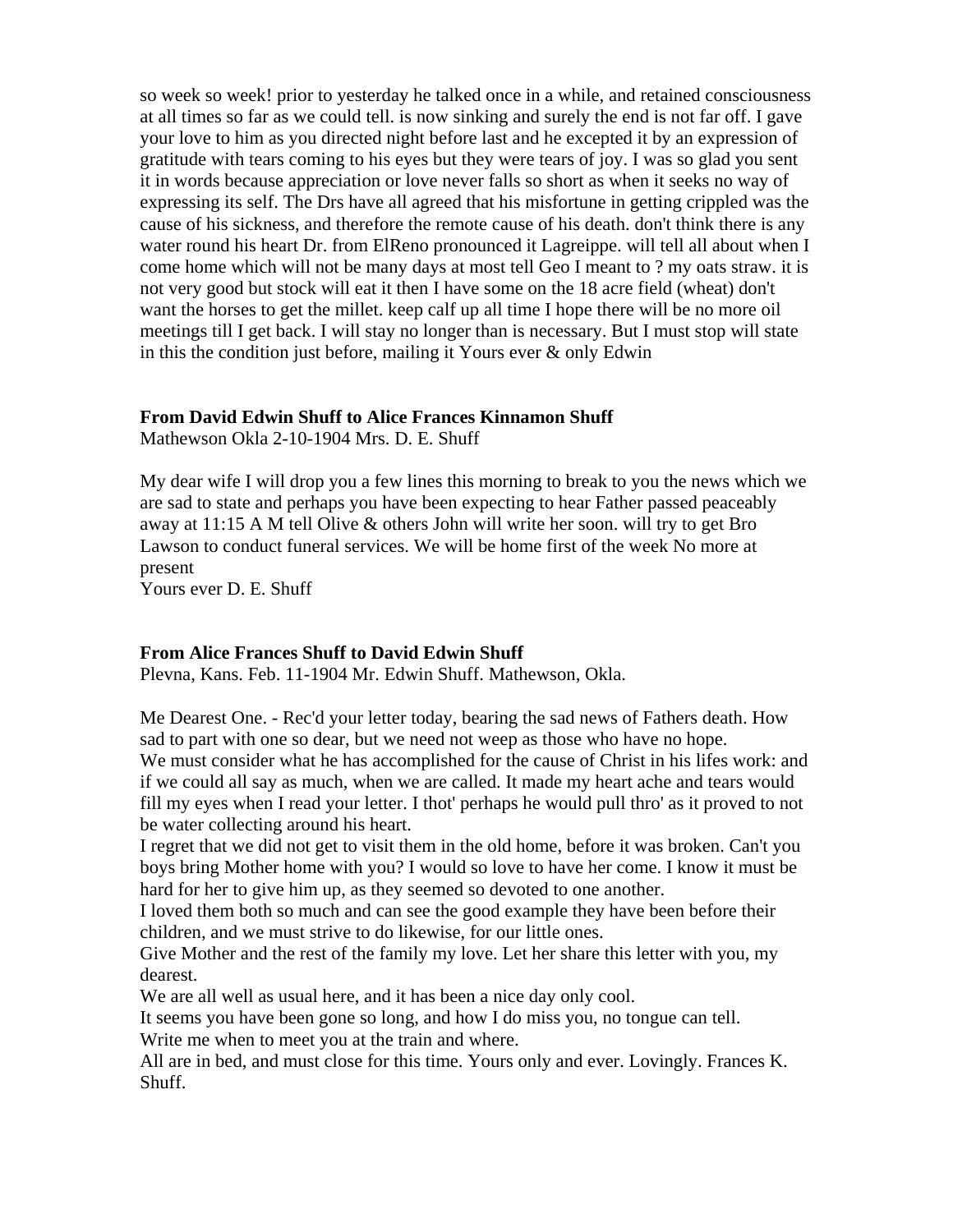so week so week! prior to yesterday he talked once in a while, and retained consciousness at all times so far as we could tell. is now sinking and surely the end is not far off. I gave your love to him as you directed night before last and he excepted it by an expression of gratitude with tears coming to his eyes but they were tears of joy. I was so glad you sent it in words because appreciation or love never falls so short as when it seeks no way of expressing its self. The Drs have all agreed that his misfortune in getting crippled was the cause of his sickness, and therefore the remote cause of his death. don't think there is any water round his heart Dr. from ElReno pronounced it Lagreippe. will tell all about when I come home which will not be many days at most tell Geo I meant to ? my oats straw. it is not very good but stock will eat it then I have some on the 18 acre field (wheat) don't want the horses to get the millet. keep calf up all time I hope there will be no more oil meetings till I get back. I will stay no longer than is necessary. But I must stop will state in this the condition just before, mailing it Yours ever & only Edwin

#### **From David Edwin Shuff to Alice Frances Kinnamon Shuff**

Mathewson Okla 2-10-1904 Mrs. D. E. Shuff

My dear wife I will drop you a few lines this morning to break to you the news which we are sad to state and perhaps you have been expecting to hear Father passed peaceably away at 11:15 A M tell Olive & others John will write her soon. will try to get Bro Lawson to conduct funeral services. We will be home first of the week No more at present

Yours ever D. E. Shuff

#### **From Alice Frances Shuff to David Edwin Shuff**

Plevna, Kans. Feb. 11-1904 Mr. Edwin Shuff. Mathewson, Okla.

Me Dearest One. - Rec'd your letter today, bearing the sad news of Fathers death. How sad to part with one so dear, but we need not weep as those who have no hope. We must consider what he has accomplished for the cause of Christ in his lifes work: and if we could all say as much, when we are called. It made my heart ache and tears would fill my eyes when I read your letter. I thot' perhaps he would pull thro' as it proved to not be water collecting around his heart.

I regret that we did not get to visit them in the old home, before it was broken. Can't you boys bring Mother home with you? I would so love to have her come. I know it must be hard for her to give him up, as they seemed so devoted to one another.

I loved them both so much and can see the good example they have been before their children, and we must strive to do likewise, for our little ones.

Give Mother and the rest of the family my love. Let her share this letter with you, my dearest.

We are all well as usual here, and it has been a nice day only cool.

It seems you have been gone so long, and how I do miss you, no tongue can tell. Write me when to meet you at the train and where.

All are in bed, and must close for this time. Yours only and ever. Lovingly. Frances K. Shuff.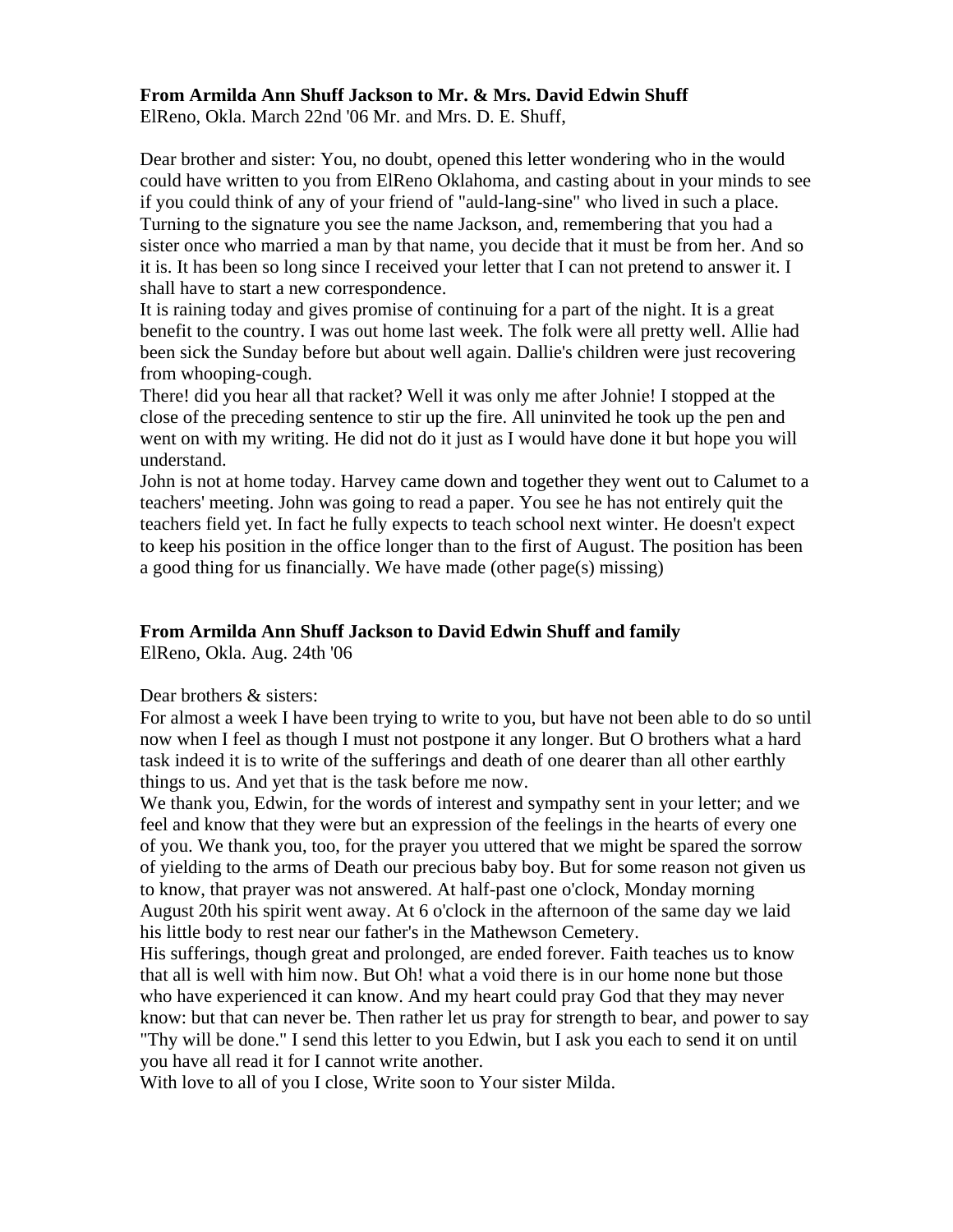## **From Armilda Ann Shuff Jackson to Mr. & Mrs. David Edwin Shuff**

ElReno, Okla. March 22nd '06 Mr. and Mrs. D. E. Shuff,

Dear brother and sister: You, no doubt, opened this letter wondering who in the would could have written to you from ElReno Oklahoma, and casting about in your minds to see if you could think of any of your friend of "auld-lang-sine" who lived in such a place. Turning to the signature you see the name Jackson, and, remembering that you had a sister once who married a man by that name, you decide that it must be from her. And so it is. It has been so long since I received your letter that I can not pretend to answer it. I shall have to start a new correspondence.

It is raining today and gives promise of continuing for a part of the night. It is a great benefit to the country. I was out home last week. The folk were all pretty well. Allie had been sick the Sunday before but about well again. Dallie's children were just recovering from whooping-cough.

There! did you hear all that racket? Well it was only me after Johnie! I stopped at the close of the preceding sentence to stir up the fire. All uninvited he took up the pen and went on with my writing. He did not do it just as I would have done it but hope you will understand.

John is not at home today. Harvey came down and together they went out to Calumet to a teachers' meeting. John was going to read a paper. You see he has not entirely quit the teachers field yet. In fact he fully expects to teach school next winter. He doesn't expect to keep his position in the office longer than to the first of August. The position has been a good thing for us financially. We have made (other page(s) missing)

## **From Armilda Ann Shuff Jackson to David Edwin Shuff and family**

ElReno, Okla. Aug. 24th '06

## Dear brothers & sisters:

For almost a week I have been trying to write to you, but have not been able to do so until now when I feel as though I must not postpone it any longer. But O brothers what a hard task indeed it is to write of the sufferings and death of one dearer than all other earthly things to us. And yet that is the task before me now.

We thank you, Edwin, for the words of interest and sympathy sent in your letter; and we feel and know that they were but an expression of the feelings in the hearts of every one of you. We thank you, too, for the prayer you uttered that we might be spared the sorrow of yielding to the arms of Death our precious baby boy. But for some reason not given us to know, that prayer was not answered. At half-past one o'clock, Monday morning August 20th his spirit went away. At 6 o'clock in the afternoon of the same day we laid his little body to rest near our father's in the Mathewson Cemetery.

His sufferings, though great and prolonged, are ended forever. Faith teaches us to know that all is well with him now. But Oh! what a void there is in our home none but those who have experienced it can know. And my heart could pray God that they may never know: but that can never be. Then rather let us pray for strength to bear, and power to say "Thy will be done." I send this letter to you Edwin, but I ask you each to send it on until you have all read it for I cannot write another.

With love to all of you I close, Write soon to Your sister Milda.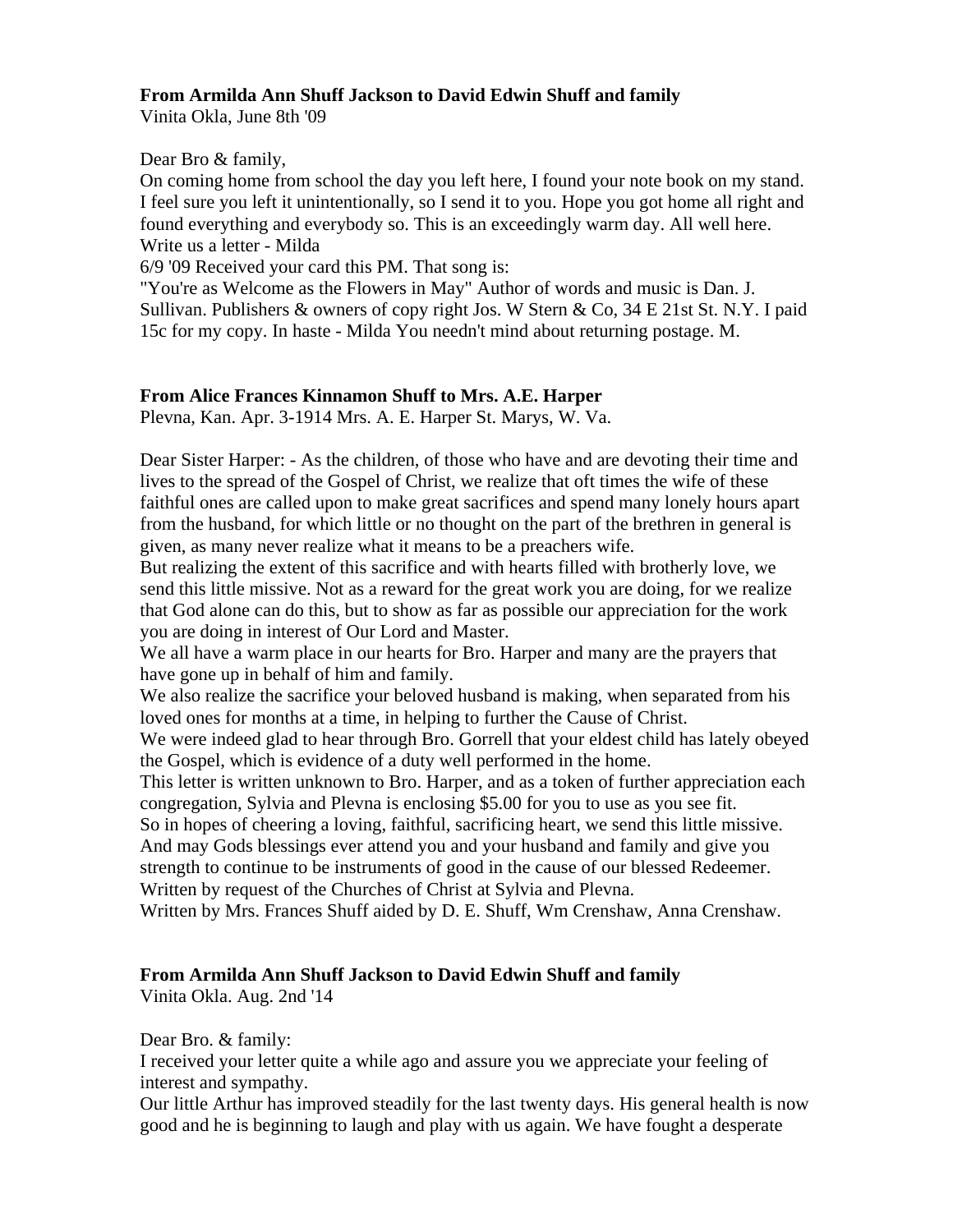# **From Armilda Ann Shuff Jackson to David Edwin Shuff and family**

Vinita Okla, June 8th '09

# Dear Bro & family,

On coming home from school the day you left here, I found your note book on my stand. I feel sure you left it unintentionally, so I send it to you. Hope you got home all right and found everything and everybody so. This is an exceedingly warm day. All well here. Write us a letter - Milda

6/9 '09 Received your card this PM. That song is:

"You're as Welcome as the Flowers in May" Author of words and music is Dan. J. Sullivan. Publishers & owners of copy right Jos. W Stern & Co, 34 E 21st St. N.Y. I paid 15c for my copy. In haste - Milda You needn't mind about returning postage. M.

# **From Alice Frances Kinnamon Shuff to Mrs. A.E. Harper**

Plevna, Kan. Apr. 3-1914 Mrs. A. E. Harper St. Marys, W. Va.

Dear Sister Harper: - As the children, of those who have and are devoting their time and lives to the spread of the Gospel of Christ, we realize that oft times the wife of these faithful ones are called upon to make great sacrifices and spend many lonely hours apart from the husband, for which little or no thought on the part of the brethren in general is given, as many never realize what it means to be a preachers wife.

But realizing the extent of this sacrifice and with hearts filled with brotherly love, we send this little missive. Not as a reward for the great work you are doing, for we realize that God alone can do this, but to show as far as possible our appreciation for the work you are doing in interest of Our Lord and Master.

We all have a warm place in our hearts for Bro. Harper and many are the prayers that have gone up in behalf of him and family.

We also realize the sacrifice your beloved husband is making, when separated from his loved ones for months at a time, in helping to further the Cause of Christ.

We were indeed glad to hear through Bro. Gorrell that your eldest child has lately obeyed the Gospel, which is evidence of a duty well performed in the home.

This letter is written unknown to Bro. Harper, and as a token of further appreciation each congregation, Sylvia and Plevna is enclosing \$5.00 for you to use as you see fit.

So in hopes of cheering a loving, faithful, sacrificing heart, we send this little missive.

And may Gods blessings ever attend you and your husband and family and give you strength to continue to be instruments of good in the cause of our blessed Redeemer. Written by request of the Churches of Christ at Sylvia and Plevna.

Written by Mrs. Frances Shuff aided by D. E. Shuff, Wm Crenshaw, Anna Crenshaw.

# **From Armilda Ann Shuff Jackson to David Edwin Shuff and family**

Vinita Okla. Aug. 2nd '14

Dear Bro. & family:

I received your letter quite a while ago and assure you we appreciate your feeling of interest and sympathy.

Our little Arthur has improved steadily for the last twenty days. His general health is now good and he is beginning to laugh and play with us again. We have fought a desperate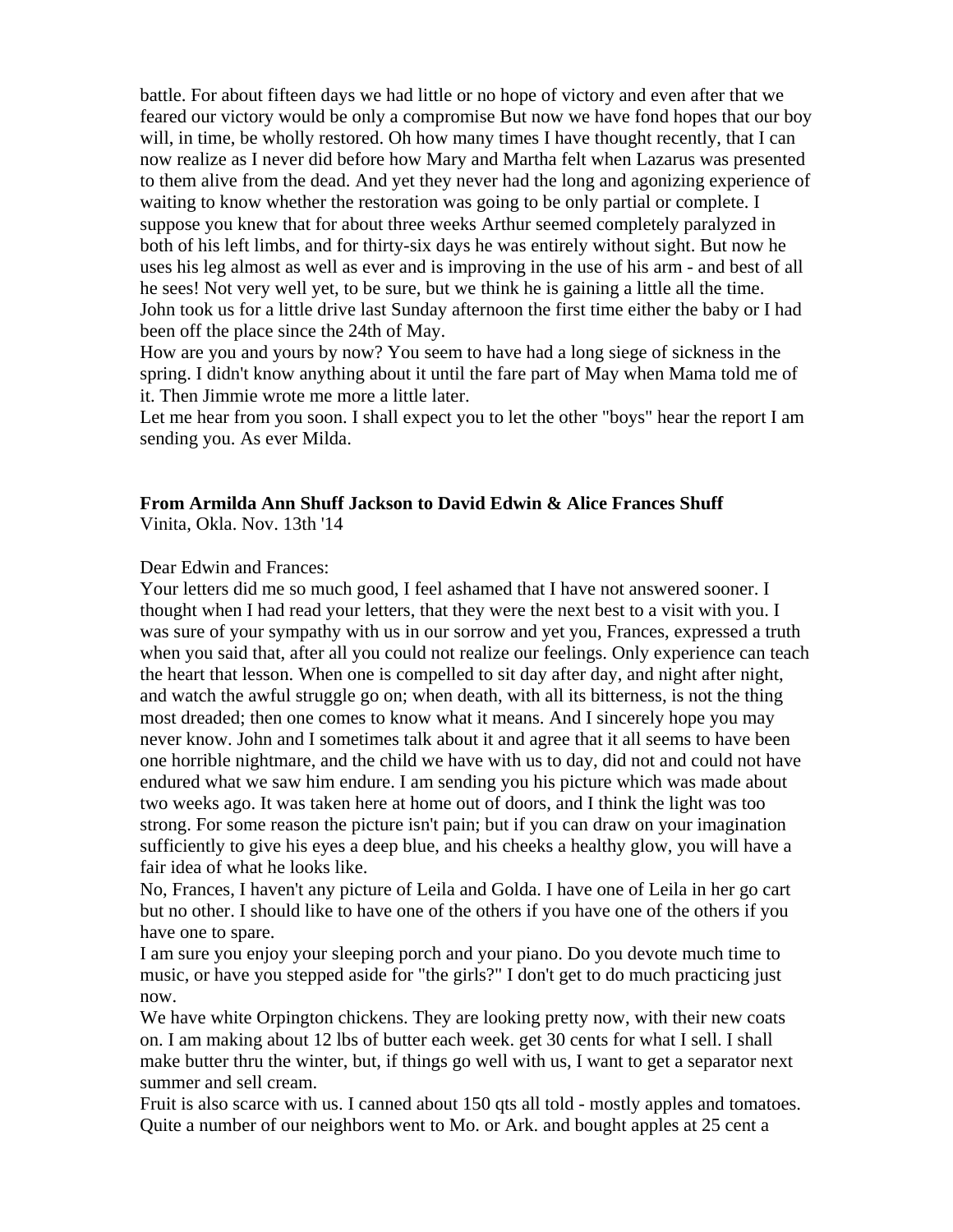battle. For about fifteen days we had little or no hope of victory and even after that we feared our victory would be only a compromise But now we have fond hopes that our boy will, in time, be wholly restored. Oh how many times I have thought recently, that I can now realize as I never did before how Mary and Martha felt when Lazarus was presented to them alive from the dead. And yet they never had the long and agonizing experience of waiting to know whether the restoration was going to be only partial or complete. I suppose you knew that for about three weeks Arthur seemed completely paralyzed in both of his left limbs, and for thirty-six days he was entirely without sight. But now he uses his leg almost as well as ever and is improving in the use of his arm - and best of all he sees! Not very well yet, to be sure, but we think he is gaining a little all the time. John took us for a little drive last Sunday afternoon the first time either the baby or I had been off the place since the 24th of May.

How are you and yours by now? You seem to have had a long siege of sickness in the spring. I didn't know anything about it until the fare part of May when Mama told me of it. Then Jimmie wrote me more a little later.

Let me hear from you soon. I shall expect you to let the other "boys" hear the report I am sending you. As ever Milda.

#### **From Armilda Ann Shuff Jackson to David Edwin & Alice Frances Shuff**

Vinita, Okla. Nov. 13th '14

#### Dear Edwin and Frances:

Your letters did me so much good, I feel ashamed that I have not answered sooner. I thought when I had read your letters, that they were the next best to a visit with you. I was sure of your sympathy with us in our sorrow and yet you, Frances, expressed a truth when you said that, after all you could not realize our feelings. Only experience can teach the heart that lesson. When one is compelled to sit day after day, and night after night, and watch the awful struggle go on; when death, with all its bitterness, is not the thing most dreaded; then one comes to know what it means. And I sincerely hope you may never know. John and I sometimes talk about it and agree that it all seems to have been one horrible nightmare, and the child we have with us to day, did not and could not have endured what we saw him endure. I am sending you his picture which was made about two weeks ago. It was taken here at home out of doors, and I think the light was too strong. For some reason the picture isn't pain; but if you can draw on your imagination sufficiently to give his eyes a deep blue, and his cheeks a healthy glow, you will have a fair idea of what he looks like.

No, Frances, I haven't any picture of Leila and Golda. I have one of Leila in her go cart but no other. I should like to have one of the others if you have one of the others if you have one to spare.

I am sure you enjoy your sleeping porch and your piano. Do you devote much time to music, or have you stepped aside for "the girls?" I don't get to do much practicing just now.

We have white Orpington chickens. They are looking pretty now, with their new coats on. I am making about 12 lbs of butter each week. get 30 cents for what I sell. I shall make butter thru the winter, but, if things go well with us, I want to get a separator next summer and sell cream.

Fruit is also scarce with us. I canned about 150 qts all told - mostly apples and tomatoes. Quite a number of our neighbors went to Mo. or Ark. and bought apples at 25 cent a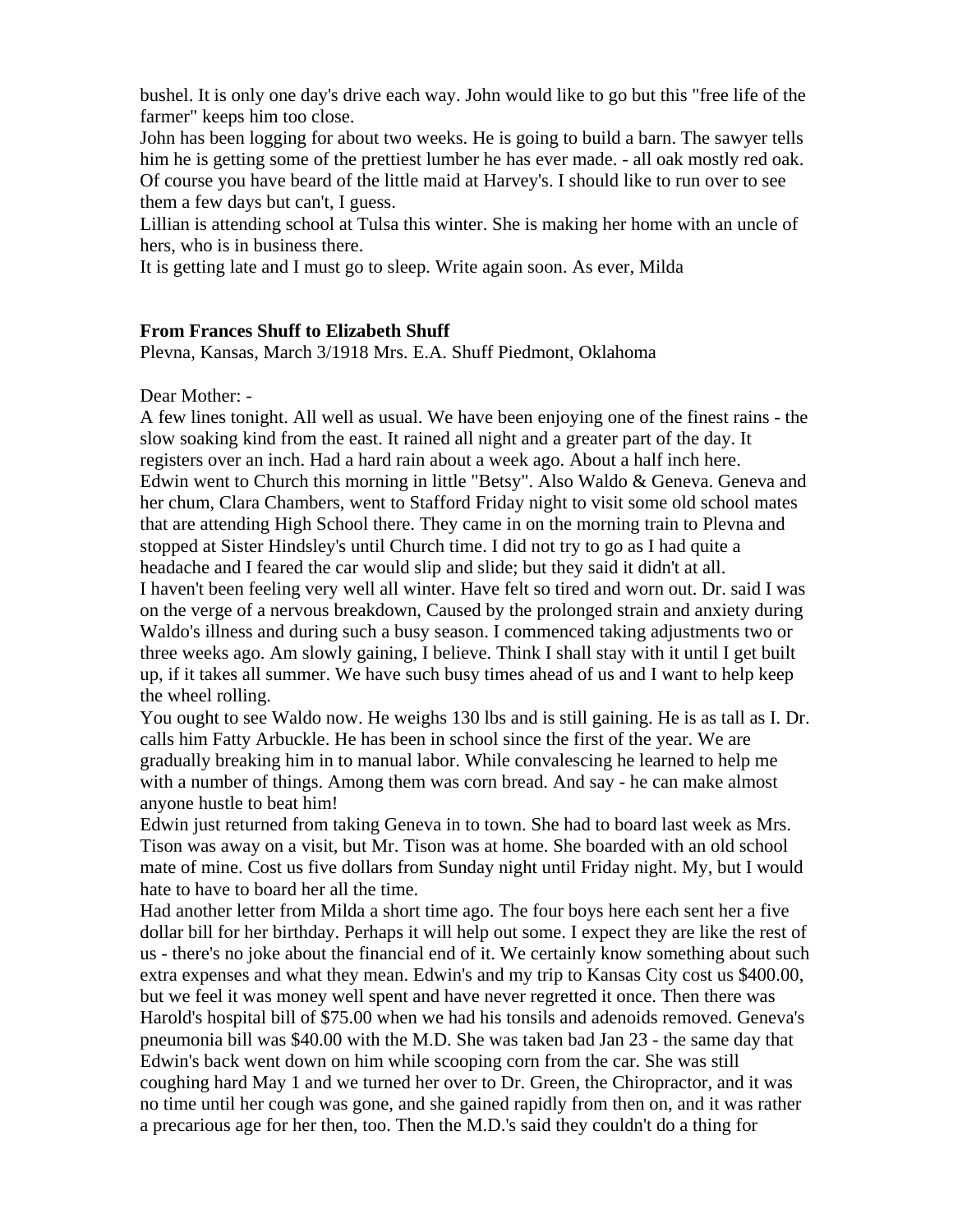bushel. It is only one day's drive each way. John would like to go but this "free life of the farmer" keeps him too close.

John has been logging for about two weeks. He is going to build a barn. The sawyer tells him he is getting some of the prettiest lumber he has ever made. - all oak mostly red oak. Of course you have beard of the little maid at Harvey's. I should like to run over to see them a few days but can't, I guess.

Lillian is attending school at Tulsa this winter. She is making her home with an uncle of hers, who is in business there.

It is getting late and I must go to sleep. Write again soon. As ever, Milda

# **From Frances Shuff to Elizabeth Shuff**

Plevna, Kansas, March 3/1918 Mrs. E.A. Shuff Piedmont, Oklahoma

# Dear Mother: -

A few lines tonight. All well as usual. We have been enjoying one of the finest rains - the slow soaking kind from the east. It rained all night and a greater part of the day. It registers over an inch. Had a hard rain about a week ago. About a half inch here. Edwin went to Church this morning in little "Betsy". Also Waldo & Geneva. Geneva and her chum, Clara Chambers, went to Stafford Friday night to visit some old school mates that are attending High School there. They came in on the morning train to Plevna and stopped at Sister Hindsley's until Church time. I did not try to go as I had quite a headache and I feared the car would slip and slide; but they said it didn't at all. I haven't been feeling very well all winter. Have felt so tired and worn out. Dr. said I was on the verge of a nervous breakdown, Caused by the prolonged strain and anxiety during Waldo's illness and during such a busy season. I commenced taking adjustments two or three weeks ago. Am slowly gaining, I believe. Think I shall stay with it until I get built up, if it takes all summer. We have such busy times ahead of us and I want to help keep the wheel rolling.

You ought to see Waldo now. He weighs 130 lbs and is still gaining. He is as tall as I. Dr. calls him Fatty Arbuckle. He has been in school since the first of the year. We are gradually breaking him in to manual labor. While convalescing he learned to help me with a number of things. Among them was corn bread. And say - he can make almost anyone hustle to beat him!

Edwin just returned from taking Geneva in to town. She had to board last week as Mrs. Tison was away on a visit, but Mr. Tison was at home. She boarded with an old school mate of mine. Cost us five dollars from Sunday night until Friday night. My, but I would hate to have to board her all the time.

Had another letter from Milda a short time ago. The four boys here each sent her a five dollar bill for her birthday. Perhaps it will help out some. I expect they are like the rest of us - there's no joke about the financial end of it. We certainly know something about such extra expenses and what they mean. Edwin's and my trip to Kansas City cost us \$400.00, but we feel it was money well spent and have never regretted it once. Then there was Harold's hospital bill of \$75.00 when we had his tonsils and adenoids removed. Geneva's pneumonia bill was \$40.00 with the M.D. She was taken bad Jan 23 - the same day that Edwin's back went down on him while scooping corn from the car. She was still coughing hard May 1 and we turned her over to Dr. Green, the Chiropractor, and it was no time until her cough was gone, and she gained rapidly from then on, and it was rather a precarious age for her then, too. Then the M.D.'s said they couldn't do a thing for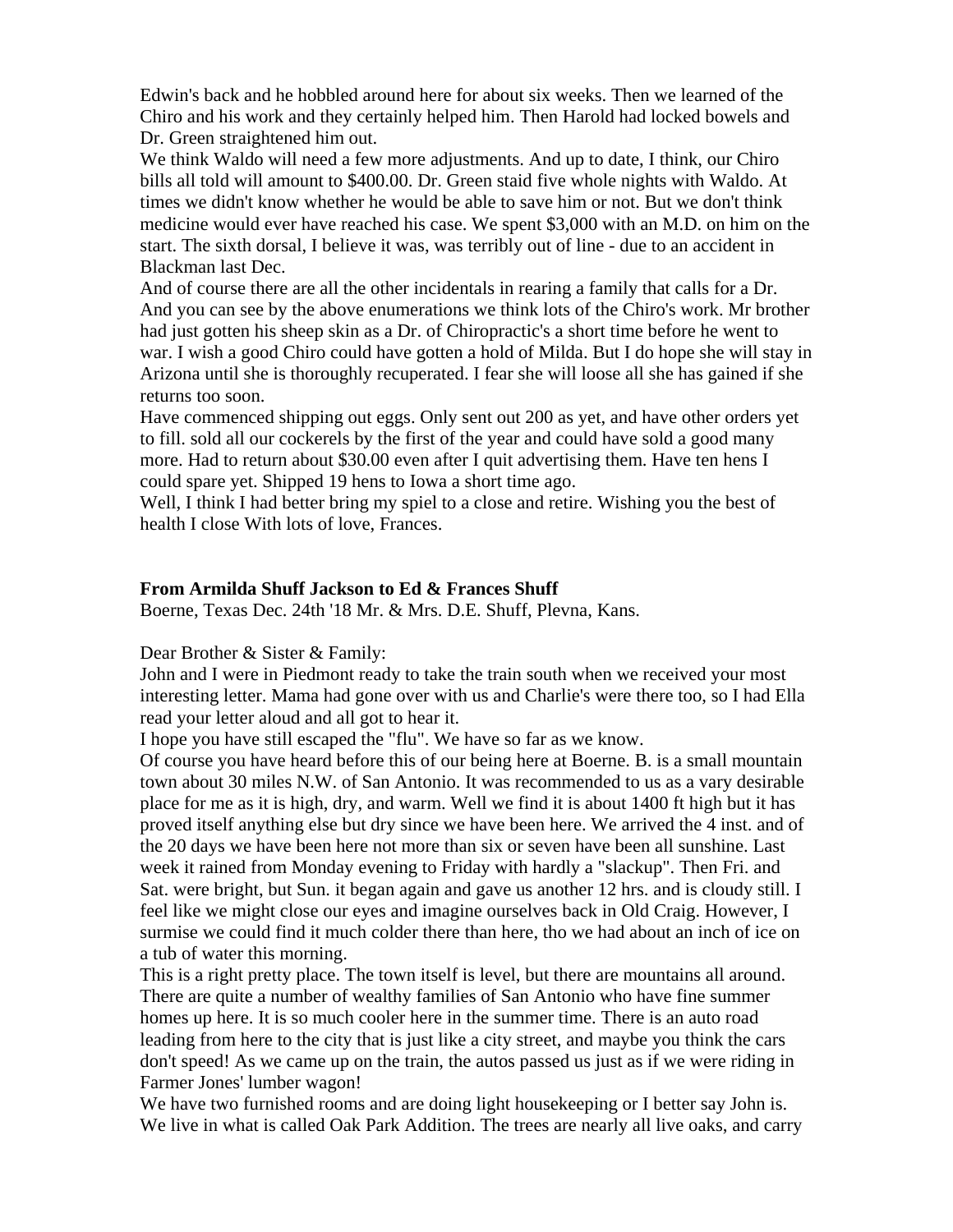Edwin's back and he hobbled around here for about six weeks. Then we learned of the Chiro and his work and they certainly helped him. Then Harold had locked bowels and Dr. Green straightened him out.

We think Waldo will need a few more adjustments. And up to date, I think, our Chiro bills all told will amount to \$400.00. Dr. Green staid five whole nights with Waldo. At times we didn't know whether he would be able to save him or not. But we don't think medicine would ever have reached his case. We spent \$3,000 with an M.D. on him on the start. The sixth dorsal, I believe it was, was terribly out of line - due to an accident in Blackman last Dec.

And of course there are all the other incidentals in rearing a family that calls for a Dr. And you can see by the above enumerations we think lots of the Chiro's work. Mr brother had just gotten his sheep skin as a Dr. of Chiropractic's a short time before he went to war. I wish a good Chiro could have gotten a hold of Milda. But I do hope she will stay in Arizona until she is thoroughly recuperated. I fear she will loose all she has gained if she returns too soon.

Have commenced shipping out eggs. Only sent out 200 as yet, and have other orders yet to fill. sold all our cockerels by the first of the year and could have sold a good many more. Had to return about \$30.00 even after I quit advertising them. Have ten hens I could spare yet. Shipped 19 hens to Iowa a short time ago.

Well, I think I had better bring my spiel to a close and retire. Wishing you the best of health I close With lots of love, Frances.

## **From Armilda Shuff Jackson to Ed & Frances Shuff**

Boerne, Texas Dec. 24th '18 Mr. & Mrs. D.E. Shuff, Plevna, Kans.

Dear Brother & Sister & Family:

John and I were in Piedmont ready to take the train south when we received your most interesting letter. Mama had gone over with us and Charlie's were there too, so I had Ella read your letter aloud and all got to hear it.

I hope you have still escaped the "flu". We have so far as we know.

Of course you have heard before this of our being here at Boerne. B. is a small mountain town about 30 miles N.W. of San Antonio. It was recommended to us as a vary desirable place for me as it is high, dry, and warm. Well we find it is about 1400 ft high but it has proved itself anything else but dry since we have been here. We arrived the 4 inst. and of the 20 days we have been here not more than six or seven have been all sunshine. Last week it rained from Monday evening to Friday with hardly a "slackup". Then Fri. and Sat. were bright, but Sun. it began again and gave us another 12 hrs. and is cloudy still. I feel like we might close our eyes and imagine ourselves back in Old Craig. However, I surmise we could find it much colder there than here, tho we had about an inch of ice on a tub of water this morning.

This is a right pretty place. The town itself is level, but there are mountains all around. There are quite a number of wealthy families of San Antonio who have fine summer homes up here. It is so much cooler here in the summer time. There is an auto road leading from here to the city that is just like a city street, and maybe you think the cars don't speed! As we came up on the train, the autos passed us just as if we were riding in Farmer Jones' lumber wagon!

We have two furnished rooms and are doing light housekeeping or I better say John is. We live in what is called Oak Park Addition. The trees are nearly all live oaks, and carry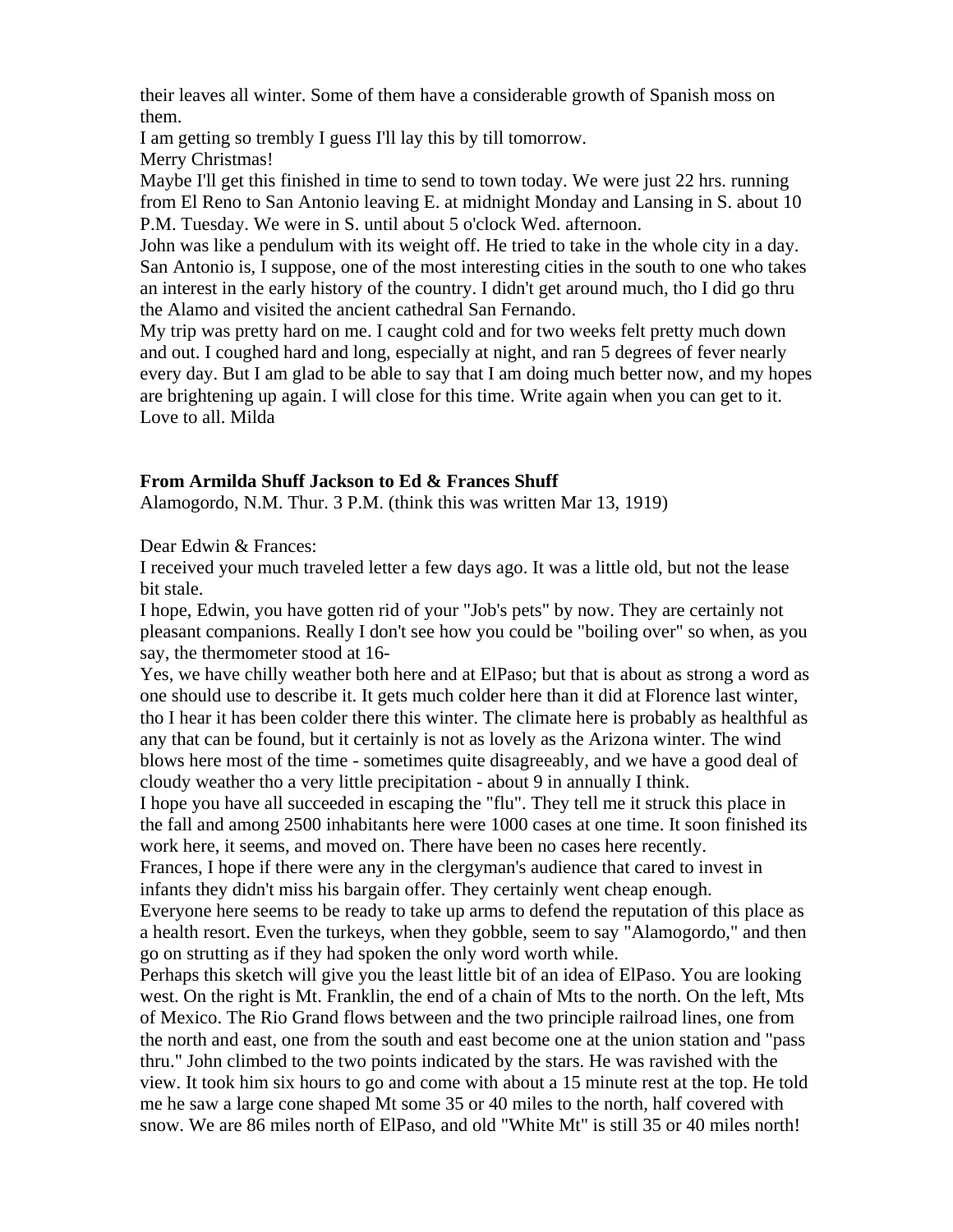their leaves all winter. Some of them have a considerable growth of Spanish moss on them.

I am getting so trembly I guess I'll lay this by till tomorrow.

Merry Christmas!

Maybe I'll get this finished in time to send to town today. We were just 22 hrs. running from El Reno to San Antonio leaving E. at midnight Monday and Lansing in S. about 10 P.M. Tuesday. We were in S. until about 5 o'clock Wed. afternoon.

John was like a pendulum with its weight off. He tried to take in the whole city in a day. San Antonio is, I suppose, one of the most interesting cities in the south to one who takes an interest in the early history of the country. I didn't get around much, tho I did go thru the Alamo and visited the ancient cathedral San Fernando.

My trip was pretty hard on me. I caught cold and for two weeks felt pretty much down and out. I coughed hard and long, especially at night, and ran 5 degrees of fever nearly every day. But I am glad to be able to say that I am doing much better now, and my hopes are brightening up again. I will close for this time. Write again when you can get to it. Love to all. Milda

# **From Armilda Shuff Jackson to Ed & Frances Shuff**

Alamogordo, N.M. Thur. 3 P.M. (think this was written Mar 13, 1919)

Dear Edwin & Frances:

I received your much traveled letter a few days ago. It was a little old, but not the lease bit stale.

I hope, Edwin, you have gotten rid of your "Job's pets" by now. They are certainly not pleasant companions. Really I don't see how you could be "boiling over" so when, as you say, the thermometer stood at 16-

Yes, we have chilly weather both here and at ElPaso; but that is about as strong a word as one should use to describe it. It gets much colder here than it did at Florence last winter, tho I hear it has been colder there this winter. The climate here is probably as healthful as any that can be found, but it certainly is not as lovely as the Arizona winter. The wind blows here most of the time - sometimes quite disagreeably, and we have a good deal of cloudy weather tho a very little precipitation - about 9 in annually I think.

I hope you have all succeeded in escaping the "flu". They tell me it struck this place in the fall and among 2500 inhabitants here were 1000 cases at one time. It soon finished its work here, it seems, and moved on. There have been no cases here recently.

Frances, I hope if there were any in the clergyman's audience that cared to invest in infants they didn't miss his bargain offer. They certainly went cheap enough.

Everyone here seems to be ready to take up arms to defend the reputation of this place as a health resort. Even the turkeys, when they gobble, seem to say "Alamogordo," and then go on strutting as if they had spoken the only word worth while.

Perhaps this sketch will give you the least little bit of an idea of ElPaso. You are looking west. On the right is Mt. Franklin, the end of a chain of Mts to the north. On the left, Mts of Mexico. The Rio Grand flows between and the two principle railroad lines, one from the north and east, one from the south and east become one at the union station and "pass thru." John climbed to the two points indicated by the stars. He was ravished with the view. It took him six hours to go and come with about a 15 minute rest at the top. He told me he saw a large cone shaped Mt some 35 or 40 miles to the north, half covered with snow. We are 86 miles north of ElPaso, and old "White Mt" is still 35 or 40 miles north!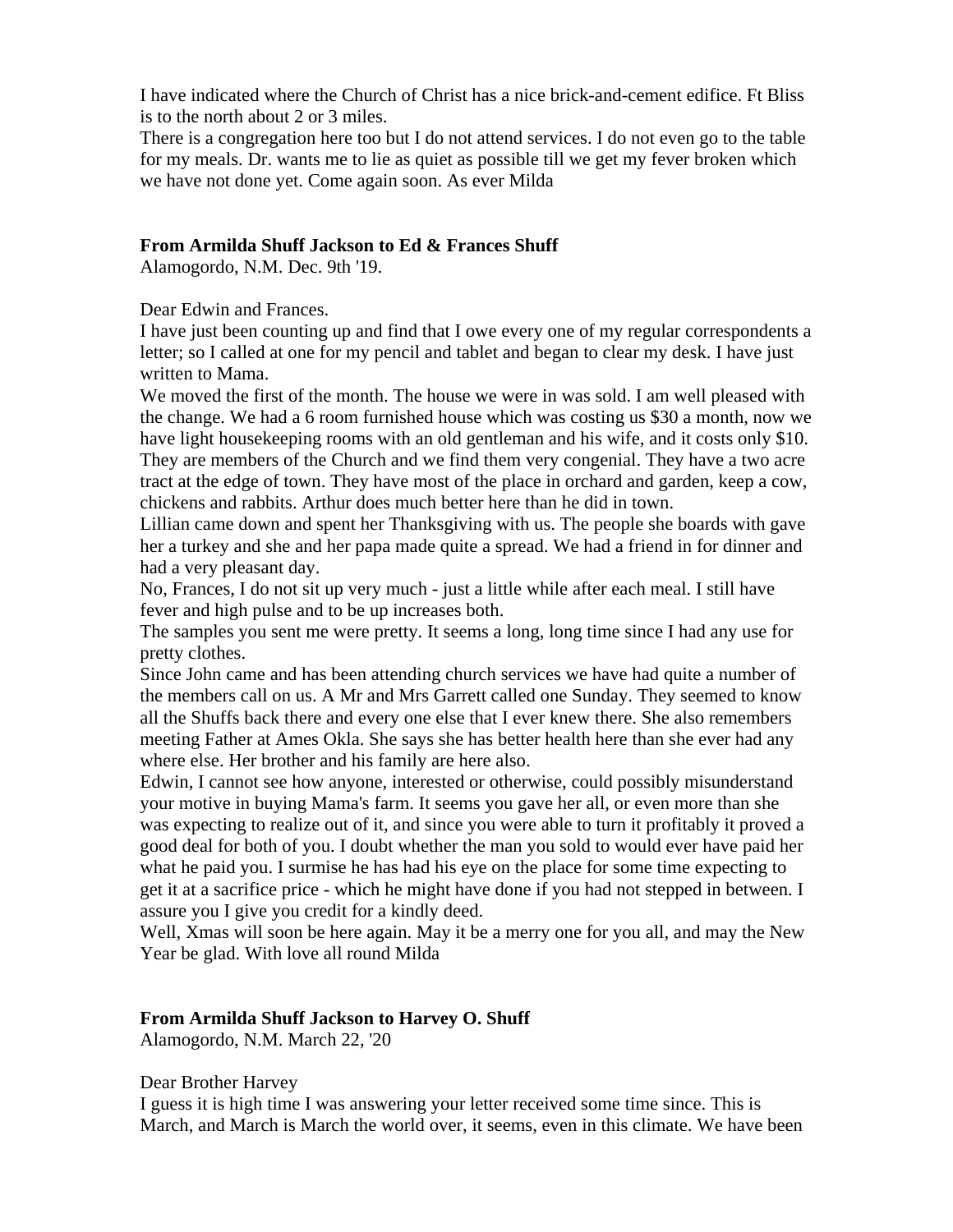I have indicated where the Church of Christ has a nice brick-and-cement edifice. Ft Bliss is to the north about 2 or 3 miles.

There is a congregation here too but I do not attend services. I do not even go to the table for my meals. Dr. wants me to lie as quiet as possible till we get my fever broken which we have not done yet. Come again soon. As ever Milda

### **From Armilda Shuff Jackson to Ed & Frances Shuff**

Alamogordo, N.M. Dec. 9th '19.

Dear Edwin and Frances.

I have just been counting up and find that I owe every one of my regular correspondents a letter; so I called at one for my pencil and tablet and began to clear my desk. I have just written to Mama.

We moved the first of the month. The house we were in was sold. I am well pleased with the change. We had a 6 room furnished house which was costing us \$30 a month, now we have light housekeeping rooms with an old gentleman and his wife, and it costs only \$10. They are members of the Church and we find them very congenial. They have a two acre tract at the edge of town. They have most of the place in orchard and garden, keep a cow, chickens and rabbits. Arthur does much better here than he did in town.

Lillian came down and spent her Thanksgiving with us. The people she boards with gave her a turkey and she and her papa made quite a spread. We had a friend in for dinner and had a very pleasant day.

No, Frances, I do not sit up very much - just a little while after each meal. I still have fever and high pulse and to be up increases both.

The samples you sent me were pretty. It seems a long, long time since I had any use for pretty clothes.

Since John came and has been attending church services we have had quite a number of the members call on us. A Mr and Mrs Garrett called one Sunday. They seemed to know all the Shuffs back there and every one else that I ever knew there. She also remembers meeting Father at Ames Okla. She says she has better health here than she ever had any where else. Her brother and his family are here also.

Edwin, I cannot see how anyone, interested or otherwise, could possibly misunderstand your motive in buying Mama's farm. It seems you gave her all, or even more than she was expecting to realize out of it, and since you were able to turn it profitably it proved a good deal for both of you. I doubt whether the man you sold to would ever have paid her what he paid you. I surmise he has had his eye on the place for some time expecting to get it at a sacrifice price - which he might have done if you had not stepped in between. I assure you I give you credit for a kindly deed.

Well, Xmas will soon be here again. May it be a merry one for you all, and may the New Year be glad. With love all round Milda

## **From Armilda Shuff Jackson to Harvey O. Shuff**

Alamogordo, N.M. March 22, '20

Dear Brother Harvey

I guess it is high time I was answering your letter received some time since. This is March, and March is March the world over, it seems, even in this climate. We have been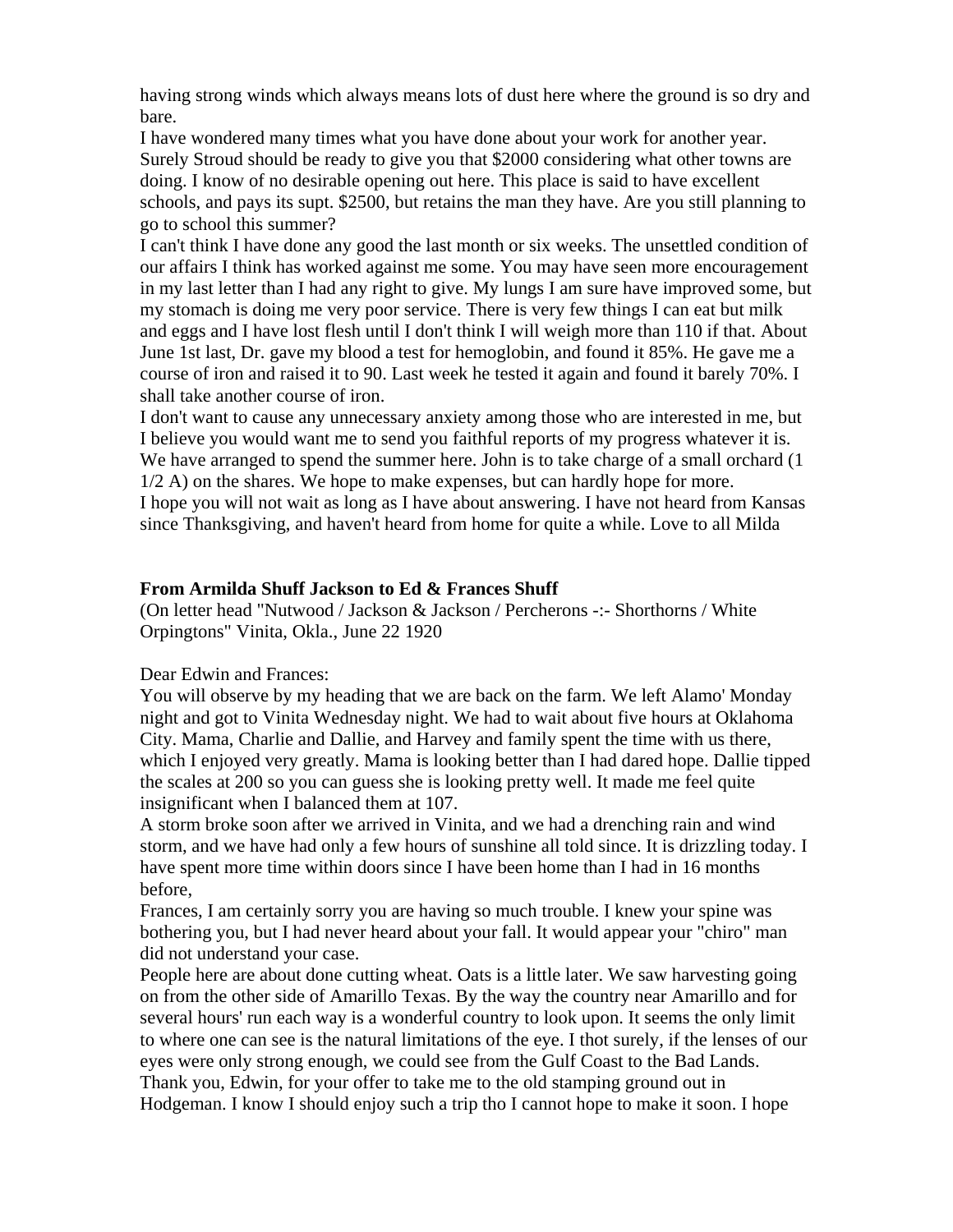having strong winds which always means lots of dust here where the ground is so dry and bare.

I have wondered many times what you have done about your work for another year. Surely Stroud should be ready to give you that \$2000 considering what other towns are doing. I know of no desirable opening out here. This place is said to have excellent schools, and pays its supt. \$2500, but retains the man they have. Are you still planning to go to school this summer?

I can't think I have done any good the last month or six weeks. The unsettled condition of our affairs I think has worked against me some. You may have seen more encouragement in my last letter than I had any right to give. My lungs I am sure have improved some, but my stomach is doing me very poor service. There is very few things I can eat but milk and eggs and I have lost flesh until I don't think I will weigh more than 110 if that. About June 1st last, Dr. gave my blood a test for hemoglobin, and found it 85%. He gave me a course of iron and raised it to 90. Last week he tested it again and found it barely 70%. I shall take another course of iron.

I don't want to cause any unnecessary anxiety among those who are interested in me, but I believe you would want me to send you faithful reports of my progress whatever it is. We have arranged to spend the summer here. John is to take charge of a small orchard (1) 1/2 A) on the shares. We hope to make expenses, but can hardly hope for more. I hope you will not wait as long as I have about answering. I have not heard from Kansas since Thanksgiving, and haven't heard from home for quite a while. Love to all Milda

## **From Armilda Shuff Jackson to Ed & Frances Shuff**

(On letter head "Nutwood / Jackson & Jackson / Percherons -:- Shorthorns / White Orpingtons" Vinita, Okla., June 22 1920

## Dear Edwin and Frances:

You will observe by my heading that we are back on the farm. We left Alamo' Monday night and got to Vinita Wednesday night. We had to wait about five hours at Oklahoma City. Mama, Charlie and Dallie, and Harvey and family spent the time with us there, which I enjoyed very greatly. Mama is looking better than I had dared hope. Dallie tipped the scales at 200 so you can guess she is looking pretty well. It made me feel quite insignificant when I balanced them at 107.

A storm broke soon after we arrived in Vinita, and we had a drenching rain and wind storm, and we have had only a few hours of sunshine all told since. It is drizzling today. I have spent more time within doors since I have been home than I had in 16 months before,

Frances, I am certainly sorry you are having so much trouble. I knew your spine was bothering you, but I had never heard about your fall. It would appear your "chiro" man did not understand your case.

People here are about done cutting wheat. Oats is a little later. We saw harvesting going on from the other side of Amarillo Texas. By the way the country near Amarillo and for several hours' run each way is a wonderful country to look upon. It seems the only limit to where one can see is the natural limitations of the eye. I thot surely, if the lenses of our eyes were only strong enough, we could see from the Gulf Coast to the Bad Lands. Thank you, Edwin, for your offer to take me to the old stamping ground out in Hodgeman. I know I should enjoy such a trip tho I cannot hope to make it soon. I hope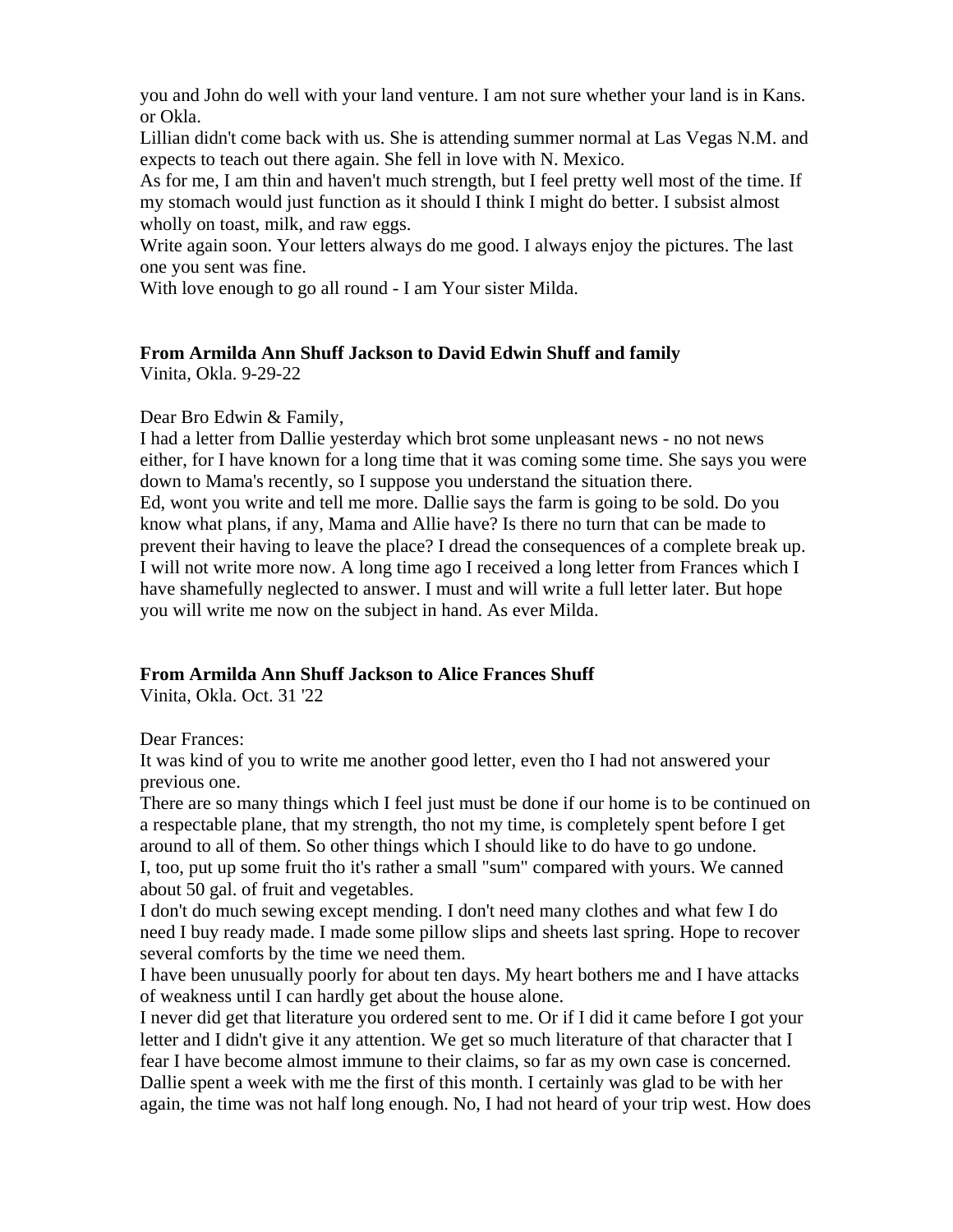you and John do well with your land venture. I am not sure whether your land is in Kans. or Okla.

Lillian didn't come back with us. She is attending summer normal at Las Vegas N.M. and expects to teach out there again. She fell in love with N. Mexico.

As for me, I am thin and haven't much strength, but I feel pretty well most of the time. If my stomach would just function as it should I think I might do better. I subsist almost wholly on toast, milk, and raw eggs.

Write again soon. Your letters always do me good. I always enjoy the pictures. The last one you sent was fine.

With love enough to go all round - I am Your sister Milda.

## **From Armilda Ann Shuff Jackson to David Edwin Shuff and family**

Vinita, Okla. 9-29-22

Dear Bro Edwin & Family,

I had a letter from Dallie yesterday which brot some unpleasant news - no not news either, for I have known for a long time that it was coming some time. She says you were down to Mama's recently, so I suppose you understand the situation there. Ed, wont you write and tell me more. Dallie says the farm is going to be sold. Do you know what plans, if any, Mama and Allie have? Is there no turn that can be made to prevent their having to leave the place? I dread the consequences of a complete break up. I will not write more now. A long time ago I received a long letter from Frances which I have shamefully neglected to answer. I must and will write a full letter later. But hope you will write me now on the subject in hand. As ever Milda.

# **From Armilda Ann Shuff Jackson to Alice Frances Shuff**

Vinita, Okla. Oct. 31 '22

Dear Frances:

It was kind of you to write me another good letter, even tho I had not answered your previous one.

There are so many things which I feel just must be done if our home is to be continued on a respectable plane, that my strength, tho not my time, is completely spent before I get around to all of them. So other things which I should like to do have to go undone. I, too, put up some fruit tho it's rather a small "sum" compared with yours. We canned about 50 gal. of fruit and vegetables.

I don't do much sewing except mending. I don't need many clothes and what few I do need I buy ready made. I made some pillow slips and sheets last spring. Hope to recover several comforts by the time we need them.

I have been unusually poorly for about ten days. My heart bothers me and I have attacks of weakness until I can hardly get about the house alone.

I never did get that literature you ordered sent to me. Or if I did it came before I got your letter and I didn't give it any attention. We get so much literature of that character that I fear I have become almost immune to their claims, so far as my own case is concerned. Dallie spent a week with me the first of this month. I certainly was glad to be with her again, the time was not half long enough. No, I had not heard of your trip west. How does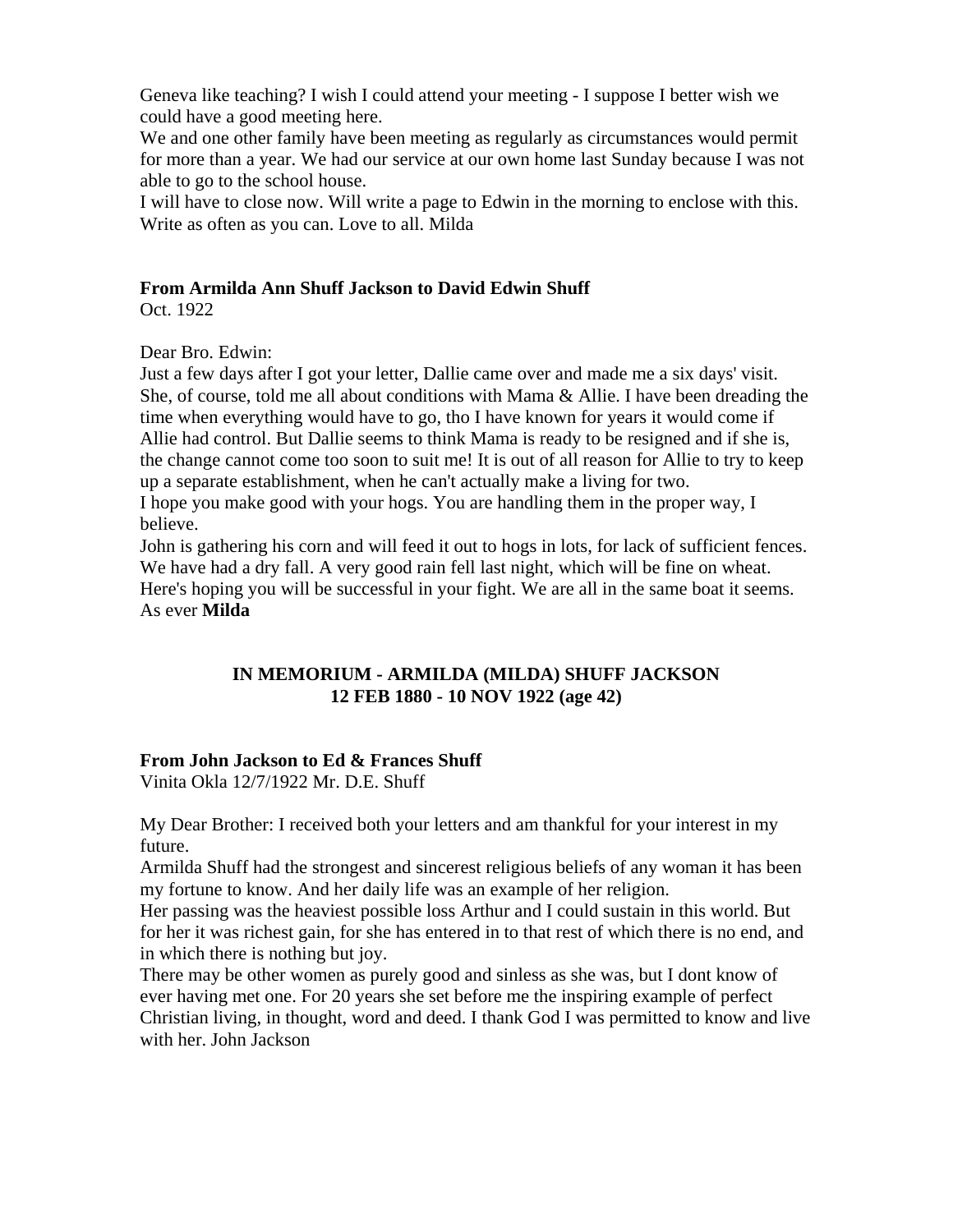Geneva like teaching? I wish I could attend your meeting - I suppose I better wish we could have a good meeting here.

We and one other family have been meeting as regularly as circumstances would permit for more than a year. We had our service at our own home last Sunday because I was not able to go to the school house.

I will have to close now. Will write a page to Edwin in the morning to enclose with this. Write as often as you can. Love to all. Milda

# **From Armilda Ann Shuff Jackson to David Edwin Shuff**

Oct. 1922

Dear Bro. Edwin:

Just a few days after I got your letter, Dallie came over and made me a six days' visit. She, of course, told me all about conditions with Mama  $\&$  Allie. I have been dreading the time when everything would have to go, tho I have known for years it would come if Allie had control. But Dallie seems to think Mama is ready to be resigned and if she is, the change cannot come too soon to suit me! It is out of all reason for Allie to try to keep up a separate establishment, when he can't actually make a living for two. I hope you make good with your hogs. You are handling them in the proper way, I believe.

John is gathering his corn and will feed it out to hogs in lots, for lack of sufficient fences. We have had a dry fall. A very good rain fell last night, which will be fine on wheat. Here's hoping you will be successful in your fight. We are all in the same boat it seems. As ever **Milda**

# **IN MEMORIUM - ARMILDA (MILDA) SHUFF JACKSON 12 FEB 1880 - 10 NOV 1922 (age 42)**

# **From John Jackson to Ed & Frances Shuff**

Vinita Okla 12/7/1922 Mr. D.E. Shuff

My Dear Brother: I received both your letters and am thankful for your interest in my future.

Armilda Shuff had the strongest and sincerest religious beliefs of any woman it has been my fortune to know. And her daily life was an example of her religion.

Her passing was the heaviest possible loss Arthur and I could sustain in this world. But for her it was richest gain, for she has entered in to that rest of which there is no end, and in which there is nothing but joy.

There may be other women as purely good and sinless as she was, but I dont know of ever having met one. For 20 years she set before me the inspiring example of perfect Christian living, in thought, word and deed. I thank God I was permitted to know and live with her. John Jackson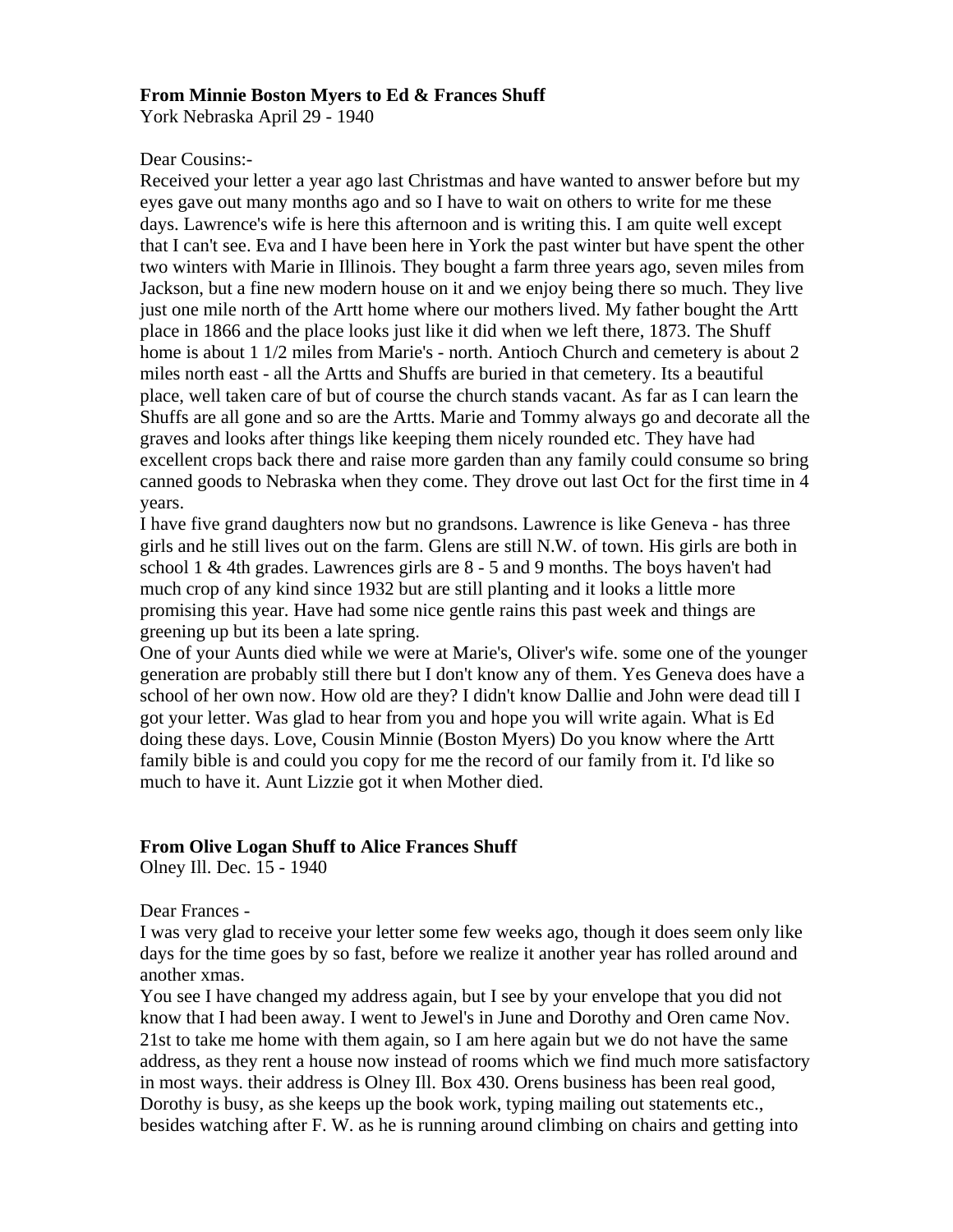### **From Minnie Boston Myers to Ed & Frances Shuff**

York Nebraska April 29 - 1940

#### Dear Cousins:-

Received your letter a year ago last Christmas and have wanted to answer before but my eyes gave out many months ago and so I have to wait on others to write for me these days. Lawrence's wife is here this afternoon and is writing this. I am quite well except that I can't see. Eva and I have been here in York the past winter but have spent the other two winters with Marie in Illinois. They bought a farm three years ago, seven miles from Jackson, but a fine new modern house on it and we enjoy being there so much. They live just one mile north of the Artt home where our mothers lived. My father bought the Artt place in 1866 and the place looks just like it did when we left there, 1873. The Shuff home is about 1 1/2 miles from Marie's - north. Antioch Church and cemetery is about 2 miles north east - all the Artts and Shuffs are buried in that cemetery. Its a beautiful place, well taken care of but of course the church stands vacant. As far as I can learn the Shuffs are all gone and so are the Artts. Marie and Tommy always go and decorate all the graves and looks after things like keeping them nicely rounded etc. They have had excellent crops back there and raise more garden than any family could consume so bring canned goods to Nebraska when they come. They drove out last Oct for the first time in 4 years.

I have five grand daughters now but no grandsons. Lawrence is like Geneva - has three girls and he still lives out on the farm. Glens are still N.W. of town. His girls are both in school 1 & 4th grades. Lawrences girls are 8 - 5 and 9 months. The boys haven't had much crop of any kind since 1932 but are still planting and it looks a little more promising this year. Have had some nice gentle rains this past week and things are greening up but its been a late spring.

One of your Aunts died while we were at Marie's, Oliver's wife. some one of the younger generation are probably still there but I don't know any of them. Yes Geneva does have a school of her own now. How old are they? I didn't know Dallie and John were dead till I got your letter. Was glad to hear from you and hope you will write again. What is Ed doing these days. Love, Cousin Minnie (Boston Myers) Do you know where the Artt family bible is and could you copy for me the record of our family from it. I'd like so much to have it. Aunt Lizzie got it when Mother died.

## **From Olive Logan Shuff to Alice Frances Shuff**

Olney Ill. Dec. 15 - 1940

#### Dear Frances -

I was very glad to receive your letter some few weeks ago, though it does seem only like days for the time goes by so fast, before we realize it another year has rolled around and another xmas.

You see I have changed my address again, but I see by your envelope that you did not know that I had been away. I went to Jewel's in June and Dorothy and Oren came Nov. 21st to take me home with them again, so I am here again but we do not have the same address, as they rent a house now instead of rooms which we find much more satisfactory in most ways. their address is Olney Ill. Box 430. Orens business has been real good, Dorothy is busy, as she keeps up the book work, typing mailing out statements etc., besides watching after F. W. as he is running around climbing on chairs and getting into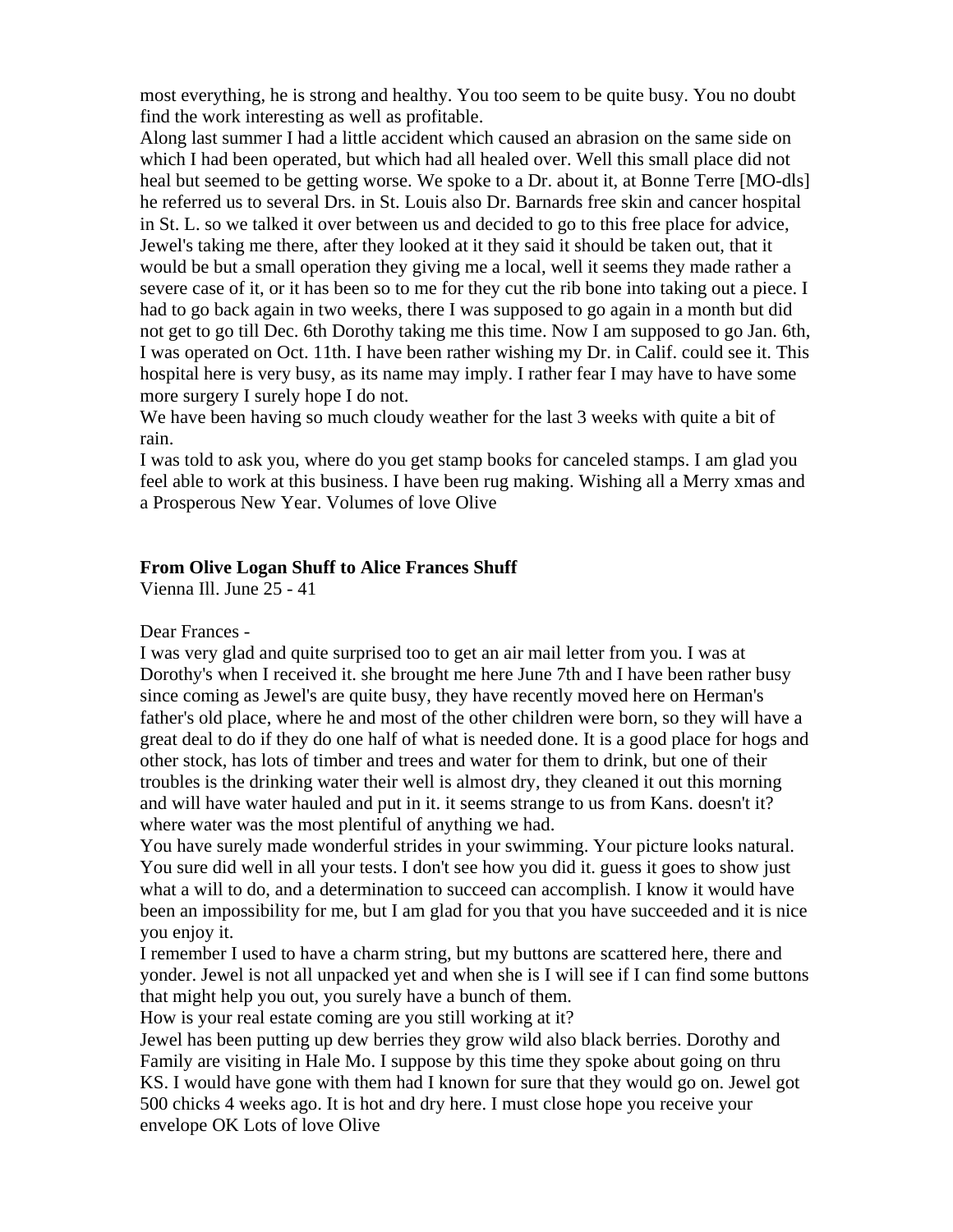most everything, he is strong and healthy. You too seem to be quite busy. You no doubt find the work interesting as well as profitable.

Along last summer I had a little accident which caused an abrasion on the same side on which I had been operated, but which had all healed over. Well this small place did not heal but seemed to be getting worse. We spoke to a Dr. about it, at Bonne Terre [MO-dls] he referred us to several Drs. in St. Louis also Dr. Barnards free skin and cancer hospital in St. L. so we talked it over between us and decided to go to this free place for advice, Jewel's taking me there, after they looked at it they said it should be taken out, that it would be but a small operation they giving me a local, well it seems they made rather a severe case of it, or it has been so to me for they cut the rib bone into taking out a piece. I had to go back again in two weeks, there I was supposed to go again in a month but did not get to go till Dec. 6th Dorothy taking me this time. Now I am supposed to go Jan. 6th, I was operated on Oct. 11th. I have been rather wishing my Dr. in Calif. could see it. This hospital here is very busy, as its name may imply. I rather fear I may have to have some more surgery I surely hope I do not.

We have been having so much cloudy weather for the last 3 weeks with quite a bit of rain.

I was told to ask you, where do you get stamp books for canceled stamps. I am glad you feel able to work at this business. I have been rug making. Wishing all a Merry xmas and a Prosperous New Year. Volumes of love Olive

## **From Olive Logan Shuff to Alice Frances Shuff**

Vienna Ill. June 25 - 41

Dear Frances -

I was very glad and quite surprised too to get an air mail letter from you. I was at Dorothy's when I received it. she brought me here June 7th and I have been rather busy since coming as Jewel's are quite busy, they have recently moved here on Herman's father's old place, where he and most of the other children were born, so they will have a great deal to do if they do one half of what is needed done. It is a good place for hogs and other stock, has lots of timber and trees and water for them to drink, but one of their troubles is the drinking water their well is almost dry, they cleaned it out this morning and will have water hauled and put in it. it seems strange to us from Kans. doesn't it? where water was the most plentiful of anything we had.

You have surely made wonderful strides in your swimming. Your picture looks natural. You sure did well in all your tests. I don't see how you did it. guess it goes to show just what a will to do, and a determination to succeed can accomplish. I know it would have been an impossibility for me, but I am glad for you that you have succeeded and it is nice you enjoy it.

I remember I used to have a charm string, but my buttons are scattered here, there and yonder. Jewel is not all unpacked yet and when she is I will see if I can find some buttons that might help you out, you surely have a bunch of them.

How is your real estate coming are you still working at it?

Jewel has been putting up dew berries they grow wild also black berries. Dorothy and Family are visiting in Hale Mo. I suppose by this time they spoke about going on thru KS. I would have gone with them had I known for sure that they would go on. Jewel got 500 chicks 4 weeks ago. It is hot and dry here. I must close hope you receive your envelope OK Lots of love Olive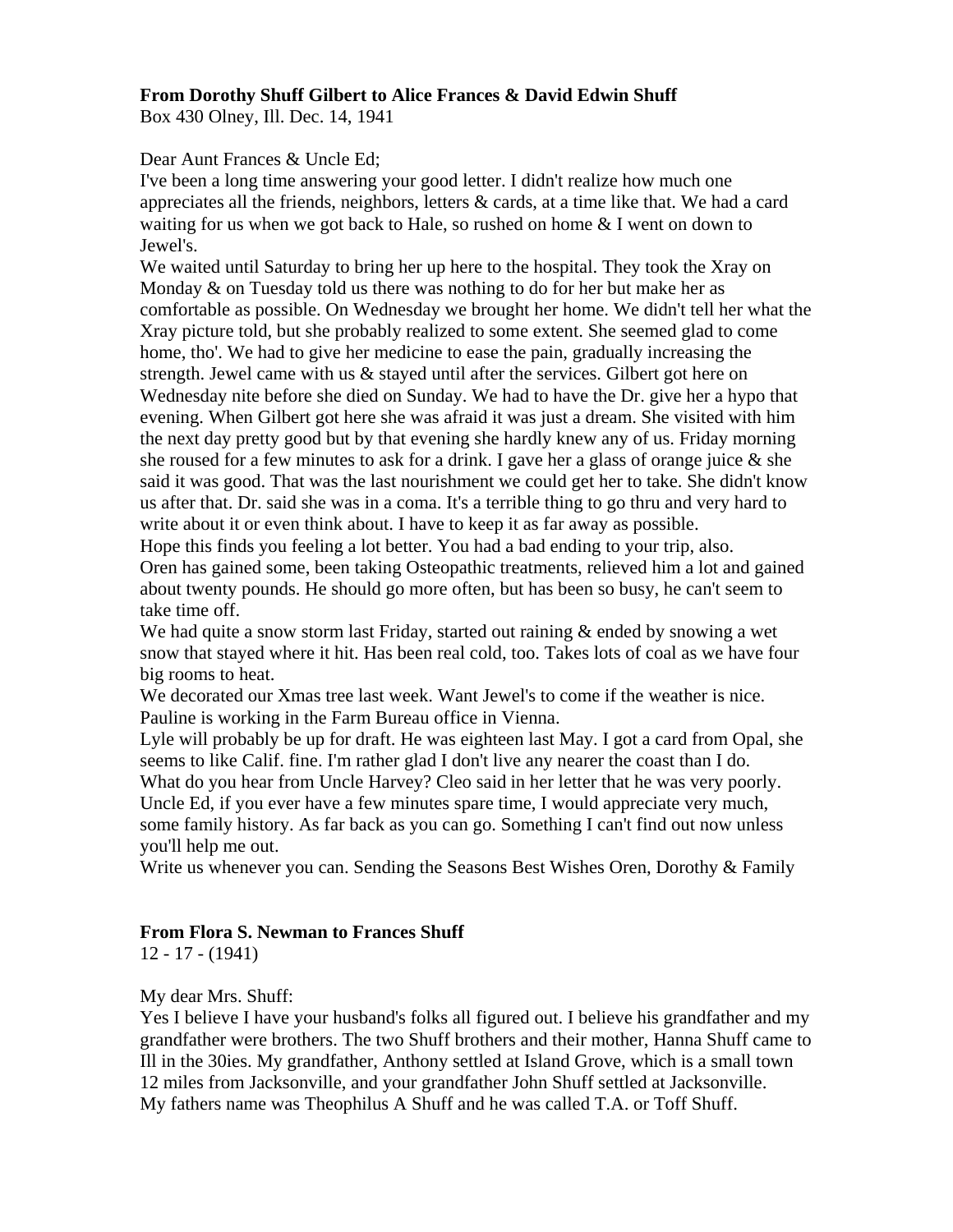# **From Dorothy Shuff Gilbert to Alice Frances & David Edwin Shuff**

Box 430 Olney, Ill. Dec. 14, 1941

Dear Aunt Frances & Uncle Ed;

I've been a long time answering your good letter. I didn't realize how much one appreciates all the friends, neighbors, letters & cards, at a time like that. We had a card waiting for us when we got back to Hale, so rushed on home & I went on down to Jewel's.

We waited until Saturday to bring her up here to the hospital. They took the Xray on Monday  $\&$  on Tuesday told us there was nothing to do for her but make her as comfortable as possible. On Wednesday we brought her home. We didn't tell her what the Xray picture told, but she probably realized to some extent. She seemed glad to come home, tho'. We had to give her medicine to ease the pain, gradually increasing the strength. Jewel came with us & stayed until after the services. Gilbert got here on Wednesday nite before she died on Sunday. We had to have the Dr. give her a hypo that evening. When Gilbert got here she was afraid it was just a dream. She visited with him the next day pretty good but by that evening she hardly knew any of us. Friday morning she roused for a few minutes to ask for a drink. I gave her a glass of orange juice  $\&$  she said it was good. That was the last nourishment we could get her to take. She didn't know us after that. Dr. said she was in a coma. It's a terrible thing to go thru and very hard to write about it or even think about. I have to keep it as far away as possible.

Hope this finds you feeling a lot better. You had a bad ending to your trip, also. Oren has gained some, been taking Osteopathic treatments, relieved him a lot and gained about twenty pounds. He should go more often, but has been so busy, he can't seem to take time off.

We had quite a snow storm last Friday, started out raining  $\&$  ended by snowing a wet snow that stayed where it hit. Has been real cold, too. Takes lots of coal as we have four big rooms to heat.

We decorated our Xmas tree last week. Want Jewel's to come if the weather is nice. Pauline is working in the Farm Bureau office in Vienna.

Lyle will probably be up for draft. He was eighteen last May. I got a card from Opal, she seems to like Calif. fine. I'm rather glad I don't live any nearer the coast than I do. What do you hear from Uncle Harvey? Cleo said in her letter that he was very poorly. Uncle Ed, if you ever have a few minutes spare time, I would appreciate very much, some family history. As far back as you can go. Something I can't find out now unless you'll help me out.

Write us whenever you can. Sending the Seasons Best Wishes Oren, Dorothy & Family

## **From Flora S. Newman to Frances Shuff**

12 - 17 - (1941)

My dear Mrs. Shuff:

Yes I believe I have your husband's folks all figured out. I believe his grandfather and my grandfather were brothers. The two Shuff brothers and their mother, Hanna Shuff came to Ill in the 30ies. My grandfather, Anthony settled at Island Grove, which is a small town 12 miles from Jacksonville, and your grandfather John Shuff settled at Jacksonville. My fathers name was Theophilus A Shuff and he was called T.A. or Toff Shuff.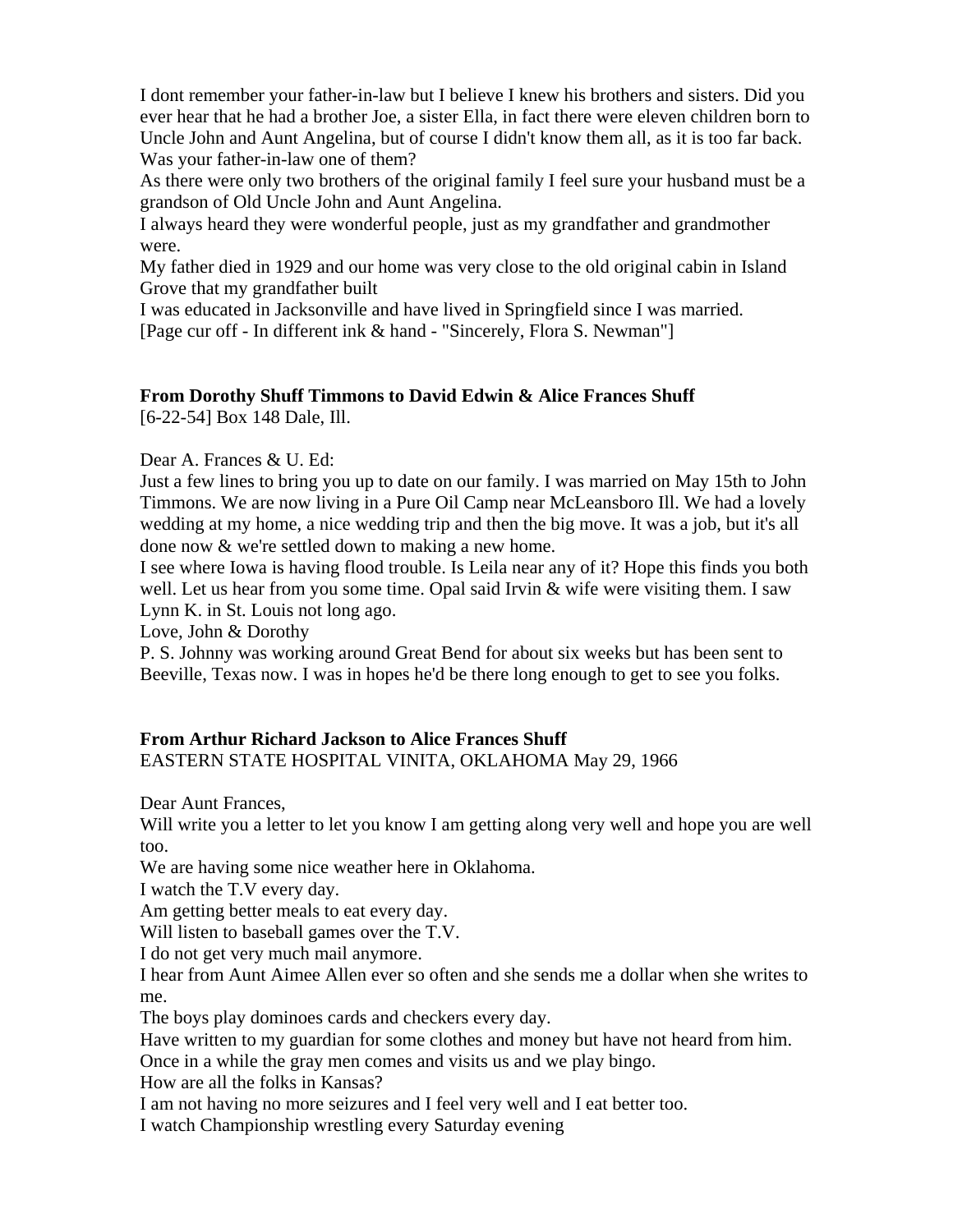I dont remember your father-in-law but I believe I knew his brothers and sisters. Did you ever hear that he had a brother Joe, a sister Ella, in fact there were eleven children born to Uncle John and Aunt Angelina, but of course I didn't know them all, as it is too far back. Was your father-in-law one of them?

As there were only two brothers of the original family I feel sure your husband must be a grandson of Old Uncle John and Aunt Angelina.

I always heard they were wonderful people, just as my grandfather and grandmother were.

My father died in 1929 and our home was very close to the old original cabin in Island Grove that my grandfather built

I was educated in Jacksonville and have lived in Springfield since I was married. [Page cur off - In different ink & hand - "Sincerely, Flora S. Newman"]

# **From Dorothy Shuff Timmons to David Edwin & Alice Frances Shuff**

[6-22-54] Box 148 Dale, Ill.

Dear A. Frances & U. Ed:

Just a few lines to bring you up to date on our family. I was married on May 15th to John Timmons. We are now living in a Pure Oil Camp near McLeansboro Ill. We had a lovely wedding at my home, a nice wedding trip and then the big move. It was a job, but it's all done now & we're settled down to making a new home.

I see where Iowa is having flood trouble. Is Leila near any of it? Hope this finds you both well. Let us hear from you some time. Opal said Irvin & wife were visiting them. I saw Lynn K. in St. Louis not long ago.

Love, John & Dorothy

P. S. Johnny was working around Great Bend for about six weeks but has been sent to Beeville, Texas now. I was in hopes he'd be there long enough to get to see you folks.

## **From Arthur Richard Jackson to Alice Frances Shuff** EASTERN STATE HOSPITAL VINITA, OKLAHOMA May 29, 1966

Dear Aunt Frances,

Will write you a letter to let you know I am getting along very well and hope you are well too.

We are having some nice weather here in Oklahoma.

I watch the T.V every day.

Am getting better meals to eat every day.

Will listen to baseball games over the T.V.

I do not get very much mail anymore.

I hear from Aunt Aimee Allen ever so often and she sends me a dollar when she writes to me.

The boys play dominoes cards and checkers every day.

Have written to my guardian for some clothes and money but have not heard from him.

Once in a while the gray men comes and visits us and we play bingo.

How are all the folks in Kansas?

I am not having no more seizures and I feel very well and I eat better too.

I watch Championship wrestling every Saturday evening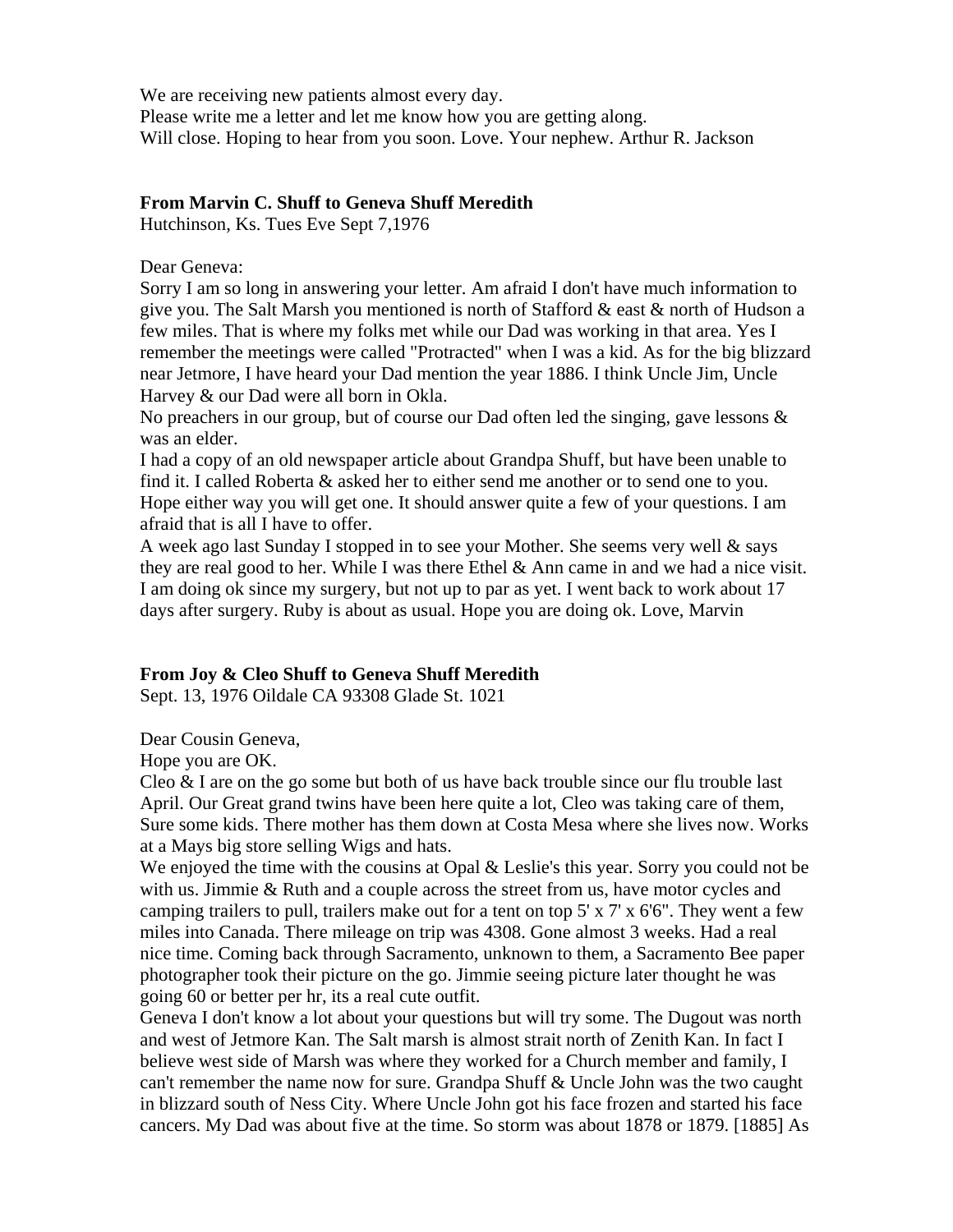We are receiving new patients almost every day. Please write me a letter and let me know how you are getting along. Will close. Hoping to hear from you soon. Love. Your nephew. Arthur R. Jackson

#### **From Marvin C. Shuff to Geneva Shuff Meredith**

Hutchinson, Ks. Tues Eve Sept 7,1976

Dear Geneva:

Sorry I am so long in answering your letter. Am afraid I don't have much information to give you. The Salt Marsh you mentioned is north of Stafford & east & north of Hudson a few miles. That is where my folks met while our Dad was working in that area. Yes I remember the meetings were called "Protracted" when I was a kid. As for the big blizzard near Jetmore, I have heard your Dad mention the year 1886. I think Uncle Jim, Uncle Harvey & our Dad were all born in Okla.

No preachers in our group, but of course our Dad often led the singing, gave lessons & was an elder.

I had a copy of an old newspaper article about Grandpa Shuff, but have been unable to find it. I called Roberta & asked her to either send me another or to send one to you. Hope either way you will get one. It should answer quite a few of your questions. I am afraid that is all I have to offer.

A week ago last Sunday I stopped in to see your Mother. She seems very well & says they are real good to her. While I was there Ethel  $\&$  Ann came in and we had a nice visit. I am doing ok since my surgery, but not up to par as yet. I went back to work about 17 days after surgery. Ruby is about as usual. Hope you are doing ok. Love, Marvin

#### **From Joy & Cleo Shuff to Geneva Shuff Meredith**

Sept. 13, 1976 Oildale CA 93308 Glade St. 1021

Dear Cousin Geneva,

Hope you are OK.

Cleo  $\&$  I are on the go some but both of us have back trouble since our flu trouble last April. Our Great grand twins have been here quite a lot, Cleo was taking care of them, Sure some kids. There mother has them down at Costa Mesa where she lives now. Works at a Mays big store selling Wigs and hats.

We enjoyed the time with the cousins at Opal & Leslie's this year. Sorry you could not be with us. Jimmie & Ruth and a couple across the street from us, have motor cycles and camping trailers to pull, trailers make out for a tent on top  $5' \times 7' \times 6'6''$ . They went a few miles into Canada. There mileage on trip was 4308. Gone almost 3 weeks. Had a real nice time. Coming back through Sacramento, unknown to them, a Sacramento Bee paper photographer took their picture on the go. Jimmie seeing picture later thought he was going 60 or better per hr, its a real cute outfit.

Geneva I don't know a lot about your questions but will try some. The Dugout was north and west of Jetmore Kan. The Salt marsh is almost strait north of Zenith Kan. In fact I believe west side of Marsh was where they worked for a Church member and family, I can't remember the name now for sure. Grandpa Shuff & Uncle John was the two caught in blizzard south of Ness City. Where Uncle John got his face frozen and started his face cancers. My Dad was about five at the time. So storm was about 1878 or 1879. [1885] As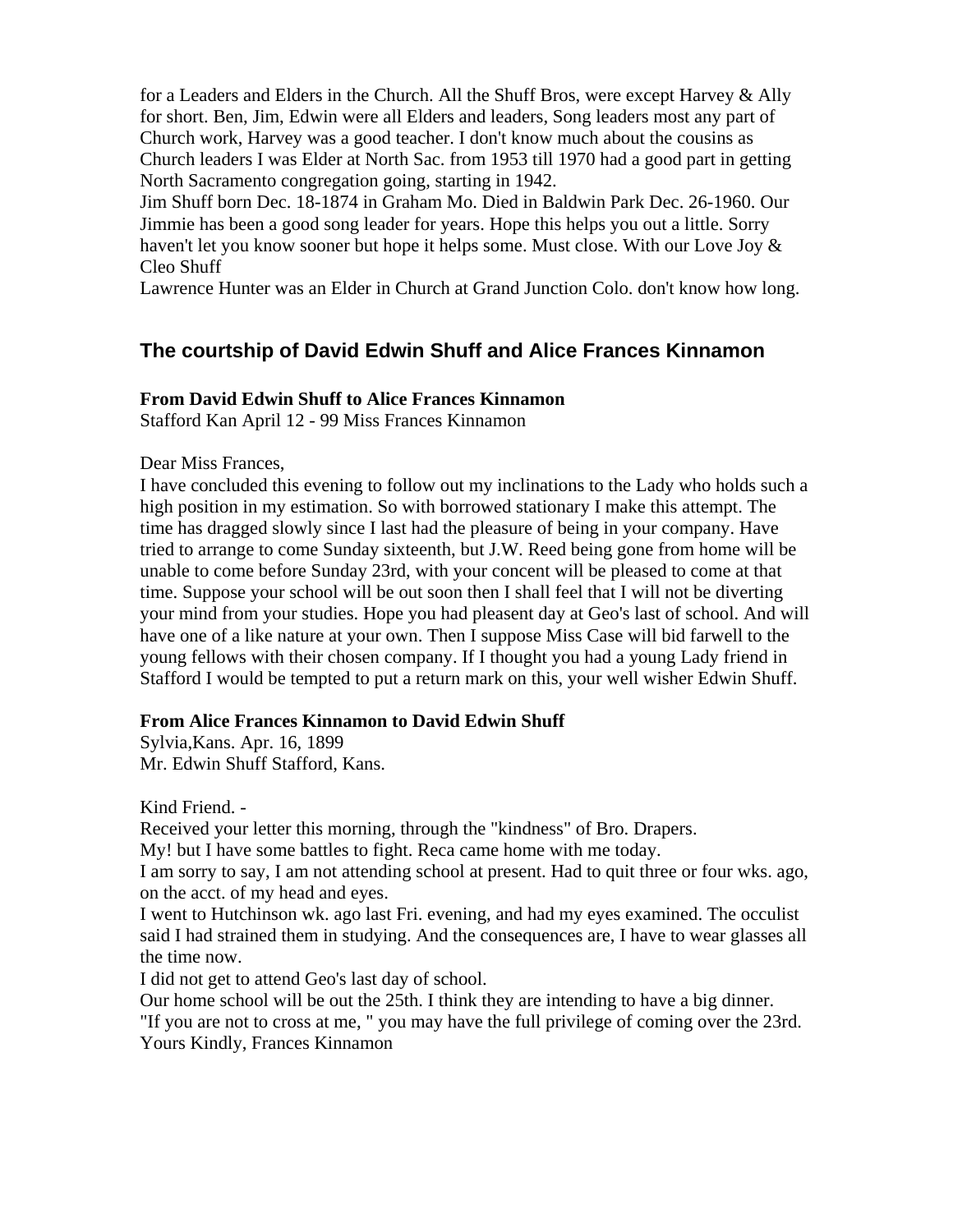for a Leaders and Elders in the Church. All the Shuff Bros, were except Harvey & Ally for short. Ben, Jim, Edwin were all Elders and leaders, Song leaders most any part of Church work, Harvey was a good teacher. I don't know much about the cousins as Church leaders I was Elder at North Sac. from 1953 till 1970 had a good part in getting North Sacramento congregation going, starting in 1942.

Jim Shuff born Dec. 18-1874 in Graham Mo. Died in Baldwin Park Dec. 26-1960. Our Jimmie has been a good song leader for years. Hope this helps you out a little. Sorry haven't let you know sooner but hope it helps some. Must close. With our Love Joy  $\&$ Cleo Shuff

Lawrence Hunter was an Elder in Church at Grand Junction Colo. don't know how long.

# **The courtship of David Edwin Shuff and Alice Frances Kinnamon**

#### **From David Edwin Shuff to Alice Frances Kinnamon**

Stafford Kan April 12 - 99 Miss Frances Kinnamon

Dear Miss Frances,

I have concluded this evening to follow out my inclinations to the Lady who holds such a high position in my estimation. So with borrowed stationary I make this attempt. The time has dragged slowly since I last had the pleasure of being in your company. Have tried to arrange to come Sunday sixteenth, but J.W. Reed being gone from home will be unable to come before Sunday 23rd, with your concent will be pleased to come at that time. Suppose your school will be out soon then I shall feel that I will not be diverting your mind from your studies. Hope you had pleasent day at Geo's last of school. And will have one of a like nature at your own. Then I suppose Miss Case will bid farwell to the young fellows with their chosen company. If I thought you had a young Lady friend in Stafford I would be tempted to put a return mark on this, your well wisher Edwin Shuff.

#### **From Alice Frances Kinnamon to David Edwin Shuff**

Sylvia,Kans. Apr. 16, 1899 Mr. Edwin Shuff Stafford, Kans.

Kind Friend. -

Received your letter this morning, through the "kindness" of Bro. Drapers.

My! but I have some battles to fight. Reca came home with me today.

I am sorry to say, I am not attending school at present. Had to quit three or four wks. ago, on the acct. of my head and eyes.

I went to Hutchinson wk. ago last Fri. evening, and had my eyes examined. The occulist said I had strained them in studying. And the consequences are, I have to wear glasses all the time now.

I did not get to attend Geo's last day of school.

Our home school will be out the 25th. I think they are intending to have a big dinner. "If you are not to cross at me, " you may have the full privilege of coming over the 23rd. Yours Kindly, Frances Kinnamon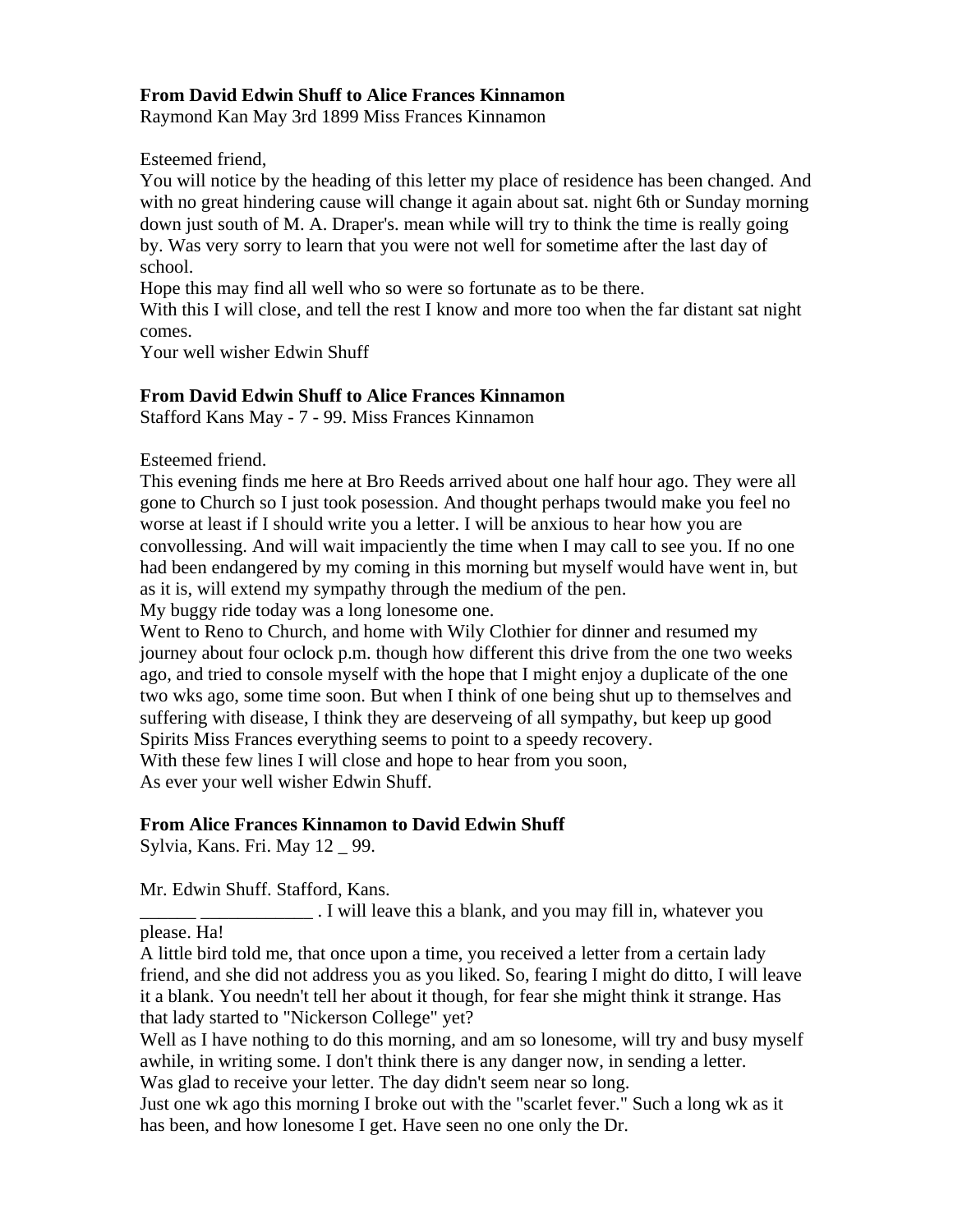# **From David Edwin Shuff to Alice Frances Kinnamon**

Raymond Kan May 3rd 1899 Miss Frances Kinnamon

Esteemed friend,

You will notice by the heading of this letter my place of residence has been changed. And with no great hindering cause will change it again about sat. night 6th or Sunday morning down just south of M. A. Draper's. mean while will try to think the time is really going by. Was very sorry to learn that you were not well for sometime after the last day of school.

Hope this may find all well who so were so fortunate as to be there.

With this I will close, and tell the rest I know and more too when the far distant sat night comes.

Your well wisher Edwin Shuff

# **From David Edwin Shuff to Alice Frances Kinnamon**

Stafford Kans May - 7 - 99. Miss Frances Kinnamon

Esteemed friend.

This evening finds me here at Bro Reeds arrived about one half hour ago. They were all gone to Church so I just took posession. And thought perhaps twould make you feel no worse at least if I should write you a letter. I will be anxious to hear how you are convollessing. And will wait impaciently the time when I may call to see you. If no one had been endangered by my coming in this morning but myself would have went in, but as it is, will extend my sympathy through the medium of the pen.

My buggy ride today was a long lonesome one.

Went to Reno to Church, and home with Wily Clothier for dinner and resumed my journey about four oclock p.m. though how different this drive from the one two weeks ago, and tried to console myself with the hope that I might enjoy a duplicate of the one two wks ago, some time soon. But when I think of one being shut up to themselves and suffering with disease, I think they are deserveing of all sympathy, but keep up good Spirits Miss Frances everything seems to point to a speedy recovery. With these few lines I will close and hope to hear from you soon, As ever your well wisher Edwin Shuff.

# **From Alice Frances Kinnamon to David Edwin Shuff**

Sylvia, Kans. Fri. May 12 \_ 99.

Mr. Edwin Shuff. Stafford, Kans.

. I will leave this a blank, and you may fill in, whatever you please. Ha!

A little bird told me, that once upon a time, you received a letter from a certain lady friend, and she did not address you as you liked. So, fearing I might do ditto, I will leave it a blank. You needn't tell her about it though, for fear she might think it strange. Has that lady started to "Nickerson College" yet?

Well as I have nothing to do this morning, and am so lonesome, will try and busy myself awhile, in writing some. I don't think there is any danger now, in sending a letter. Was glad to receive your letter. The day didn't seem near so long.

Just one wk ago this morning I broke out with the "scarlet fever." Such a long wk as it has been, and how lonesome I get. Have seen no one only the Dr.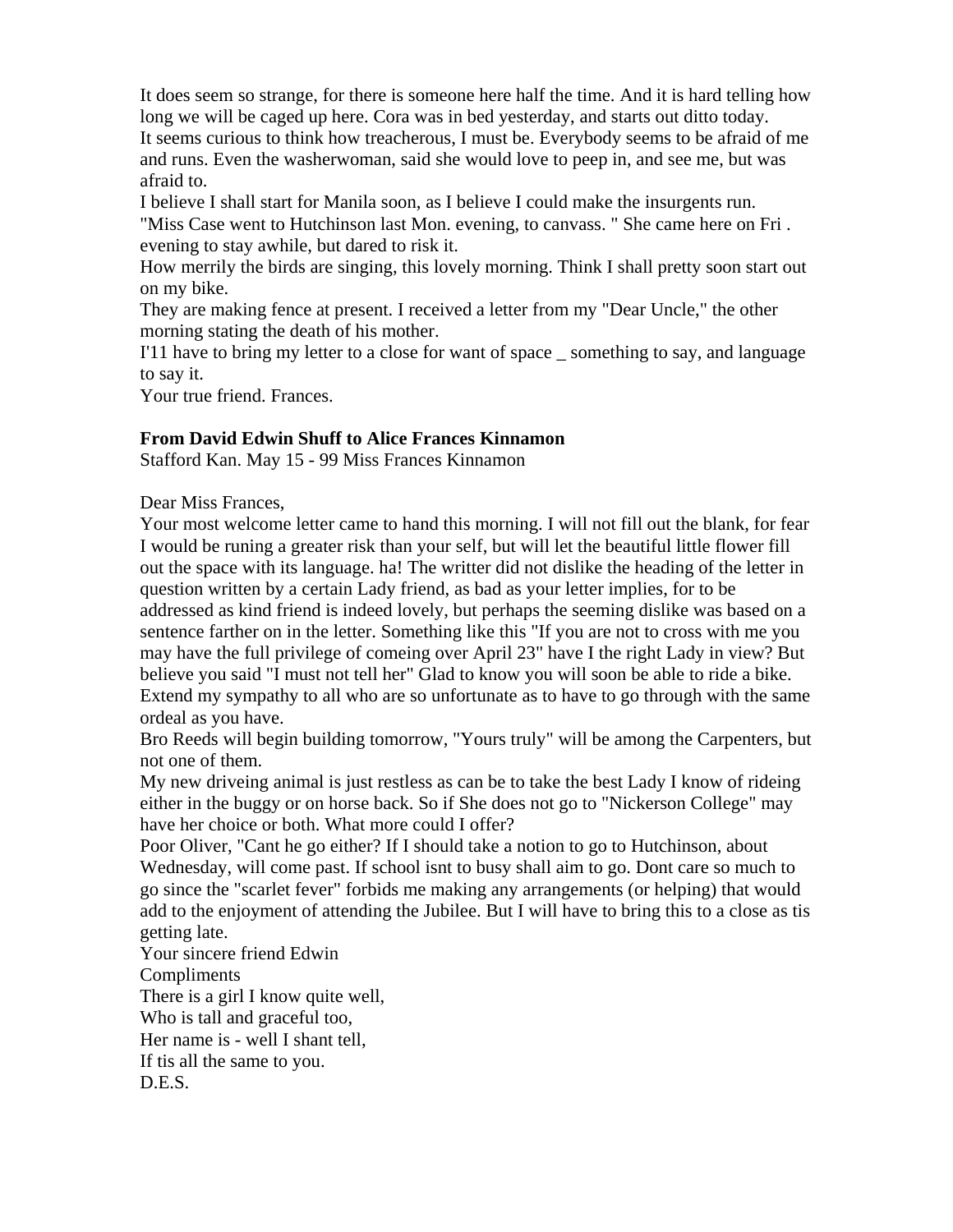It does seem so strange, for there is someone here half the time. And it is hard telling how long we will be caged up here. Cora was in bed yesterday, and starts out ditto today. It seems curious to think how treacherous, I must be. Everybody seems to be afraid of me and runs. Even the washerwoman, said she would love to peep in, and see me, but was afraid to.

I believe I shall start for Manila soon, as I believe I could make the insurgents run. "Miss Case went to Hutchinson last Mon. evening, to canvass. " She came here on Fri . evening to stay awhile, but dared to risk it.

How merrily the birds are singing, this lovely morning. Think I shall pretty soon start out on my bike.

They are making fence at present. I received a letter from my "Dear Uncle," the other morning stating the death of his mother.

I'11 have to bring my letter to a close for want of space \_ something to say, and language to say it.

Your true friend. Frances.

## **From David Edwin Shuff to Alice Frances Kinnamon**

Stafford Kan. May 15 - 99 Miss Frances Kinnamon

Dear Miss Frances,

Your most welcome letter came to hand this morning. I will not fill out the blank, for fear I would be runing a greater risk than your self, but will let the beautiful little flower fill out the space with its language. ha! The writter did not dislike the heading of the letter in question written by a certain Lady friend, as bad as your letter implies, for to be addressed as kind friend is indeed lovely, but perhaps the seeming dislike was based on a sentence farther on in the letter. Something like this "If you are not to cross with me you may have the full privilege of comeing over April 23" have I the right Lady in view? But believe you said "I must not tell her" Glad to know you will soon be able to ride a bike. Extend my sympathy to all who are so unfortunate as to have to go through with the same ordeal as you have.

Bro Reeds will begin building tomorrow, "Yours truly" will be among the Carpenters, but not one of them.

My new driveing animal is just restless as can be to take the best Lady I know of rideing either in the buggy or on horse back. So if She does not go to "Nickerson College" may have her choice or both. What more could I offer?

Poor Oliver, "Cant he go either? If I should take a notion to go to Hutchinson, about Wednesday, will come past. If school isnt to busy shall aim to go. Dont care so much to go since the "scarlet fever" forbids me making any arrangements (or helping) that would add to the enjoyment of attending the Jubilee. But I will have to bring this to a close as tis getting late.

Your sincere friend Edwin **Compliments** There is a girl I know quite well, Who is tall and graceful too, Her name is - well I shant tell, If tis all the same to you. D.E.S.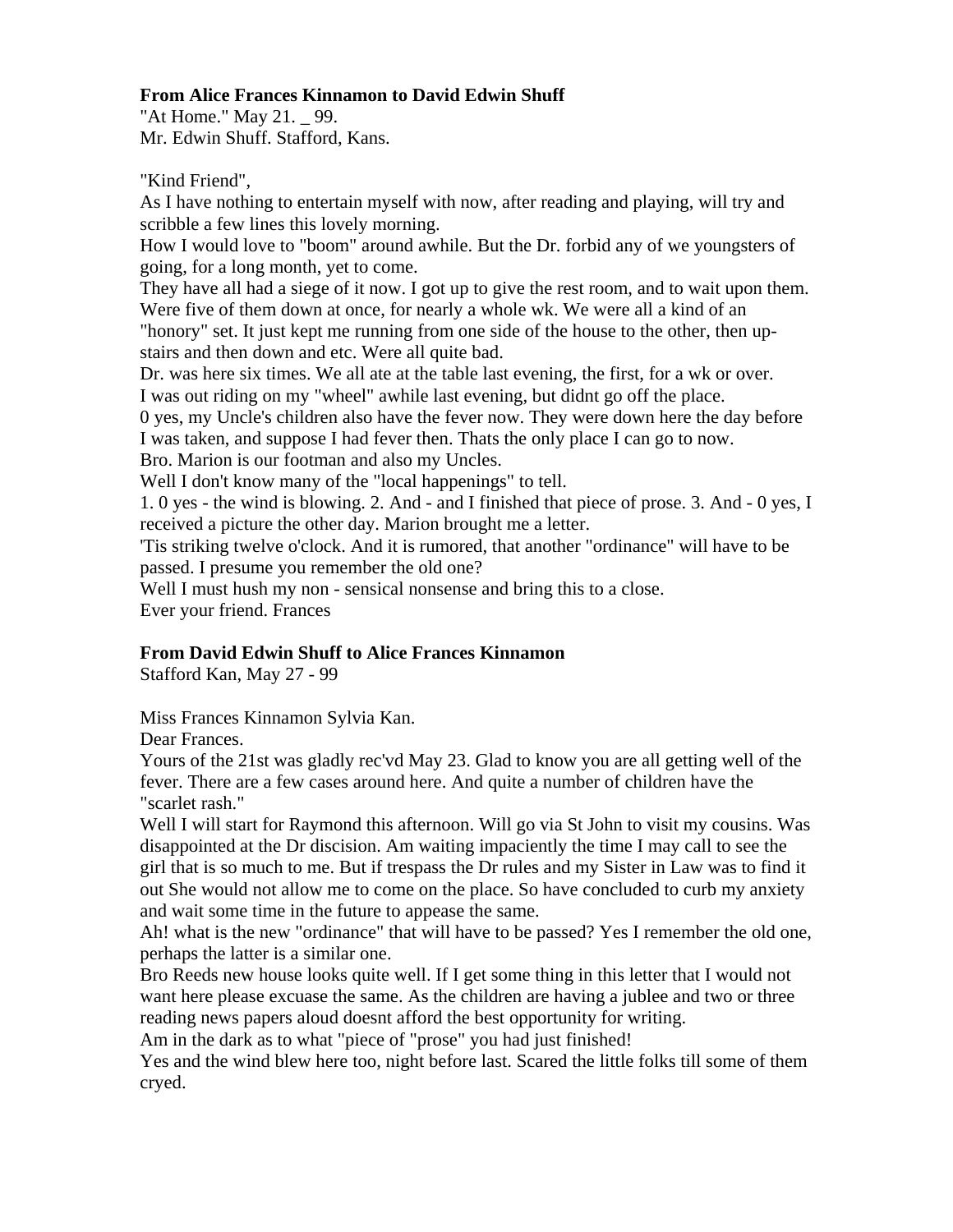## **From Alice Frances Kinnamon to David Edwin Shuff**

"At Home." May 21. \_ 99. Mr. Edwin Shuff. Stafford, Kans.

"Kind Friend",

As I have nothing to entertain myself with now, after reading and playing, will try and scribble a few lines this lovely morning.

How I would love to "boom" around awhile. But the Dr. forbid any of we youngsters of going, for a long month, yet to come.

They have all had a siege of it now. I got up to give the rest room, and to wait upon them. Were five of them down at once, for nearly a whole wk. We were all a kind of an "honory" set. It just kept me running from one side of the house to the other, then upstairs and then down and etc. Were all quite bad.

Dr. was here six times. We all ate at the table last evening, the first, for a wk or over. I was out riding on my "wheel" awhile last evening, but didnt go off the place.

0 yes, my Uncle's children also have the fever now. They were down here the day before I was taken, and suppose I had fever then. Thats the only place I can go to now.

Bro. Marion is our footman and also my Uncles.

Well I don't know many of the "local happenings" to tell.

1. 0 yes - the wind is blowing. 2. And - and I finished that piece of prose. 3. And - 0 yes, I received a picture the other day. Marion brought me a letter.

'Tis striking twelve o'clock. And it is rumored, that another "ordinance" will have to be passed. I presume you remember the old one?

Well I must hush my non - sensical nonsense and bring this to a close.

Ever your friend. Frances

# **From David Edwin Shuff to Alice Frances Kinnamon**

Stafford Kan, May 27 - 99

Miss Frances Kinnamon Sylvia Kan.

Dear Frances.

Yours of the 21st was gladly rec'vd May 23. Glad to know you are all getting well of the fever. There are a few cases around here. And quite a number of children have the "scarlet rash."

Well I will start for Raymond this afternoon. Will go via St John to visit my cousins. Was disappointed at the Dr discision. Am waiting impaciently the time I may call to see the girl that is so much to me. But if trespass the Dr rules and my Sister in Law was to find it out She would not allow me to come on the place. So have concluded to curb my anxiety and wait some time in the future to appease the same.

Ah! what is the new "ordinance" that will have to be passed? Yes I remember the old one, perhaps the latter is a similar one.

Bro Reeds new house looks quite well. If I get some thing in this letter that I would not want here please excuase the same. As the children are having a jublee and two or three reading news papers aloud doesnt afford the best opportunity for writing.

Am in the dark as to what "piece of "prose" you had just finished!

Yes and the wind blew here too, night before last. Scared the little folks till some of them cryed.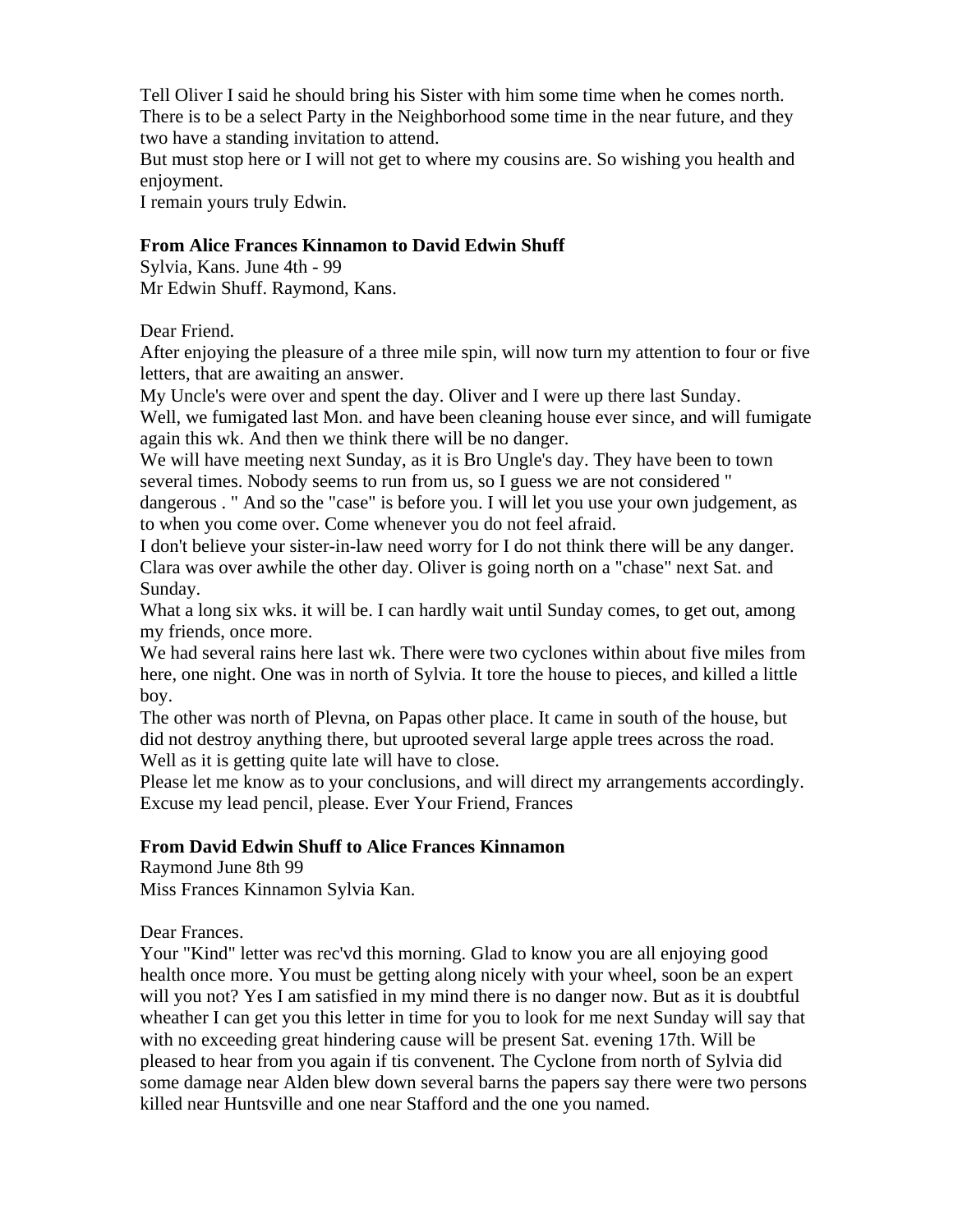Tell Oliver I said he should bring his Sister with him some time when he comes north. There is to be a select Party in the Neighborhood some time in the near future, and they two have a standing invitation to attend.

But must stop here or I will not get to where my cousins are. So wishing you health and enjoyment.

I remain yours truly Edwin.

## **From Alice Frances Kinnamon to David Edwin Shuff**

Sylvia, Kans. June 4th - 99 Mr Edwin Shuff. Raymond, Kans.

Dear Friend.

After enjoying the pleasure of a three mile spin, will now turn my attention to four or five letters, that are awaiting an answer.

My Uncle's were over and spent the day. Oliver and I were up there last Sunday.

Well, we fumigated last Mon. and have been cleaning house ever since, and will fumigate again this wk. And then we think there will be no danger.

We will have meeting next Sunday, as it is Bro Ungle's day. They have been to town several times. Nobody seems to run from us, so I guess we are not considered "

dangerous . " And so the "case" is before you. I will let you use your own judgement, as to when you come over. Come whenever you do not feel afraid.

I don't believe your sister-in-law need worry for I do not think there will be any danger. Clara was over awhile the other day. Oliver is going north on a "chase" next Sat. and Sunday.

What a long six wks, it will be. I can hardly wait until Sunday comes, to get out, among my friends, once more.

We had several rains here last wk. There were two cyclones within about five miles from here, one night. One was in north of Sylvia. It tore the house to pieces, and killed a little boy.

The other was north of Plevna, on Papas other place. It came in south of the house, but did not destroy anything there, but uprooted several large apple trees across the road. Well as it is getting quite late will have to close.

Please let me know as to your conclusions, and will direct my arrangements accordingly. Excuse my lead pencil, please. Ever Your Friend, Frances

# **From David Edwin Shuff to Alice Frances Kinnamon**

Raymond June 8th 99 Miss Frances Kinnamon Sylvia Kan.

Dear Frances.

Your "Kind" letter was rec'vd this morning. Glad to know you are all enjoying good health once more. You must be getting along nicely with your wheel, soon be an expert will you not? Yes I am satisfied in my mind there is no danger now. But as it is doubtful wheather I can get you this letter in time for you to look for me next Sunday will say that with no exceeding great hindering cause will be present Sat. evening 17th. Will be pleased to hear from you again if tis convenent. The Cyclone from north of Sylvia did some damage near Alden blew down several barns the papers say there were two persons killed near Huntsville and one near Stafford and the one you named.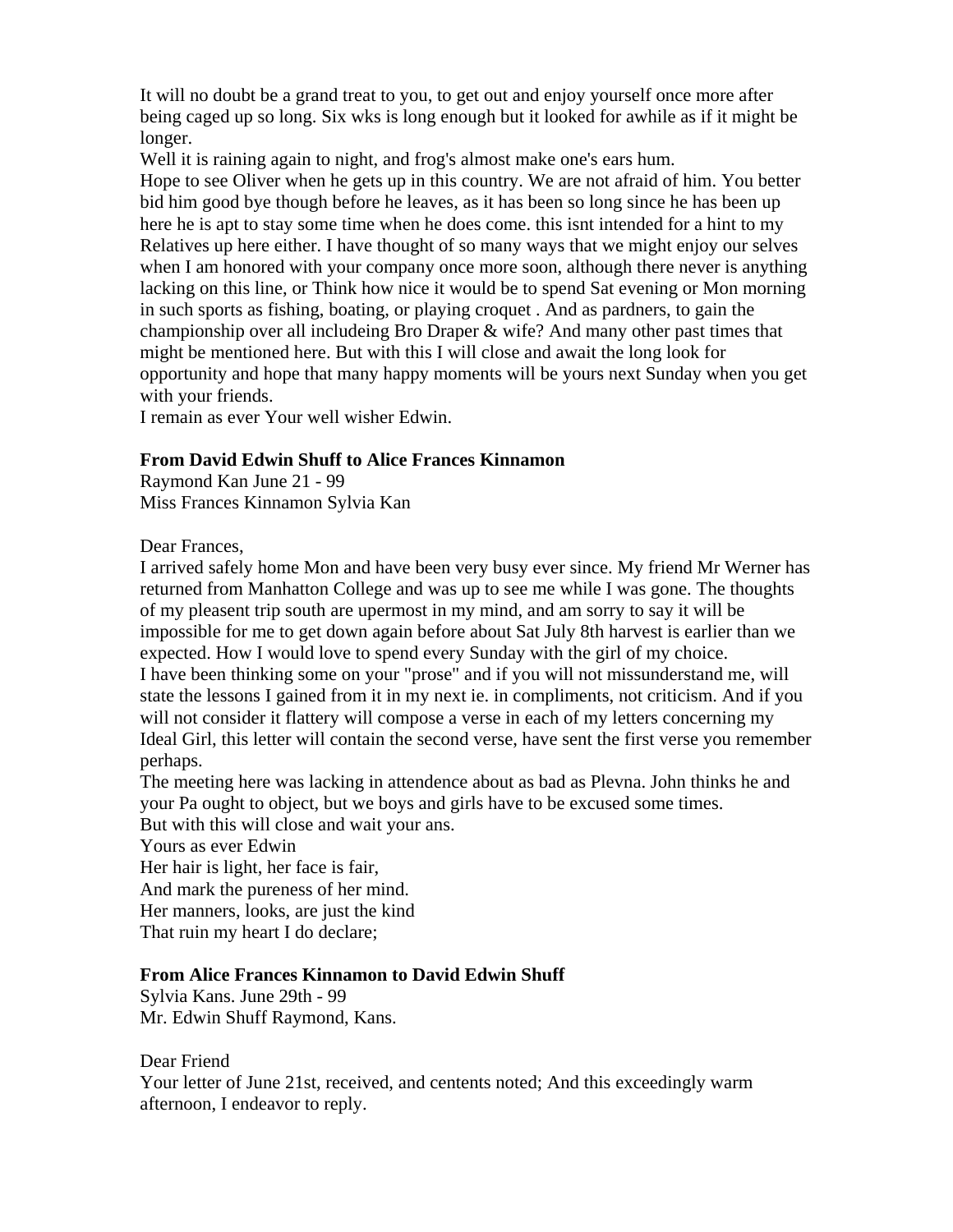It will no doubt be a grand treat to you, to get out and enjoy yourself once more after being caged up so long. Six wks is long enough but it looked for awhile as if it might be longer.

Well it is raining again to night, and frog's almost make one's ears hum.

Hope to see Oliver when he gets up in this country. We are not afraid of him. You better bid him good bye though before he leaves, as it has been so long since he has been up here he is apt to stay some time when he does come. this isnt intended for a hint to my Relatives up here either. I have thought of so many ways that we might enjoy our selves when I am honored with your company once more soon, although there never is anything lacking on this line, or Think how nice it would be to spend Sat evening or Mon morning in such sports as fishing, boating, or playing croquet . And as pardners, to gain the championship over all includeing Bro Draper & wife? And many other past times that might be mentioned here. But with this I will close and await the long look for opportunity and hope that many happy moments will be yours next Sunday when you get with your friends.

I remain as ever Your well wisher Edwin.

#### **From David Edwin Shuff to Alice Frances Kinnamon**

Raymond Kan June 21 - 99 Miss Frances Kinnamon Sylvia Kan

#### Dear Frances,

I arrived safely home Mon and have been very busy ever since. My friend Mr Werner has returned from Manhatton College and was up to see me while I was gone. The thoughts of my pleasent trip south are upermost in my mind, and am sorry to say it will be impossible for me to get down again before about Sat July 8th harvest is earlier than we expected. How I would love to spend every Sunday with the girl of my choice. I have been thinking some on your "prose" and if you will not missunderstand me, will state the lessons I gained from it in my next ie. in compliments, not criticism. And if you will not consider it flattery will compose a verse in each of my letters concerning my Ideal Girl, this letter will contain the second verse, have sent the first verse you remember perhaps.

The meeting here was lacking in attendence about as bad as Plevna. John thinks he and your Pa ought to object, but we boys and girls have to be excused some times. But with this will close and wait your ans.

Yours as ever Edwin Her hair is light, her face is fair, And mark the pureness of her mind. Her manners, looks, are just the kind That ruin my heart I do declare;

#### **From Alice Frances Kinnamon to David Edwin Shuff**

Sylvia Kans. June 29th - 99 Mr. Edwin Shuff Raymond, Kans.

Dear Friend

Your letter of June 21st, received, and centents noted; And this exceedingly warm afternoon, I endeavor to reply.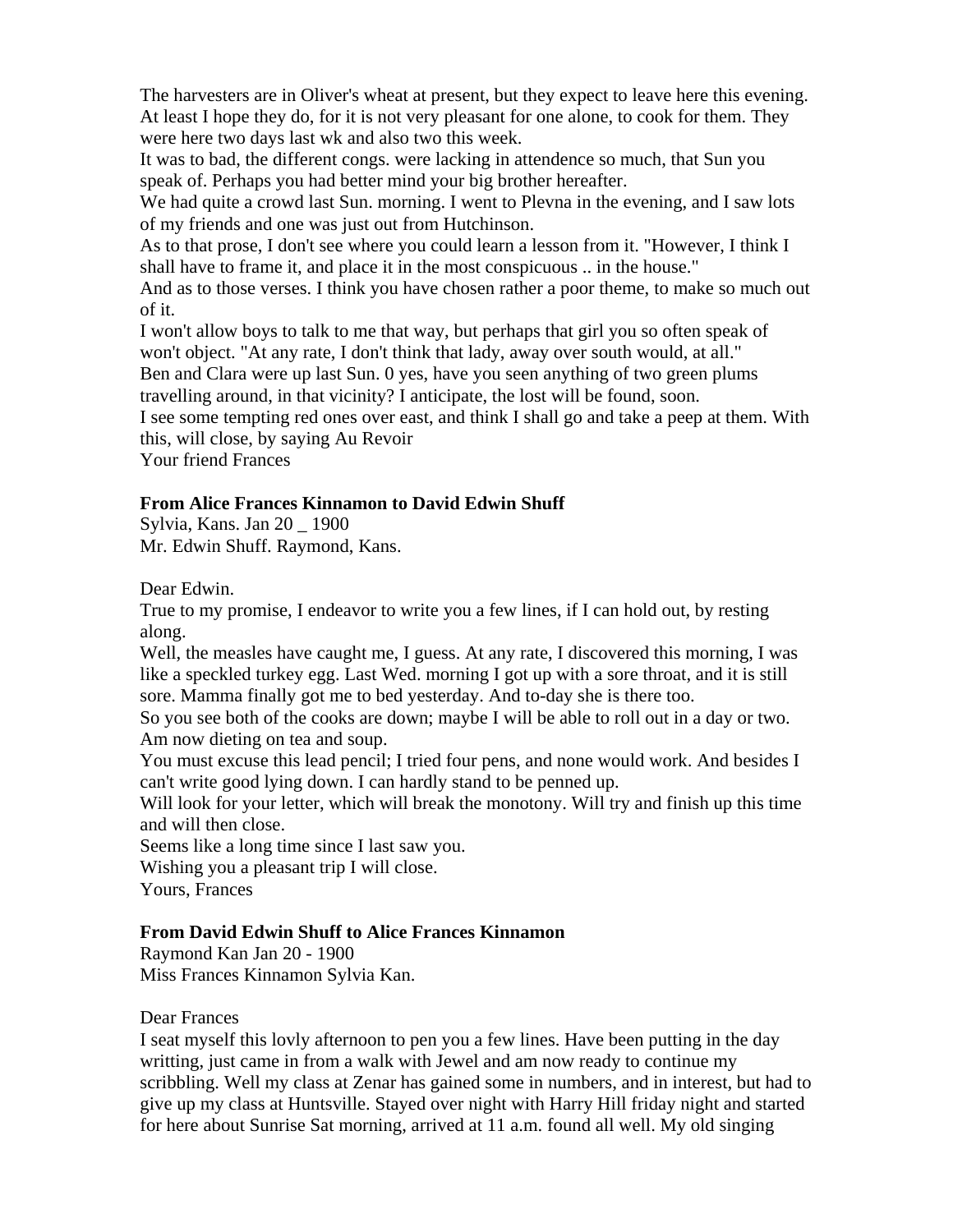The harvesters are in Oliver's wheat at present, but they expect to leave here this evening. At least I hope they do, for it is not very pleasant for one alone, to cook for them. They were here two days last wk and also two this week.

It was to bad, the different congs. were lacking in attendence so much, that Sun you speak of. Perhaps you had better mind your big brother hereafter.

We had quite a crowd last Sun. morning. I went to Plevna in the evening, and I saw lots of my friends and one was just out from Hutchinson.

As to that prose, I don't see where you could learn a lesson from it. "However, I think I shall have to frame it, and place it in the most conspicuous .. in the house."

And as to those verses. I think you have chosen rather a poor theme, to make so much out of it.

I won't allow boys to talk to me that way, but perhaps that girl you so often speak of won't object. "At any rate, I don't think that lady, away over south would, at all." Ben and Clara were up last Sun. 0 yes, have you seen anything of two green plums

travelling around, in that vicinity? I anticipate, the lost will be found, soon.

I see some tempting red ones over east, and think I shall go and take a peep at them. With this, will close, by saying Au Revoir

Your friend Frances

# **From Alice Frances Kinnamon to David Edwin Shuff**

Sylvia, Kans. Jan 20 \_ 1900 Mr. Edwin Shuff. Raymond, Kans.

Dear Edwin.

True to my promise, I endeavor to write you a few lines, if I can hold out, by resting along.

Well, the measles have caught me, I guess. At any rate, I discovered this morning, I was like a speckled turkey egg. Last Wed. morning I got up with a sore throat, and it is still sore. Mamma finally got me to bed yesterday. And to-day she is there too.

So you see both of the cooks are down; maybe I will be able to roll out in a day or two. Am now dieting on tea and soup.

You must excuse this lead pencil; I tried four pens, and none would work. And besides I can't write good lying down. I can hardly stand to be penned up.

Will look for your letter, which will break the monotony. Will try and finish up this time and will then close.

Seems like a long time since I last saw you. Wishing you a pleasant trip I will close. Yours, Frances

# **From David Edwin Shuff to Alice Frances Kinnamon**

Raymond Kan Jan 20 - 1900 Miss Frances Kinnamon Sylvia Kan.

Dear Frances

I seat myself this lovly afternoon to pen you a few lines. Have been putting in the day writting, just came in from a walk with Jewel and am now ready to continue my scribbling. Well my class at Zenar has gained some in numbers, and in interest, but had to give up my class at Huntsville. Stayed over night with Harry Hill friday night and started for here about Sunrise Sat morning, arrived at 11 a.m. found all well. My old singing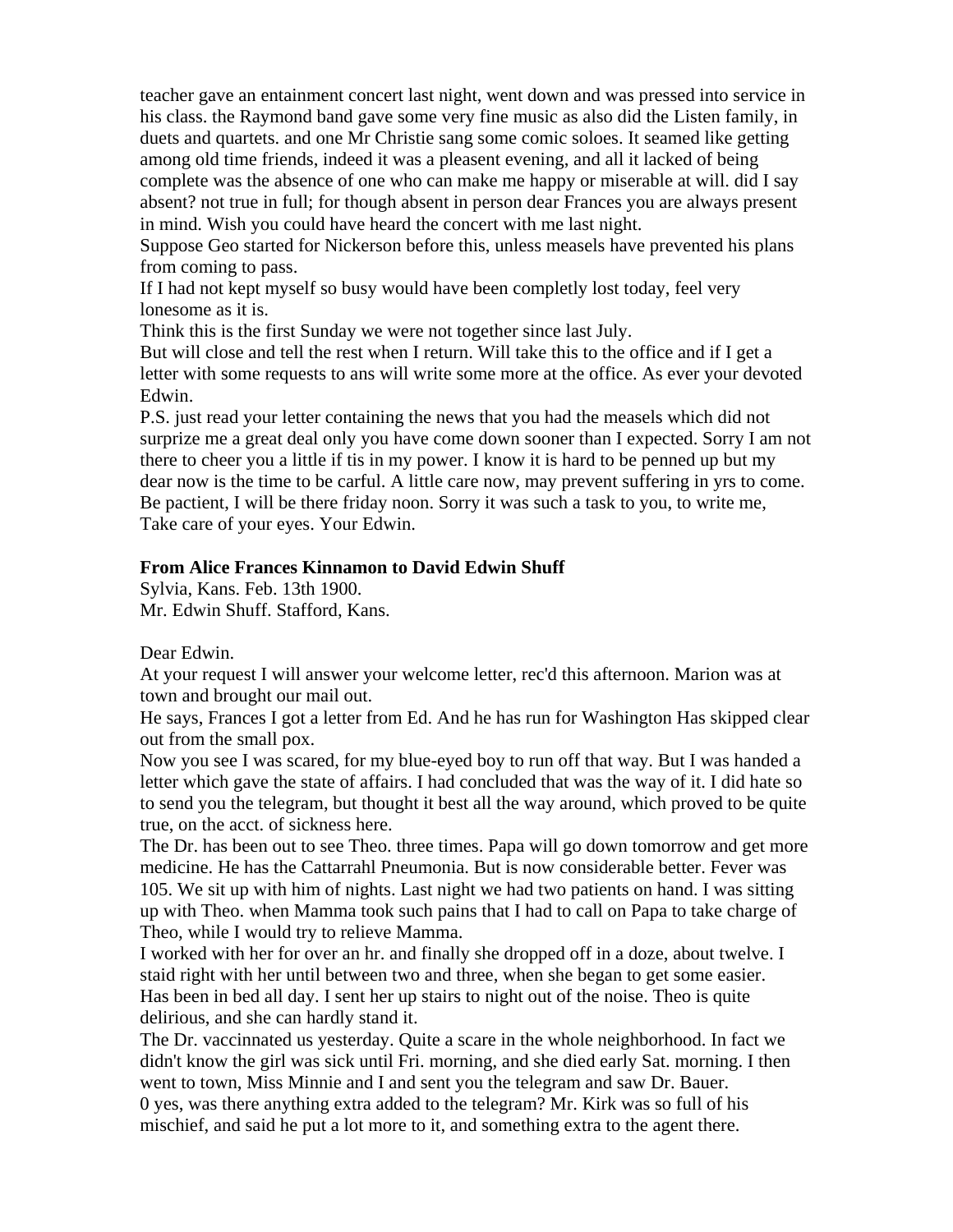teacher gave an entainment concert last night, went down and was pressed into service in his class. the Raymond band gave some very fine music as also did the Listen family, in duets and quartets. and one Mr Christie sang some comic soloes. It seamed like getting among old time friends, indeed it was a pleasent evening, and all it lacked of being complete was the absence of one who can make me happy or miserable at will. did I say absent? not true in full; for though absent in person dear Frances you are always present in mind. Wish you could have heard the concert with me last night.

Suppose Geo started for Nickerson before this, unless measels have prevented his plans from coming to pass.

If I had not kept myself so busy would have been completly lost today, feel very lonesome as it is.

Think this is the first Sunday we were not together since last July.

But will close and tell the rest when I return. Will take this to the office and if I get a letter with some requests to ans will write some more at the office. As ever your devoted Edwin.

P.S. just read your letter containing the news that you had the measels which did not surprize me a great deal only you have come down sooner than I expected. Sorry I am not there to cheer you a little if tis in my power. I know it is hard to be penned up but my dear now is the time to be carful. A little care now, may prevent suffering in yrs to come. Be pactient, I will be there friday noon. Sorry it was such a task to you, to write me, Take care of your eyes. Your Edwin.

# **From Alice Frances Kinnamon to David Edwin Shuff**

Sylvia, Kans. Feb. 13th 1900. Mr. Edwin Shuff. Stafford, Kans.

Dear Edwin.

At your request I will answer your welcome letter, rec'd this afternoon. Marion was at town and brought our mail out.

He says, Frances I got a letter from Ed. And he has run for Washington Has skipped clear out from the small pox.

Now you see I was scared, for my blue-eyed boy to run off that way. But I was handed a letter which gave the state of affairs. I had concluded that was the way of it. I did hate so to send you the telegram, but thought it best all the way around, which proved to be quite true, on the acct. of sickness here.

The Dr. has been out to see Theo. three times. Papa will go down tomorrow and get more medicine. He has the Cattarrahl Pneumonia. But is now considerable better. Fever was 105. We sit up with him of nights. Last night we had two patients on hand. I was sitting up with Theo. when Mamma took such pains that I had to call on Papa to take charge of Theo, while I would try to relieve Mamma.

I worked with her for over an hr. and finally she dropped off in a doze, about twelve. I staid right with her until between two and three, when she began to get some easier. Has been in bed all day. I sent her up stairs to night out of the noise. Theo is quite delirious, and she can hardly stand it.

The Dr. vaccinnated us yesterday. Quite a scare in the whole neighborhood. In fact we didn't know the girl was sick until Fri. morning, and she died early Sat. morning. I then went to town, Miss Minnie and I and sent you the telegram and saw Dr. Bauer.

0 yes, was there anything extra added to the telegram? Mr. Kirk was so full of his mischief, and said he put a lot more to it, and something extra to the agent there.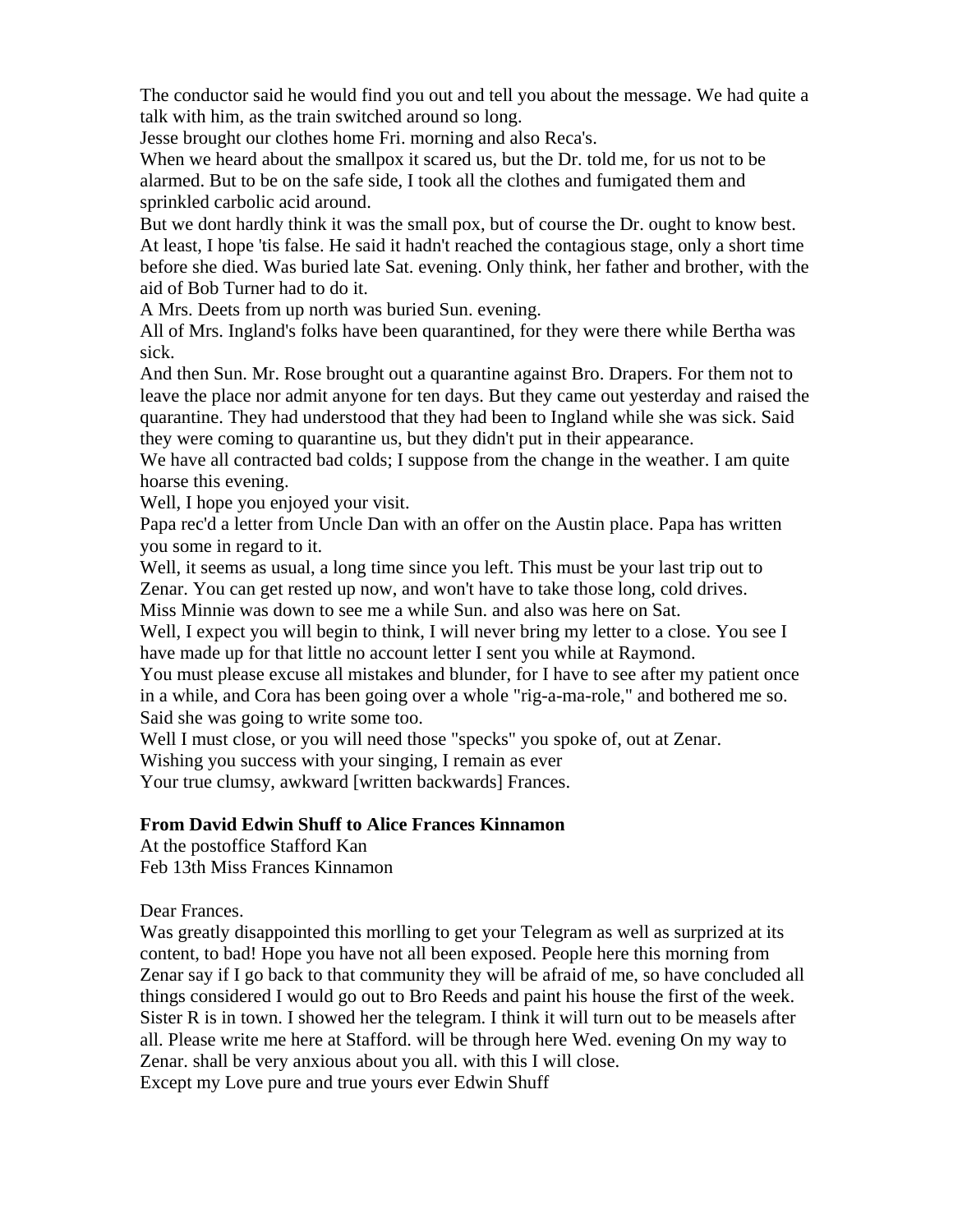The conductor said he would find you out and tell you about the message. We had quite a talk with him, as the train switched around so long.

Jesse brought our clothes home Fri. morning and also Reca's.

When we heard about the smallpox it scared us, but the Dr. told me, for us not to be alarmed. But to be on the safe side, I took all the clothes and fumigated them and sprinkled carbolic acid around.

But we dont hardly think it was the small pox, but of course the Dr. ought to know best. At least, I hope 'tis false. He said it hadn't reached the contagious stage, only a short time before she died. Was buried late Sat. evening. Only think, her father and brother, with the aid of Bob Turner had to do it.

A Mrs. Deets from up north was buried Sun. evening.

All of Mrs. Ingland's folks have been quarantined, for they were there while Bertha was sick.

And then Sun. Mr. Rose brought out a quarantine against Bro. Drapers. For them not to leave the place nor admit anyone for ten days. But they came out yesterday and raised the quarantine. They had understood that they had been to Ingland while she was sick. Said they were coming to quarantine us, but they didn't put in their appearance.

We have all contracted bad colds; I suppose from the change in the weather. I am quite hoarse this evening.

Well, I hope you enjoyed your visit.

Papa rec'd a letter from Uncle Dan with an offer on the Austin place. Papa has written you some in regard to it.

Well, it seems as usual, a long time since you left. This must be your last trip out to Zenar. You can get rested up now, and won't have to take those long, cold drives. Miss Minnie was down to see me a while Sun. and also was here on Sat.

Well, I expect you will begin to think, I will never bring my letter to a close. You see I have made up for that little no account letter I sent you while at Raymond.

You must please excuse all mistakes and blunder, for I have to see after my patient once in a while, and Cora has been going over a whole "rig-a-ma-role," and bothered me so. Said she was going to write some too.

Well I must close, or you will need those "specks" you spoke of, out at Zenar.

Wishing you success with your singing, I remain as ever

Your true clumsy, awkward [written backwards] Frances.

# **From David Edwin Shuff to Alice Frances Kinnamon**

At the postoffice Stafford Kan Feb 13th Miss Frances Kinnamon

Dear Frances.

Was greatly disappointed this morlling to get your Telegram as well as surprized at its content, to bad! Hope you have not all been exposed. People here this morning from Zenar say if I go back to that community they will be afraid of me, so have concluded all things considered I would go out to Bro Reeds and paint his house the first of the week. Sister R is in town. I showed her the telegram. I think it will turn out to be measels after all. Please write me here at Stafford. will be through here Wed. evening On my way to Zenar. shall be very anxious about you all. with this I will close. Except my Love pure and true yours ever Edwin Shuff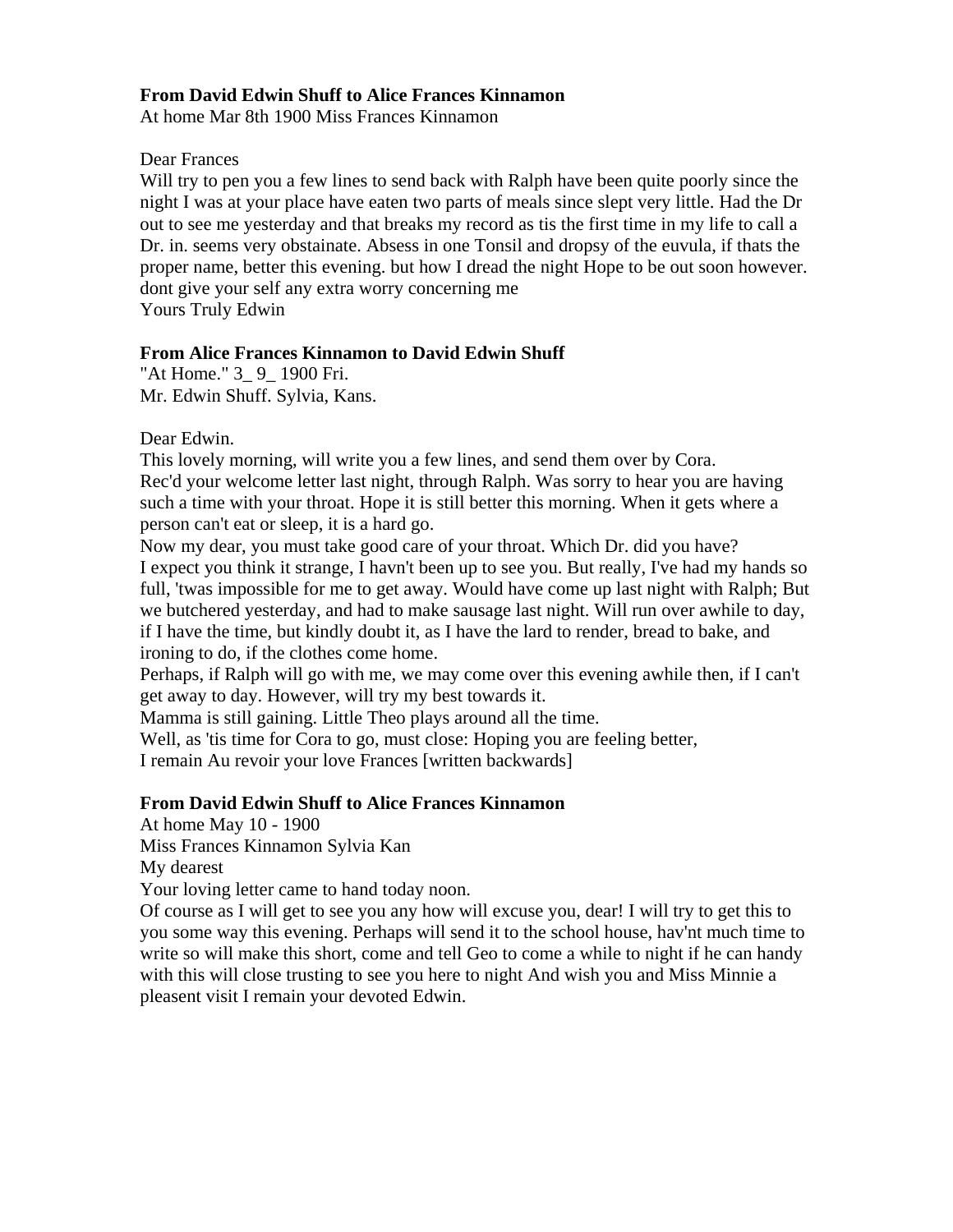### **From David Edwin Shuff to Alice Frances Kinnamon**

At home Mar 8th 1900 Miss Frances Kinnamon

#### Dear Frances

Will try to pen you a few lines to send back with Ralph have been quite poorly since the night I was at your place have eaten two parts of meals since slept very little. Had the Dr out to see me yesterday and that breaks my record as tis the first time in my life to call a Dr. in. seems very obstainate. Absess in one Tonsil and dropsy of the euvula, if thats the proper name, better this evening. but how I dread the night Hope to be out soon however. dont give your self any extra worry concerning me Yours Truly Edwin

#### **From Alice Frances Kinnamon to David Edwin Shuff**

"At Home." 3\_ 9\_ 1900 Fri. Mr. Edwin Shuff. Sylvia, Kans.

Dear Edwin.

This lovely morning, will write you a few lines, and send them over by Cora. Rec'd your welcome letter last night, through Ralph. Was sorry to hear you are having such a time with your throat. Hope it is still better this morning. When it gets where a person can't eat or sleep, it is a hard go.

Now my dear, you must take good care of your throat. Which Dr. did you have? I expect you think it strange, I havn't been up to see you. But really, I've had my hands so full, 'twas impossible for me to get away. Would have come up last night with Ralph; But we butchered yesterday, and had to make sausage last night. Will run over awhile to day, if I have the time, but kindly doubt it, as I have the lard to render, bread to bake, and ironing to do, if the clothes come home.

Perhaps, if Ralph will go with me, we may come over this evening awhile then, if I can't get away to day. However, will try my best towards it.

Mamma is still gaining. Little Theo plays around all the time.

Well, as 'tis time for Cora to go, must close: Hoping you are feeling better, I remain Au revoir your love Frances [written backwards]

#### **From David Edwin Shuff to Alice Frances Kinnamon**

At home May 10 - 1900

Miss Frances Kinnamon Sylvia Kan

My dearest

Your loving letter came to hand today noon.

Of course as I will get to see you any how will excuse you, dear! I will try to get this to you some way this evening. Perhaps will send it to the school house, hav'nt much time to write so will make this short, come and tell Geo to come a while to night if he can handy with this will close trusting to see you here to night And wish you and Miss Minnie a pleasent visit I remain your devoted Edwin.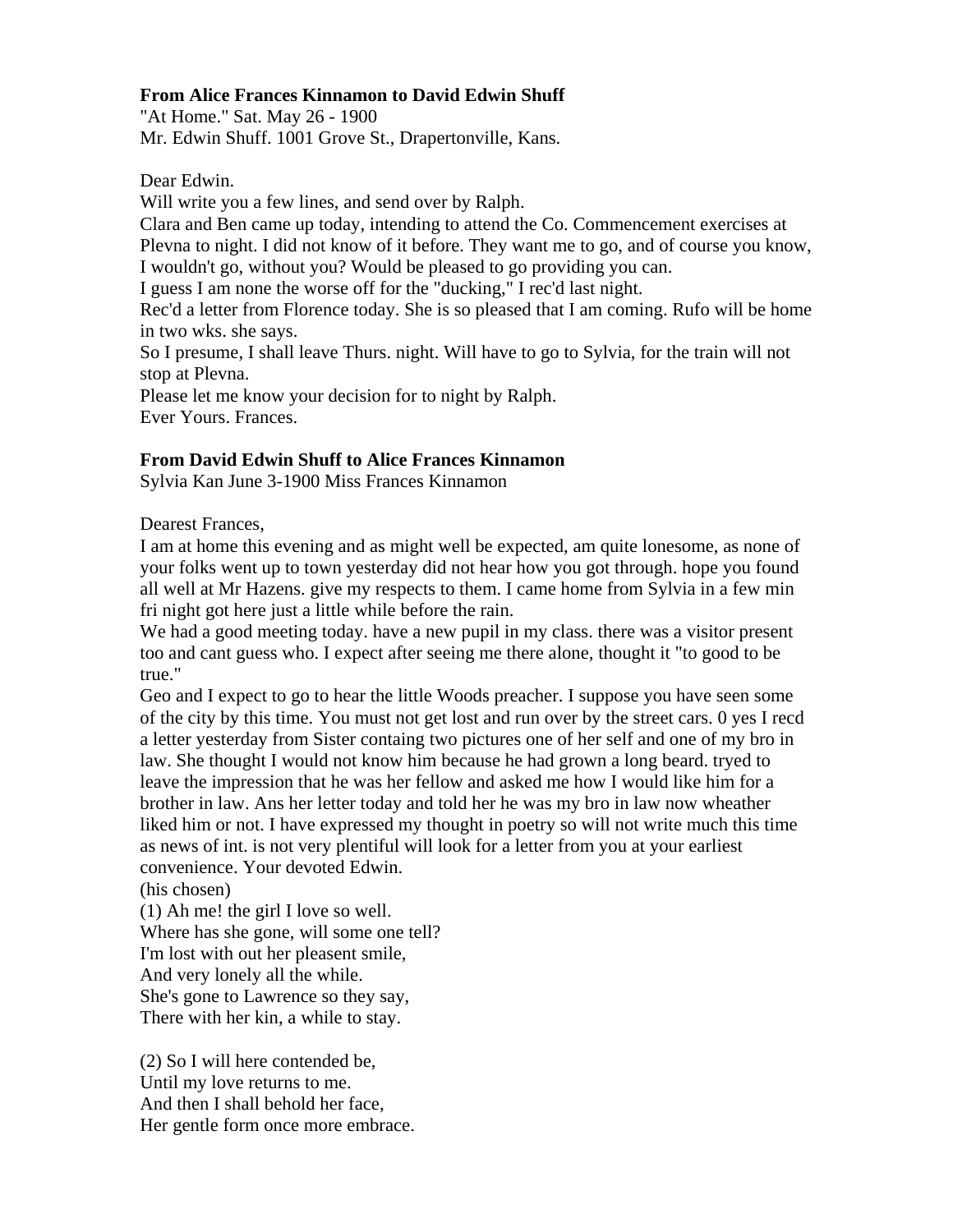### **From Alice Frances Kinnamon to David Edwin Shuff**

"At Home." Sat. May 26 - 1900 Mr. Edwin Shuff. 1001 Grove St., Drapertonville, Kans.

Dear Edwin.

Will write you a few lines, and send over by Ralph.

Clara and Ben came up today, intending to attend the Co. Commencement exercises at Plevna to night. I did not know of it before. They want me to go, and of course you know, I wouldn't go, without you? Would be pleased to go providing you can.

I guess I am none the worse off for the "ducking," I rec'd last night.

Rec'd a letter from Florence today. She is so pleased that I am coming. Rufo will be home in two wks. she says.

So I presume, I shall leave Thurs. night. Will have to go to Sylvia, for the train will not stop at Plevna.

Please let me know your decision for to night by Ralph. Ever Yours. Frances.

# **From David Edwin Shuff to Alice Frances Kinnamon**

Sylvia Kan June 3-1900 Miss Frances Kinnamon

Dearest Frances,

I am at home this evening and as might well be expected, am quite lonesome, as none of your folks went up to town yesterday did not hear how you got through. hope you found all well at Mr Hazens. give my respects to them. I came home from Sylvia in a few min fri night got here just a little while before the rain.

We had a good meeting today. have a new pupil in my class, there was a visitor present too and cant guess who. I expect after seeing me there alone, thought it "to good to be true."

Geo and I expect to go to hear the little Woods preacher. I suppose you have seen some of the city by this time. You must not get lost and run over by the street cars. 0 yes I recd a letter yesterday from Sister containg two pictures one of her self and one of my bro in law. She thought I would not know him because he had grown a long beard. tryed to leave the impression that he was her fellow and asked me how I would like him for a brother in law. Ans her letter today and told her he was my bro in law now wheather liked him or not. I have expressed my thought in poetry so will not write much this time as news of int. is not very plentiful will look for a letter from you at your earliest convenience. Your devoted Edwin.

(his chosen)

(1) Ah me! the girl I love so well. Where has she gone, will some one tell? I'm lost with out her pleasent smile, And very lonely all the while. She's gone to Lawrence so they say, There with her kin, a while to stay.

(2) So I will here contended be, Until my love returns to me. And then I shall behold her face, Her gentle form once more embrace.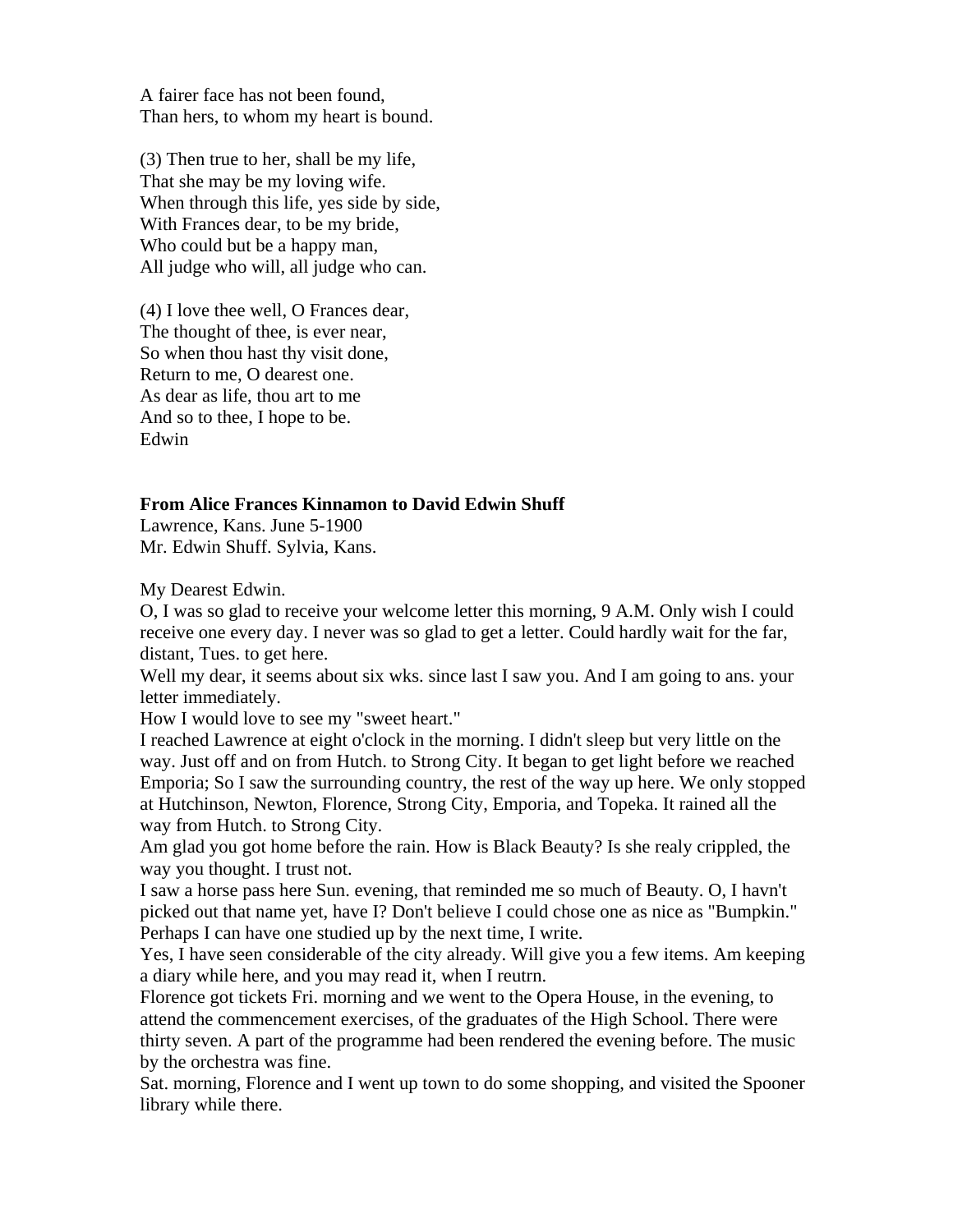A fairer face has not been found, Than hers, to whom my heart is bound.

(3) Then true to her, shall be my life, That she may be my loving wife. When through this life, yes side by side, With Frances dear, to be my bride, Who could but be a happy man, All judge who will, all judge who can.

(4) I love thee well, O Frances dear, The thought of thee, is ever near, So when thou hast thy visit done, Return to me, O dearest one. As dear as life, thou art to me And so to thee, I hope to be. Edwin

#### **From Alice Frances Kinnamon to David Edwin Shuff**

Lawrence, Kans. June 5-1900 Mr. Edwin Shuff. Sylvia, Kans.

My Dearest Edwin.

O, I was so glad to receive your welcome letter this morning, 9 A.M. Only wish I could receive one every day. I never was so glad to get a letter. Could hardly wait for the far, distant, Tues. to get here.

Well my dear, it seems about six wks. since last I saw you. And I am going to ans. your letter immediately.

How I would love to see my "sweet heart."

I reached Lawrence at eight o'clock in the morning. I didn't sleep but very little on the way. Just off and on from Hutch. to Strong City. It began to get light before we reached Emporia; So I saw the surrounding country, the rest of the way up here. We only stopped at Hutchinson, Newton, Florence, Strong City, Emporia, and Topeka. It rained all the way from Hutch. to Strong City.

Am glad you got home before the rain. How is Black Beauty? Is she realy crippled, the way you thought. I trust not.

I saw a horse pass here Sun. evening, that reminded me so much of Beauty. O, I havn't picked out that name yet, have I? Don't believe I could chose one as nice as "Bumpkin." Perhaps I can have one studied up by the next time, I write.

Yes, I have seen considerable of the city already. Will give you a few items. Am keeping a diary while here, and you may read it, when I reutrn.

Florence got tickets Fri. morning and we went to the Opera House, in the evening, to attend the commencement exercises, of the graduates of the High School. There were thirty seven. A part of the programme had been rendered the evening before. The music by the orchestra was fine.

Sat. morning, Florence and I went up town to do some shopping, and visited the Spooner library while there.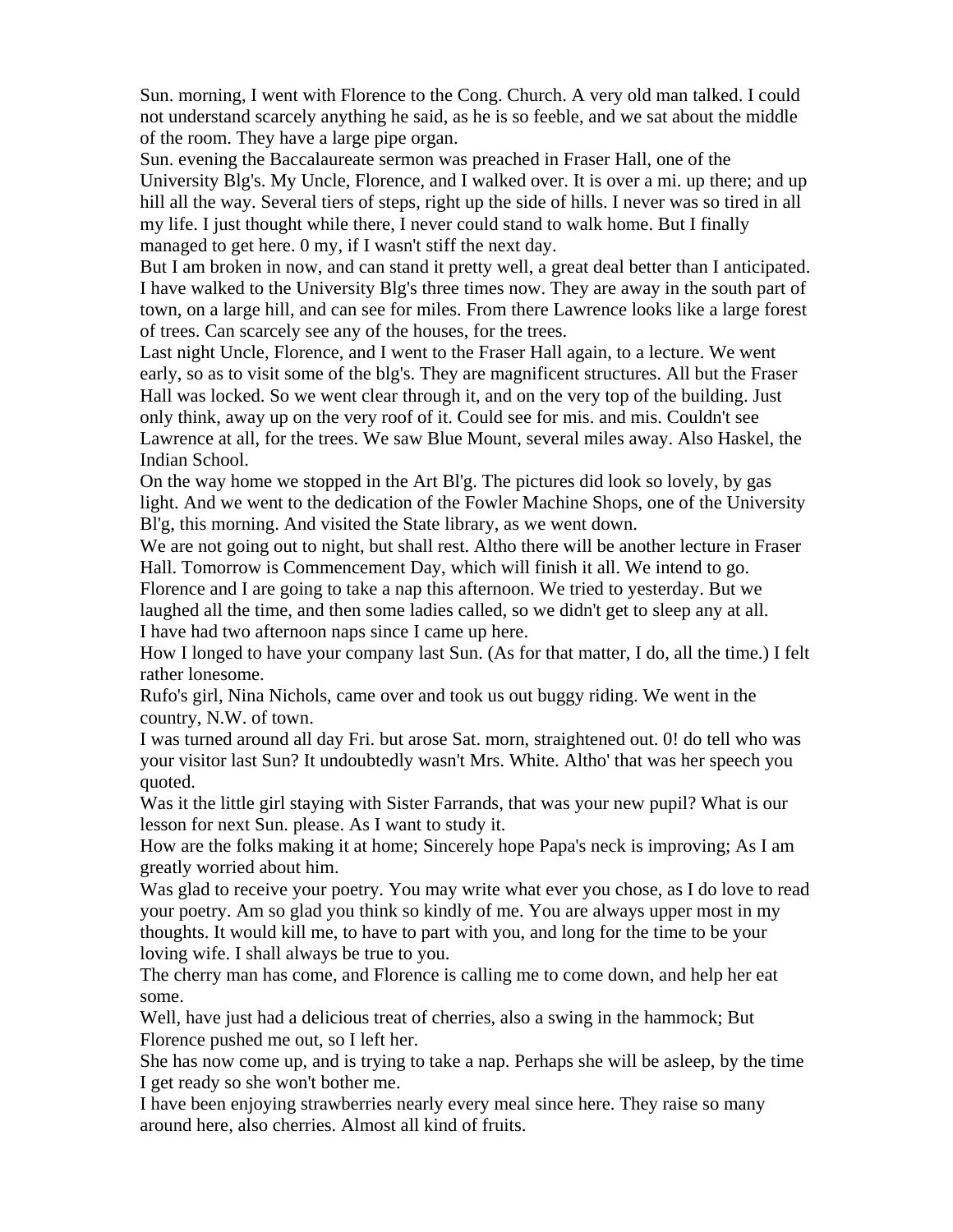Sun. morning, I went with Florence to the Cong. Church. A very old man talked. I could not understand scarcely anything he said, as he is so feeble, and we sat about the middle of the room. They have a large pipe organ.

Sun. evening the Baccalaureate sermon was preached in Fraser Hall, one of the University Blg's. My Uncle, Florence, and I walked over. It is over a mi. up there; and up hill all the way. Several tiers of steps, right up the side of hills. I never was so tired in all my life. I just thought while there, I never could stand to walk home. But I finally managed to get here. 0 my, if I wasn't stiff the next day.

But I am broken in now, and can stand it pretty well, a great deal better than I anticipated. I have walked to the University Blg's three times now. They are away in the south part of town, on a large hill, and can see for miles. From there Lawrence looks like a large forest of trees. Can scarcely see any of the houses, for the trees.

Last night Uncle, Florence, and I went to the Fraser Hall again, to a lecture. We went early, so as to visit some of the blg's. They are magnificent structures. All but the Fraser Hall was locked. So we went clear through it, and on the very top of the building. Just only think, away up on the very roof of it. Could see for mis. and mis. Couldn't see Lawrence at all, for the trees. We saw Blue Mount, several miles away. Also Haskel, the Indian School.

On the way home we stopped in the Art Bl'g. The pictures did look so lovely, by gas light. And we went to the dedication of the Fowler Machine Shops, one of the University Bl'g, this morning. And visited the State library, as we went down.

We are not going out to night, but shall rest. Altho there will be another lecture in Fraser Hall. Tomorrow is Commencement Day, which will finish it all. We intend to go. Florence and I are going to take a nap this afternoon. We tried to yesterday. But we

laughed all the time, and then some ladies called, so we didn't get to sleep any at all. I have had two afternoon naps since I came up here.

How I longed to have your company last Sun. (As for that matter, I do, all the time.) I felt rather lonesome.

Rufo's girl, Nina Nichols, came over and took us out buggy riding. We went in the country, N.W. of town.

I was turned around all day Fri. but arose Sat. morn, straightened out. 0! do tell who was your visitor last Sun? It undoubtedly wasn't Mrs. White. Altho' that was her speech you quoted.

Was it the little girl staying with Sister Farrands, that was your new pupil? What is our lesson for next Sun. please. As I want to study it.

How are the folks making it at home; Sincerely hope Papa's neck is improving; As I am greatly worried about him.

Was glad to receive your poetry. You may write what ever you chose, as I do love to read your poetry. Am so glad you think so kindly of me. You are always upper most in my thoughts. It would kill me, to have to part with you, and long for the time to be your loving wife. I shall always be true to you.

The cherry man has come, and Florence is calling me to come down, and help her eat some.

Well, have just had a delicious treat of cherries, also a swing in the hammock; But Florence pushed me out, so I left her.

She has now come up, and is trying to take a nap. Perhaps she will be asleep, by the time I get ready so she won't bother me.

I have been enjoying strawberries nearly every meal since here. They raise so many around here, also cherries. Almost all kind of fruits.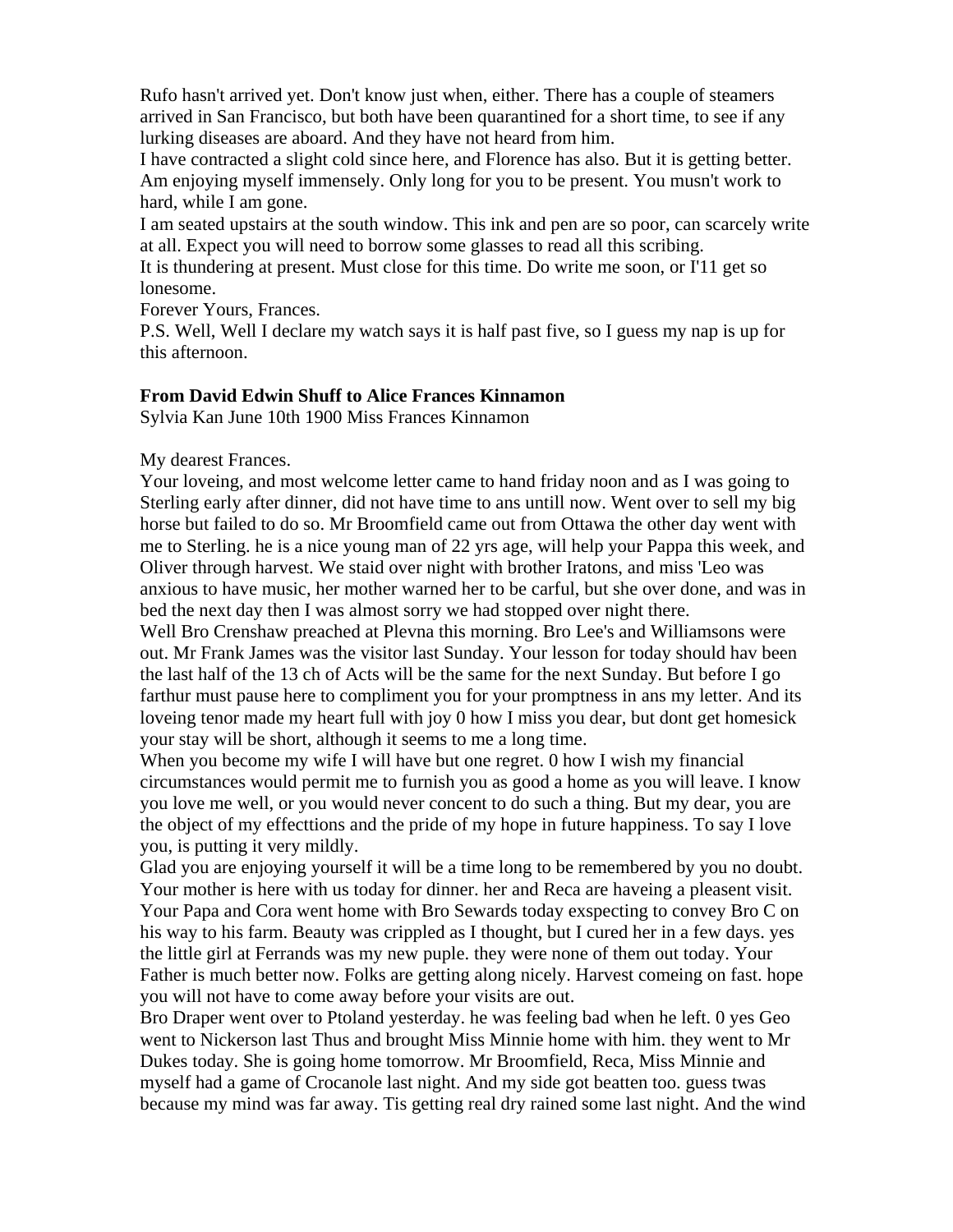Rufo hasn't arrived yet. Don't know just when, either. There has a couple of steamers arrived in San Francisco, but both have been quarantined for a short time, to see if any lurking diseases are aboard. And they have not heard from him.

I have contracted a slight cold since here, and Florence has also. But it is getting better. Am enjoying myself immensely. Only long for you to be present. You musn't work to hard, while I am gone.

I am seated upstairs at the south window. This ink and pen are so poor, can scarcely write at all. Expect you will need to borrow some glasses to read all this scribing.

It is thundering at present. Must close for this time. Do write me soon, or I'11 get so lonesome.

Forever Yours, Frances.

P.S. Well, Well I declare my watch says it is half past five, so I guess my nap is up for this afternoon.

#### **From David Edwin Shuff to Alice Frances Kinnamon**

Sylvia Kan June 10th 1900 Miss Frances Kinnamon

My dearest Frances.

Your loveing, and most welcome letter came to hand friday noon and as I was going to Sterling early after dinner, did not have time to ans untill now. Went over to sell my big horse but failed to do so. Mr Broomfield came out from Ottawa the other day went with me to Sterling. he is a nice young man of 22 yrs age, will help your Pappa this week, and Oliver through harvest. We staid over night with brother Iratons, and miss 'Leo was anxious to have music, her mother warned her to be carful, but she over done, and was in bed the next day then I was almost sorry we had stopped over night there.

Well Bro Crenshaw preached at Plevna this morning. Bro Lee's and Williamsons were out. Mr Frank James was the visitor last Sunday. Your lesson for today should hav been the last half of the 13 ch of Acts will be the same for the next Sunday. But before I go farthur must pause here to compliment you for your promptness in ans my letter. And its loveing tenor made my heart full with joy 0 how I miss you dear, but dont get homesick your stay will be short, although it seems to me a long time.

When you become my wife I will have but one regret. 0 how I wish my financial circumstances would permit me to furnish you as good a home as you will leave. I know you love me well, or you would never concent to do such a thing. But my dear, you are the object of my effecttions and the pride of my hope in future happiness. To say I love you, is putting it very mildly.

Glad you are enjoying yourself it will be a time long to be remembered by you no doubt. Your mother is here with us today for dinner. her and Reca are haveing a pleasent visit. Your Papa and Cora went home with Bro Sewards today exspecting to convey Bro C on his way to his farm. Beauty was crippled as I thought, but I cured her in a few days. yes the little girl at Ferrands was my new puple. they were none of them out today. Your Father is much better now. Folks are getting along nicely. Harvest comeing on fast. hope you will not have to come away before your visits are out.

Bro Draper went over to Ptoland yesterday. he was feeling bad when he left. 0 yes Geo went to Nickerson last Thus and brought Miss Minnie home with him. they went to Mr Dukes today. She is going home tomorrow. Mr Broomfield, Reca, Miss Minnie and myself had a game of Crocanole last night. And my side got beatten too. guess twas because my mind was far away. Tis getting real dry rained some last night. And the wind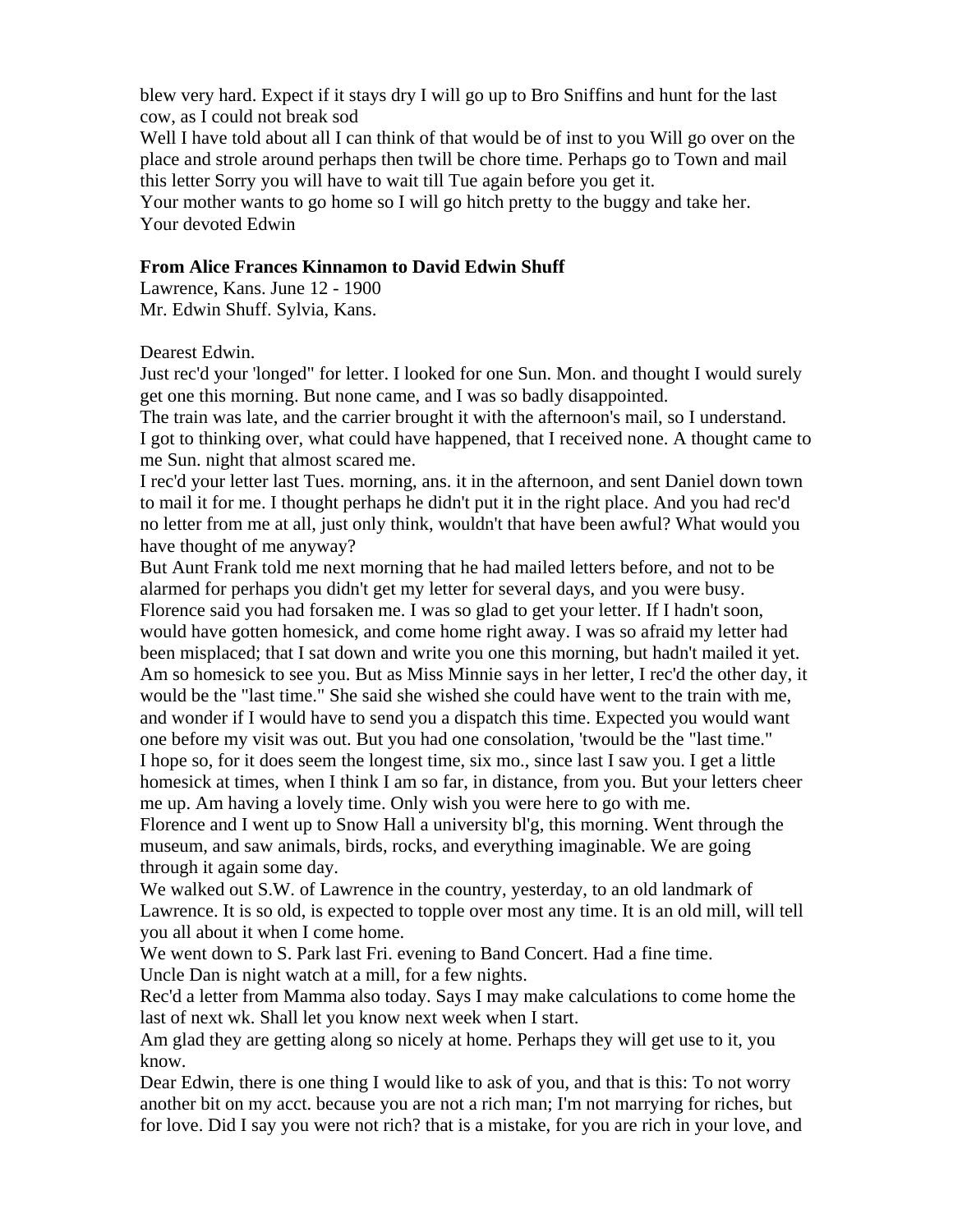blew very hard. Expect if it stays dry I will go up to Bro Sniffins and hunt for the last cow, as I could not break sod

Well I have told about all I can think of that would be of inst to you Will go over on the place and strole around perhaps then twill be chore time. Perhaps go to Town and mail this letter Sorry you will have to wait till Tue again before you get it.

Your mother wants to go home so I will go hitch pretty to the buggy and take her. Your devoted Edwin

#### **From Alice Frances Kinnamon to David Edwin Shuff**

Lawrence, Kans. June 12 - 1900 Mr. Edwin Shuff. Sylvia, Kans.

Dearest Edwin.

Just rec'd your 'longed" for letter. I looked for one Sun. Mon. and thought I would surely get one this morning. But none came, and I was so badly disappointed.

The train was late, and the carrier brought it with the afternoon's mail, so I understand. I got to thinking over, what could have happened, that I received none. A thought came to me Sun. night that almost scared me.

I rec'd your letter last Tues. morning, ans. it in the afternoon, and sent Daniel down town to mail it for me. I thought perhaps he didn't put it in the right place. And you had rec'd no letter from me at all, just only think, wouldn't that have been awful? What would you have thought of me anyway?

But Aunt Frank told me next morning that he had mailed letters before, and not to be alarmed for perhaps you didn't get my letter for several days, and you were busy. Florence said you had forsaken me. I was so glad to get your letter. If I hadn't soon, would have gotten homesick, and come home right away. I was so afraid my letter had been misplaced; that I sat down and write you one this morning, but hadn't mailed it yet. Am so homesick to see you. But as Miss Minnie says in her letter, I rec'd the other day, it would be the "last time." She said she wished she could have went to the train with me, and wonder if I would have to send you a dispatch this time. Expected you would want one before my visit was out. But you had one consolation, 'twould be the "last time." I hope so, for it does seem the longest time, six mo., since last I saw you. I get a little homesick at times, when I think I am so far, in distance, from you. But your letters cheer me up. Am having a lovely time. Only wish you were here to go with me.

Florence and I went up to Snow Hall a university bl'g, this morning. Went through the museum, and saw animals, birds, rocks, and everything imaginable. We are going through it again some day.

We walked out S.W. of Lawrence in the country, yesterday, to an old landmark of Lawrence. It is so old, is expected to topple over most any time. It is an old mill, will tell you all about it when I come home.

We went down to S. Park last Fri. evening to Band Concert. Had a fine time. Uncle Dan is night watch at a mill, for a few nights.

Rec'd a letter from Mamma also today. Says I may make calculations to come home the last of next wk. Shall let you know next week when I start.

Am glad they are getting along so nicely at home. Perhaps they will get use to it, you know.

Dear Edwin, there is one thing I would like to ask of you, and that is this: To not worry another bit on my acct. because you are not a rich man; I'm not marrying for riches, but for love. Did I say you were not rich? that is a mistake, for you are rich in your love, and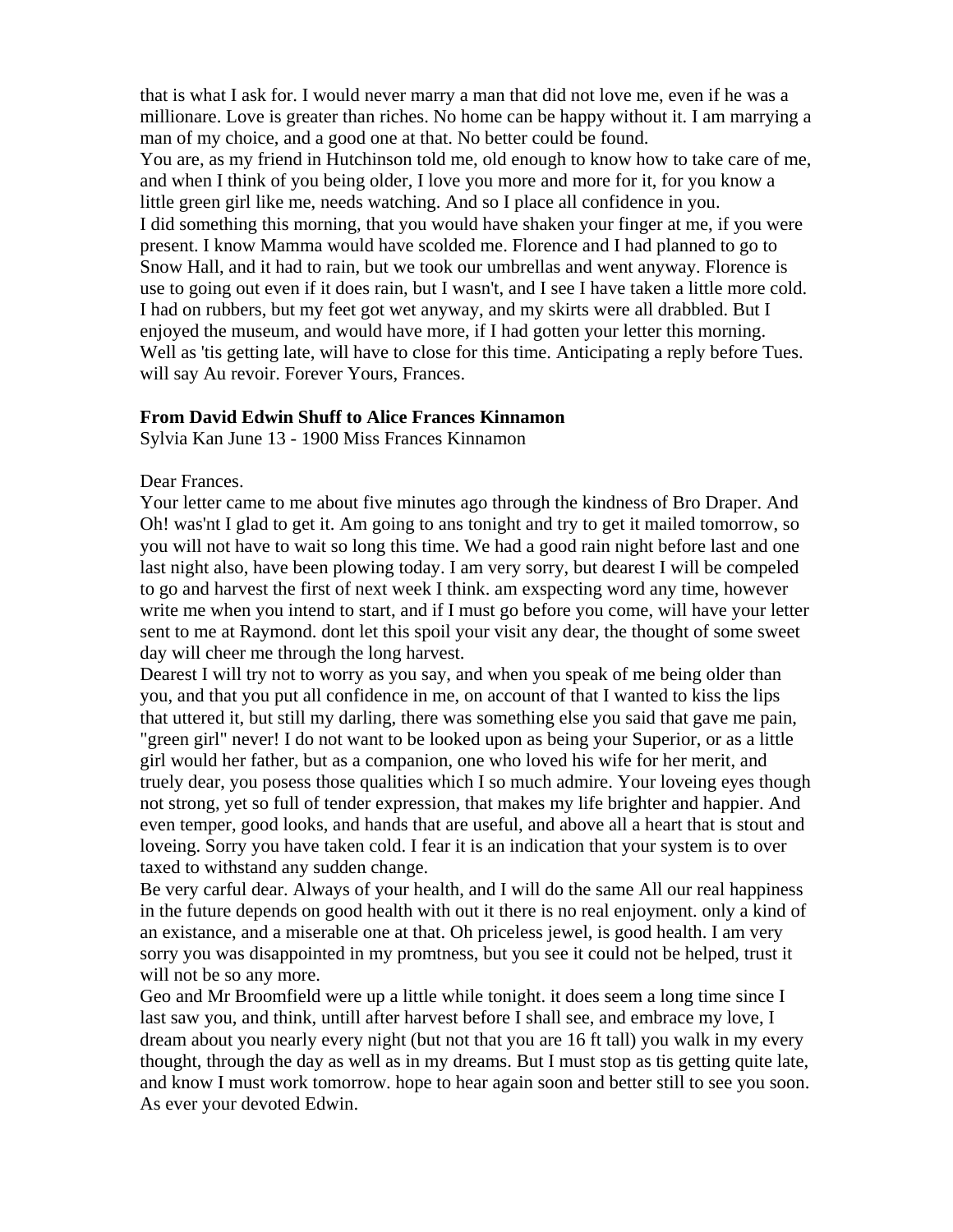that is what I ask for. I would never marry a man that did not love me, even if he was a millionare. Love is greater than riches. No home can be happy without it. I am marrying a man of my choice, and a good one at that. No better could be found. You are, as my friend in Hutchinson told me, old enough to know how to take care of me, and when I think of you being older, I love you more and more for it, for you know a little green girl like me, needs watching. And so I place all confidence in you. I did something this morning, that you would have shaken your finger at me, if you were present. I know Mamma would have scolded me. Florence and I had planned to go to Snow Hall, and it had to rain, but we took our umbrellas and went anyway. Florence is use to going out even if it does rain, but I wasn't, and I see I have taken a little more cold. I had on rubbers, but my feet got wet anyway, and my skirts were all drabbled. But I enjoyed the museum, and would have more, if I had gotten your letter this morning. Well as 'tis getting late, will have to close for this time. Anticipating a reply before Tues. will say Au revoir. Forever Yours, Frances.

#### **From David Edwin Shuff to Alice Frances Kinnamon**

Sylvia Kan June 13 - 1900 Miss Frances Kinnamon

Dear Frances.

Your letter came to me about five minutes ago through the kindness of Bro Draper. And Oh! was'nt I glad to get it. Am going to ans tonight and try to get it mailed tomorrow, so you will not have to wait so long this time. We had a good rain night before last and one last night also, have been plowing today. I am very sorry, but dearest I will be compeled to go and harvest the first of next week I think. am exspecting word any time, however write me when you intend to start, and if I must go before you come, will have your letter sent to me at Raymond. dont let this spoil your visit any dear, the thought of some sweet day will cheer me through the long harvest.

Dearest I will try not to worry as you say, and when you speak of me being older than you, and that you put all confidence in me, on account of that I wanted to kiss the lips that uttered it, but still my darling, there was something else you said that gave me pain, "green girl" never! I do not want to be looked upon as being your Superior, or as a little girl would her father, but as a companion, one who loved his wife for her merit, and truely dear, you posess those qualities which I so much admire. Your loveing eyes though not strong, yet so full of tender expression, that makes my life brighter and happier. And even temper, good looks, and hands that are useful, and above all a heart that is stout and loveing. Sorry you have taken cold. I fear it is an indication that your system is to over taxed to withstand any sudden change.

Be very carful dear. Always of your health, and I will do the same All our real happiness in the future depends on good health with out it there is no real enjoyment. only a kind of an existance, and a miserable one at that. Oh priceless jewel, is good health. I am very sorry you was disappointed in my promtness, but you see it could not be helped, trust it will not be so any more.

Geo and Mr Broomfield were up a little while tonight. it does seem a long time since I last saw you, and think, untill after harvest before I shall see, and embrace my love, I dream about you nearly every night (but not that you are 16 ft tall) you walk in my every thought, through the day as well as in my dreams. But I must stop as tis getting quite late, and know I must work tomorrow. hope to hear again soon and better still to see you soon. As ever your devoted Edwin.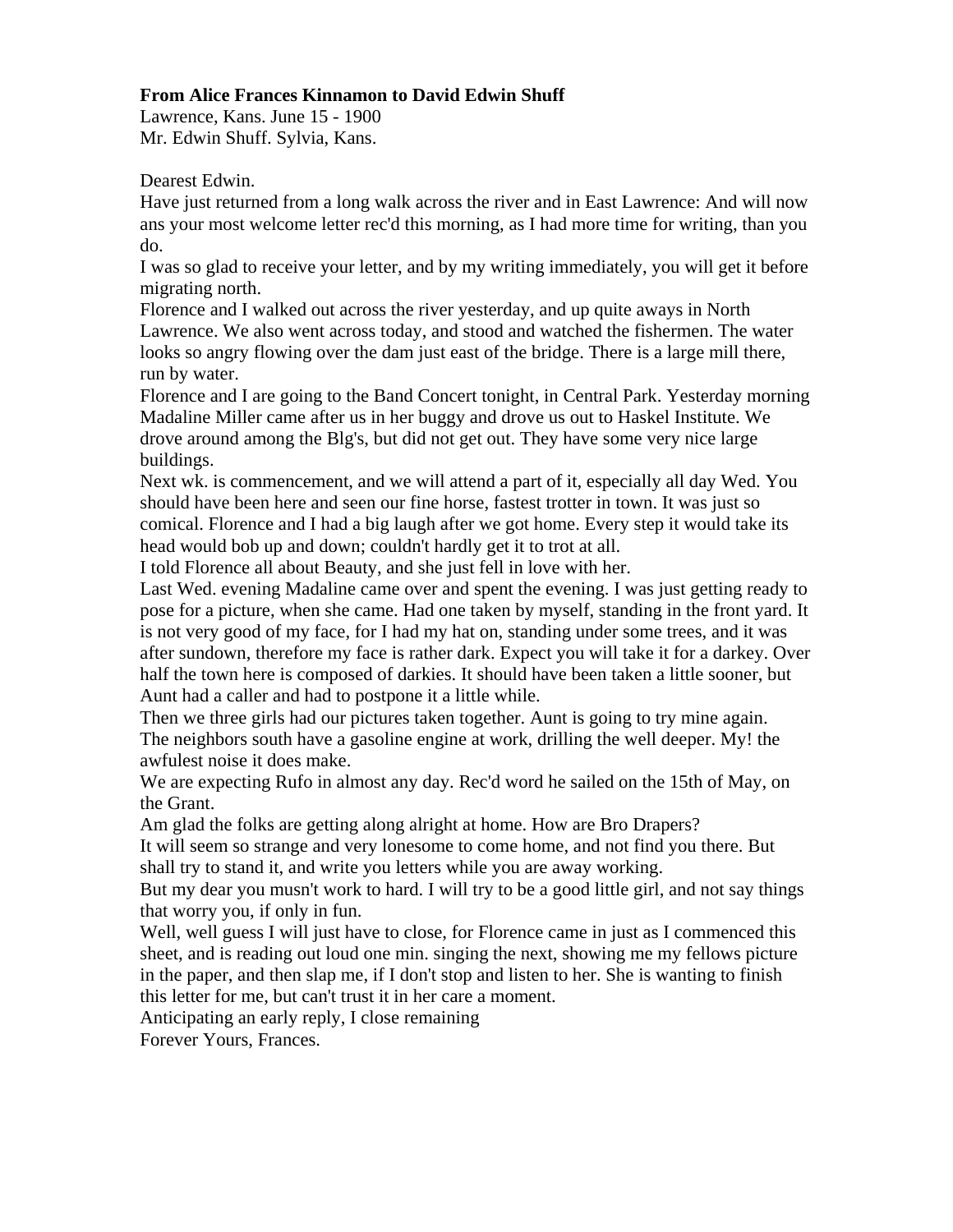## **From Alice Frances Kinnamon to David Edwin Shuff**

Lawrence, Kans. June 15 - 1900 Mr. Edwin Shuff. Sylvia, Kans.

Dearest Edwin.

Have just returned from a long walk across the river and in East Lawrence: And will now ans your most welcome letter rec'd this morning, as I had more time for writing, than you do.

I was so glad to receive your letter, and by my writing immediately, you will get it before migrating north.

Florence and I walked out across the river yesterday, and up quite aways in North Lawrence. We also went across today, and stood and watched the fishermen. The water looks so angry flowing over the dam just east of the bridge. There is a large mill there, run by water.

Florence and I are going to the Band Concert tonight, in Central Park. Yesterday morning Madaline Miller came after us in her buggy and drove us out to Haskel Institute. We drove around among the Blg's, but did not get out. They have some very nice large buildings.

Next wk. is commencement, and we will attend a part of it, especially all day Wed. You should have been here and seen our fine horse, fastest trotter in town. It was just so comical. Florence and I had a big laugh after we got home. Every step it would take its head would bob up and down; couldn't hardly get it to trot at all.

I told Florence all about Beauty, and she just fell in love with her.

Last Wed. evening Madaline came over and spent the evening. I was just getting ready to pose for a picture, when she came. Had one taken by myself, standing in the front yard. It is not very good of my face, for I had my hat on, standing under some trees, and it was after sundown, therefore my face is rather dark. Expect you will take it for a darkey. Over half the town here is composed of darkies. It should have been taken a little sooner, but Aunt had a caller and had to postpone it a little while.

Then we three girls had our pictures taken together. Aunt is going to try mine again. The neighbors south have a gasoline engine at work, drilling the well deeper. My! the awfulest noise it does make.

We are expecting Rufo in almost any day. Rec'd word he sailed on the 15th of May, on the Grant.

Am glad the folks are getting along alright at home. How are Bro Drapers?

It will seem so strange and very lonesome to come home, and not find you there. But shall try to stand it, and write you letters while you are away working.

But my dear you musn't work to hard. I will try to be a good little girl, and not say things that worry you, if only in fun.

Well, well guess I will just have to close, for Florence came in just as I commenced this sheet, and is reading out loud one min. singing the next, showing me my fellows picture in the paper, and then slap me, if I don't stop and listen to her. She is wanting to finish this letter for me, but can't trust it in her care a moment.

Anticipating an early reply, I close remaining

Forever Yours, Frances.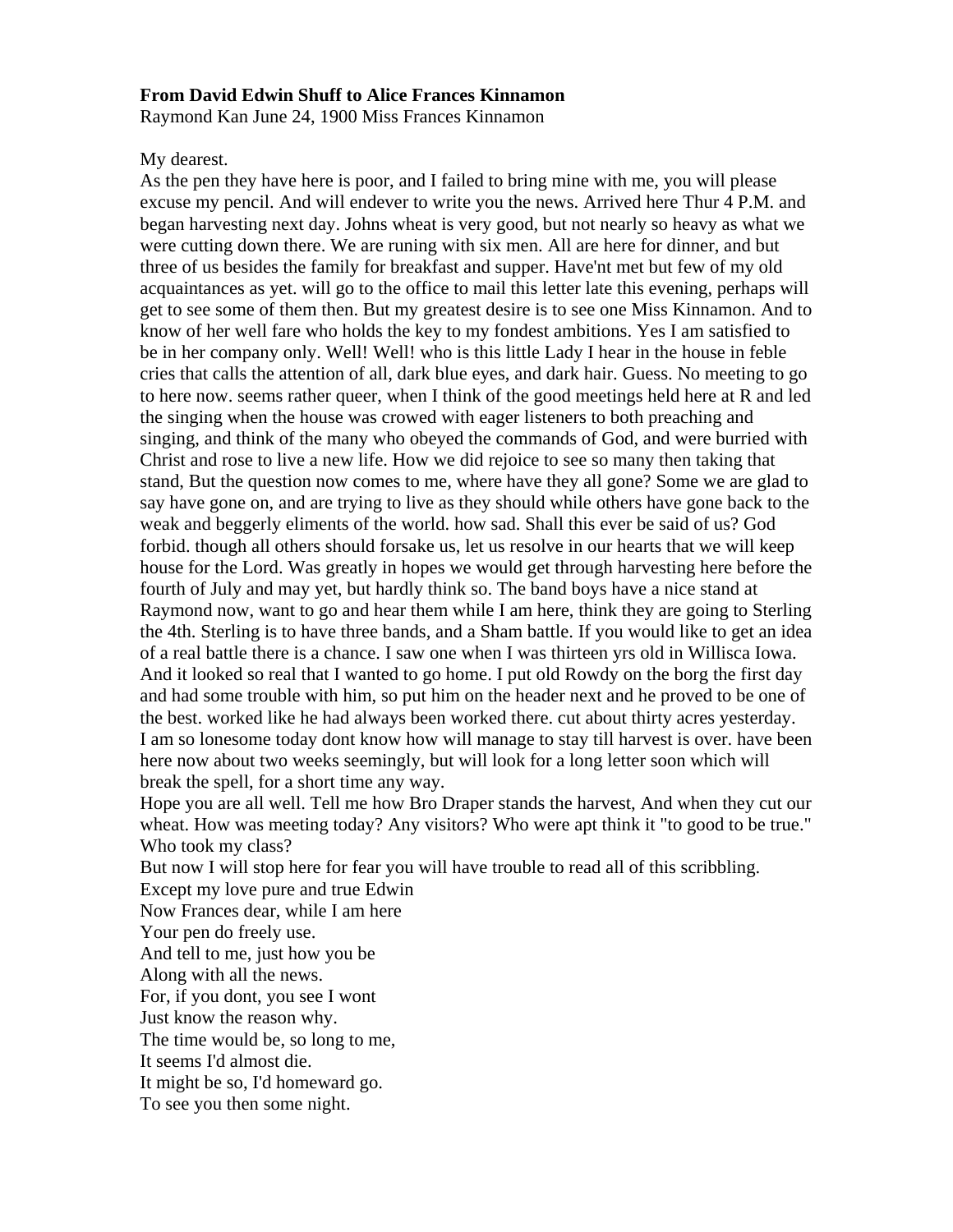#### **From David Edwin Shuff to Alice Frances Kinnamon**

Raymond Kan June 24, 1900 Miss Frances Kinnamon

My dearest.

As the pen they have here is poor, and I failed to bring mine with me, you will please excuse my pencil. And will endever to write you the news. Arrived here Thur 4 P.M. and began harvesting next day. Johns wheat is very good, but not nearly so heavy as what we were cutting down there. We are runing with six men. All are here for dinner, and but three of us besides the family for breakfast and supper. Have'nt met but few of my old acquaintances as yet. will go to the office to mail this letter late this evening, perhaps will get to see some of them then. But my greatest desire is to see one Miss Kinnamon. And to know of her well fare who holds the key to my fondest ambitions. Yes I am satisfied to be in her company only. Well! Well! who is this little Lady I hear in the house in feble cries that calls the attention of all, dark blue eyes, and dark hair. Guess. No meeting to go to here now. seems rather queer, when I think of the good meetings held here at R and led the singing when the house was crowed with eager listeners to both preaching and singing, and think of the many who obeyed the commands of God, and were burried with Christ and rose to live a new life. How we did rejoice to see so many then taking that stand, But the question now comes to me, where have they all gone? Some we are glad to say have gone on, and are trying to live as they should while others have gone back to the weak and beggerly eliments of the world. how sad. Shall this ever be said of us? God forbid. though all others should forsake us, let us resolve in our hearts that we will keep house for the Lord. Was greatly in hopes we would get through harvesting here before the fourth of July and may yet, but hardly think so. The band boys have a nice stand at Raymond now, want to go and hear them while I am here, think they are going to Sterling the 4th. Sterling is to have three bands, and a Sham battle. If you would like to get an idea of a real battle there is a chance. I saw one when I was thirteen yrs old in Willisca Iowa. And it looked so real that I wanted to go home. I put old Rowdy on the borg the first day and had some trouble with him, so put him on the header next and he proved to be one of the best. worked like he had always been worked there. cut about thirty acres yesterday. I am so lonesome today dont know how will manage to stay till harvest is over. have been here now about two weeks seemingly, but will look for a long letter soon which will break the spell, for a short time any way.

Hope you are all well. Tell me how Bro Draper stands the harvest, And when they cut our wheat. How was meeting today? Any visitors? Who were apt think it "to good to be true." Who took my class?

But now I will stop here for fear you will have trouble to read all of this scribbling. Except my love pure and true Edwin

Now Frances dear, while I am here

Your pen do freely use.

And tell to me, just how you be

Along with all the news.

For, if you dont, you see I wont

Just know the reason why.

The time would be, so long to me,

It seems I'd almost die.

It might be so, I'd homeward go.

To see you then some night.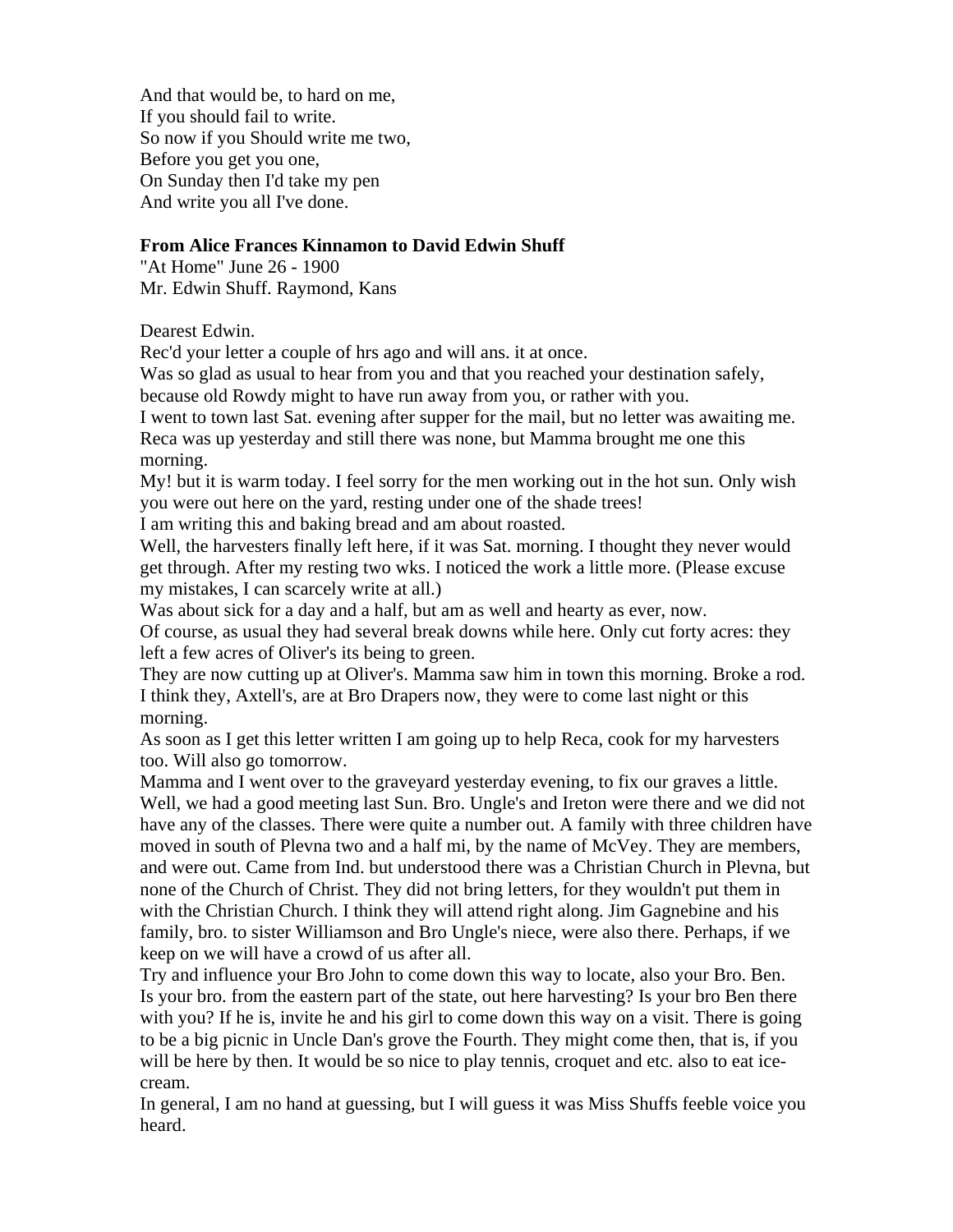And that would be, to hard on me, If you should fail to write. So now if you Should write me two, Before you get you one, On Sunday then I'd take my pen And write you all I've done.

#### **From Alice Frances Kinnamon to David Edwin Shuff**

"At Home" June 26 - 1900 Mr. Edwin Shuff. Raymond, Kans

Dearest Edwin.

Rec'd your letter a couple of hrs ago and will ans. it at once.

Was so glad as usual to hear from you and that you reached your destination safely, because old Rowdy might to have run away from you, or rather with you.

I went to town last Sat. evening after supper for the mail, but no letter was awaiting me. Reca was up yesterday and still there was none, but Mamma brought me one this morning.

My! but it is warm today. I feel sorry for the men working out in the hot sun. Only wish you were out here on the yard, resting under one of the shade trees!

I am writing this and baking bread and am about roasted.

Well, the harvesters finally left here, if it was Sat. morning. I thought they never would get through. After my resting two wks. I noticed the work a little more. (Please excuse my mistakes, I can scarcely write at all.)

Was about sick for a day and a half, but am as well and hearty as ever, now.

Of course, as usual they had several break downs while here. Only cut forty acres: they left a few acres of Oliver's its being to green.

They are now cutting up at Oliver's. Mamma saw him in town this morning. Broke a rod. I think they, Axtell's, are at Bro Drapers now, they were to come last night or this morning.

As soon as I get this letter written I am going up to help Reca, cook for my harvesters too. Will also go tomorrow.

Mamma and I went over to the graveyard yesterday evening, to fix our graves a little. Well, we had a good meeting last Sun. Bro. Ungle's and Ireton were there and we did not have any of the classes. There were quite a number out. A family with three children have moved in south of Plevna two and a half mi, by the name of McVey. They are members, and were out. Came from Ind. but understood there was a Christian Church in Plevna, but none of the Church of Christ. They did not bring letters, for they wouldn't put them in with the Christian Church. I think they will attend right along. Jim Gagnebine and his family, bro. to sister Williamson and Bro Ungle's niece, were also there. Perhaps, if we keep on we will have a crowd of us after all.

Try and influence your Bro John to come down this way to locate, also your Bro. Ben. Is your bro. from the eastern part of the state, out here harvesting? Is your bro Ben there with you? If he is, invite he and his girl to come down this way on a visit. There is going to be a big picnic in Uncle Dan's grove the Fourth. They might come then, that is, if you will be here by then. It would be so nice to play tennis, croquet and etc. also to eat icecream.

In general, I am no hand at guessing, but I will guess it was Miss Shuffs feeble voice you heard.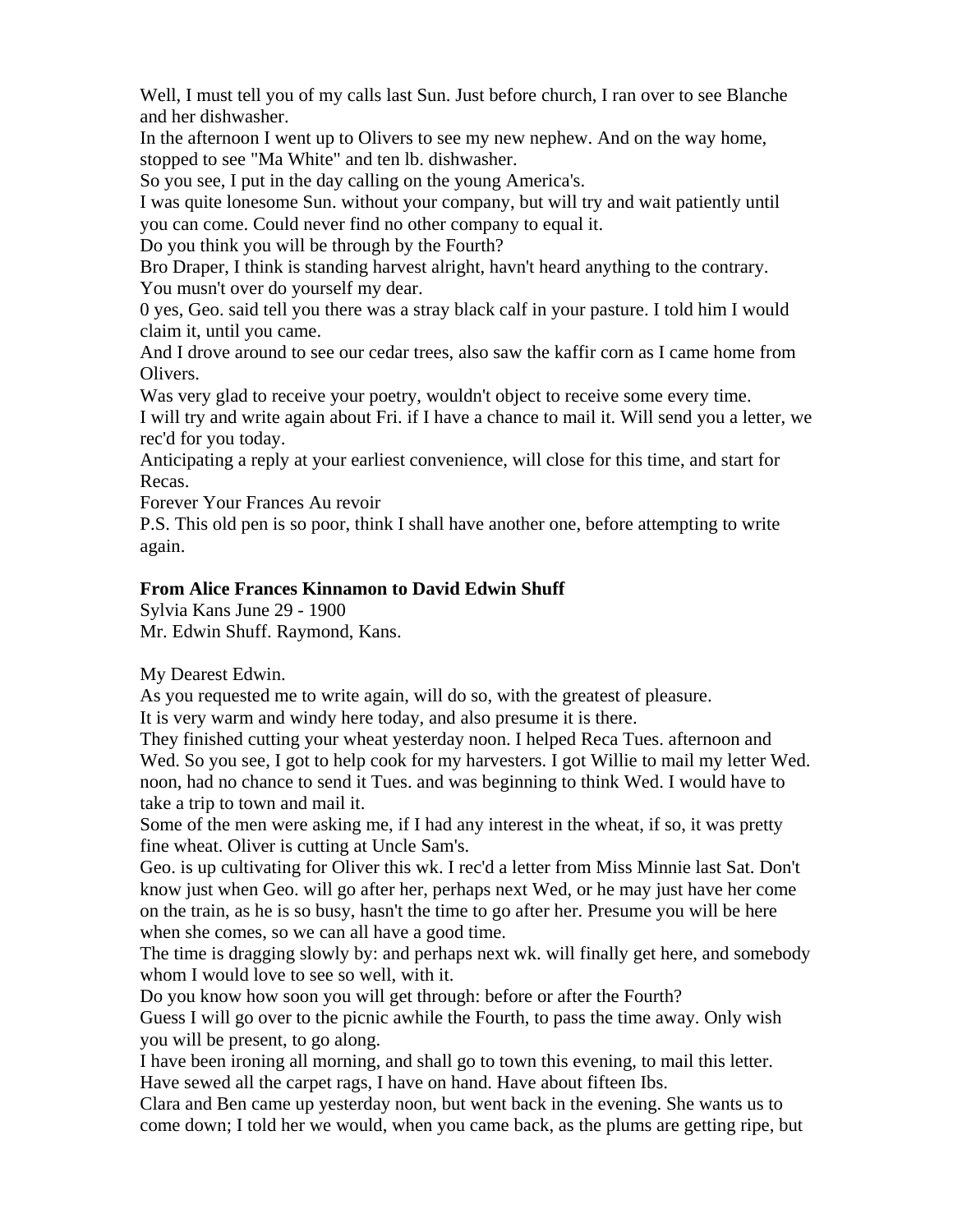Well, I must tell you of my calls last Sun. Just before church, I ran over to see Blanche and her dishwasher.

In the afternoon I went up to Olivers to see my new nephew. And on the way home, stopped to see "Ma White" and ten lb. dishwasher.

So you see, I put in the day calling on the young America's.

I was quite lonesome Sun. without your company, but will try and wait patiently until you can come. Could never find no other company to equal it.

Do you think you will be through by the Fourth?

Bro Draper, I think is standing harvest alright, havn't heard anything to the contrary. You musn't over do yourself my dear.

0 yes, Geo. said tell you there was a stray black calf in your pasture. I told him I would claim it, until you came.

And I drove around to see our cedar trees, also saw the kaffir corn as I came home from Olivers.

Was very glad to receive your poetry, wouldn't object to receive some every time.

I will try and write again about Fri. if I have a chance to mail it. Will send you a letter, we rec'd for you today.

Anticipating a reply at your earliest convenience, will close for this time, and start for Recas.

Forever Your Frances Au revoir

P.S. This old pen is so poor, think I shall have another one, before attempting to write again.

# **From Alice Frances Kinnamon to David Edwin Shuff**

Sylvia Kans June 29 - 1900 Mr. Edwin Shuff. Raymond, Kans.

My Dearest Edwin.

As you requested me to write again, will do so, with the greatest of pleasure. It is very warm and windy here today, and also presume it is there.

They finished cutting your wheat yesterday noon. I helped Reca Tues. afternoon and Wed. So you see, I got to help cook for my harvesters. I got Willie to mail my letter Wed. noon, had no chance to send it Tues. and was beginning to think Wed. I would have to take a trip to town and mail it.

Some of the men were asking me, if I had any interest in the wheat, if so, it was pretty fine wheat. Oliver is cutting at Uncle Sam's.

Geo. is up cultivating for Oliver this wk. I rec'd a letter from Miss Minnie last Sat. Don't know just when Geo. will go after her, perhaps next Wed, or he may just have her come on the train, as he is so busy, hasn't the time to go after her. Presume you will be here when she comes, so we can all have a good time.

The time is dragging slowly by: and perhaps next wk. will finally get here, and somebody whom I would love to see so well, with it.

Do you know how soon you will get through: before or after the Fourth?

Guess I will go over to the picnic awhile the Fourth, to pass the time away. Only wish you will be present, to go along.

I have been ironing all morning, and shall go to town this evening, to mail this letter. Have sewed all the carpet rags, I have on hand. Have about fifteen Ibs.

Clara and Ben came up yesterday noon, but went back in the evening. She wants us to come down; I told her we would, when you came back, as the plums are getting ripe, but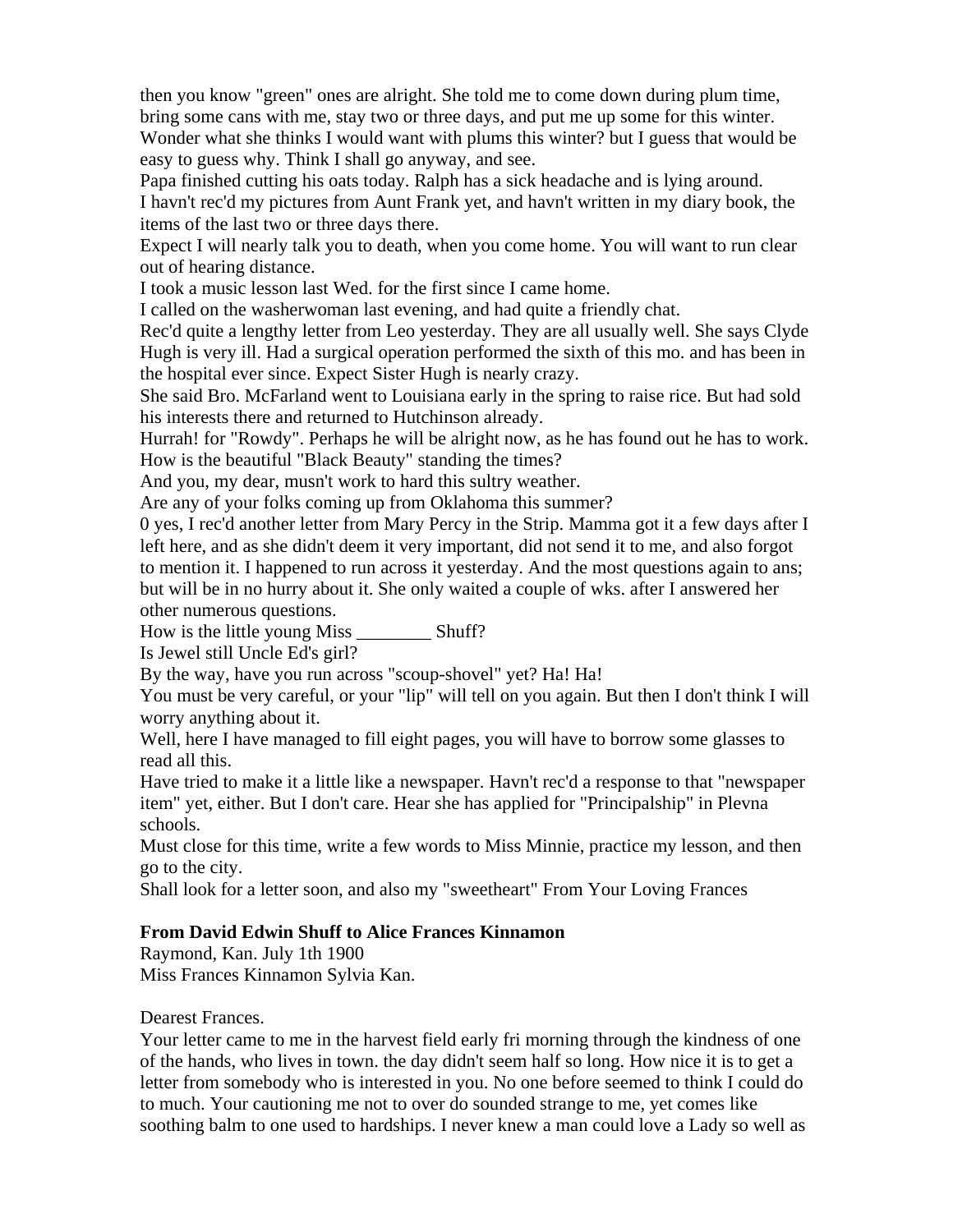then you know "green" ones are alright. She told me to come down during plum time, bring some cans with me, stay two or three days, and put me up some for this winter. Wonder what she thinks I would want with plums this winter? but I guess that would be easy to guess why. Think I shall go anyway, and see.

Papa finished cutting his oats today. Ralph has a sick headache and is lying around.

I havn't rec'd my pictures from Aunt Frank yet, and havn't written in my diary book, the items of the last two or three days there.

Expect I will nearly talk you to death, when you come home. You will want to run clear out of hearing distance.

I took a music lesson last Wed. for the first since I came home.

I called on the washerwoman last evening, and had quite a friendly chat.

Rec'd quite a lengthy letter from Leo yesterday. They are all usually well. She says Clyde Hugh is very ill. Had a surgical operation performed the sixth of this mo. and has been in the hospital ever since. Expect Sister Hugh is nearly crazy.

She said Bro. McFarland went to Louisiana early in the spring to raise rice. But had sold his interests there and returned to Hutchinson already.

Hurrah! for "Rowdy". Perhaps he will be alright now, as he has found out he has to work. How is the beautiful "Black Beauty" standing the times?

And you, my dear, musn't work to hard this sultry weather.

Are any of your folks coming up from Oklahoma this summer?

0 yes, I rec'd another letter from Mary Percy in the Strip. Mamma got it a few days after I left here, and as she didn't deem it very important, did not send it to me, and also forgot to mention it. I happened to run across it yesterday. And the most questions again to ans; but will be in no hurry about it. She only waited a couple of wks. after I answered her other numerous questions.

How is the little young Miss \_\_\_\_\_\_\_\_ Shuff?

Is Jewel still Uncle Ed's girl?

By the way, have you run across "scoup-shovel" yet? Ha! Ha!

You must be very careful, or your "lip" will tell on you again. But then I don't think I will worry anything about it.

Well, here I have managed to fill eight pages, you will have to borrow some glasses to read all this.

Have tried to make it a little like a newspaper. Havn't rec'd a response to that "newspaper item" yet, either. But I don't care. Hear she has applied for "Principalship" in Plevna schools.

Must close for this time, write a few words to Miss Minnie, practice my lesson, and then go to the city.

Shall look for a letter soon, and also my "sweetheart" From Your Loving Frances

# **From David Edwin Shuff to Alice Frances Kinnamon**

Raymond, Kan. July 1th 1900 Miss Frances Kinnamon Sylvia Kan.

Dearest Frances.

Your letter came to me in the harvest field early fri morning through the kindness of one of the hands, who lives in town. the day didn't seem half so long. How nice it is to get a letter from somebody who is interested in you. No one before seemed to think I could do to much. Your cautioning me not to over do sounded strange to me, yet comes like soothing balm to one used to hardships. I never knew a man could love a Lady so well as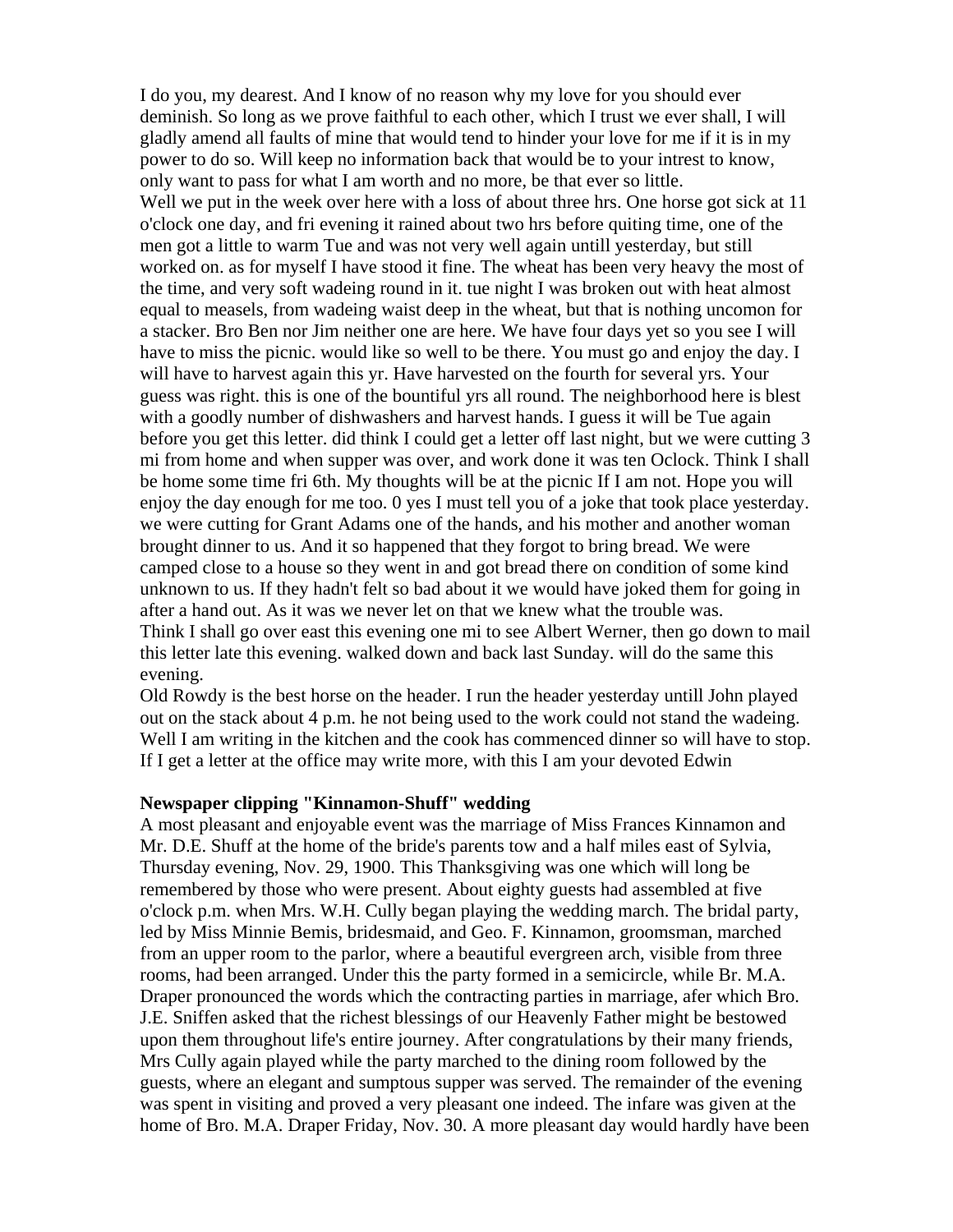I do you, my dearest. And I know of no reason why my love for you should ever deminish. So long as we prove faithful to each other, which I trust we ever shall, I will gladly amend all faults of mine that would tend to hinder your love for me if it is in my power to do so. Will keep no information back that would be to your intrest to know, only want to pass for what I am worth and no more, be that ever so little. Well we put in the week over here with a loss of about three hrs. One horse got sick at 11 o'clock one day, and fri evening it rained about two hrs before quiting time, one of the men got a little to warm Tue and was not very well again untill yesterday, but still worked on. as for myself I have stood it fine. The wheat has been very heavy the most of the time, and very soft wadeing round in it. tue night I was broken out with heat almost equal to measels, from wadeing waist deep in the wheat, but that is nothing uncomon for a stacker. Bro Ben nor Jim neither one are here. We have four days yet so you see I will have to miss the picnic. would like so well to be there. You must go and enjoy the day. I will have to harvest again this yr. Have harvested on the fourth for several yrs. Your guess was right. this is one of the bountiful yrs all round. The neighborhood here is blest with a goodly number of dishwashers and harvest hands. I guess it will be Tue again before you get this letter. did think I could get a letter off last night, but we were cutting 3 mi from home and when supper was over, and work done it was ten Oclock. Think I shall be home some time fri 6th. My thoughts will be at the picnic If I am not. Hope you will enjoy the day enough for me too. 0 yes I must tell you of a joke that took place yesterday. we were cutting for Grant Adams one of the hands, and his mother and another woman brought dinner to us. And it so happened that they forgot to bring bread. We were camped close to a house so they went in and got bread there on condition of some kind unknown to us. If they hadn't felt so bad about it we would have joked them for going in after a hand out. As it was we never let on that we knew what the trouble was. Think I shall go over east this evening one mi to see Albert Werner, then go down to mail this letter late this evening. walked down and back last Sunday. will do the same this evening.

Old Rowdy is the best horse on the header. I run the header yesterday untill John played out on the stack about 4 p.m. he not being used to the work could not stand the wadeing. Well I am writing in the kitchen and the cook has commenced dinner so will have to stop. If I get a letter at the office may write more, with this I am your devoted Edwin

#### **Newspaper clipping "Kinnamon-Shuff" wedding**

A most pleasant and enjoyable event was the marriage of Miss Frances Kinnamon and Mr. D.E. Shuff at the home of the bride's parents tow and a half miles east of Sylvia, Thursday evening, Nov. 29, 1900. This Thanksgiving was one which will long be remembered by those who were present. About eighty guests had assembled at five o'clock p.m. when Mrs. W.H. Cully began playing the wedding march. The bridal party, led by Miss Minnie Bemis, bridesmaid, and Geo. F. Kinnamon, groomsman, marched from an upper room to the parlor, where a beautiful evergreen arch, visible from three rooms, had been arranged. Under this the party formed in a semicircle, while Br. M.A. Draper pronounced the words which the contracting parties in marriage, afer which Bro. J.E. Sniffen asked that the richest blessings of our Heavenly Father might be bestowed upon them throughout life's entire journey. After congratulations by their many friends, Mrs Cully again played while the party marched to the dining room followed by the guests, where an elegant and sumptous supper was served. The remainder of the evening was spent in visiting and proved a very pleasant one indeed. The infare was given at the home of Bro. M.A. Draper Friday, Nov. 30. A more pleasant day would hardly have been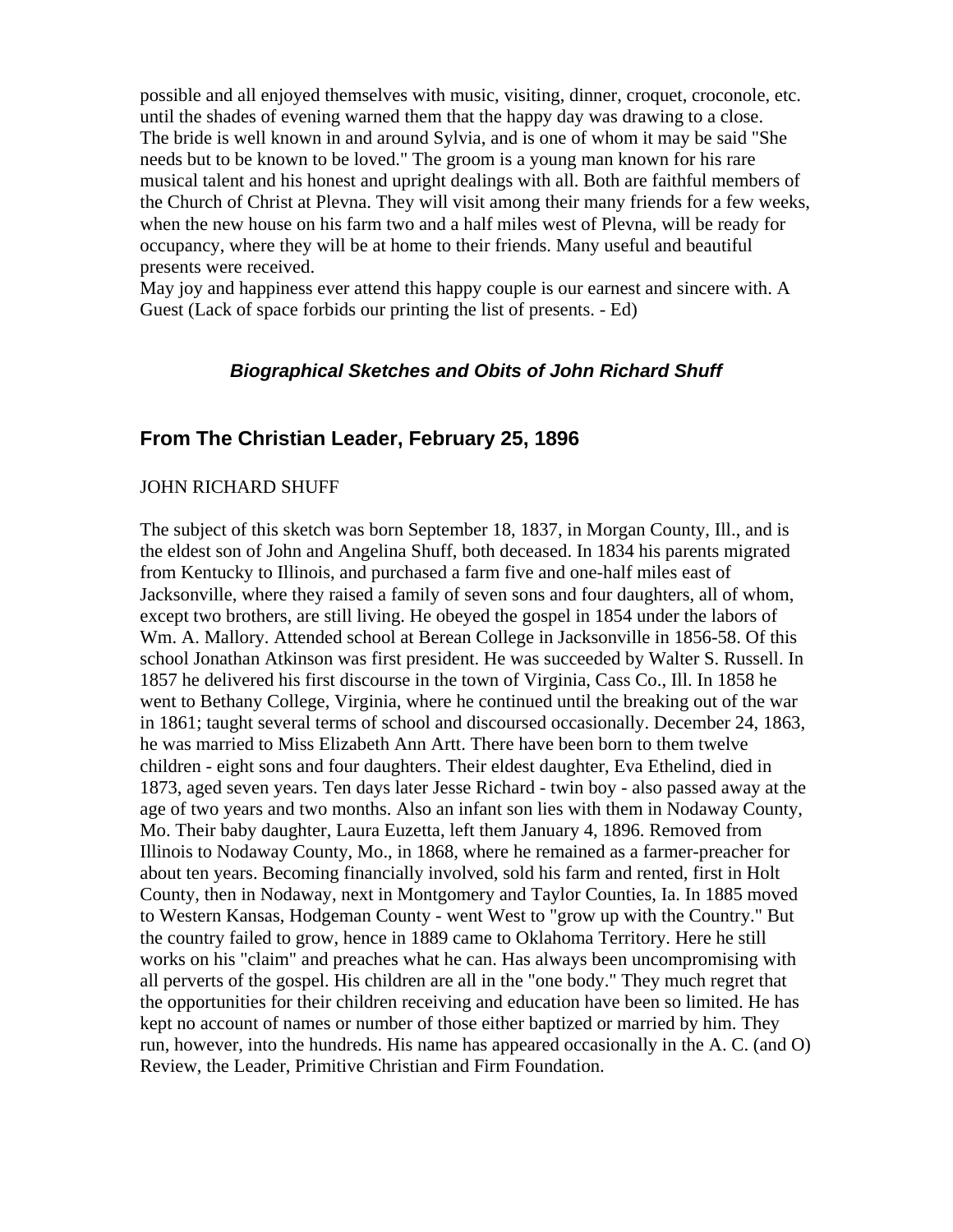possible and all enjoyed themselves with music, visiting, dinner, croquet, croconole, etc. until the shades of evening warned them that the happy day was drawing to a close. The bride is well known in and around Sylvia, and is one of whom it may be said "She needs but to be known to be loved." The groom is a young man known for his rare musical talent and his honest and upright dealings with all. Both are faithful members of the Church of Christ at Plevna. They will visit among their many friends for a few weeks, when the new house on his farm two and a half miles west of Plevna, will be ready for occupancy, where they will be at home to their friends. Many useful and beautiful presents were received.

May joy and happiness ever attend this happy couple is our earnest and sincere with. A Guest (Lack of space forbids our printing the list of presents. - Ed)

## *Biographical Sketches and Obits of John Richard Shuff*

# **From The Christian Leader, February 25, 1896**

#### JOHN RICHARD SHUFF

The subject of this sketch was born September 18, 1837, in Morgan County, Ill., and is the eldest son of John and Angelina Shuff, both deceased. In 1834 his parents migrated from Kentucky to Illinois, and purchased a farm five and one-half miles east of Jacksonville, where they raised a family of seven sons and four daughters, all of whom, except two brothers, are still living. He obeyed the gospel in 1854 under the labors of Wm. A. Mallory. Attended school at Berean College in Jacksonville in 1856-58. Of this school Jonathan Atkinson was first president. He was succeeded by Walter S. Russell. In 1857 he delivered his first discourse in the town of Virginia, Cass Co., Ill. In 1858 he went to Bethany College, Virginia, where he continued until the breaking out of the war in 1861; taught several terms of school and discoursed occasionally. December 24, 1863, he was married to Miss Elizabeth Ann Artt. There have been born to them twelve children - eight sons and four daughters. Their eldest daughter, Eva Ethelind, died in 1873, aged seven years. Ten days later Jesse Richard - twin boy - also passed away at the age of two years and two months. Also an infant son lies with them in Nodaway County, Mo. Their baby daughter, Laura Euzetta, left them January 4, 1896. Removed from Illinois to Nodaway County, Mo., in 1868, where he remained as a farmer-preacher for about ten years. Becoming financially involved, sold his farm and rented, first in Holt County, then in Nodaway, next in Montgomery and Taylor Counties, Ia. In 1885 moved to Western Kansas, Hodgeman County - went West to "grow up with the Country." But the country failed to grow, hence in 1889 came to Oklahoma Territory. Here he still works on his "claim" and preaches what he can. Has always been uncompromising with all perverts of the gospel. His children are all in the "one body." They much regret that the opportunities for their children receiving and education have been so limited. He has kept no account of names or number of those either baptized or married by him. They run, however, into the hundreds. His name has appeared occasionally in the A. C. (and O) Review, the Leader, Primitive Christian and Firm Foundation.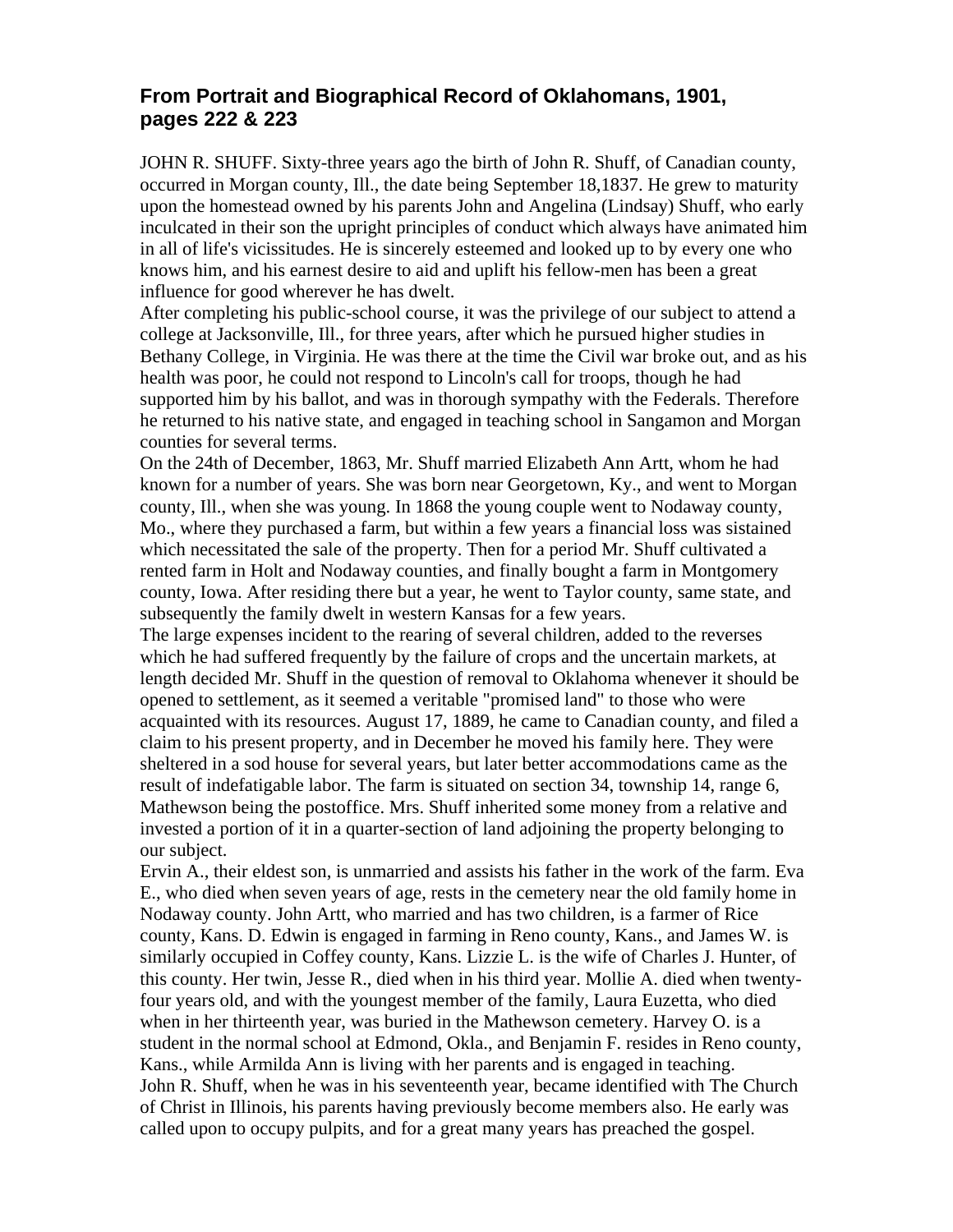# **From Portrait and Biographical Record of Oklahomans, 1901, pages 222 & 223**

JOHN R. SHUFF. Sixty-three years ago the birth of John R. Shuff, of Canadian county, occurred in Morgan county, Ill., the date being September 18,1837. He grew to maturity upon the homestead owned by his parents John and Angelina (Lindsay) Shuff, who early inculcated in their son the upright principles of conduct which always have animated him in all of life's vicissitudes. He is sincerely esteemed and looked up to by every one who knows him, and his earnest desire to aid and uplift his fellow-men has been a great influence for good wherever he has dwelt.

After completing his public-school course, it was the privilege of our subject to attend a college at Jacksonville, Ill., for three years, after which he pursued higher studies in Bethany College, in Virginia. He was there at the time the Civil war broke out, and as his health was poor, he could not respond to Lincoln's call for troops, though he had supported him by his ballot, and was in thorough sympathy with the Federals. Therefore he returned to his native state, and engaged in teaching school in Sangamon and Morgan counties for several terms.

On the 24th of December, 1863, Mr. Shuff married Elizabeth Ann Artt, whom he had known for a number of years. She was born near Georgetown, Ky., and went to Morgan county, Ill., when she was young. In 1868 the young couple went to Nodaway county, Mo., where they purchased a farm, but within a few years a financial loss was sistained which necessitated the sale of the property. Then for a period Mr. Shuff cultivated a rented farm in Holt and Nodaway counties, and finally bought a farm in Montgomery county, Iowa. After residing there but a year, he went to Taylor county, same state, and subsequently the family dwelt in western Kansas for a few years.

The large expenses incident to the rearing of several children, added to the reverses which he had suffered frequently by the failure of crops and the uncertain markets, at length decided Mr. Shuff in the question of removal to Oklahoma whenever it should be opened to settlement, as it seemed a veritable "promised land" to those who were acquainted with its resources. August 17, 1889, he came to Canadian county, and filed a claim to his present property, and in December he moved his family here. They were sheltered in a sod house for several years, but later better accommodations came as the result of indefatigable labor. The farm is situated on section 34, township 14, range 6, Mathewson being the postoffice. Mrs. Shuff inherited some money from a relative and invested a portion of it in a quarter-section of land adjoining the property belonging to our subject.

Ervin A., their eldest son, is unmarried and assists his father in the work of the farm. Eva E., who died when seven years of age, rests in the cemetery near the old family home in Nodaway county. John Artt, who married and has two children, is a farmer of Rice county, Kans. D. Edwin is engaged in farming in Reno county, Kans., and James W. is similarly occupied in Coffey county, Kans. Lizzie L. is the wife of Charles J. Hunter, of this county. Her twin, Jesse R., died when in his third year. Mollie A. died when twentyfour years old, and with the youngest member of the family, Laura Euzetta, who died when in her thirteenth year, was buried in the Mathewson cemetery. Harvey O. is a student in the normal school at Edmond, Okla., and Benjamin F. resides in Reno county, Kans., while Armilda Ann is living with her parents and is engaged in teaching. John R. Shuff, when he was in his seventeenth year, became identified with The Church of Christ in Illinois, his parents having previously become members also. He early was called upon to occupy pulpits, and for a great many years has preached the gospel.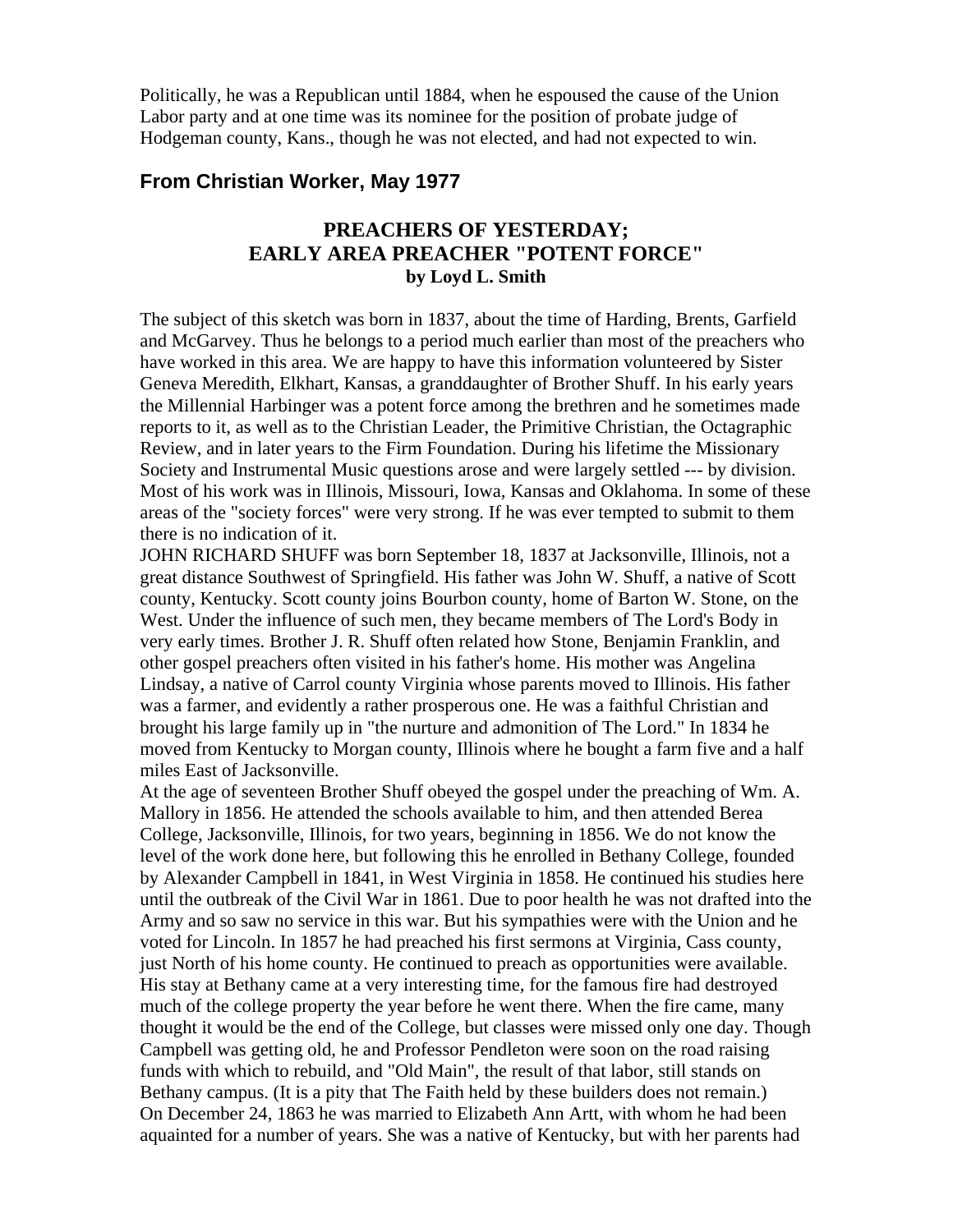Politically, he was a Republican until 1884, when he espoused the cause of the Union Labor party and at one time was its nominee for the position of probate judge of Hodgeman county, Kans., though he was not elected, and had not expected to win.

### **From Christian Worker, May 1977**

# **PREACHERS OF YESTERDAY; EARLY AREA PREACHER "POTENT FORCE" by Loyd L. Smith**

The subject of this sketch was born in 1837, about the time of Harding, Brents, Garfield and McGarvey. Thus he belongs to a period much earlier than most of the preachers who have worked in this area. We are happy to have this information volunteered by Sister Geneva Meredith, Elkhart, Kansas, a granddaughter of Brother Shuff. In his early years the Millennial Harbinger was a potent force among the brethren and he sometimes made reports to it, as well as to the Christian Leader, the Primitive Christian, the Octagraphic Review, and in later years to the Firm Foundation. During his lifetime the Missionary Society and Instrumental Music questions arose and were largely settled --- by division. Most of his work was in Illinois, Missouri, Iowa, Kansas and Oklahoma. In some of these areas of the "society forces" were very strong. If he was ever tempted to submit to them there is no indication of it.

JOHN RICHARD SHUFF was born September 18, 1837 at Jacksonville, Illinois, not a great distance Southwest of Springfield. His father was John W. Shuff, a native of Scott county, Kentucky. Scott county joins Bourbon county, home of Barton W. Stone, on the West. Under the influence of such men, they became members of The Lord's Body in very early times. Brother J. R. Shuff often related how Stone, Benjamin Franklin, and other gospel preachers often visited in his father's home. His mother was Angelina Lindsay, a native of Carrol county Virginia whose parents moved to Illinois. His father was a farmer, and evidently a rather prosperous one. He was a faithful Christian and brought his large family up in "the nurture and admonition of The Lord." In 1834 he moved from Kentucky to Morgan county, Illinois where he bought a farm five and a half miles East of Jacksonville.

At the age of seventeen Brother Shuff obeyed the gospel under the preaching of Wm. A. Mallory in 1856. He attended the schools available to him, and then attended Berea College, Jacksonville, Illinois, for two years, beginning in 1856. We do not know the level of the work done here, but following this he enrolled in Bethany College, founded by Alexander Campbell in 1841, in West Virginia in 1858. He continued his studies here until the outbreak of the Civil War in 1861. Due to poor health he was not drafted into the Army and so saw no service in this war. But his sympathies were with the Union and he voted for Lincoln. In 1857 he had preached his first sermons at Virginia, Cass county, just North of his home county. He continued to preach as opportunities were available. His stay at Bethany came at a very interesting time, for the famous fire had destroyed much of the college property the year before he went there. When the fire came, many thought it would be the end of the College, but classes were missed only one day. Though Campbell was getting old, he and Professor Pendleton were soon on the road raising funds with which to rebuild, and "Old Main", the result of that labor, still stands on Bethany campus. (It is a pity that The Faith held by these builders does not remain.) On December 24, 1863 he was married to Elizabeth Ann Artt, with whom he had been aquainted for a number of years. She was a native of Kentucky, but with her parents had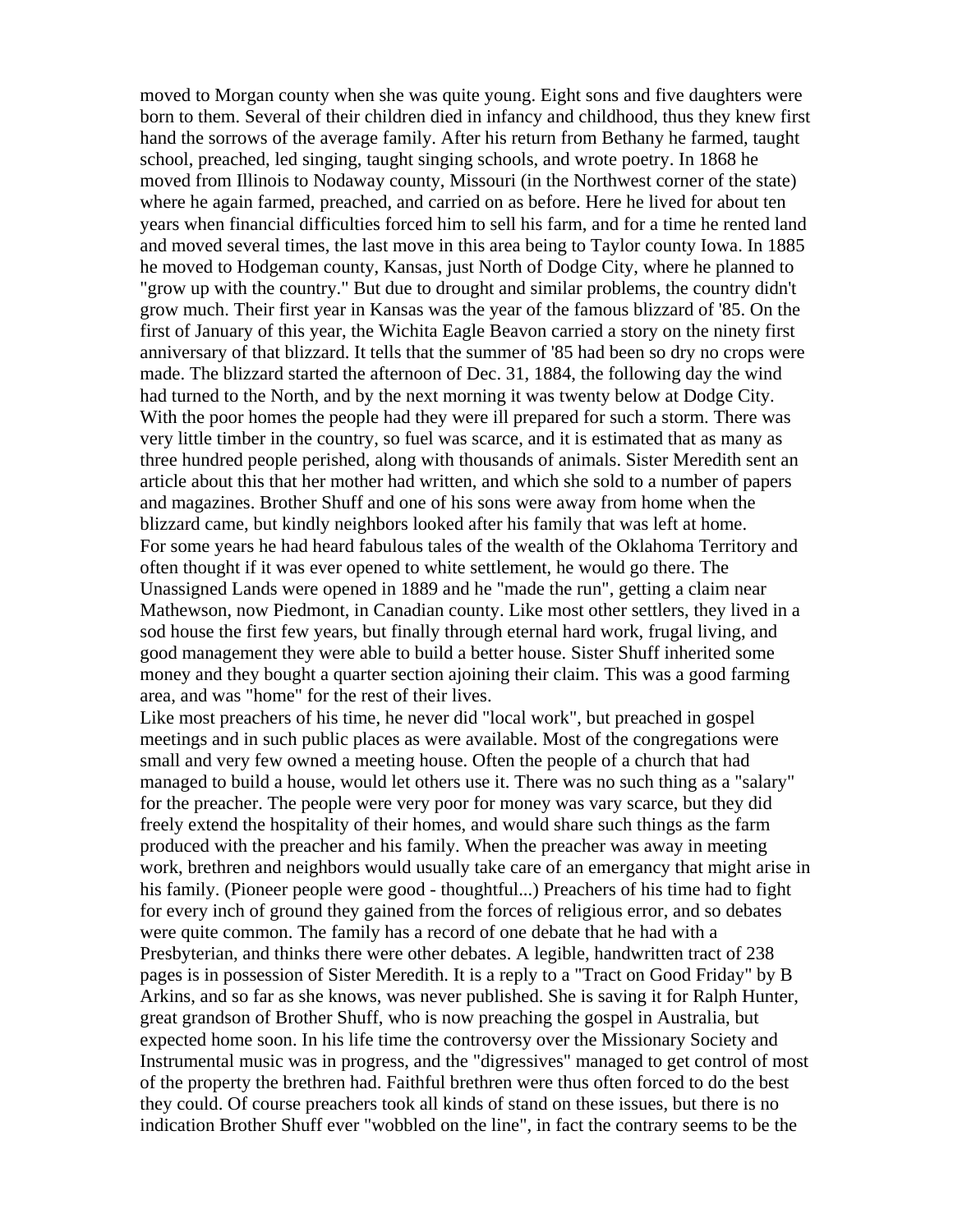moved to Morgan county when she was quite young. Eight sons and five daughters were born to them. Several of their children died in infancy and childhood, thus they knew first hand the sorrows of the average family. After his return from Bethany he farmed, taught school, preached, led singing, taught singing schools, and wrote poetry. In 1868 he moved from Illinois to Nodaway county, Missouri (in the Northwest corner of the state) where he again farmed, preached, and carried on as before. Here he lived for about ten years when financial difficulties forced him to sell his farm, and for a time he rented land and moved several times, the last move in this area being to Taylor county Iowa. In 1885 he moved to Hodgeman county, Kansas, just North of Dodge City, where he planned to "grow up with the country." But due to drought and similar problems, the country didn't grow much. Their first year in Kansas was the year of the famous blizzard of '85. On the first of January of this year, the Wichita Eagle Beavon carried a story on the ninety first anniversary of that blizzard. It tells that the summer of '85 had been so dry no crops were made. The blizzard started the afternoon of Dec. 31, 1884, the following day the wind had turned to the North, and by the next morning it was twenty below at Dodge City. With the poor homes the people had they were ill prepared for such a storm. There was very little timber in the country, so fuel was scarce, and it is estimated that as many as three hundred people perished, along with thousands of animals. Sister Meredith sent an article about this that her mother had written, and which she sold to a number of papers and magazines. Brother Shuff and one of his sons were away from home when the blizzard came, but kindly neighbors looked after his family that was left at home. For some years he had heard fabulous tales of the wealth of the Oklahoma Territory and often thought if it was ever opened to white settlement, he would go there. The Unassigned Lands were opened in 1889 and he "made the run", getting a claim near Mathewson, now Piedmont, in Canadian county. Like most other settlers, they lived in a sod house the first few years, but finally through eternal hard work, frugal living, and good management they were able to build a better house. Sister Shuff inherited some money and they bought a quarter section ajoining their claim. This was a good farming area, and was "home" for the rest of their lives.

Like most preachers of his time, he never did "local work", but preached in gospel meetings and in such public places as were available. Most of the congregations were small and very few owned a meeting house. Often the people of a church that had managed to build a house, would let others use it. There was no such thing as a "salary" for the preacher. The people were very poor for money was vary scarce, but they did freely extend the hospitality of their homes, and would share such things as the farm produced with the preacher and his family. When the preacher was away in meeting work, brethren and neighbors would usually take care of an emergancy that might arise in his family. (Pioneer people were good - thoughtful...) Preachers of his time had to fight for every inch of ground they gained from the forces of religious error, and so debates were quite common. The family has a record of one debate that he had with a Presbyterian, and thinks there were other debates. A legible, handwritten tract of 238 pages is in possession of Sister Meredith. It is a reply to a "Tract on Good Friday" by B Arkins, and so far as she knows, was never published. She is saving it for Ralph Hunter, great grandson of Brother Shuff, who is now preaching the gospel in Australia, but expected home soon. In his life time the controversy over the Missionary Society and Instrumental music was in progress, and the "digressives" managed to get control of most of the property the brethren had. Faithful brethren were thus often forced to do the best they could. Of course preachers took all kinds of stand on these issues, but there is no indication Brother Shuff ever "wobbled on the line", in fact the contrary seems to be the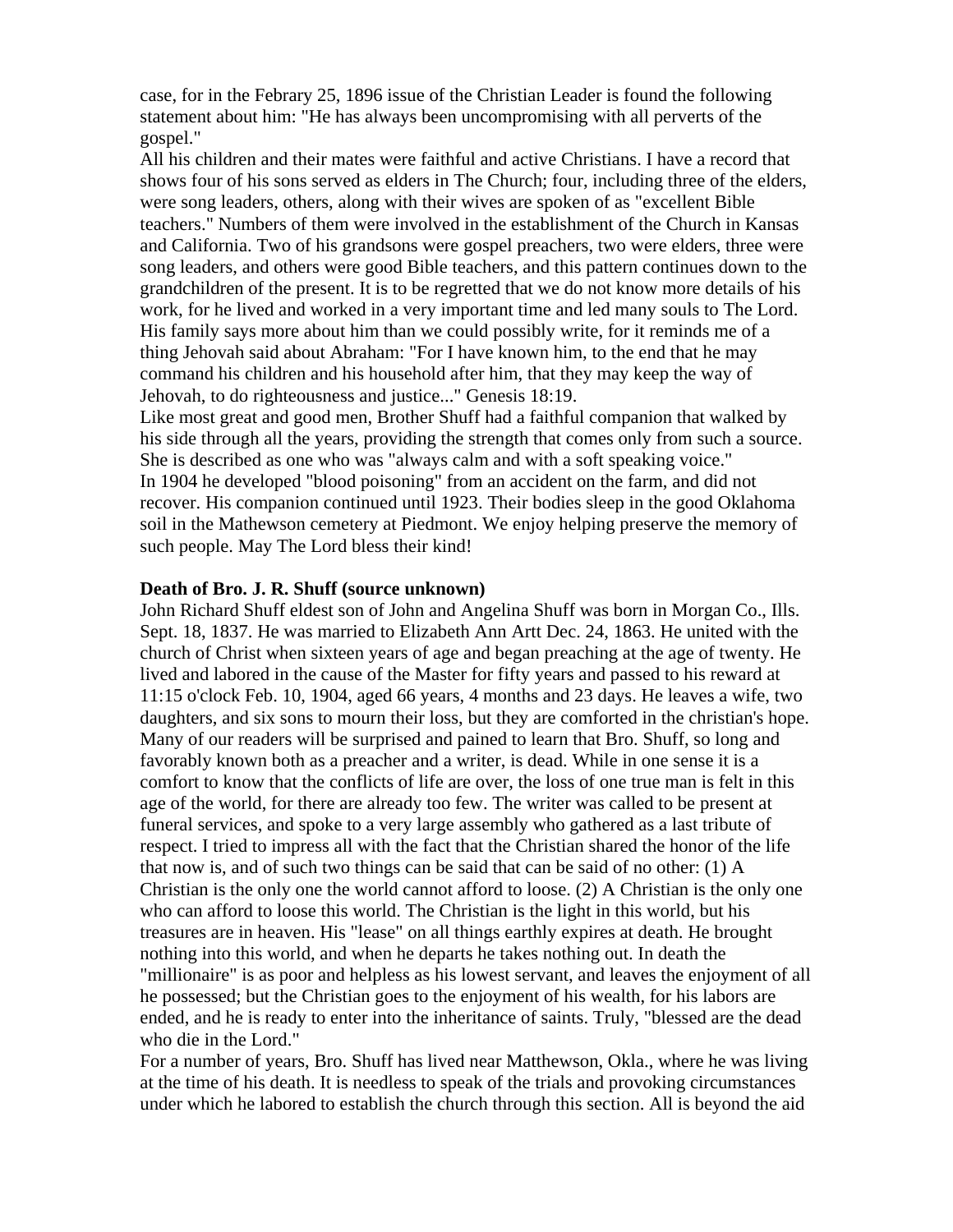case, for in the Febrary 25, 1896 issue of the Christian Leader is found the following statement about him: "He has always been uncompromising with all perverts of the gospel."

All his children and their mates were faithful and active Christians. I have a record that shows four of his sons served as elders in The Church; four, including three of the elders, were song leaders, others, along with their wives are spoken of as "excellent Bible teachers." Numbers of them were involved in the establishment of the Church in Kansas and California. Two of his grandsons were gospel preachers, two were elders, three were song leaders, and others were good Bible teachers, and this pattern continues down to the grandchildren of the present. It is to be regretted that we do not know more details of his work, for he lived and worked in a very important time and led many souls to The Lord. His family says more about him than we could possibly write, for it reminds me of a thing Jehovah said about Abraham: "For I have known him, to the end that he may command his children and his household after him, that they may keep the way of Jehovah, to do righteousness and justice..." Genesis 18:19.

Like most great and good men, Brother Shuff had a faithful companion that walked by his side through all the years, providing the strength that comes only from such a source. She is described as one who was "always calm and with a soft speaking voice." In 1904 he developed "blood poisoning" from an accident on the farm, and did not recover. His companion continued until 1923. Their bodies sleep in the good Oklahoma soil in the Mathewson cemetery at Piedmont. We enjoy helping preserve the memory of such people. May The Lord bless their kind!

#### **Death of Bro. J. R. Shuff (source unknown)**

John Richard Shuff eldest son of John and Angelina Shuff was born in Morgan Co., Ills. Sept. 18, 1837. He was married to Elizabeth Ann Artt Dec. 24, 1863. He united with the church of Christ when sixteen years of age and began preaching at the age of twenty. He lived and labored in the cause of the Master for fifty years and passed to his reward at 11:15 o'clock Feb. 10, 1904, aged 66 years, 4 months and 23 days. He leaves a wife, two daughters, and six sons to mourn their loss, but they are comforted in the christian's hope. Many of our readers will be surprised and pained to learn that Bro. Shuff, so long and favorably known both as a preacher and a writer, is dead. While in one sense it is a comfort to know that the conflicts of life are over, the loss of one true man is felt in this age of the world, for there are already too few. The writer was called to be present at funeral services, and spoke to a very large assembly who gathered as a last tribute of respect. I tried to impress all with the fact that the Christian shared the honor of the life that now is, and of such two things can be said that can be said of no other: (1) A Christian is the only one the world cannot afford to loose. (2) A Christian is the only one who can afford to loose this world. The Christian is the light in this world, but his treasures are in heaven. His "lease" on all things earthly expires at death. He brought nothing into this world, and when he departs he takes nothing out. In death the "millionaire" is as poor and helpless as his lowest servant, and leaves the enjoyment of all he possessed; but the Christian goes to the enjoyment of his wealth, for his labors are ended, and he is ready to enter into the inheritance of saints. Truly, "blessed are the dead who die in the Lord."

For a number of years, Bro. Shuff has lived near Matthewson, Okla., where he was living at the time of his death. It is needless to speak of the trials and provoking circumstances under which he labored to establish the church through this section. All is beyond the aid